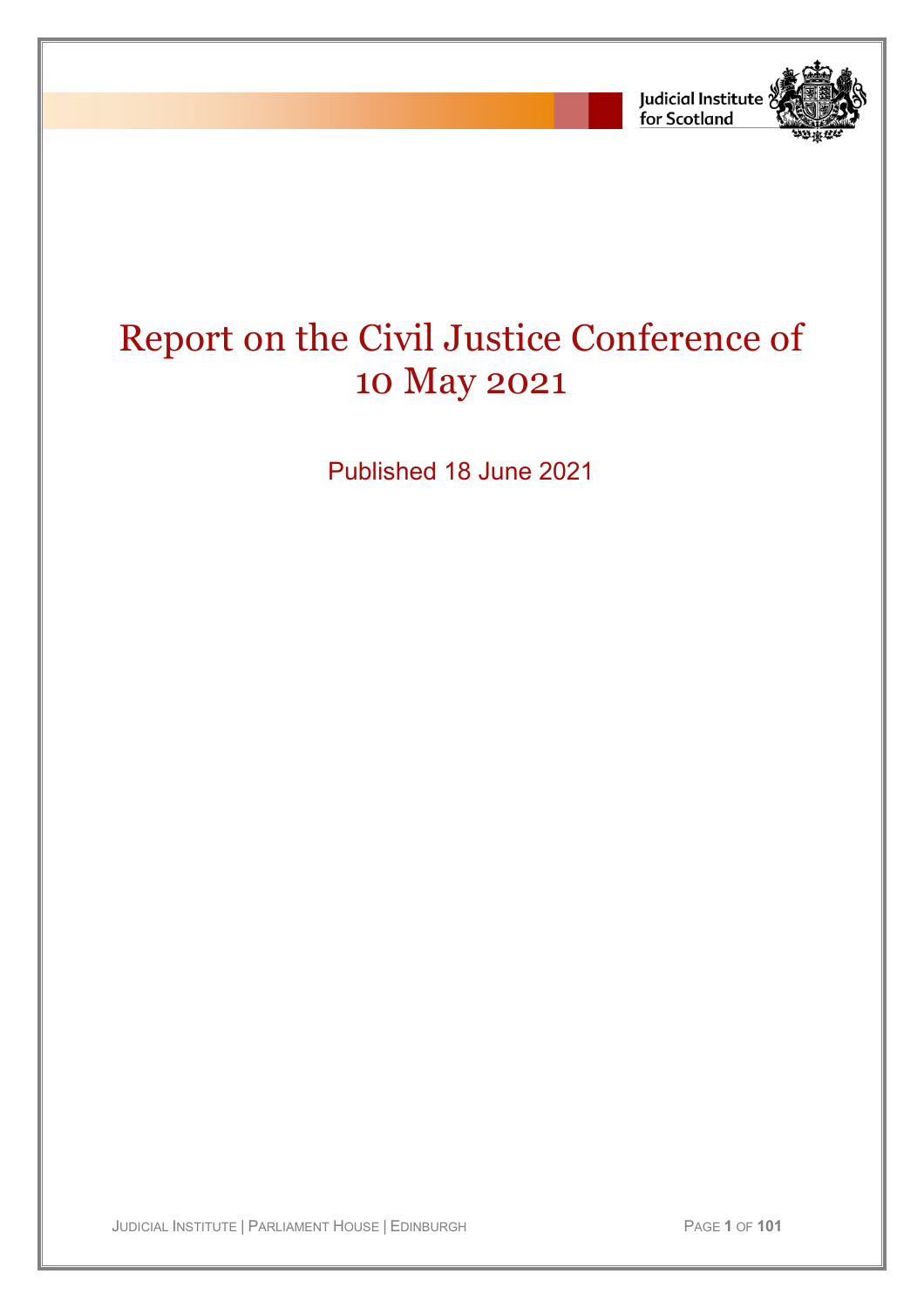

# Report on the Civil Justice Conference of 10 May 2021

Published 18 June 2021

JUDICIAL INSTITUTE | PARLIAMENT HOUSE | EDINBURGH PAGE **1** OF **101**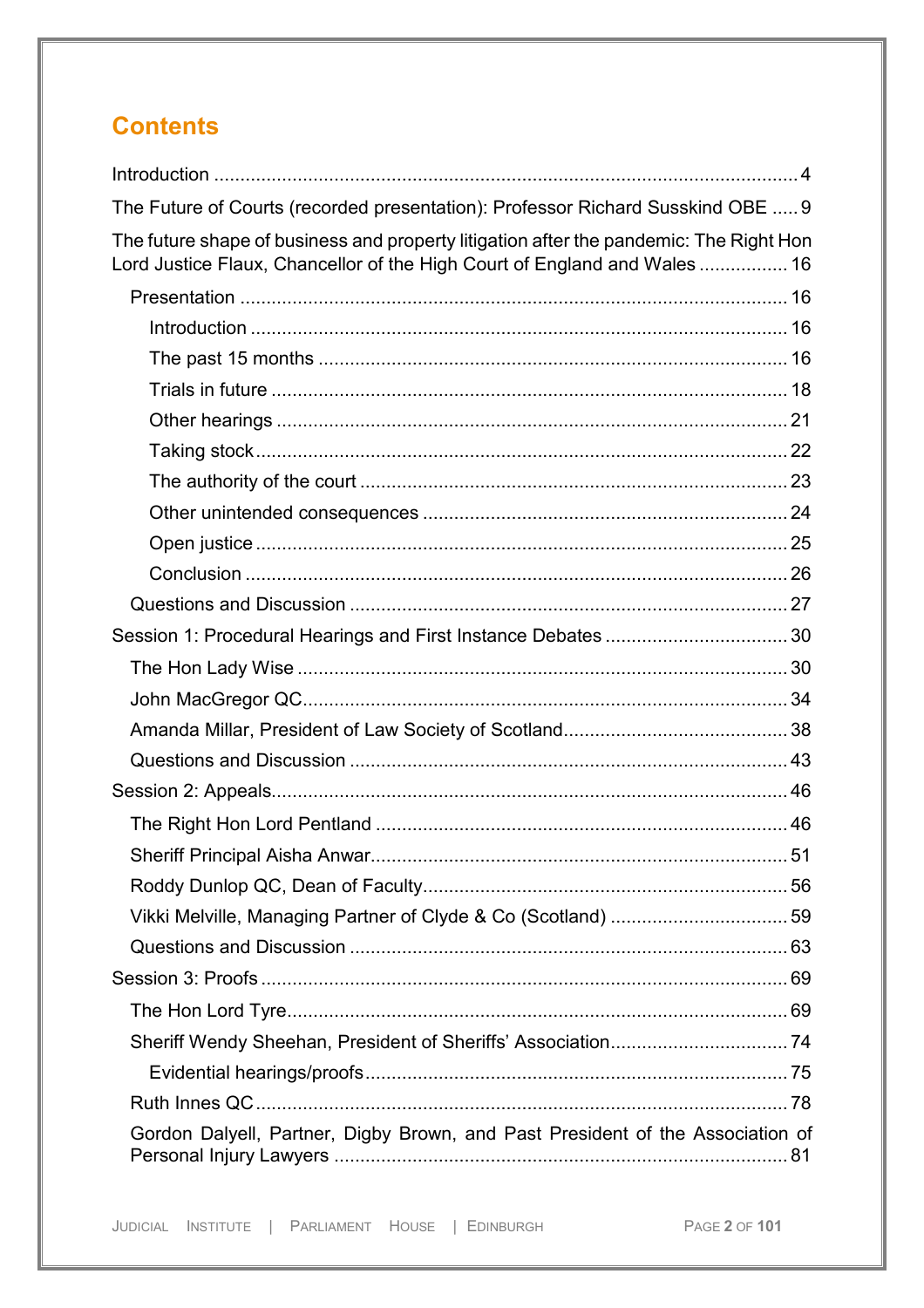# **Contents**

| The Future of Courts (recorded presentation): Professor Richard Susskind OBE  9                                                                                     |
|---------------------------------------------------------------------------------------------------------------------------------------------------------------------|
| The future shape of business and property litigation after the pandemic: The Right Hon<br>Lord Justice Flaux, Chancellor of the High Court of England and Wales  16 |
|                                                                                                                                                                     |
|                                                                                                                                                                     |
|                                                                                                                                                                     |
|                                                                                                                                                                     |
|                                                                                                                                                                     |
|                                                                                                                                                                     |
|                                                                                                                                                                     |
|                                                                                                                                                                     |
|                                                                                                                                                                     |
|                                                                                                                                                                     |
|                                                                                                                                                                     |
|                                                                                                                                                                     |
|                                                                                                                                                                     |
|                                                                                                                                                                     |
|                                                                                                                                                                     |
|                                                                                                                                                                     |
|                                                                                                                                                                     |
|                                                                                                                                                                     |
| 51                                                                                                                                                                  |
|                                                                                                                                                                     |
|                                                                                                                                                                     |
|                                                                                                                                                                     |
|                                                                                                                                                                     |
|                                                                                                                                                                     |
|                                                                                                                                                                     |
|                                                                                                                                                                     |
|                                                                                                                                                                     |
| Gordon Dalyell, Partner, Digby Brown, and Past President of the Association of                                                                                      |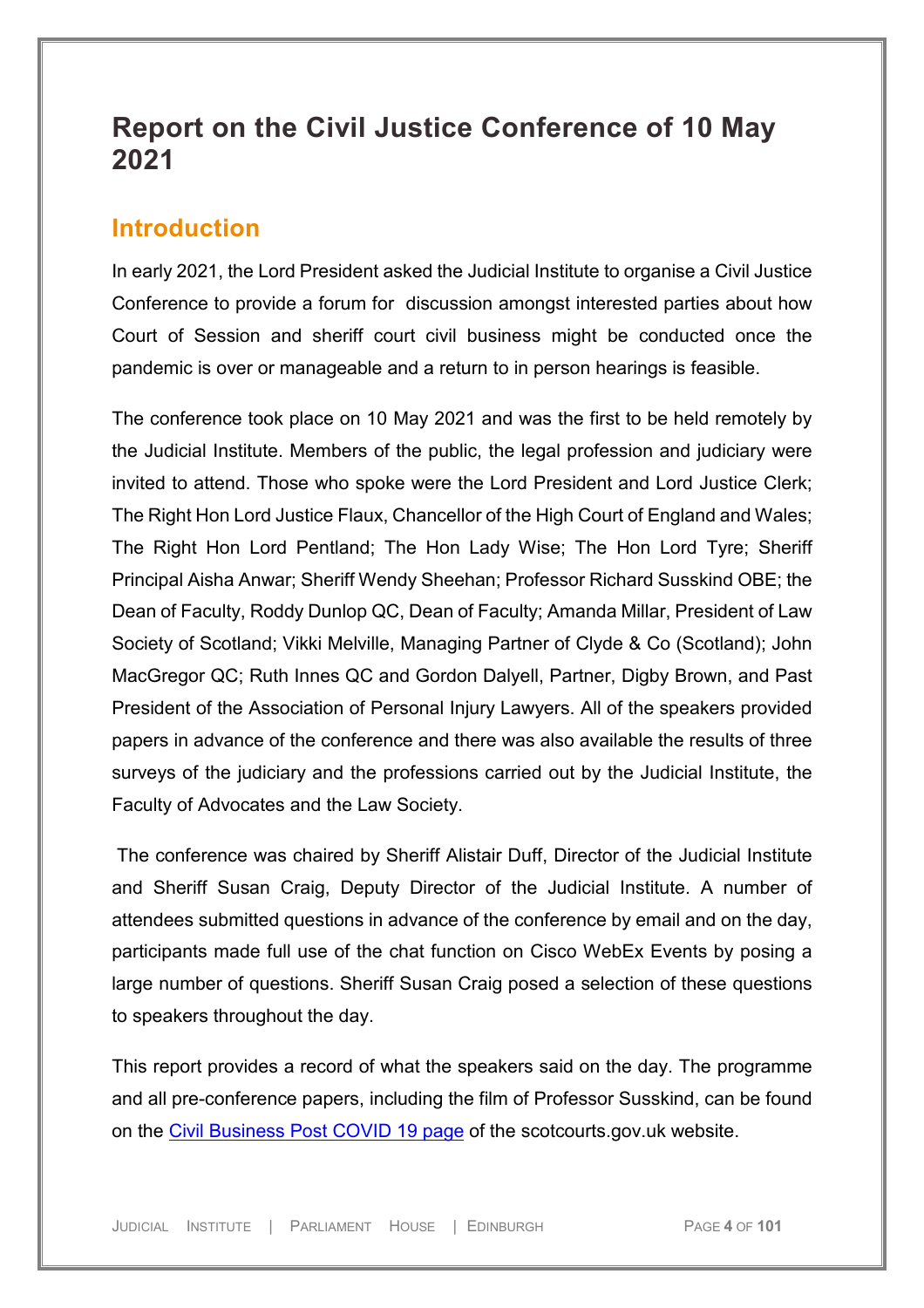# **Report on the Civil Justice Conference of 10 May 2021**

### <span id="page-3-0"></span>**Introduction**

In early 2021, the Lord President asked the Judicial Institute to organise a Civil Justice Conference to provide a forum for discussion amongst interested parties about how Court of Session and sheriff court civil business might be conducted once the pandemic is over or manageable and a return to in person hearings is feasible.

The conference took place on 10 May 2021 and was the first to be held remotely by the Judicial Institute. Members of the public, the legal profession and judiciary were invited to attend. Those who spoke were the Lord President and Lord Justice Clerk; The Right Hon Lord Justice Flaux, Chancellor of the High Court of England and Wales; The Right Hon Lord Pentland; The Hon Lady Wise; The Hon Lord Tyre; Sheriff Principal Aisha Anwar; Sheriff Wendy Sheehan; Professor Richard Susskind OBE; the Dean of Faculty, Roddy Dunlop QC, Dean of Faculty; Amanda Millar, President of Law Society of Scotland; Vikki Melville, Managing Partner of Clyde & Co (Scotland); John MacGregor QC; Ruth Innes QC and Gordon Dalyell, Partner, Digby Brown, and Past President of the Association of Personal Injury Lawyers. All of the speakers provided papers in advance of the conference and there was also available the results of three surveys of the judiciary and the professions carried out by the Judicial Institute, the Faculty of Advocates and the Law Society.

The conference was chaired by Sheriff Alistair Duff, Director of the Judicial Institute and Sheriff Susan Craig, Deputy Director of the Judicial Institute. A number of attendees submitted questions in advance of the conference by email and on the day, participants made full use of the chat function on Cisco WebEx Events by posing a large number of questions. Sheriff Susan Craig posed a selection of these questions to speakers throughout the day.

This report provides a record of what the speakers said on the day. The programme and all pre-conference papers, including the film of Professor Susskind, can be found on the [Civil Business Post COVID 19](http://www.scotcourts.gov.uk/about-the-scottish-court-service/civil-business-post-covid-19) page of the scotcourts.gov.uk website.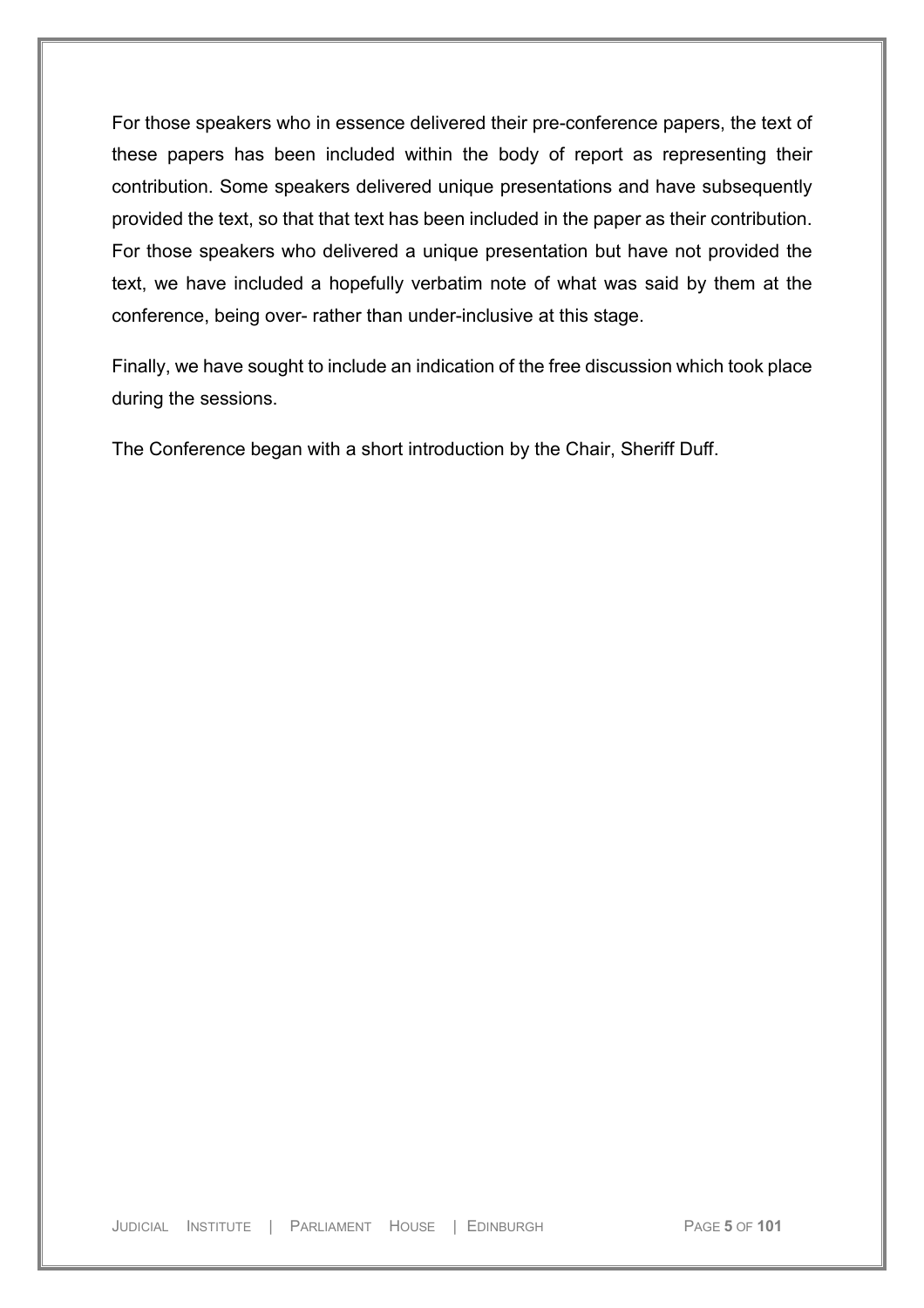For those speakers who in essence delivered their pre-conference papers, the text of these papers has been included within the body of report as representing their contribution. Some speakers delivered unique presentations and have subsequently provided the text, so that that text has been included in the paper as their contribution. For those speakers who delivered a unique presentation but have not provided the text, we have included a hopefully verbatim note of what was said by them at the conference, being over- rather than under-inclusive at this stage.

Finally, we have sought to include an indication of the free discussion which took place during the sessions.

The Conference began with a short introduction by the Chair, Sheriff Duff.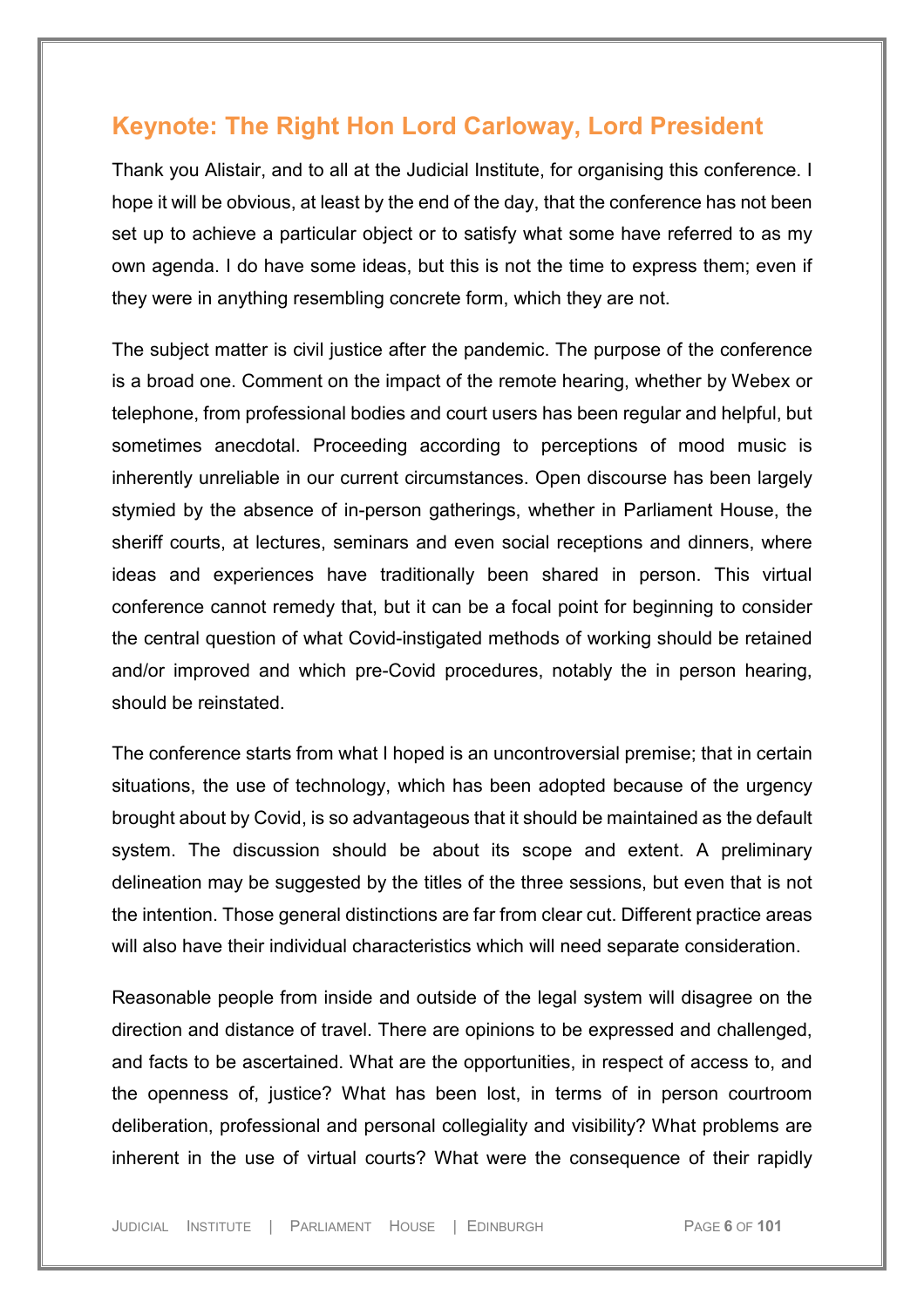## **Keynote: The Right Hon Lord Carloway, Lord President**

Thank you Alistair, and to all at the Judicial Institute, for organising this conference. I hope it will be obvious, at least by the end of the day, that the conference has not been set up to achieve a particular object or to satisfy what some have referred to as my own agenda. I do have some ideas, but this is not the time to express them; even if they were in anything resembling concrete form, which they are not.

The subject matter is civil justice after the pandemic. The purpose of the conference is a broad one. Comment on the impact of the remote hearing, whether by Webex or telephone, from professional bodies and court users has been regular and helpful, but sometimes anecdotal. Proceeding according to perceptions of mood music is inherently unreliable in our current circumstances. Open discourse has been largely stymied by the absence of in-person gatherings, whether in Parliament House, the sheriff courts, at lectures, seminars and even social receptions and dinners, where ideas and experiences have traditionally been shared in person. This virtual conference cannot remedy that, but it can be a focal point for beginning to consider the central question of what Covid-instigated methods of working should be retained and/or improved and which pre-Covid procedures, notably the in person hearing, should be reinstated.

The conference starts from what I hoped is an uncontroversial premise; that in certain situations, the use of technology, which has been adopted because of the urgency brought about by Covid, is so advantageous that it should be maintained as the default system. The discussion should be about its scope and extent. A preliminary delineation may be suggested by the titles of the three sessions, but even that is not the intention. Those general distinctions are far from clear cut. Different practice areas will also have their individual characteristics which will need separate consideration.

Reasonable people from inside and outside of the legal system will disagree on the direction and distance of travel. There are opinions to be expressed and challenged, and facts to be ascertained. What are the opportunities, in respect of access to, and the openness of, justice? What has been lost, in terms of in person courtroom deliberation, professional and personal collegiality and visibility? What problems are inherent in the use of virtual courts? What were the consequence of their rapidly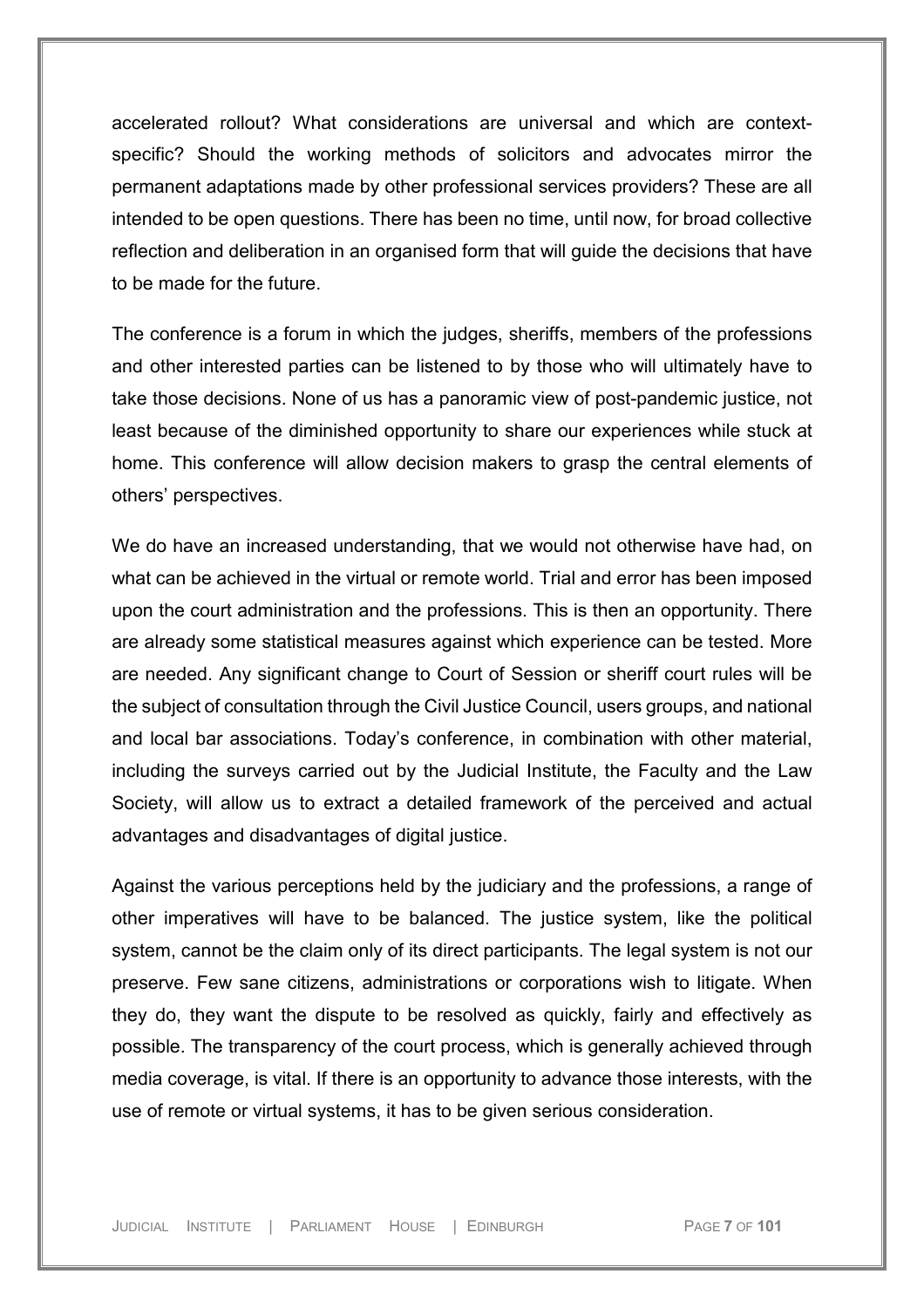accelerated rollout? What considerations are universal and which are contextspecific? Should the working methods of solicitors and advocates mirror the permanent adaptations made by other professional services providers? These are all intended to be open questions. There has been no time, until now, for broad collective reflection and deliberation in an organised form that will guide the decisions that have to be made for the future.

The conference is a forum in which the judges, sheriffs, members of the professions and other interested parties can be listened to by those who will ultimately have to take those decisions. None of us has a panoramic view of post-pandemic justice, not least because of the diminished opportunity to share our experiences while stuck at home. This conference will allow decision makers to grasp the central elements of others' perspectives.

We do have an increased understanding, that we would not otherwise have had, on what can be achieved in the virtual or remote world. Trial and error has been imposed upon the court administration and the professions. This is then an opportunity. There are already some statistical measures against which experience can be tested. More are needed. Any significant change to Court of Session or sheriff court rules will be the subject of consultation through the Civil Justice Council, users groups, and national and local bar associations. Today's conference, in combination with other material, including the surveys carried out by the Judicial Institute, the Faculty and the Law Society, will allow us to extract a detailed framework of the perceived and actual advantages and disadvantages of digital justice.

Against the various perceptions held by the judiciary and the professions, a range of other imperatives will have to be balanced. The justice system, like the political system, cannot be the claim only of its direct participants. The legal system is not our preserve. Few sane citizens, administrations or corporations wish to litigate. When they do, they want the dispute to be resolved as quickly, fairly and effectively as possible. The transparency of the court process, which is generally achieved through media coverage, is vital. If there is an opportunity to advance those interests, with the use of remote or virtual systems, it has to be given serious consideration.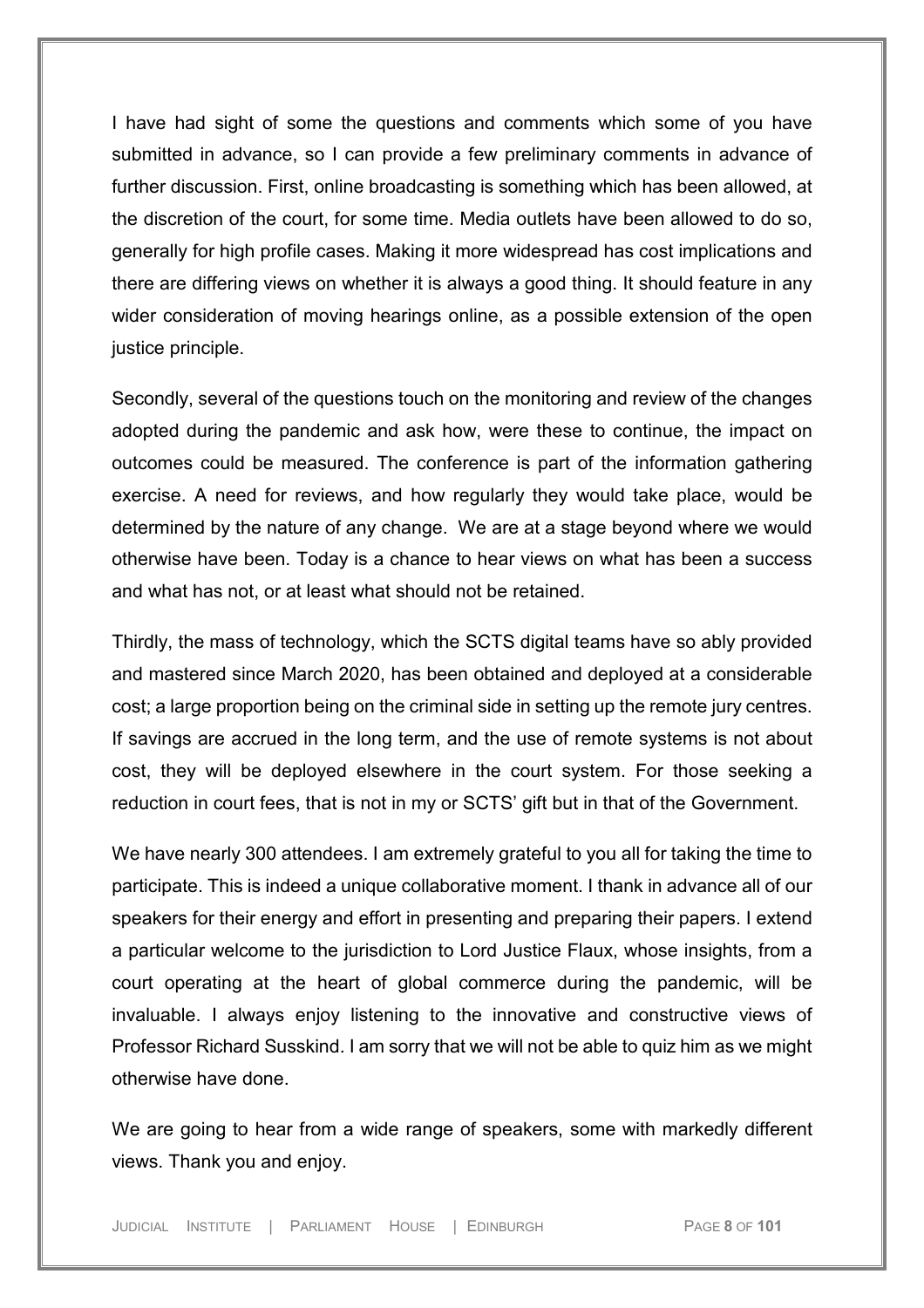I have had sight of some the questions and comments which some of you have submitted in advance, so I can provide a few preliminary comments in advance of further discussion. First, online broadcasting is something which has been allowed, at the discretion of the court, for some time. Media outlets have been allowed to do so, generally for high profile cases. Making it more widespread has cost implications and there are differing views on whether it is always a good thing. It should feature in any wider consideration of moving hearings online, as a possible extension of the open justice principle.

Secondly, several of the questions touch on the monitoring and review of the changes adopted during the pandemic and ask how, were these to continue, the impact on outcomes could be measured. The conference is part of the information gathering exercise. A need for reviews, and how regularly they would take place, would be determined by the nature of any change. We are at a stage beyond where we would otherwise have been. Today is a chance to hear views on what has been a success and what has not, or at least what should not be retained.

Thirdly, the mass of technology, which the SCTS digital teams have so ably provided and mastered since March 2020, has been obtained and deployed at a considerable cost; a large proportion being on the criminal side in setting up the remote jury centres. If savings are accrued in the long term, and the use of remote systems is not about cost, they will be deployed elsewhere in the court system. For those seeking a reduction in court fees, that is not in my or SCTS' gift but in that of the Government.

We have nearly 300 attendees. I am extremely grateful to you all for taking the time to participate. This is indeed a unique collaborative moment. I thank in advance all of our speakers for their energy and effort in presenting and preparing their papers. I extend a particular welcome to the jurisdiction to Lord Justice Flaux, whose insights, from a court operating at the heart of global commerce during the pandemic, will be invaluable. I always enjoy listening to the innovative and constructive views of Professor Richard Susskind. I am sorry that we will not be able to quiz him as we might otherwise have done.

We are going to hear from a wide range of speakers, some with markedly different views. Thank you and enjoy.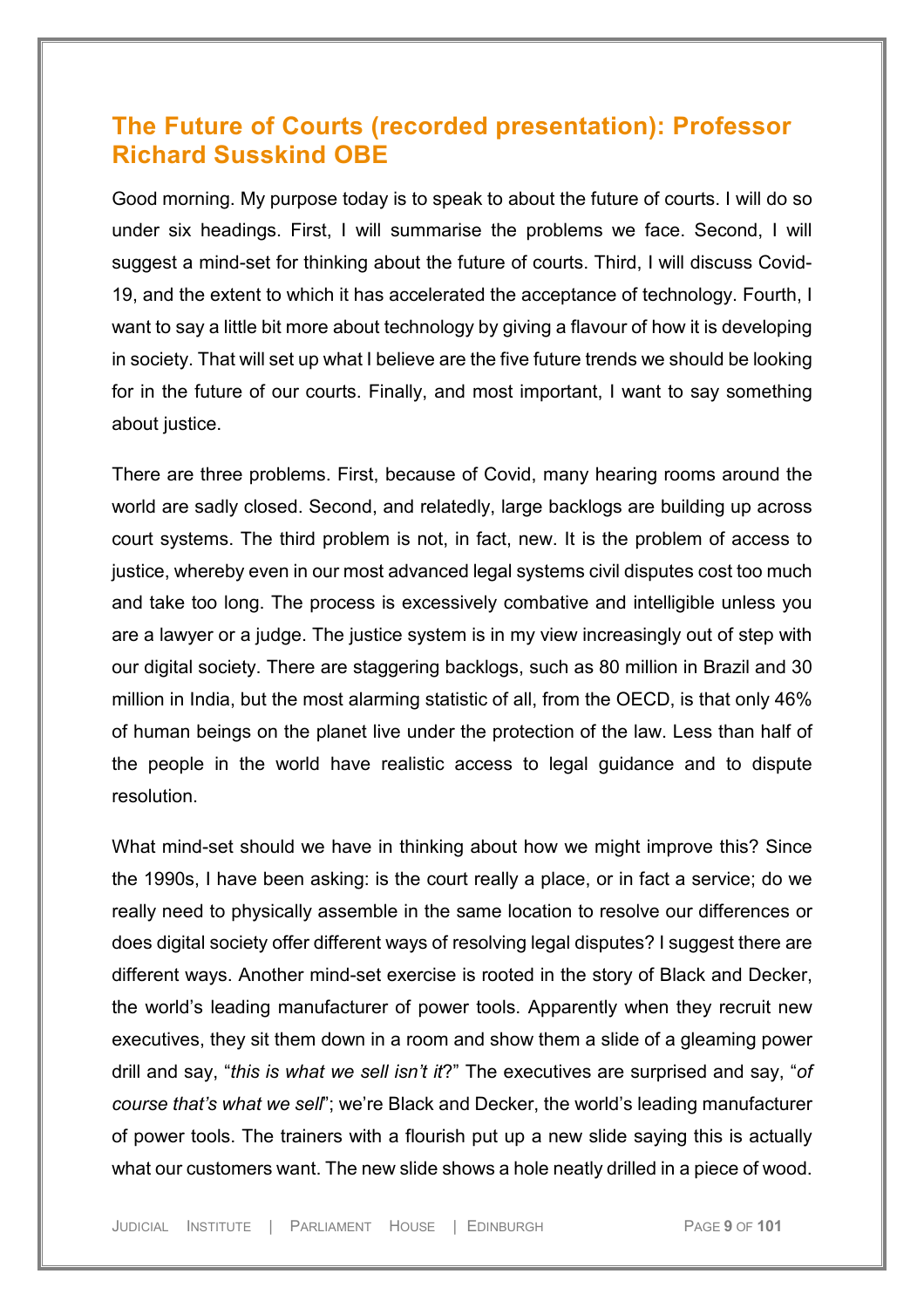# <span id="page-8-0"></span>**The Future of Courts (recorded presentation): Professor Richard Susskind OBE**

Good morning. My purpose today is to speak to about the future of courts. I will do so under six headings. First, I will summarise the problems we face. Second, I will suggest a mind-set for thinking about the future of courts. Third, I will discuss Covid-19, and the extent to which it has accelerated the acceptance of technology. Fourth, I want to say a little bit more about technology by giving a flavour of how it is developing in society. That will set up what I believe are the five future trends we should be looking for in the future of our courts. Finally, and most important, I want to say something about justice.

There are three problems. First, because of Covid, many hearing rooms around the world are sadly closed. Second, and relatedly, large backlogs are building up across court systems. The third problem is not, in fact, new. It is the problem of access to justice, whereby even in our most advanced legal systems civil disputes cost too much and take too long. The process is excessively combative and intelligible unless you are a lawyer or a judge. The justice system is in my view increasingly out of step with our digital society. There are staggering backlogs, such as 80 million in Brazil and 30 million in India, but the most alarming statistic of all, from the OECD, is that only 46% of human beings on the planet live under the protection of the law. Less than half of the people in the world have realistic access to legal guidance and to dispute resolution.

What mind-set should we have in thinking about how we might improve this? Since the 1990s, I have been asking: is the court really a place, or in fact a service; do we really need to physically assemble in the same location to resolve our differences or does digital society offer different ways of resolving legal disputes? I suggest there are different ways. Another mind-set exercise is rooted in the story of Black and Decker, the world's leading manufacturer of power tools. Apparently when they recruit new executives, they sit them down in a room and show them a slide of a gleaming power drill and say, "*this is what we sell isn't it*?" The executives are surprised and say, "*of course that's what we sell*"; we're Black and Decker, the world's leading manufacturer of power tools. The trainers with a flourish put up a new slide saying this is actually what our customers want. The new slide shows a hole neatly drilled in a piece of wood.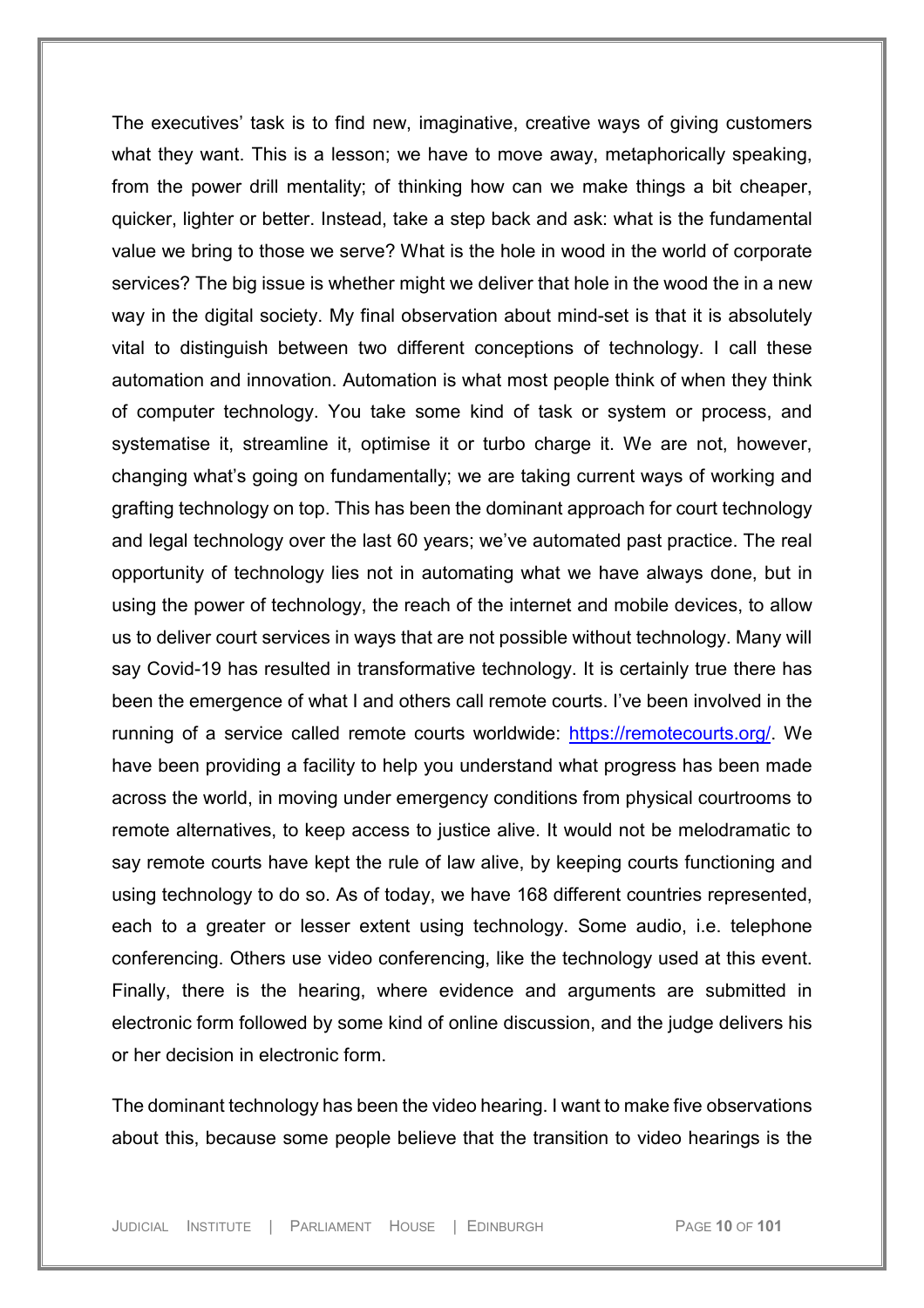The executives' task is to find new, imaginative, creative ways of giving customers what they want. This is a lesson; we have to move away, metaphorically speaking, from the power drill mentality; of thinking how can we make things a bit cheaper, quicker, lighter or better. Instead, take a step back and ask: what is the fundamental value we bring to those we serve? What is the hole in wood in the world of corporate services? The big issue is whether might we deliver that hole in the wood the in a new way in the digital society. My final observation about mind-set is that it is absolutely vital to distinguish between two different conceptions of technology. I call these automation and innovation. Automation is what most people think of when they think of computer technology. You take some kind of task or system or process, and systematise it, streamline it, optimise it or turbo charge it. We are not, however, changing what's going on fundamentally; we are taking current ways of working and grafting technology on top. This has been the dominant approach for court technology and legal technology over the last 60 years; we've automated past practice. The real opportunity of technology lies not in automating what we have always done, but in using the power of technology, the reach of the internet and mobile devices, to allow us to deliver court services in ways that are not possible without technology. Many will say Covid-19 has resulted in transformative technology. It is certainly true there has been the emergence of what I and others call remote courts. I've been involved in the running of a service called remote courts worldwide: [https://remotecourts.org/.](https://remotecourts.org/) We have been providing a facility to help you understand what progress has been made across the world, in moving under emergency conditions from physical courtrooms to remote alternatives, to keep access to justice alive. It would not be melodramatic to say remote courts have kept the rule of law alive, by keeping courts functioning and using technology to do so. As of today, we have 168 different countries represented, each to a greater or lesser extent using technology. Some audio, i.e. telephone conferencing. Others use video conferencing, like the technology used at this event. Finally, there is the hearing, where evidence and arguments are submitted in electronic form followed by some kind of online discussion, and the judge delivers his or her decision in electronic form.

The dominant technology has been the video hearing. I want to make five observations about this, because some people believe that the transition to video hearings is the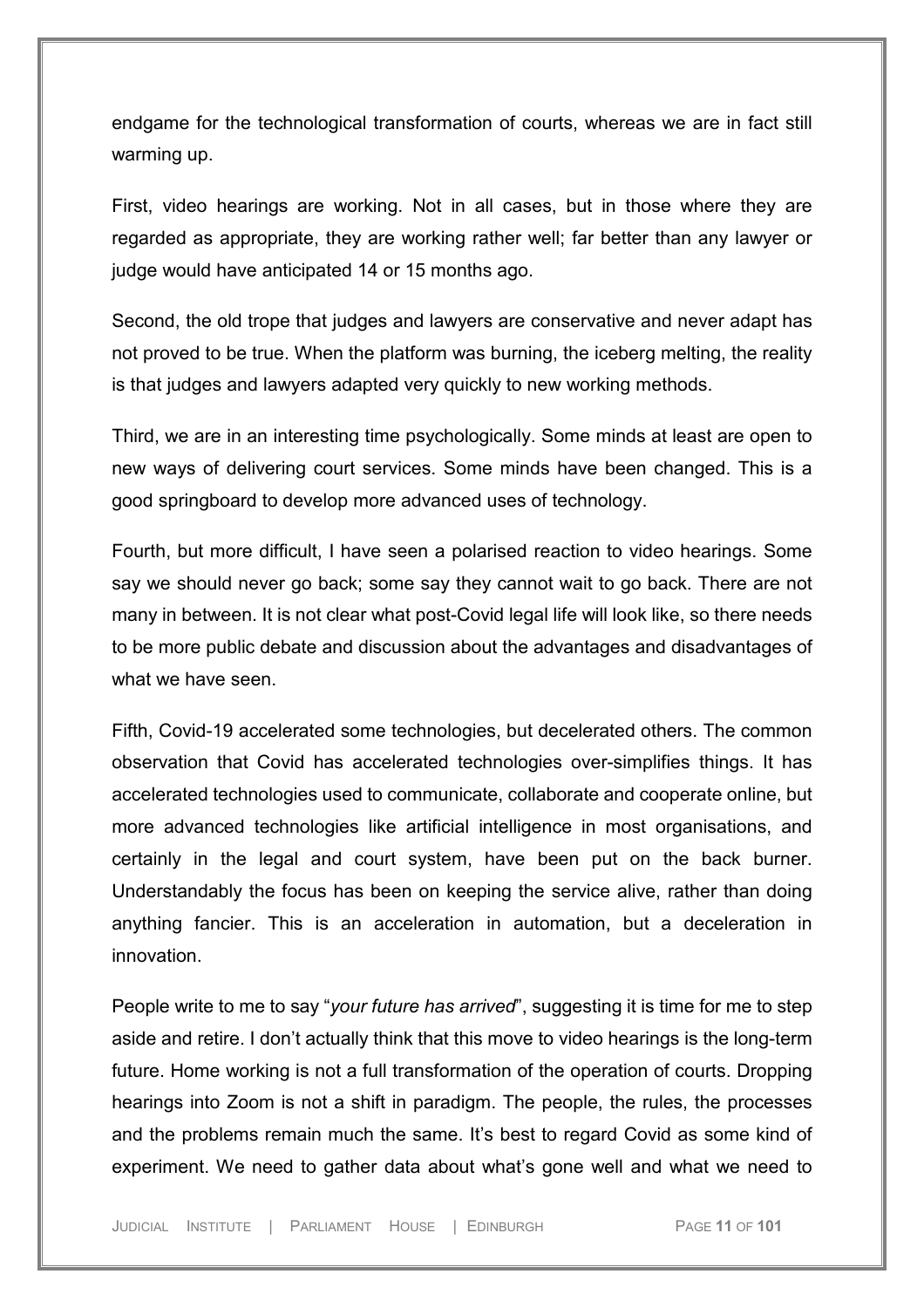endgame for the technological transformation of courts, whereas we are in fact still warming up.

First, video hearings are working. Not in all cases, but in those where they are regarded as appropriate, they are working rather well; far better than any lawyer or judge would have anticipated 14 or 15 months ago.

Second, the old trope that judges and lawyers are conservative and never adapt has not proved to be true. When the platform was burning, the iceberg melting, the reality is that judges and lawyers adapted very quickly to new working methods.

Third, we are in an interesting time psychologically. Some minds at least are open to new ways of delivering court services. Some minds have been changed. This is a good springboard to develop more advanced uses of technology.

Fourth, but more difficult, I have seen a polarised reaction to video hearings. Some say we should never go back; some say they cannot wait to go back. There are not many in between. It is not clear what post-Covid legal life will look like, so there needs to be more public debate and discussion about the advantages and disadvantages of what we have seen.

Fifth, Covid-19 accelerated some technologies, but decelerated others. The common observation that Covid has accelerated technologies over-simplifies things. It has accelerated technologies used to communicate, collaborate and cooperate online, but more advanced technologies like artificial intelligence in most organisations, and certainly in the legal and court system, have been put on the back burner. Understandably the focus has been on keeping the service alive, rather than doing anything fancier. This is an acceleration in automation, but a deceleration in innovation.

People write to me to say "*your future has arrived*", suggesting it is time for me to step aside and retire. I don't actually think that this move to video hearings is the long-term future. Home working is not a full transformation of the operation of courts. Dropping hearings into Zoom is not a shift in paradigm. The people, the rules, the processes and the problems remain much the same. It's best to regard Covid as some kind of experiment. We need to gather data about what's gone well and what we need to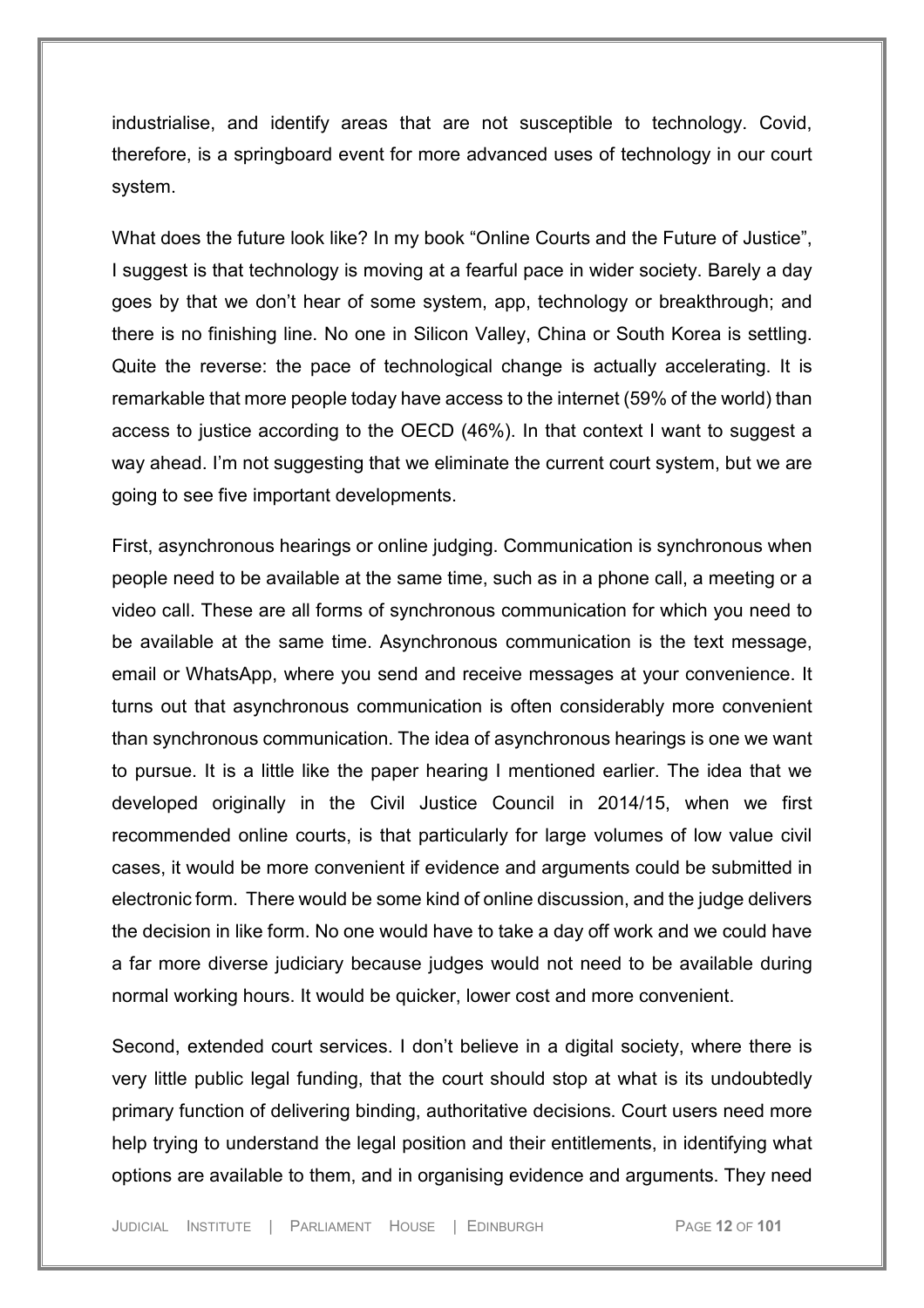industrialise, and identify areas that are not susceptible to technology. Covid, therefore, is a springboard event for more advanced uses of technology in our court system.

What does the future look like? In my book "Online Courts and the Future of Justice", I suggest is that technology is moving at a fearful pace in wider society. Barely a day goes by that we don't hear of some system, app, technology or breakthrough; and there is no finishing line. No one in Silicon Valley, China or South Korea is settling. Quite the reverse: the pace of technological change is actually accelerating. It is remarkable that more people today have access to the internet (59% of the world) than access to justice according to the OECD (46%). In that context I want to suggest a way ahead. I'm not suggesting that we eliminate the current court system, but we are going to see five important developments.

First, asynchronous hearings or online judging. Communication is synchronous when people need to be available at the same time, such as in a phone call, a meeting or a video call. These are all forms of synchronous communication for which you need to be available at the same time. Asynchronous communication is the text message, email or WhatsApp, where you send and receive messages at your convenience. It turns out that asynchronous communication is often considerably more convenient than synchronous communication. The idea of asynchronous hearings is one we want to pursue. It is a little like the paper hearing I mentioned earlier. The idea that we developed originally in the Civil Justice Council in 2014/15, when we first recommended online courts, is that particularly for large volumes of low value civil cases, it would be more convenient if evidence and arguments could be submitted in electronic form. There would be some kind of online discussion, and the judge delivers the decision in like form. No one would have to take a day off work and we could have a far more diverse judiciary because judges would not need to be available during normal working hours. It would be quicker, lower cost and more convenient.

Second, extended court services. I don't believe in a digital society, where there is very little public legal funding, that the court should stop at what is its undoubtedly primary function of delivering binding, authoritative decisions. Court users need more help trying to understand the legal position and their entitlements, in identifying what options are available to them, and in organising evidence and arguments. They need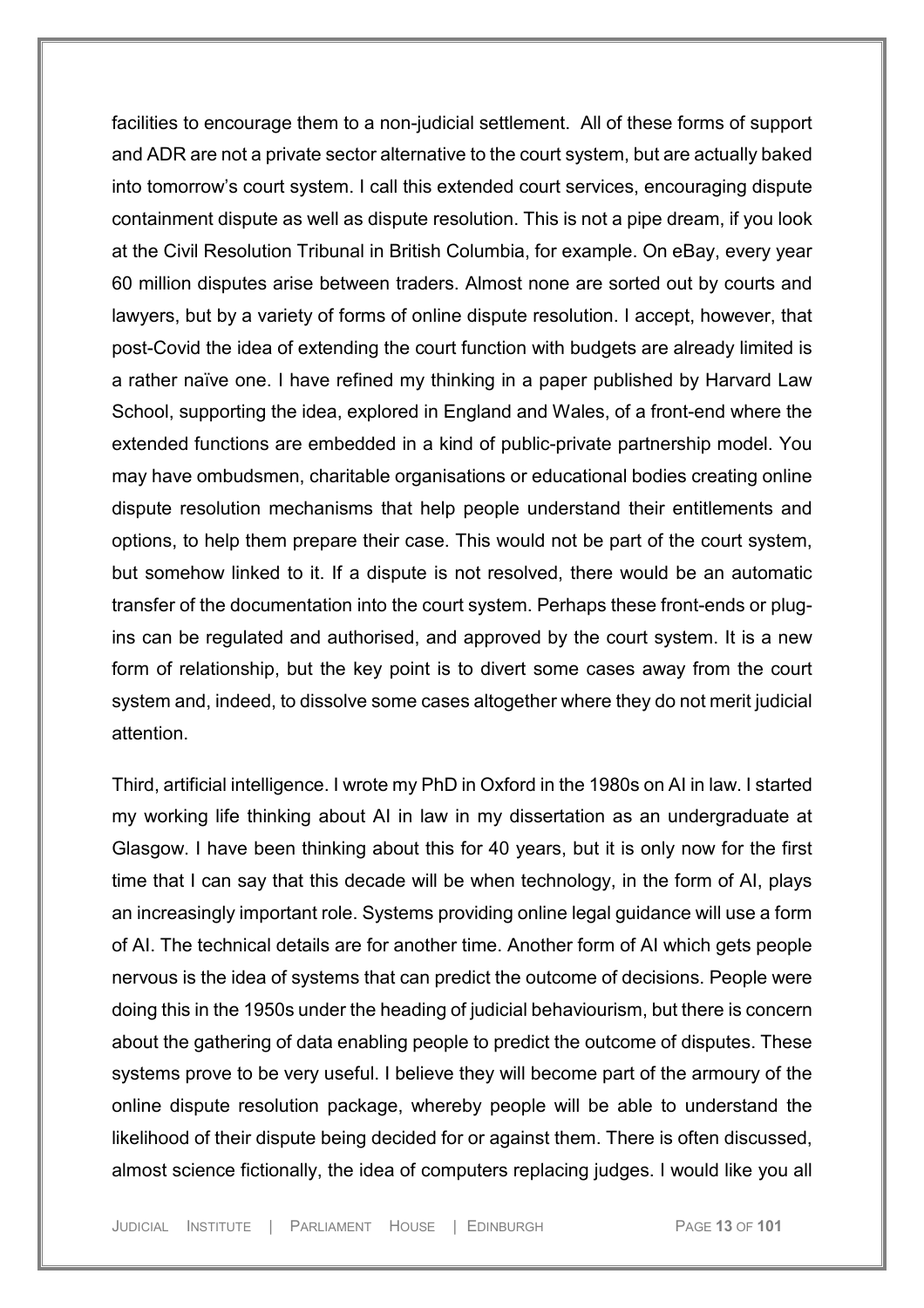facilities to encourage them to a non-judicial settlement. All of these forms of support and ADR are not a private sector alternative to the court system, but are actually baked into tomorrow's court system. I call this extended court services, encouraging dispute containment dispute as well as dispute resolution. This is not a pipe dream, if you look at the Civil Resolution Tribunal in British Columbia, for example. On eBay, every year 60 million disputes arise between traders. Almost none are sorted out by courts and lawyers, but by a variety of forms of online dispute resolution. I accept, however, that post-Covid the idea of extending the court function with budgets are already limited is a rather naïve one. I have refined my thinking in a paper published by Harvard Law School, supporting the idea, explored in England and Wales, of a front-end where the extended functions are embedded in a kind of public-private partnership model. You may have ombudsmen, charitable organisations or educational bodies creating online dispute resolution mechanisms that help people understand their entitlements and options, to help them prepare their case. This would not be part of the court system, but somehow linked to it. If a dispute is not resolved, there would be an automatic transfer of the documentation into the court system. Perhaps these front-ends or plugins can be regulated and authorised, and approved by the court system. It is a new form of relationship, but the key point is to divert some cases away from the court system and, indeed, to dissolve some cases altogether where they do not merit judicial attention.

Third, artificial intelligence. I wrote my PhD in Oxford in the 1980s on AI in law. I started my working life thinking about AI in law in my dissertation as an undergraduate at Glasgow. I have been thinking about this for 40 years, but it is only now for the first time that I can say that this decade will be when technology, in the form of AI, plays an increasingly important role. Systems providing online legal guidance will use a form of AI. The technical details are for another time. Another form of AI which gets people nervous is the idea of systems that can predict the outcome of decisions. People were doing this in the 1950s under the heading of judicial behaviourism, but there is concern about the gathering of data enabling people to predict the outcome of disputes. These systems prove to be very useful. I believe they will become part of the armoury of the online dispute resolution package, whereby people will be able to understand the likelihood of their dispute being decided for or against them. There is often discussed, almost science fictionally, the idea of computers replacing judges. I would like you all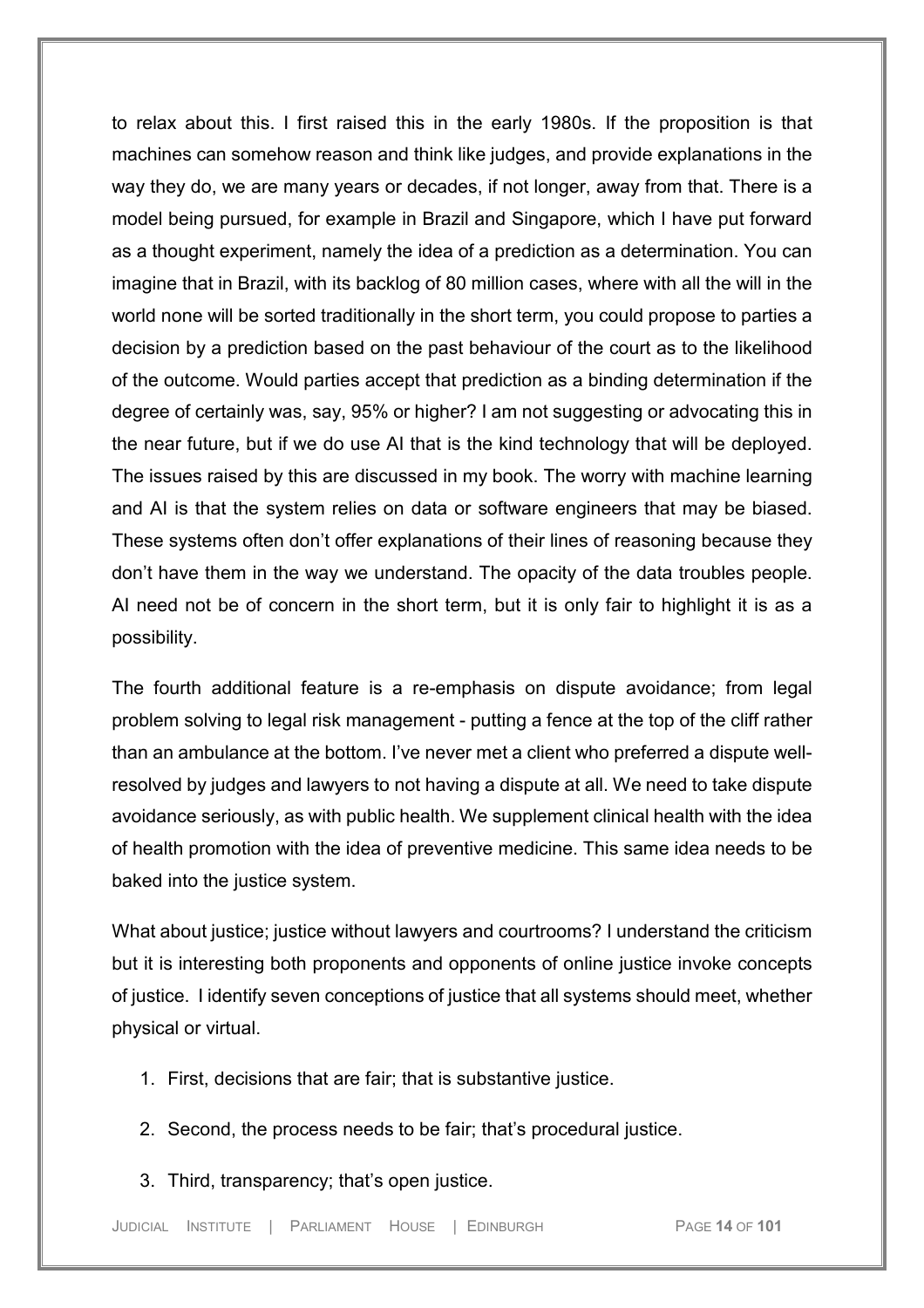to relax about this. I first raised this in the early 1980s. If the proposition is that machines can somehow reason and think like judges, and provide explanations in the way they do, we are many years or decades, if not longer, away from that. There is a model being pursued, for example in Brazil and Singapore, which I have put forward as a thought experiment, namely the idea of a prediction as a determination. You can imagine that in Brazil, with its backlog of 80 million cases, where with all the will in the world none will be sorted traditionally in the short term, you could propose to parties a decision by a prediction based on the past behaviour of the court as to the likelihood of the outcome. Would parties accept that prediction as a binding determination if the degree of certainly was, say, 95% or higher? I am not suggesting or advocating this in the near future, but if we do use AI that is the kind technology that will be deployed. The issues raised by this are discussed in my book. The worry with machine learning and AI is that the system relies on data or software engineers that may be biased. These systems often don't offer explanations of their lines of reasoning because they don't have them in the way we understand. The opacity of the data troubles people. AI need not be of concern in the short term, but it is only fair to highlight it is as a possibility.

The fourth additional feature is a re-emphasis on dispute avoidance; from legal problem solving to legal risk management - putting a fence at the top of the cliff rather than an ambulance at the bottom. I've never met a client who preferred a dispute wellresolved by judges and lawyers to not having a dispute at all. We need to take dispute avoidance seriously, as with public health. We supplement clinical health with the idea of health promotion with the idea of preventive medicine. This same idea needs to be baked into the justice system.

What about justice; justice without lawyers and courtrooms? I understand the criticism but it is interesting both proponents and opponents of online justice invoke concepts of justice. I identify seven conceptions of justice that all systems should meet, whether physical or virtual.

- 1. First, decisions that are fair; that is substantive justice.
- 2. Second, the process needs to be fair; that's procedural justice.
- 3. Third, transparency; that's open justice.

JUDICIAL INSTITUTE | PARLIAMENT HOUSE | EDINBURGH PAGE **14** OF **101**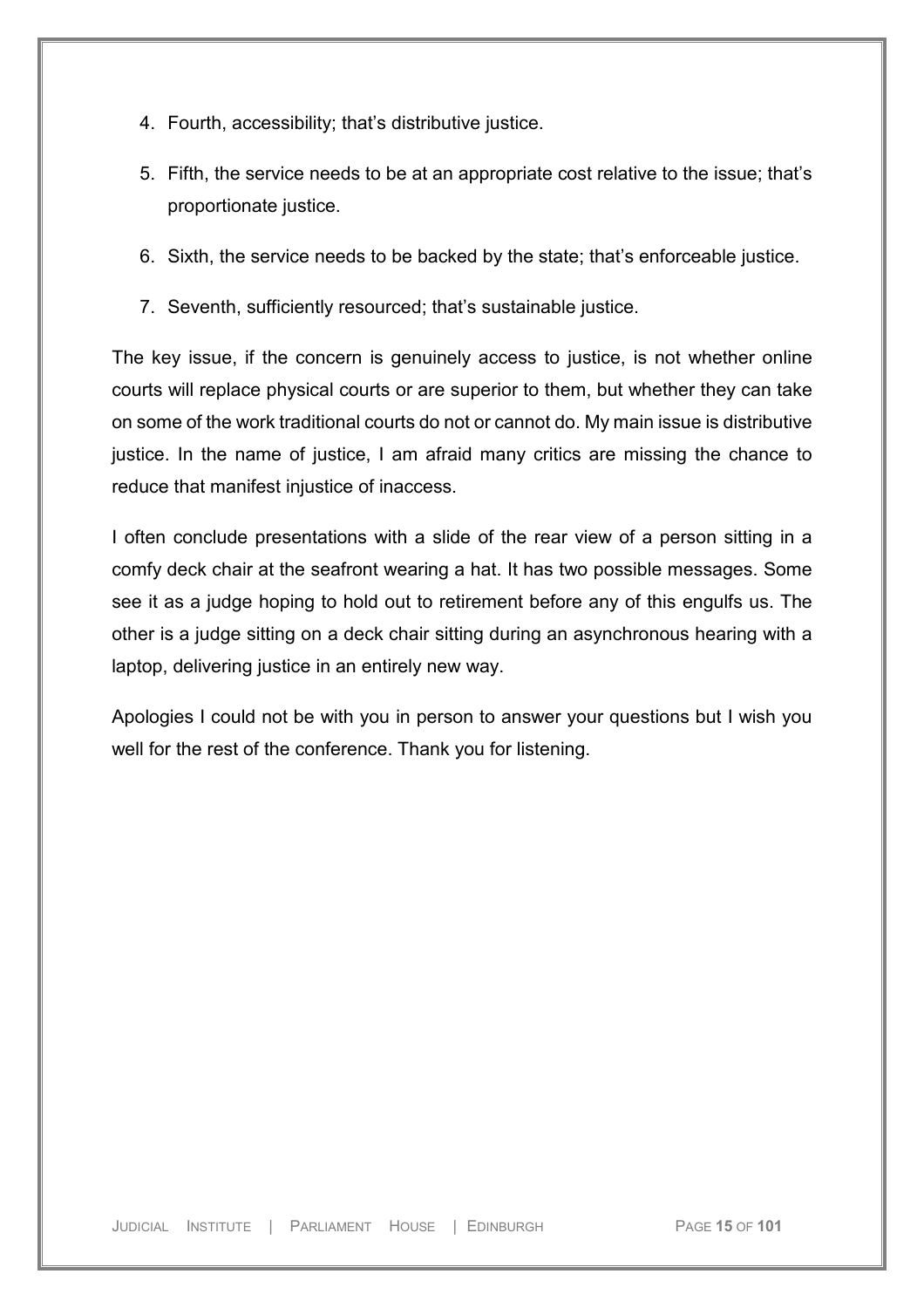- 4. Fourth, accessibility; that's distributive justice.
- 5. Fifth, the service needs to be at an appropriate cost relative to the issue; that's proportionate justice.
- 6. Sixth, the service needs to be backed by the state; that's enforceable justice.
- 7. Seventh, sufficiently resourced; that's sustainable justice.

The key issue, if the concern is genuinely access to justice, is not whether online courts will replace physical courts or are superior to them, but whether they can take on some of the work traditional courts do not or cannot do. My main issue is distributive justice. In the name of justice, I am afraid many critics are missing the chance to reduce that manifest injustice of inaccess.

I often conclude presentations with a slide of the rear view of a person sitting in a comfy deck chair at the seafront wearing a hat. It has two possible messages. Some see it as a judge hoping to hold out to retirement before any of this engulfs us. The other is a judge sitting on a deck chair sitting during an asynchronous hearing with a laptop, delivering justice in an entirely new way.

Apologies I could not be with you in person to answer your questions but I wish you well for the rest of the conference. Thank you for listening.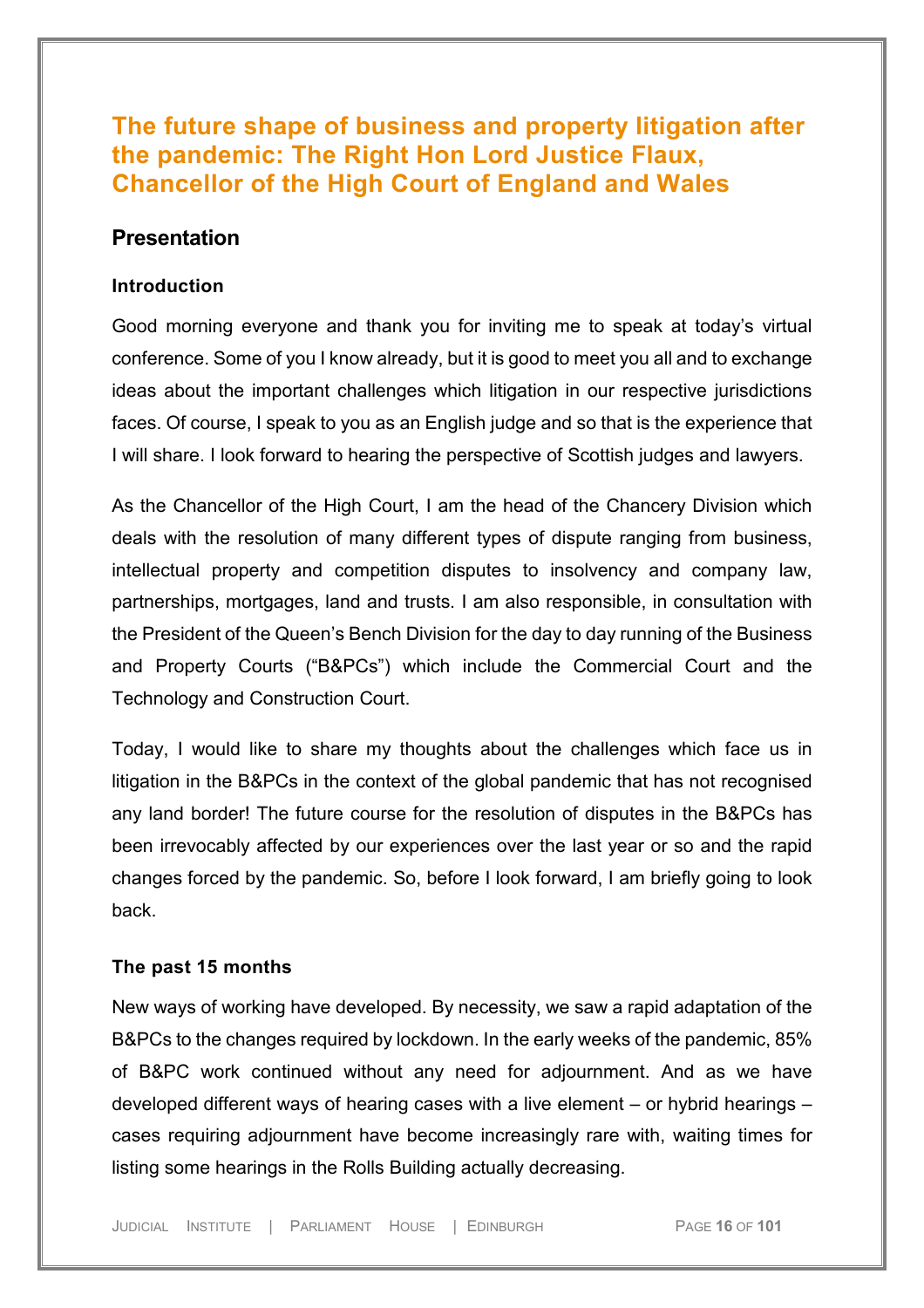# <span id="page-15-0"></span>**The future shape of business and property litigation after the pandemic: The Right Hon Lord Justice Flaux, Chancellor of the High Court of England and Wales**

### <span id="page-15-1"></span>**Presentation**

#### <span id="page-15-2"></span>**Introduction**

Good morning everyone and thank you for inviting me to speak at today's virtual conference. Some of you I know already, but it is good to meet you all and to exchange ideas about the important challenges which litigation in our respective jurisdictions faces. Of course, I speak to you as an English judge and so that is the experience that I will share. I look forward to hearing the perspective of Scottish judges and lawyers.

As the Chancellor of the High Court, I am the head of the Chancery Division which deals with the resolution of many different types of dispute ranging from business, intellectual property and competition disputes to insolvency and company law, partnerships, mortgages, land and trusts. I am also responsible, in consultation with the President of the Queen's Bench Division for the day to day running of the Business and Property Courts ("B&PCs") which include the Commercial Court and the Technology and Construction Court.

Today, I would like to share my thoughts about the challenges which face us in litigation in the B&PCs in the context of the global pandemic that has not recognised any land border! The future course for the resolution of disputes in the B&PCs has been irrevocably affected by our experiences over the last year or so and the rapid changes forced by the pandemic. So, before I look forward, I am briefly going to look back.

#### <span id="page-15-3"></span>**The past 15 months**

New ways of working have developed. By necessity, we saw a rapid adaptation of the B&PCs to the changes required by lockdown. In the early weeks of the pandemic, 85% of B&PC work continued without any need for adjournment. And as we have developed different ways of hearing cases with a live element – or hybrid hearings – cases requiring adjournment have become increasingly rare with, waiting times for listing some hearings in the Rolls Building actually decreasing.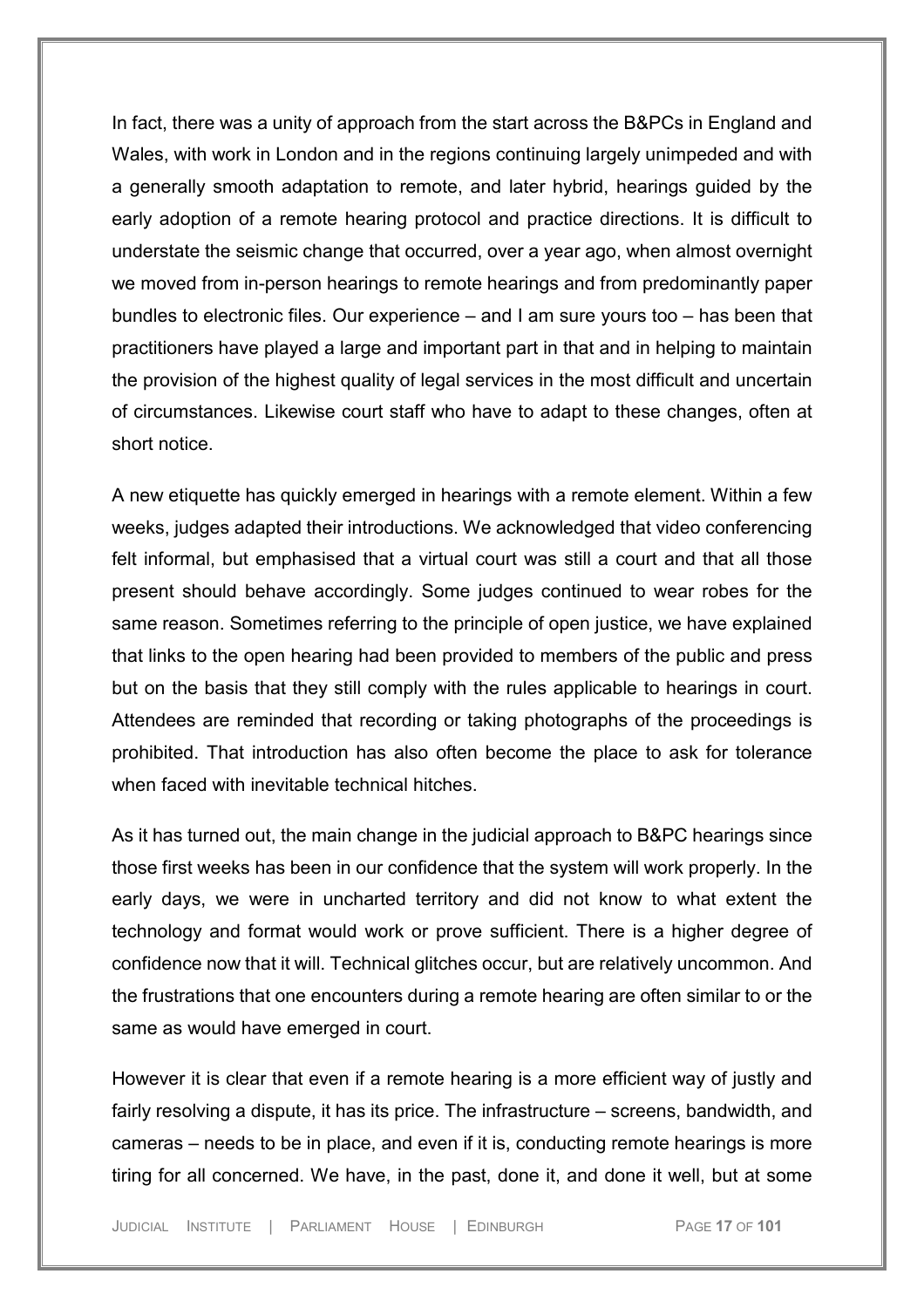In fact, there was a unity of approach from the start across the B&PCs in England and Wales, with work in London and in the regions continuing largely unimpeded and with a generally smooth adaptation to remote, and later hybrid, hearings guided by the early adoption of a remote hearing protocol and practice directions. It is difficult to understate the seismic change that occurred, over a year ago, when almost overnight we moved from in-person hearings to remote hearings and from predominantly paper bundles to electronic files. Our experience – and I am sure yours too – has been that practitioners have played a large and important part in that and in helping to maintain the provision of the highest quality of legal services in the most difficult and uncertain of circumstances. Likewise court staff who have to adapt to these changes, often at short notice.

A new etiquette has quickly emerged in hearings with a remote element. Within a few weeks, judges adapted their introductions. We acknowledged that video conferencing felt informal, but emphasised that a virtual court was still a court and that all those present should behave accordingly. Some judges continued to wear robes for the same reason. Sometimes referring to the principle of open justice, we have explained that links to the open hearing had been provided to members of the public and press but on the basis that they still comply with the rules applicable to hearings in court. Attendees are reminded that recording or taking photographs of the proceedings is prohibited. That introduction has also often become the place to ask for tolerance when faced with inevitable technical hitches.

As it has turned out, the main change in the judicial approach to B&PC hearings since those first weeks has been in our confidence that the system will work properly. In the early days, we were in uncharted territory and did not know to what extent the technology and format would work or prove sufficient. There is a higher degree of confidence now that it will. Technical glitches occur, but are relatively uncommon. And the frustrations that one encounters during a remote hearing are often similar to or the same as would have emerged in court.

However it is clear that even if a remote hearing is a more efficient way of justly and fairly resolving a dispute, it has its price. The infrastructure – screens, bandwidth, and cameras – needs to be in place, and even if it is, conducting remote hearings is more tiring for all concerned. We have, in the past, done it, and done it well, but at some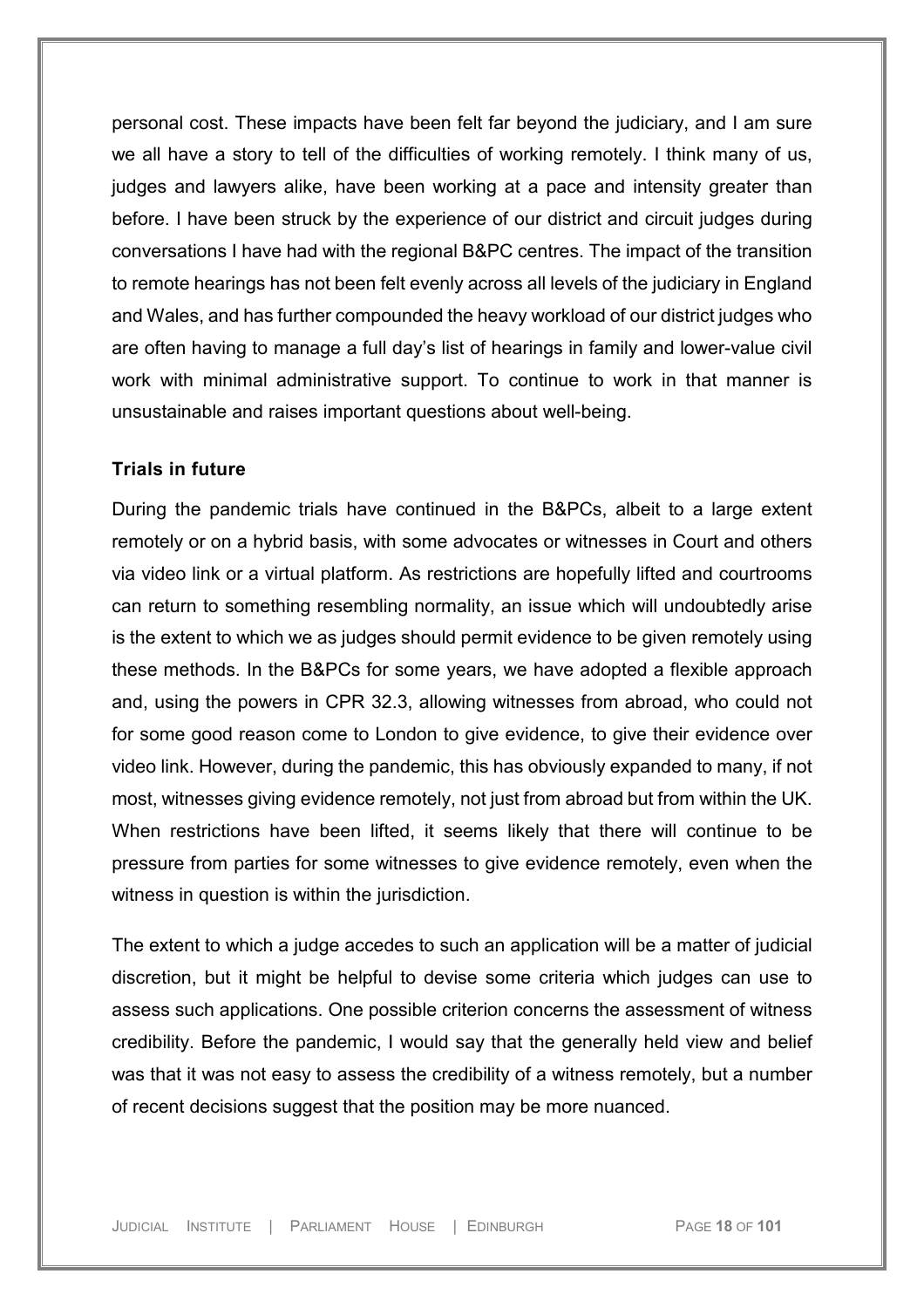personal cost. These impacts have been felt far beyond the judiciary, and I am sure we all have a story to tell of the difficulties of working remotely. I think many of us, judges and lawyers alike, have been working at a pace and intensity greater than before. I have been struck by the experience of our district and circuit judges during conversations I have had with the regional B&PC centres. The impact of the transition to remote hearings has not been felt evenly across all levels of the judiciary in England and Wales, and has further compounded the heavy workload of our district judges who are often having to manage a full day's list of hearings in family and lower-value civil work with minimal administrative support. To continue to work in that manner is unsustainable and raises important questions about well-being.

### <span id="page-17-0"></span>**Trials in future**

During the pandemic trials have continued in the B&PCs, albeit to a large extent remotely or on a hybrid basis, with some advocates or witnesses in Court and others via video link or a virtual platform. As restrictions are hopefully lifted and courtrooms can return to something resembling normality, an issue which will undoubtedly arise is the extent to which we as judges should permit evidence to be given remotely using these methods. In the B&PCs for some years, we have adopted a flexible approach and, using the powers in CPR 32.3, allowing witnesses from abroad, who could not for some good reason come to London to give evidence, to give their evidence over video link. However, during the pandemic, this has obviously expanded to many, if not most, witnesses giving evidence remotely, not just from abroad but from within the UK. When restrictions have been lifted, it seems likely that there will continue to be pressure from parties for some witnesses to give evidence remotely, even when the witness in question is within the jurisdiction.

The extent to which a judge accedes to such an application will be a matter of judicial discretion, but it might be helpful to devise some criteria which judges can use to assess such applications. One possible criterion concerns the assessment of witness credibility. Before the pandemic, I would say that the generally held view and belief was that it was not easy to assess the credibility of a witness remotely, but a number of recent decisions suggest that the position may be more nuanced.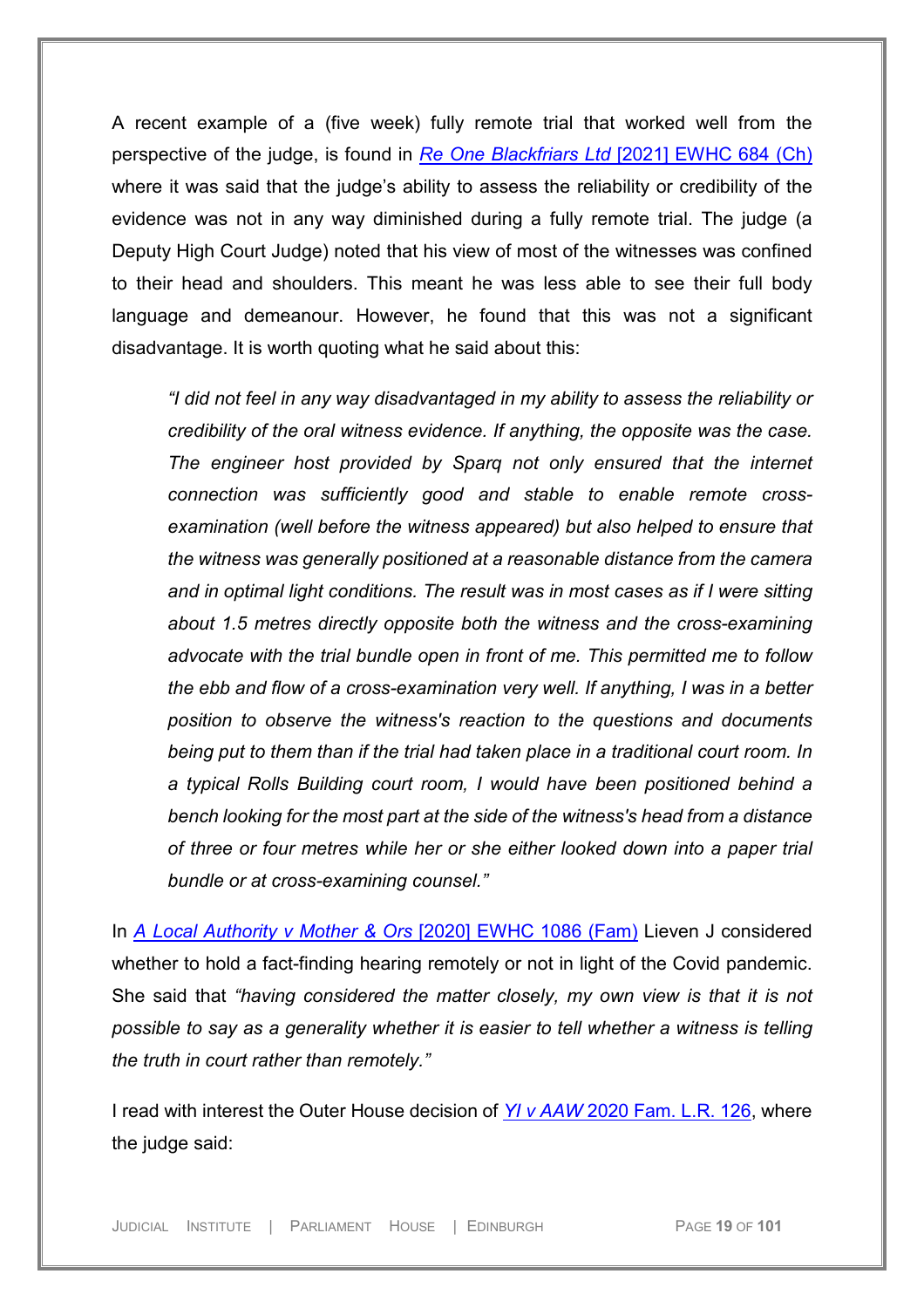A recent example of a (five week) fully remote trial that worked well from the perspective of the judge, is found in *Re One Blackfriars Ltd* [\[2021\] EWHC 684 \(Ch\)](https://uk.westlaw.com/Document/ID954EA208CA711EBB624B907CB72CC86/View/FullText.html?navigationPath=Search%2Fv1%2Fresults%2Fnavigation%2Fi0ad73aa500000179f5f027382a841adb%3Fppcid%3D22db14de2ad14e579ee4124ae3ba4d9c%26Nav%3DUK-CASES%26fragmentIdentifier%3DI46C71E908CA111EB965BE7175ABC0C89%26parentRank%3D0%26startIndex%3D1%26contextData%3D%2528sc.Search%2529%26transitionType%3DSearchItem&listSource=Search&listPageSource=cab6907ab550702ee26ff51807d4de00&list=UK-CASES&rank=1&sessionScopeId=25f9c183e71d666fca74bc9f02df1a42e8e82f887a5c5a39678ccea66189ac64&ppcid=22db14de2ad14e579ee4124ae3ba4d9c&originationContext=Search%20Result&transitionType=SearchItem&contextData=(sc.Search)&comp=wlukgroupid=linets)  where it was said that the judge's ability to assess the reliability or credibility of the evidence was not in any way diminished during a fully remote trial. The judge (a Deputy High Court Judge) noted that his view of most of the witnesses was confined to their head and shoulders. This meant he was less able to see their full body language and demeanour. However, he found that this was not a significant disadvantage. It is worth quoting what he said about this:

*"I did not feel in any way disadvantaged in my ability to assess the reliability or credibility of the oral witness evidence. If anything, the opposite was the case. The engineer host provided by Sparq not only ensured that the internet connection was sufficiently good and stable to enable remote crossexamination (well before the witness appeared) but also helped to ensure that the witness was generally positioned at a reasonable distance from the camera and in optimal light conditions. The result was in most cases as if I were sitting about 1.5 metres directly opposite both the witness and the cross-examining advocate with the trial bundle open in front of me. This permitted me to follow the ebb and flow of a cross-examination very well. If anything, I was in a better position to observe the witness's reaction to the questions and documents being put to them than if the trial had taken place in a traditional court room. In a typical Rolls Building court room, I would have been positioned behind a bench looking for the most part at the side of the witness's head from a distance of three or four metres while her or she either looked down into a paper trial bundle or at cross-examining counsel."*

In *[A Local Authority v Mother & Ors](https://uk.westlaw.com/Document/IE15ED9008FBA11EA874CCF129F4CF80A/View/FullText.html?navigationPath=Search%2Fv1%2Fresults%2Fnavigation%2Fi0ad73aa500000179f5f168062a841bb5%3Fppcid%3D45343efcfd74424b9e800d882b6a28b4%26Nav%3DUK-CASES%26fragmentIdentifier%3DIE13C45908FA911EAAFAB98E4C2E22076%26parentRank%3D0%26startIndex%3D1%26contextData%3D%2528sc.Search%2529%26transitionType%3DSearchItem&listSource=Search&listPageSource=ab0bc0b7ba30c39254db5c10ebd0c20f&list=UK-CASES&rank=1&sessionScopeId=25f9c183e71d666fca74bc9f02df1a42e8e82f887a5c5a39678ccea66189ac64&ppcid=45343efcfd74424b9e800d882b6a28b4&originationContext=Search%20Result&transitionType=SearchItem&contextData=(sc.Search)&comp=wlukgroupid=linets)* [2020] EWHC 1086 (Fam) Lieven J considered whether to hold a fact-finding hearing remotely or not in light of the Covid pandemic. She said that *"having considered the matter closely, my own view is that it is not possible to say as a generality whether it is easier to tell whether a witness is telling the truth in court rather than remotely."* 

I read with interest the Outer House decision of *YI v AAW* [2020 Fam. L.R. 126,](https://uk.westlaw.com/Document/IBC7ADBF00F0A11EB9409A61C8FB1CB9F/View/FullText.html?navigationPath=Search%2Fv1%2Fresults%2Fnavigation%2Fi0ad73aa500000179f5f239452a841c0e%3Fppcid%3Dc47942c56f7a43ffadbf07ed2fc155c4%26Nav%3DUK-CASES%26fragmentIdentifier%3DIBC7ADBF00F0A11EB9409A61C8FB1CB9F%26parentRank%3D0%26startIndex%3D1%26contextData%3D%2528sc.Search%2529%26transitionType%3DSearchItem&listSource=Search&listPageSource=315bbe3604be7eec85411e4b6655e842&list=UK-CASES&rank=1&sessionScopeId=25f9c183e71d666fca74bc9f02df1a42e8e82f887a5c5a39678ccea66189ac64&ppcid=c47942c56f7a43ffadbf07ed2fc155c4&originationContext=Search%20Result&transitionType=SearchItem&contextData=(sc.Search)&comp=wlukgroupid=linets) where the judge said: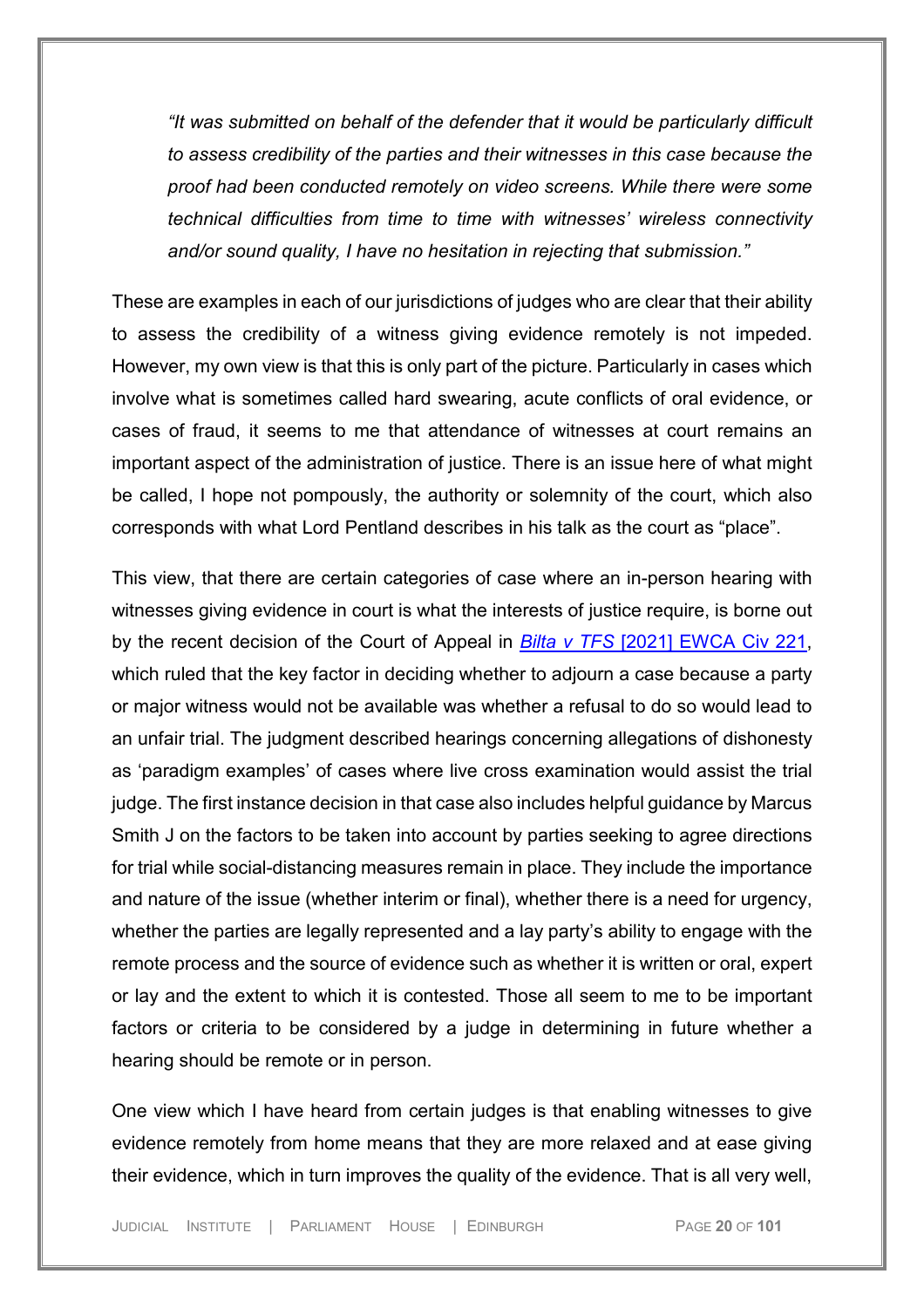*"It was submitted on behalf of the defender that it would be particularly difficult to assess credibility of the parties and their witnesses in this case because the proof had been conducted remotely on video screens. While there were some technical difficulties from time to time with witnesses' wireless connectivity and/or sound quality, I have no hesitation in rejecting that submission."*

These are examples in each of our jurisdictions of judges who are clear that their ability to assess the credibility of a witness giving evidence remotely is not impeded. However, my own view is that this is only part of the picture. Particularly in cases which involve what is sometimes called hard swearing, acute conflicts of oral evidence, or cases of fraud, it seems to me that attendance of witnesses at court remains an important aspect of the administration of justice. There is an issue here of what might be called, I hope not pompously, the authority or solemnity of the court, which also corresponds with what Lord Pentland describes in his talk as the court as "place".

This view, that there are certain categories of case where an in-person hearing with witnesses giving evidence in court is what the interests of justice require, is borne out by the recent decision of the Court of Appeal in *Bilta v TFS* [\[2021\] EWCA Civ 221,](https://uk.westlaw.com/Document/I1C5D14B0751411EB843CCBA03F2706BC/View/FullText.html?navigationPath=Search%2Fv1%2Fresults%2Fnavigation%2Fi0ad73aa500000179f5f35cd22a841c78%3Fppcid%3D0cc0f221585e4d8793f71c0267475041%26Nav%3DUK-CASES%26fragmentIdentifier%3DI5E2A90B0750B11EBA265E5A44512570A%26parentRank%3D0%26startIndex%3D1%26contextData%3D%2528sc.Search%2529%26transitionType%3DSearchItem&listSource=Search&listPageSource=eb93482c4795a2f335d7580eba9c6664&list=UK-CASES&rank=1&sessionScopeId=25f9c183e71d666fca74bc9f02df1a42e8e82f887a5c5a39678ccea66189ac64&ppcid=0cc0f221585e4d8793f71c0267475041&originationContext=Search%20Result&transitionType=SearchItem&contextData=(sc.Search)&comp=wlukgroupid=linets) which ruled that the key factor in deciding whether to adjourn a case because a party or major witness would not be available was whether a refusal to do so would lead to an unfair trial. The judgment described hearings concerning allegations of dishonesty as 'paradigm examples' of cases where live cross examination would assist the trial judge. The first instance decision in that case also includes helpful guidance by Marcus Smith J on the factors to be taken into account by parties seeking to agree directions for trial while social-distancing measures remain in place. They include the importance and nature of the issue (whether interim or final), whether there is a need for urgency, whether the parties are legally represented and a lay party's ability to engage with the remote process and the source of evidence such as whether it is written or oral, expert or lay and the extent to which it is contested. Those all seem to me to be important factors or criteria to be considered by a judge in determining in future whether a hearing should be remote or in person.

One view which I have heard from certain judges is that enabling witnesses to give evidence remotely from home means that they are more relaxed and at ease giving their evidence, which in turn improves the quality of the evidence. That is all very well,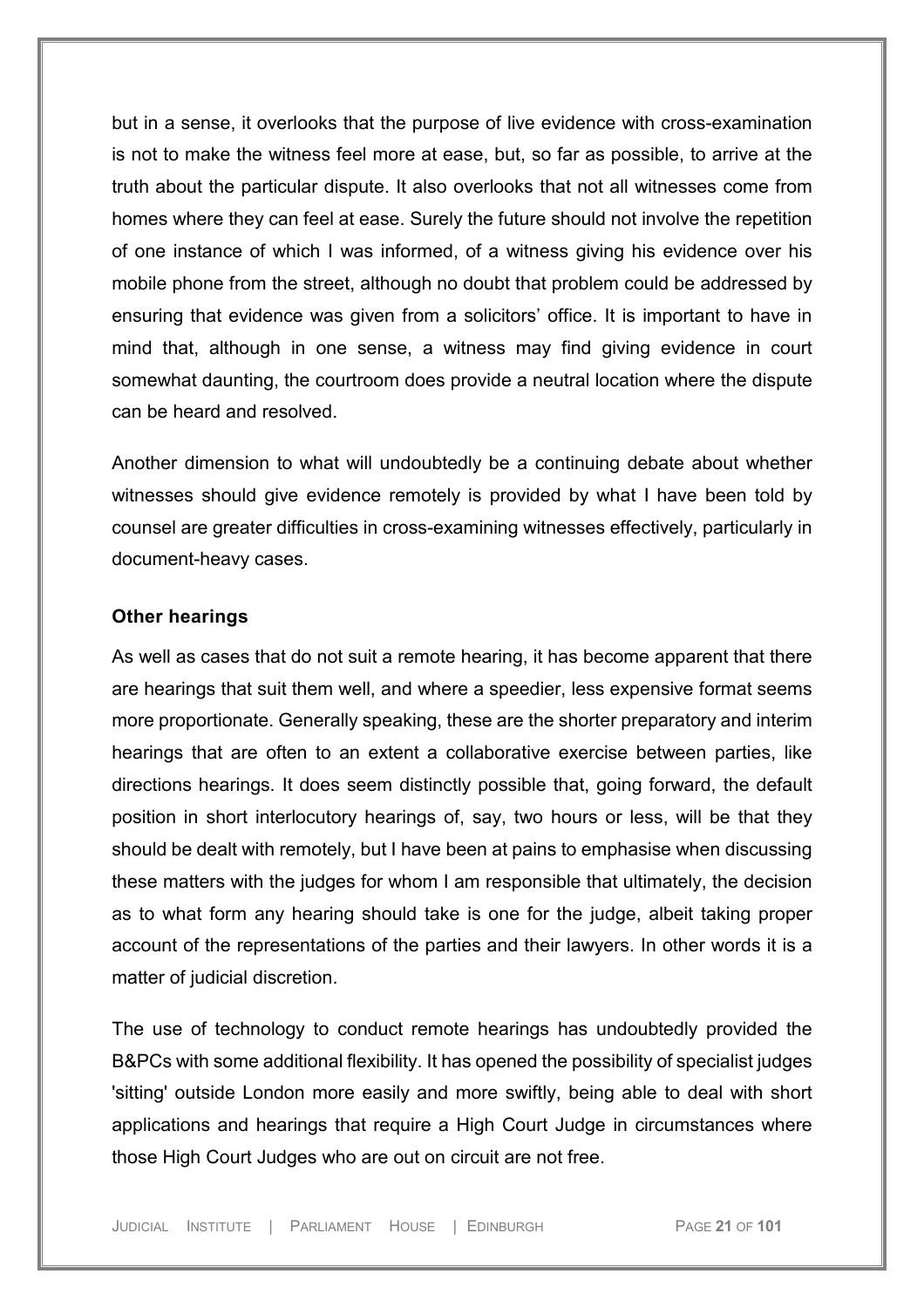but in a sense, it overlooks that the purpose of live evidence with cross-examination is not to make the witness feel more at ease, but, so far as possible, to arrive at the truth about the particular dispute. It also overlooks that not all witnesses come from homes where they can feel at ease. Surely the future should not involve the repetition of one instance of which I was informed, of a witness giving his evidence over his mobile phone from the street, although no doubt that problem could be addressed by ensuring that evidence was given from a solicitors' office. It is important to have in mind that, although in one sense, a witness may find giving evidence in court somewhat daunting, the courtroom does provide a neutral location where the dispute can be heard and resolved.

Another dimension to what will undoubtedly be a continuing debate about whether witnesses should give evidence remotely is provided by what I have been told by counsel are greater difficulties in cross-examining witnesses effectively, particularly in document-heavy cases.

#### <span id="page-20-0"></span>**Other hearings**

As well as cases that do not suit a remote hearing, it has become apparent that there are hearings that suit them well, and where a speedier, less expensive format seems more proportionate. Generally speaking, these are the shorter preparatory and interim hearings that are often to an extent a collaborative exercise between parties, like directions hearings. It does seem distinctly possible that, going forward, the default position in short interlocutory hearings of, say, two hours or less, will be that they should be dealt with remotely, but I have been at pains to emphasise when discussing these matters with the judges for whom I am responsible that ultimately, the decision as to what form any hearing should take is one for the judge, albeit taking proper account of the representations of the parties and their lawyers. In other words it is a matter of judicial discretion.

The use of technology to conduct remote hearings has undoubtedly provided the B&PCs with some additional flexibility. It has opened the possibility of specialist judges 'sitting' outside London more easily and more swiftly, being able to deal with short applications and hearings that require a High Court Judge in circumstances where those High Court Judges who are out on circuit are not free.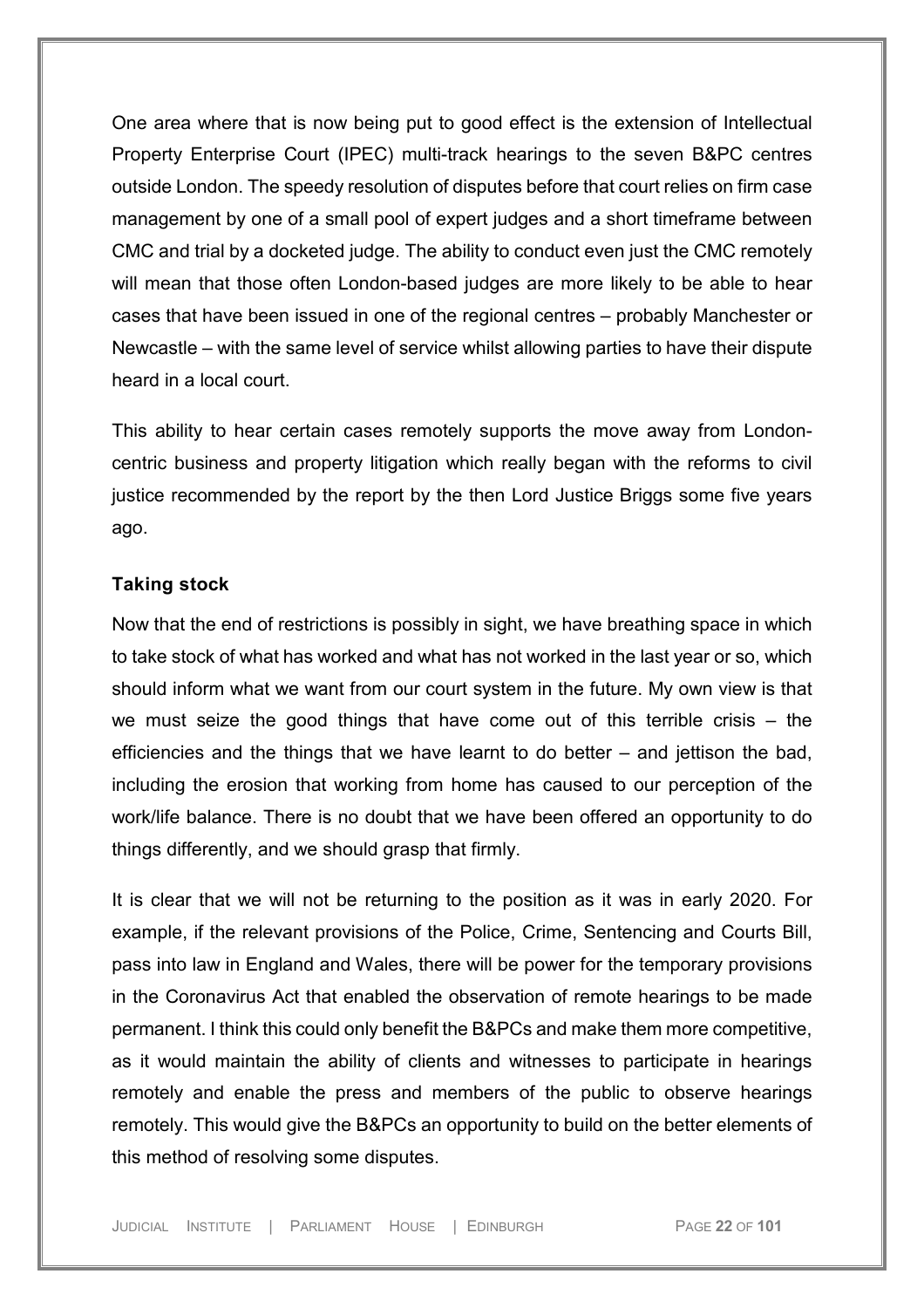One area where that is now being put to good effect is the extension of Intellectual Property Enterprise Court (IPEC) multi-track hearings to the seven B&PC centres outside London. The speedy resolution of disputes before that court relies on firm case management by one of a small pool of expert judges and a short timeframe between CMC and trial by a docketed judge. The ability to conduct even just the CMC remotely will mean that those often London-based judges are more likely to be able to hear cases that have been issued in one of the regional centres – probably Manchester or Newcastle – with the same level of service whilst allowing parties to have their dispute heard in a local court.

This ability to hear certain cases remotely supports the move away from Londoncentric business and property litigation which really began with the reforms to civil justice recommended by the report by the then Lord Justice Briggs some five years ago.

#### <span id="page-21-0"></span>**Taking stock**

Now that the end of restrictions is possibly in sight, we have breathing space in which to take stock of what has worked and what has not worked in the last year or so, which should inform what we want from our court system in the future. My own view is that we must seize the good things that have come out of this terrible crisis – the efficiencies and the things that we have learnt to do better – and jettison the bad, including the erosion that working from home has caused to our perception of the work/life balance. There is no doubt that we have been offered an opportunity to do things differently, and we should grasp that firmly.

It is clear that we will not be returning to the position as it was in early 2020. For example, if the relevant provisions of the Police, Crime, Sentencing and Courts Bill, pass into law in England and Wales, there will be power for the temporary provisions in the Coronavirus Act that enabled the observation of remote hearings to be made permanent. I think this could only benefit the B&PCs and make them more competitive, as it would maintain the ability of clients and witnesses to participate in hearings remotely and enable the press and members of the public to observe hearings remotely. This would give the B&PCs an opportunity to build on the better elements of this method of resolving some disputes.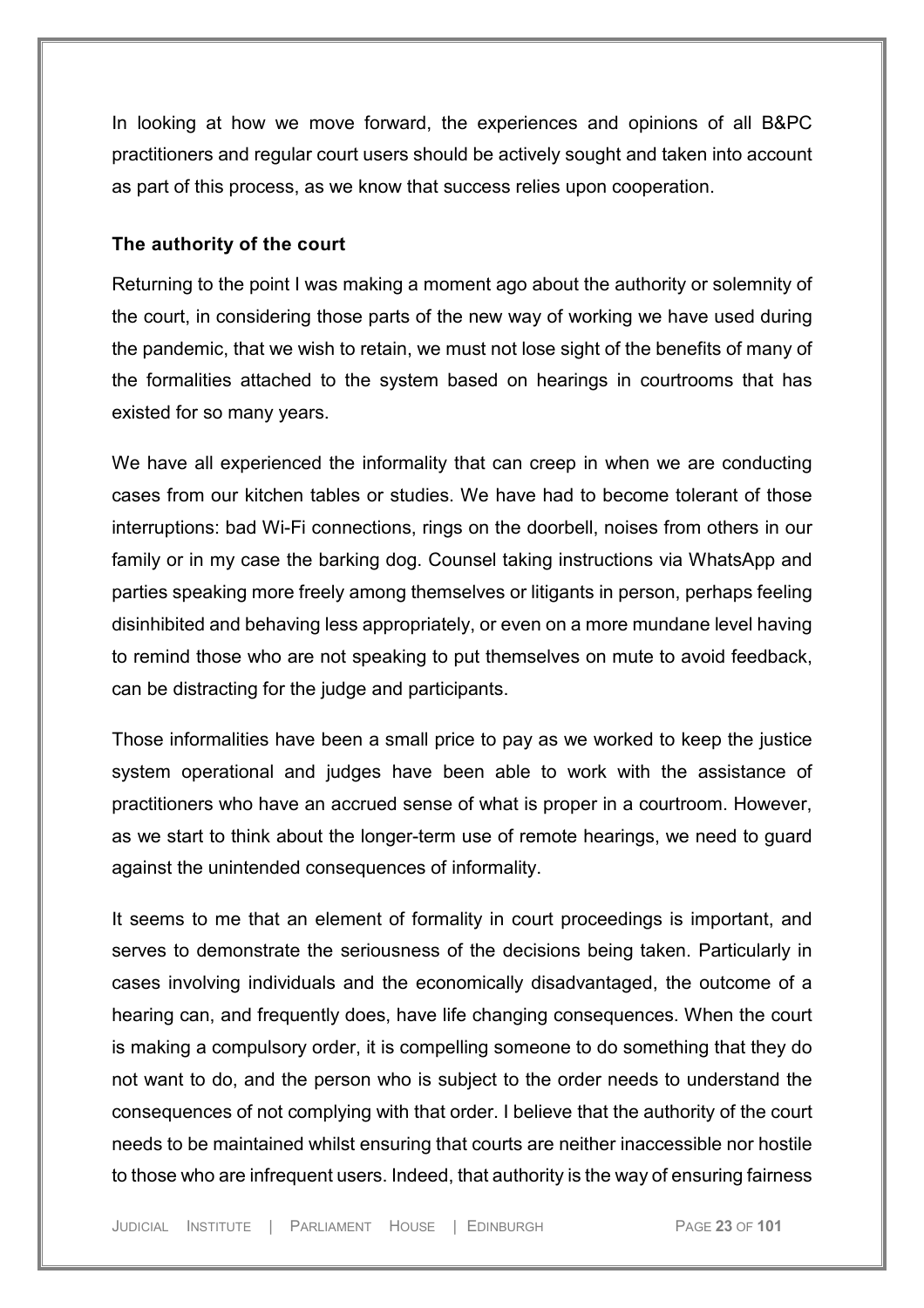In looking at how we move forward, the experiences and opinions of all B&PC practitioners and regular court users should be actively sought and taken into account as part of this process, as we know that success relies upon cooperation.

#### <span id="page-22-0"></span>**The authority of the court**

Returning to the point I was making a moment ago about the authority or solemnity of the court, in considering those parts of the new way of working we have used during the pandemic, that we wish to retain, we must not lose sight of the benefits of many of the formalities attached to the system based on hearings in courtrooms that has existed for so many years.

We have all experienced the informality that can creep in when we are conducting cases from our kitchen tables or studies. We have had to become tolerant of those interruptions: bad Wi-Fi connections, rings on the doorbell, noises from others in our family or in my case the barking dog. Counsel taking instructions via WhatsApp and parties speaking more freely among themselves or litigants in person, perhaps feeling disinhibited and behaving less appropriately, or even on a more mundane level having to remind those who are not speaking to put themselves on mute to avoid feedback, can be distracting for the judge and participants.

Those informalities have been a small price to pay as we worked to keep the justice system operational and judges have been able to work with the assistance of practitioners who have an accrued sense of what is proper in a courtroom. However, as we start to think about the longer-term use of remote hearings, we need to guard against the unintended consequences of informality.

It seems to me that an element of formality in court proceedings is important, and serves to demonstrate the seriousness of the decisions being taken. Particularly in cases involving individuals and the economically disadvantaged, the outcome of a hearing can, and frequently does, have life changing consequences. When the court is making a compulsory order, it is compelling someone to do something that they do not want to do, and the person who is subject to the order needs to understand the consequences of not complying with that order. I believe that the authority of the court needs to be maintained whilst ensuring that courts are neither inaccessible nor hostile to those who are infrequent users. Indeed, that authority is the way of ensuring fairness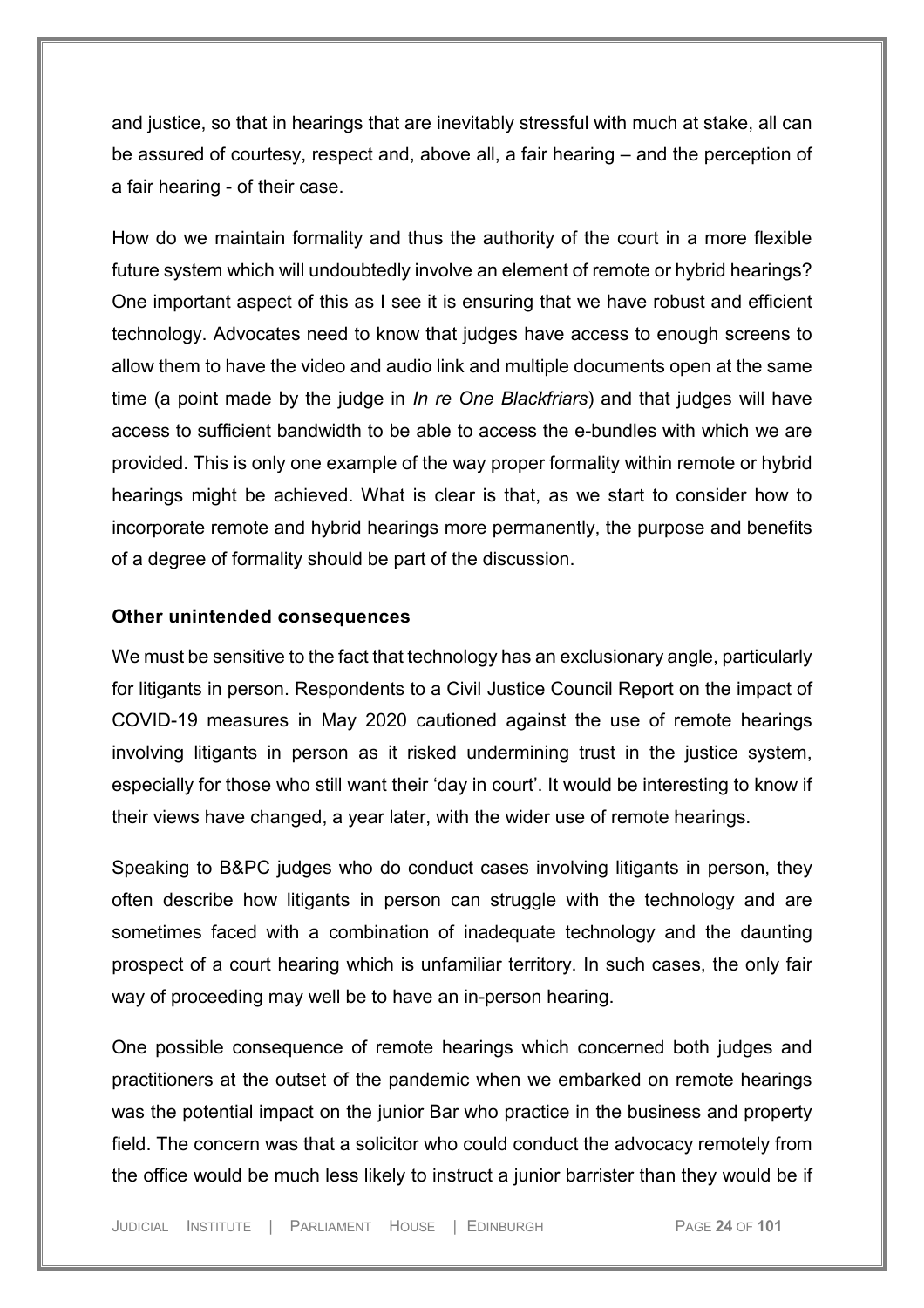and justice, so that in hearings that are inevitably stressful with much at stake, all can be assured of courtesy, respect and, above all, a fair hearing – and the perception of a fair hearing - of their case.

How do we maintain formality and thus the authority of the court in a more flexible future system which will undoubtedly involve an element of remote or hybrid hearings? One important aspect of this as I see it is ensuring that we have robust and efficient technology. Advocates need to know that judges have access to enough screens to allow them to have the video and audio link and multiple documents open at the same time (a point made by the judge in *In re One Blackfriars*) and that judges will have access to sufficient bandwidth to be able to access the e-bundles with which we are provided. This is only one example of the way proper formality within remote or hybrid hearings might be achieved. What is clear is that, as we start to consider how to incorporate remote and hybrid hearings more permanently, the purpose and benefits of a degree of formality should be part of the discussion.

#### <span id="page-23-0"></span>**Other unintended consequences**

We must be sensitive to the fact that technology has an exclusionary angle, particularly for litigants in person. Respondents to a Civil Justice Council Report on the impact of COVID-19 measures in May 2020 cautioned against the use of remote hearings involving litigants in person as it risked undermining trust in the justice system, especially for those who still want their 'day in court'. It would be interesting to know if their views have changed, a year later, with the wider use of remote hearings.

Speaking to B&PC judges who do conduct cases involving litigants in person, they often describe how litigants in person can struggle with the technology and are sometimes faced with a combination of inadequate technology and the daunting prospect of a court hearing which is unfamiliar territory. In such cases, the only fair way of proceeding may well be to have an in-person hearing.

One possible consequence of remote hearings which concerned both judges and practitioners at the outset of the pandemic when we embarked on remote hearings was the potential impact on the junior Bar who practice in the business and property field. The concern was that a solicitor who could conduct the advocacy remotely from the office would be much less likely to instruct a junior barrister than they would be if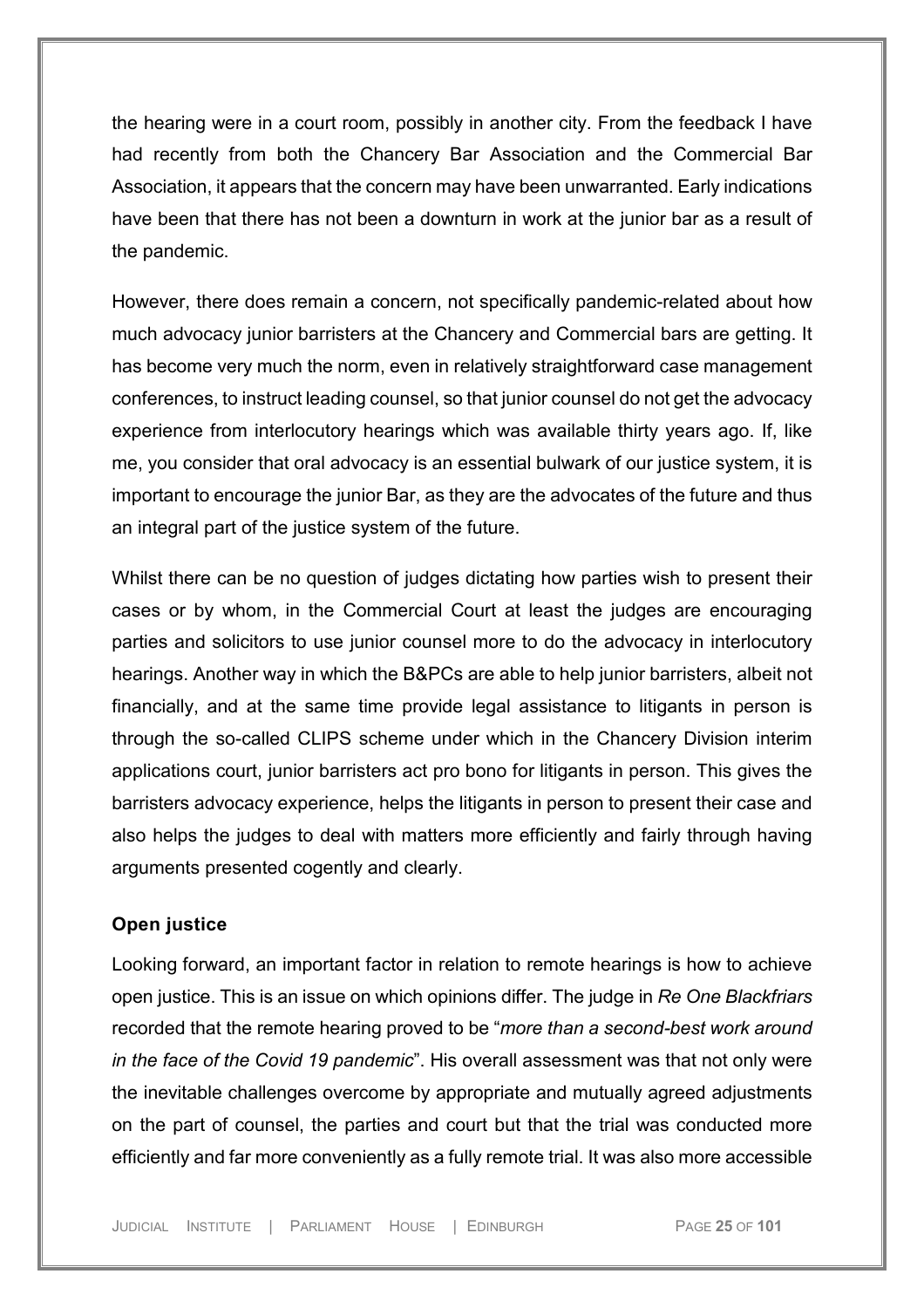the hearing were in a court room, possibly in another city. From the feedback I have had recently from both the Chancery Bar Association and the Commercial Bar Association, it appears that the concern may have been unwarranted. Early indications have been that there has not been a downturn in work at the junior bar as a result of the pandemic.

However, there does remain a concern, not specifically pandemic-related about how much advocacy junior barristers at the Chancery and Commercial bars are getting. It has become very much the norm, even in relatively straightforward case management conferences, to instruct leading counsel, so that junior counsel do not get the advocacy experience from interlocutory hearings which was available thirty years ago. If, like me, you consider that oral advocacy is an essential bulwark of our justice system, it is important to encourage the junior Bar, as they are the advocates of the future and thus an integral part of the justice system of the future.

Whilst there can be no question of judges dictating how parties wish to present their cases or by whom, in the Commercial Court at least the judges are encouraging parties and solicitors to use junior counsel more to do the advocacy in interlocutory hearings. Another way in which the B&PCs are able to help junior barristers, albeit not financially, and at the same time provide legal assistance to litigants in person is through the so-called CLIPS scheme under which in the Chancery Division interim applications court, junior barristers act pro bono for litigants in person. This gives the barristers advocacy experience, helps the litigants in person to present their case and also helps the judges to deal with matters more efficiently and fairly through having arguments presented cogently and clearly.

#### <span id="page-24-0"></span>**Open justice**

Looking forward, an important factor in relation to remote hearings is how to achieve open justice. This is an issue on which opinions differ. The judge in *Re One Blackfriars* recorded that the remote hearing proved to be "*more than a second-best work around in the face of the Covid 19 pandemic*". His overall assessment was that not only were the inevitable challenges overcome by appropriate and mutually agreed adjustments on the part of counsel, the parties and court but that the trial was conducted more efficiently and far more conveniently as a fully remote trial. It was also more accessible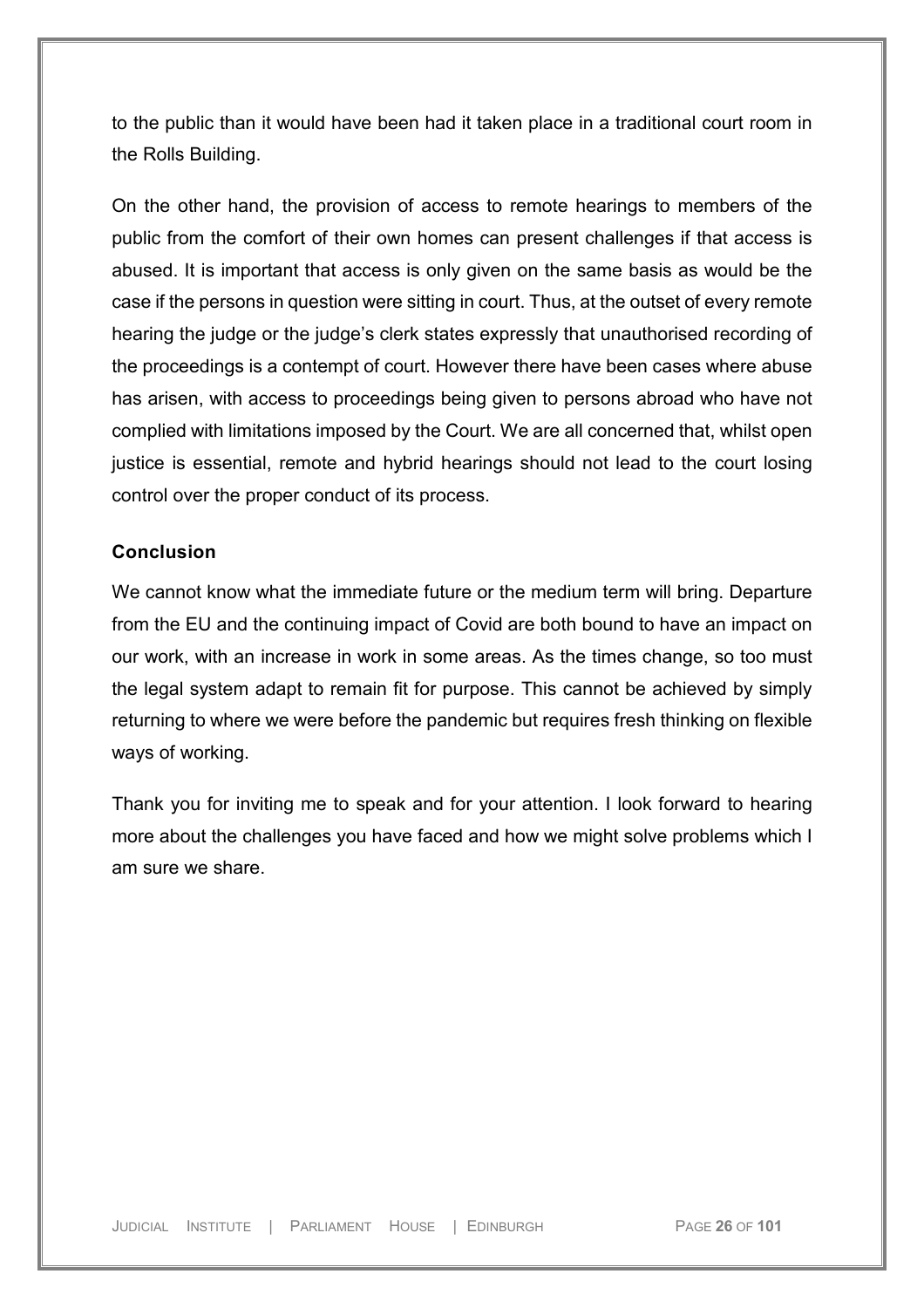to the public than it would have been had it taken place in a traditional court room in the Rolls Building.

On the other hand, the provision of access to remote hearings to members of the public from the comfort of their own homes can present challenges if that access is abused. It is important that access is only given on the same basis as would be the case if the persons in question were sitting in court. Thus, at the outset of every remote hearing the judge or the judge's clerk states expressly that unauthorised recording of the proceedings is a contempt of court. However there have been cases where abuse has arisen, with access to proceedings being given to persons abroad who have not complied with limitations imposed by the Court. We are all concerned that, whilst open justice is essential, remote and hybrid hearings should not lead to the court losing control over the proper conduct of its process.

#### <span id="page-25-0"></span>**Conclusion**

We cannot know what the immediate future or the medium term will bring. Departure from the EU and the continuing impact of Covid are both bound to have an impact on our work, with an increase in work in some areas. As the times change, so too must the legal system adapt to remain fit for purpose. This cannot be achieved by simply returning to where we were before the pandemic but requires fresh thinking on flexible ways of working.

Thank you for inviting me to speak and for your attention. I look forward to hearing more about the challenges you have faced and how we might solve problems which I am sure we share.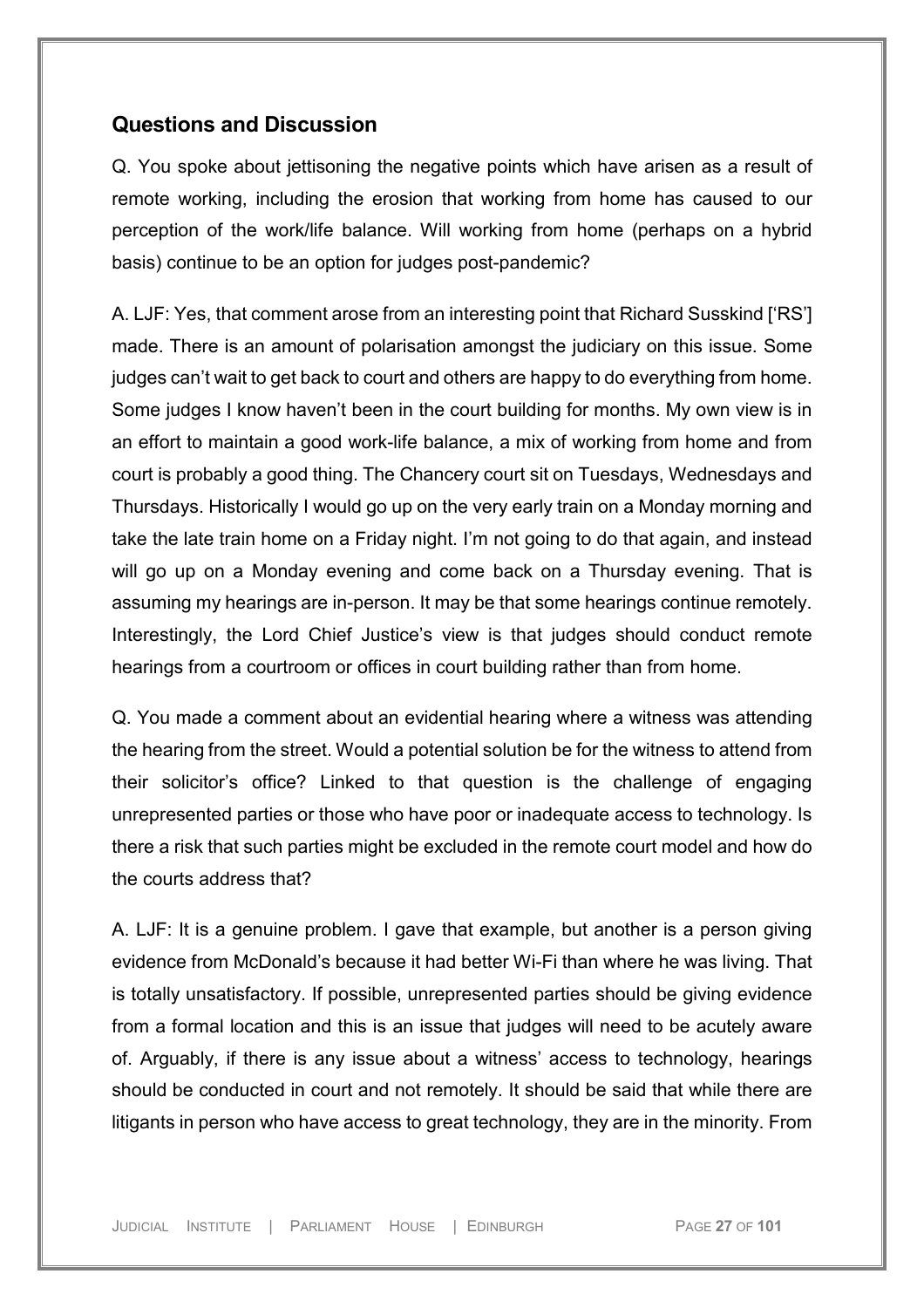### <span id="page-26-0"></span>**Questions and Discussion**

Q. You spoke about jettisoning the negative points which have arisen as a result of remote working, including the erosion that working from home has caused to our perception of the work/life balance. Will working from home (perhaps on a hybrid basis) continue to be an option for judges post-pandemic?

A. LJF: Yes, that comment arose from an interesting point that Richard Susskind ['RS'] made. There is an amount of polarisation amongst the judiciary on this issue. Some judges can't wait to get back to court and others are happy to do everything from home. Some judges I know haven't been in the court building for months. My own view is in an effort to maintain a good work-life balance, a mix of working from home and from court is probably a good thing. The Chancery court sit on Tuesdays, Wednesdays and Thursdays. Historically I would go up on the very early train on a Monday morning and take the late train home on a Friday night. I'm not going to do that again, and instead will go up on a Monday evening and come back on a Thursday evening. That is assuming my hearings are in-person. It may be that some hearings continue remotely. Interestingly, the Lord Chief Justice's view is that judges should conduct remote hearings from a courtroom or offices in court building rather than from home.

Q. You made a comment about an evidential hearing where a witness was attending the hearing from the street. Would a potential solution be for the witness to attend from their solicitor's office? Linked to that question is the challenge of engaging unrepresented parties or those who have poor or inadequate access to technology. Is there a risk that such parties might be excluded in the remote court model and how do the courts address that?

A. LJF: It is a genuine problem. I gave that example, but another is a person giving evidence from McDonald's because it had better Wi-Fi than where he was living. That is totally unsatisfactory. If possible, unrepresented parties should be giving evidence from a formal location and this is an issue that judges will need to be acutely aware of. Arguably, if there is any issue about a witness' access to technology, hearings should be conducted in court and not remotely. It should be said that while there are litigants in person who have access to great technology, they are in the minority. From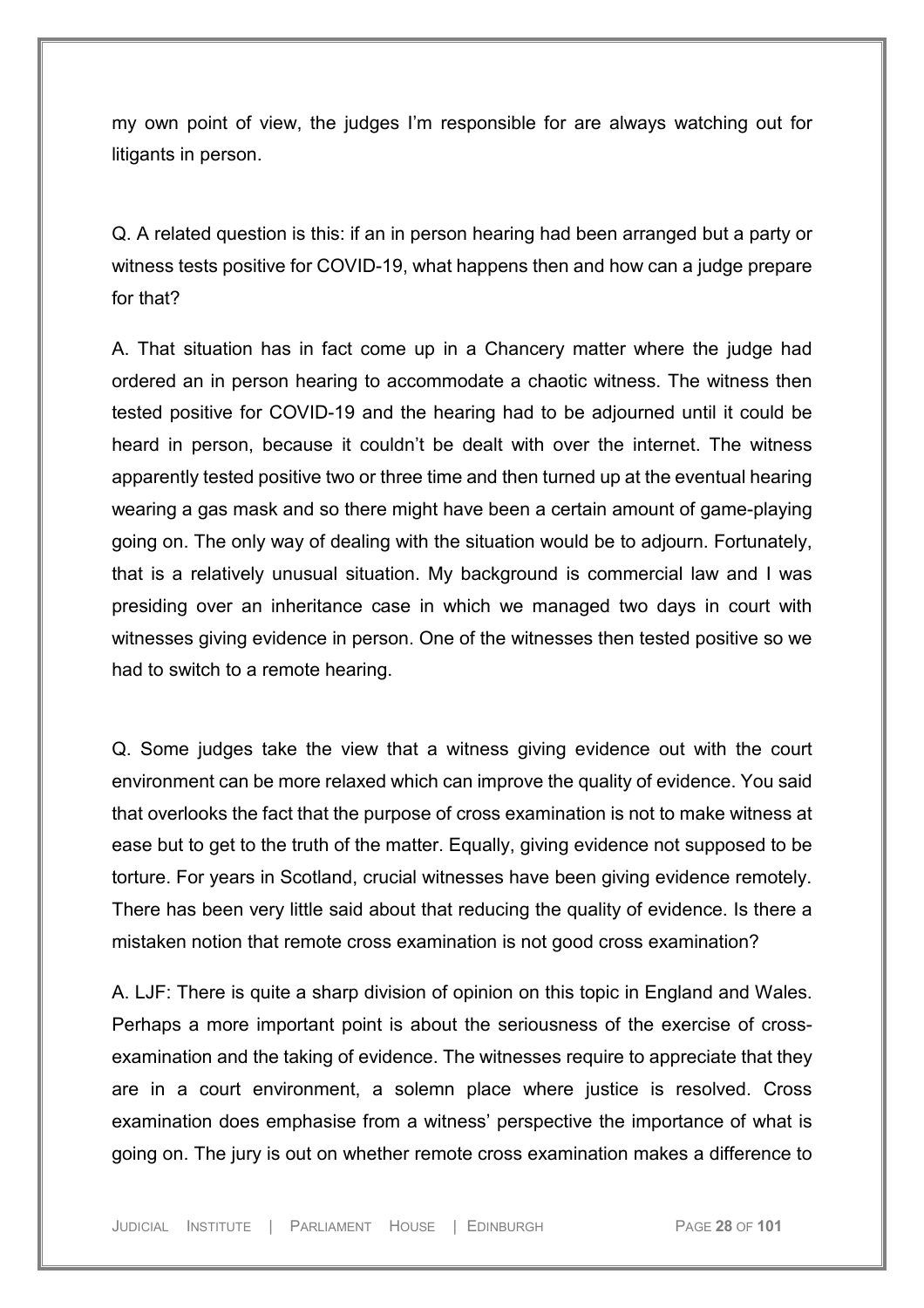my own point of view, the judges I'm responsible for are always watching out for litigants in person.

Q. A related question is this: if an in person hearing had been arranged but a party or witness tests positive for COVID-19, what happens then and how can a judge prepare for that?

A. That situation has in fact come up in a Chancery matter where the judge had ordered an in person hearing to accommodate a chaotic witness. The witness then tested positive for COVID-19 and the hearing had to be adjourned until it could be heard in person, because it couldn't be dealt with over the internet. The witness apparently tested positive two or three time and then turned up at the eventual hearing wearing a gas mask and so there might have been a certain amount of game-playing going on. The only way of dealing with the situation would be to adjourn. Fortunately, that is a relatively unusual situation. My background is commercial law and I was presiding over an inheritance case in which we managed two days in court with witnesses giving evidence in person. One of the witnesses then tested positive so we had to switch to a remote hearing.

Q. Some judges take the view that a witness giving evidence out with the court environment can be more relaxed which can improve the quality of evidence. You said that overlooks the fact that the purpose of cross examination is not to make witness at ease but to get to the truth of the matter. Equally, giving evidence not supposed to be torture. For years in Scotland, crucial witnesses have been giving evidence remotely. There has been very little said about that reducing the quality of evidence. Is there a mistaken notion that remote cross examination is not good cross examination?

A. LJF: There is quite a sharp division of opinion on this topic in England and Wales. Perhaps a more important point is about the seriousness of the exercise of crossexamination and the taking of evidence. The witnesses require to appreciate that they are in a court environment, a solemn place where justice is resolved. Cross examination does emphasise from a witness' perspective the importance of what is going on. The jury is out on whether remote cross examination makes a difference to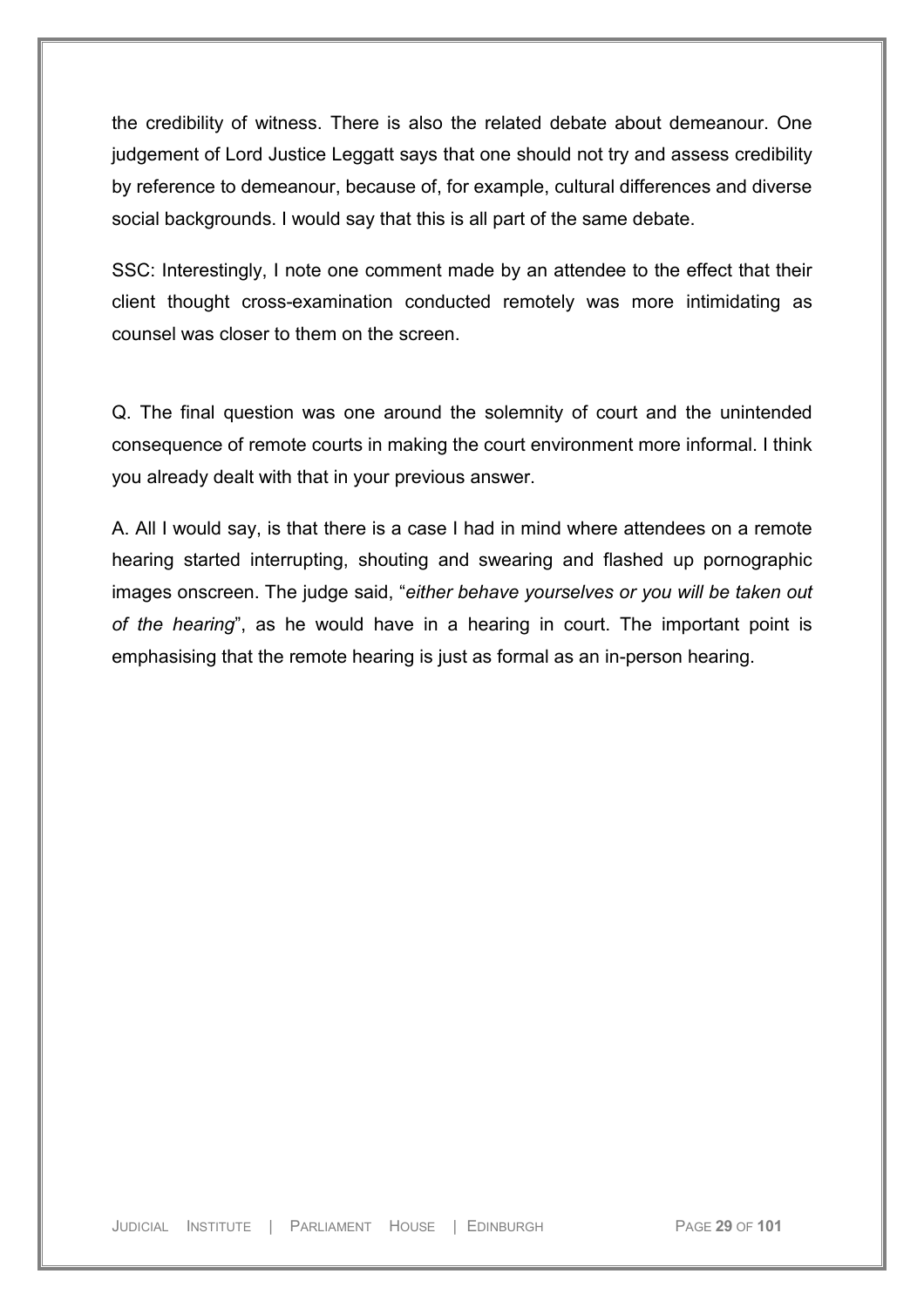the credibility of witness. There is also the related debate about demeanour. One judgement of Lord Justice Leggatt says that one should not try and assess credibility by reference to demeanour, because of, for example, cultural differences and diverse social backgrounds. I would say that this is all part of the same debate.

SSC: Interestingly, I note one comment made by an attendee to the effect that their client thought cross-examination conducted remotely was more intimidating as counsel was closer to them on the screen.

Q. The final question was one around the solemnity of court and the unintended consequence of remote courts in making the court environment more informal. I think you already dealt with that in your previous answer.

A. All I would say, is that there is a case I had in mind where attendees on a remote hearing started interrupting, shouting and swearing and flashed up pornographic images onscreen. The judge said, "*either behave yourselves or you will be taken out of the hearing*", as he would have in a hearing in court. The important point is emphasising that the remote hearing is just as formal as an in-person hearing.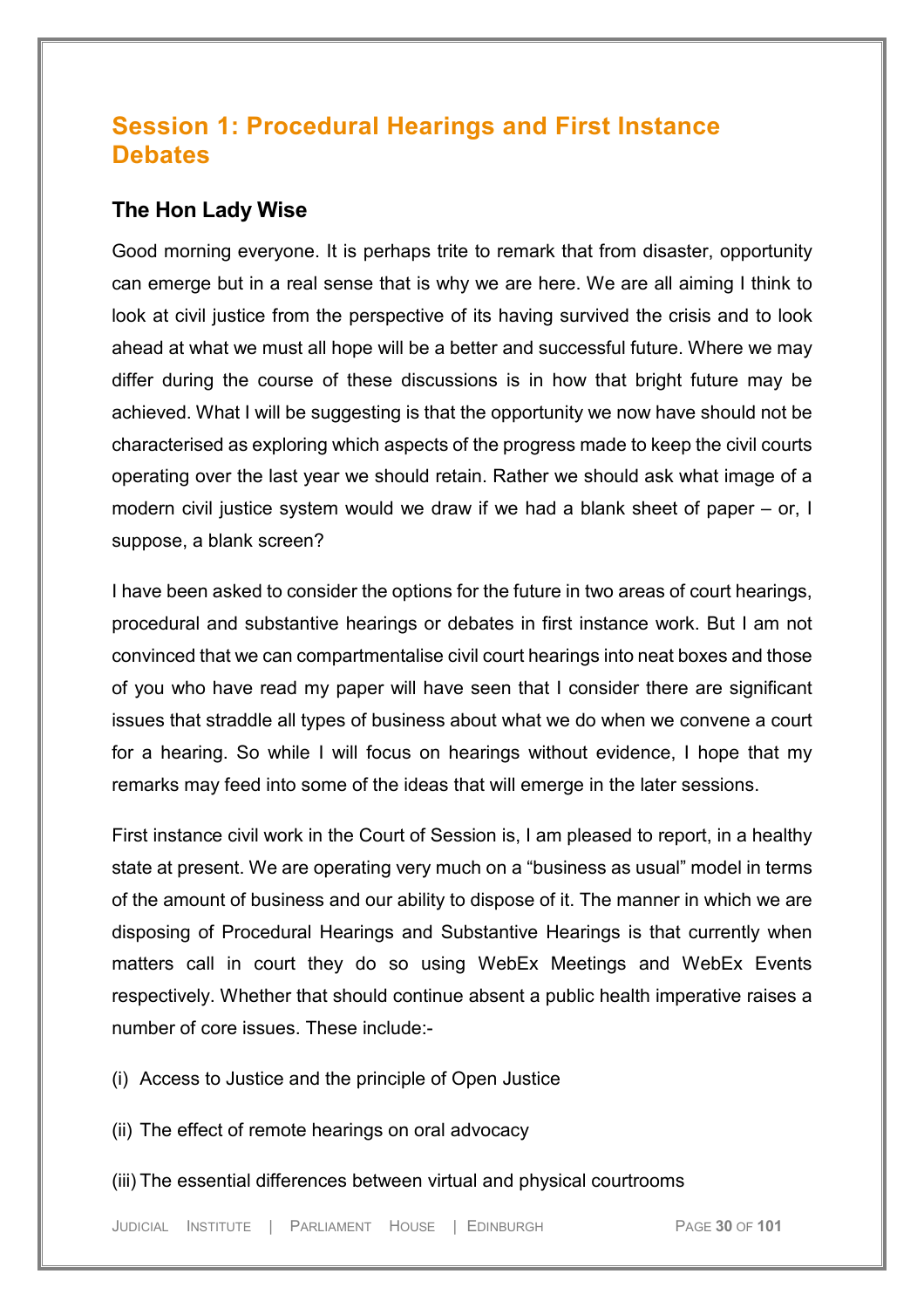# <span id="page-29-0"></span>**Session 1: Procedural Hearings and First Instance Debates**

### <span id="page-29-1"></span>**The Hon Lady Wise**

Good morning everyone. It is perhaps trite to remark that from disaster, opportunity can emerge but in a real sense that is why we are here. We are all aiming I think to look at civil justice from the perspective of its having survived the crisis and to look ahead at what we must all hope will be a better and successful future. Where we may differ during the course of these discussions is in how that bright future may be achieved. What I will be suggesting is that the opportunity we now have should not be characterised as exploring which aspects of the progress made to keep the civil courts operating over the last year we should retain. Rather we should ask what image of a modern civil justice system would we draw if we had a blank sheet of paper – or, I suppose, a blank screen?

I have been asked to consider the options for the future in two areas of court hearings, procedural and substantive hearings or debates in first instance work. But I am not convinced that we can compartmentalise civil court hearings into neat boxes and those of you who have read my paper will have seen that I consider there are significant issues that straddle all types of business about what we do when we convene a court for a hearing. So while I will focus on hearings without evidence, I hope that my remarks may feed into some of the ideas that will emerge in the later sessions.

First instance civil work in the Court of Session is, I am pleased to report, in a healthy state at present. We are operating very much on a "business as usual" model in terms of the amount of business and our ability to dispose of it. The manner in which we are disposing of Procedural Hearings and Substantive Hearings is that currently when matters call in court they do so using WebEx Meetings and WebEx Events respectively. Whether that should continue absent a public health imperative raises a number of core issues. These include:-

(i) Access to Justice and the principle of Open Justice

(ii) The effect of remote hearings on oral advocacy

(iii) The essential differences between virtual and physical courtrooms

JUDICIAL INSTITUTE | PARLIAMENT HOUSE | EDINBURGH PAGE **30** OF **101**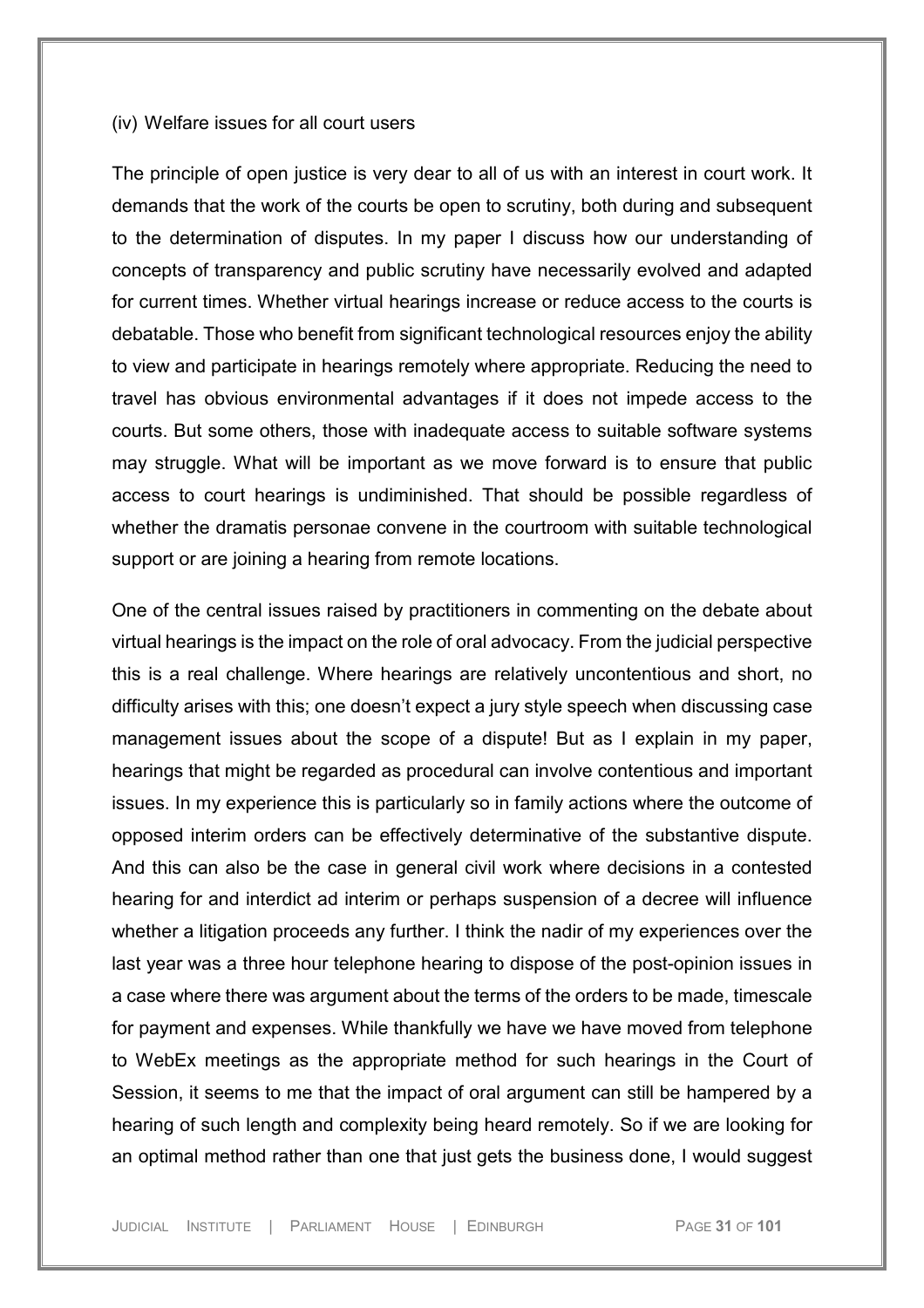#### (iv) Welfare issues for all court users

The principle of open justice is very dear to all of us with an interest in court work. It demands that the work of the courts be open to scrutiny, both during and subsequent to the determination of disputes. In my paper I discuss how our understanding of concepts of transparency and public scrutiny have necessarily evolved and adapted for current times. Whether virtual hearings increase or reduce access to the courts is debatable. Those who benefit from significant technological resources enjoy the ability to view and participate in hearings remotely where appropriate. Reducing the need to travel has obvious environmental advantages if it does not impede access to the courts. But some others, those with inadequate access to suitable software systems may struggle. What will be important as we move forward is to ensure that public access to court hearings is undiminished. That should be possible regardless of whether the dramatis personae convene in the courtroom with suitable technological support or are joining a hearing from remote locations.

One of the central issues raised by practitioners in commenting on the debate about virtual hearings is the impact on the role of oral advocacy. From the judicial perspective this is a real challenge. Where hearings are relatively uncontentious and short, no difficulty arises with this; one doesn't expect a jury style speech when discussing case management issues about the scope of a dispute! But as I explain in my paper, hearings that might be regarded as procedural can involve contentious and important issues. In my experience this is particularly so in family actions where the outcome of opposed interim orders can be effectively determinative of the substantive dispute. And this can also be the case in general civil work where decisions in a contested hearing for and interdict ad interim or perhaps suspension of a decree will influence whether a litigation proceeds any further. I think the nadir of my experiences over the last year was a three hour telephone hearing to dispose of the post-opinion issues in a case where there was argument about the terms of the orders to be made, timescale for payment and expenses. While thankfully we have we have moved from telephone to WebEx meetings as the appropriate method for such hearings in the Court of Session, it seems to me that the impact of oral argument can still be hampered by a hearing of such length and complexity being heard remotely. So if we are looking for an optimal method rather than one that just gets the business done, I would suggest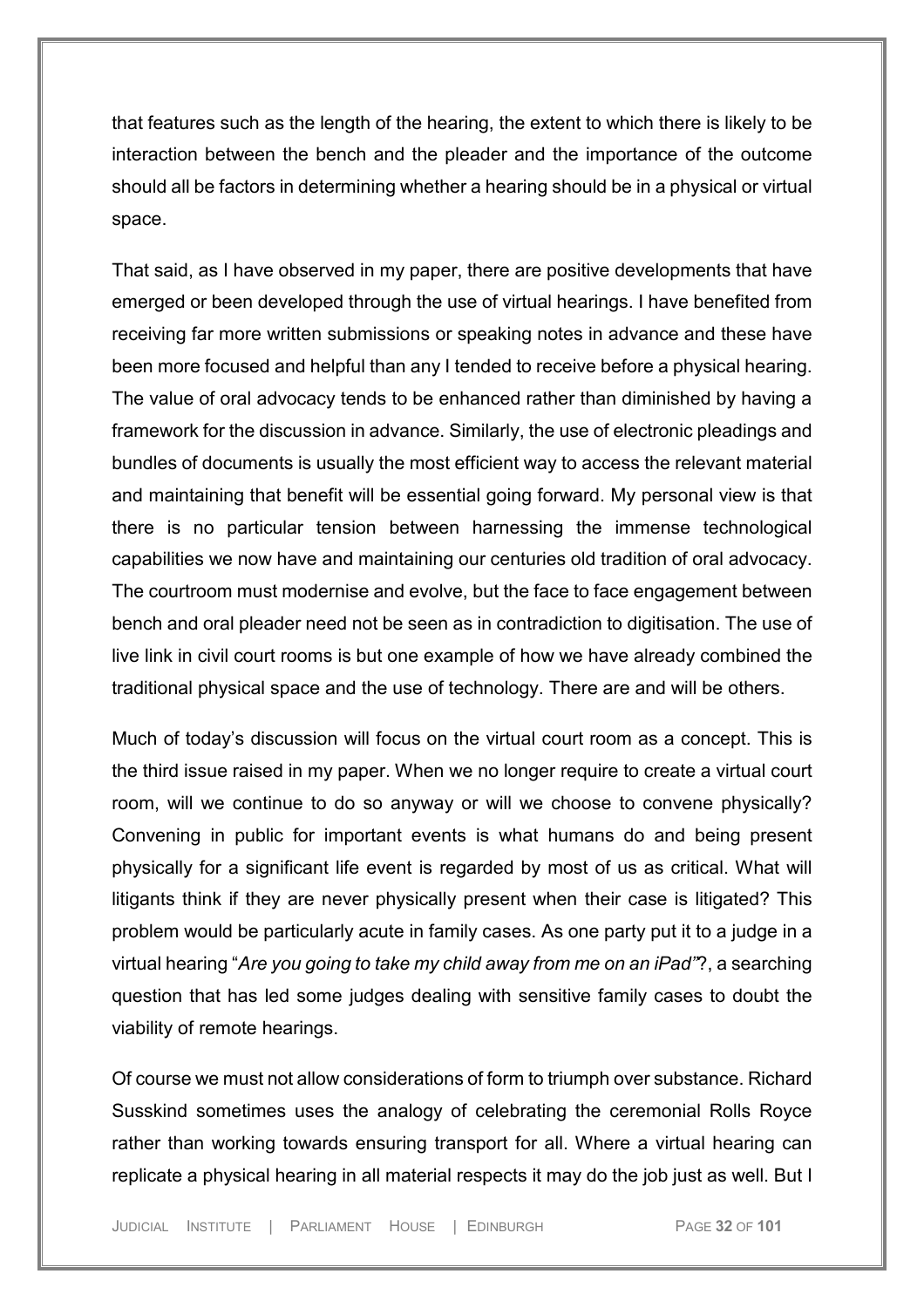that features such as the length of the hearing, the extent to which there is likely to be interaction between the bench and the pleader and the importance of the outcome should all be factors in determining whether a hearing should be in a physical or virtual space.

That said, as I have observed in my paper, there are positive developments that have emerged or been developed through the use of virtual hearings. I have benefited from receiving far more written submissions or speaking notes in advance and these have been more focused and helpful than any I tended to receive before a physical hearing. The value of oral advocacy tends to be enhanced rather than diminished by having a framework for the discussion in advance. Similarly, the use of electronic pleadings and bundles of documents is usually the most efficient way to access the relevant material and maintaining that benefit will be essential going forward. My personal view is that there is no particular tension between harnessing the immense technological capabilities we now have and maintaining our centuries old tradition of oral advocacy. The courtroom must modernise and evolve, but the face to face engagement between bench and oral pleader need not be seen as in contradiction to digitisation. The use of live link in civil court rooms is but one example of how we have already combined the traditional physical space and the use of technology. There are and will be others.

Much of today's discussion will focus on the virtual court room as a concept. This is the third issue raised in my paper. When we no longer require to create a virtual court room, will we continue to do so anyway or will we choose to convene physically? Convening in public for important events is what humans do and being present physically for a significant life event is regarded by most of us as critical. What will litigants think if they are never physically present when their case is litigated? This problem would be particularly acute in family cases. As one party put it to a judge in a virtual hearing "*Are you going to take my child away from me on an iPad"*?, a searching question that has led some judges dealing with sensitive family cases to doubt the viability of remote hearings.

Of course we must not allow considerations of form to triumph over substance. Richard Susskind sometimes uses the analogy of celebrating the ceremonial Rolls Royce rather than working towards ensuring transport for all. Where a virtual hearing can replicate a physical hearing in all material respects it may do the job just as well. But I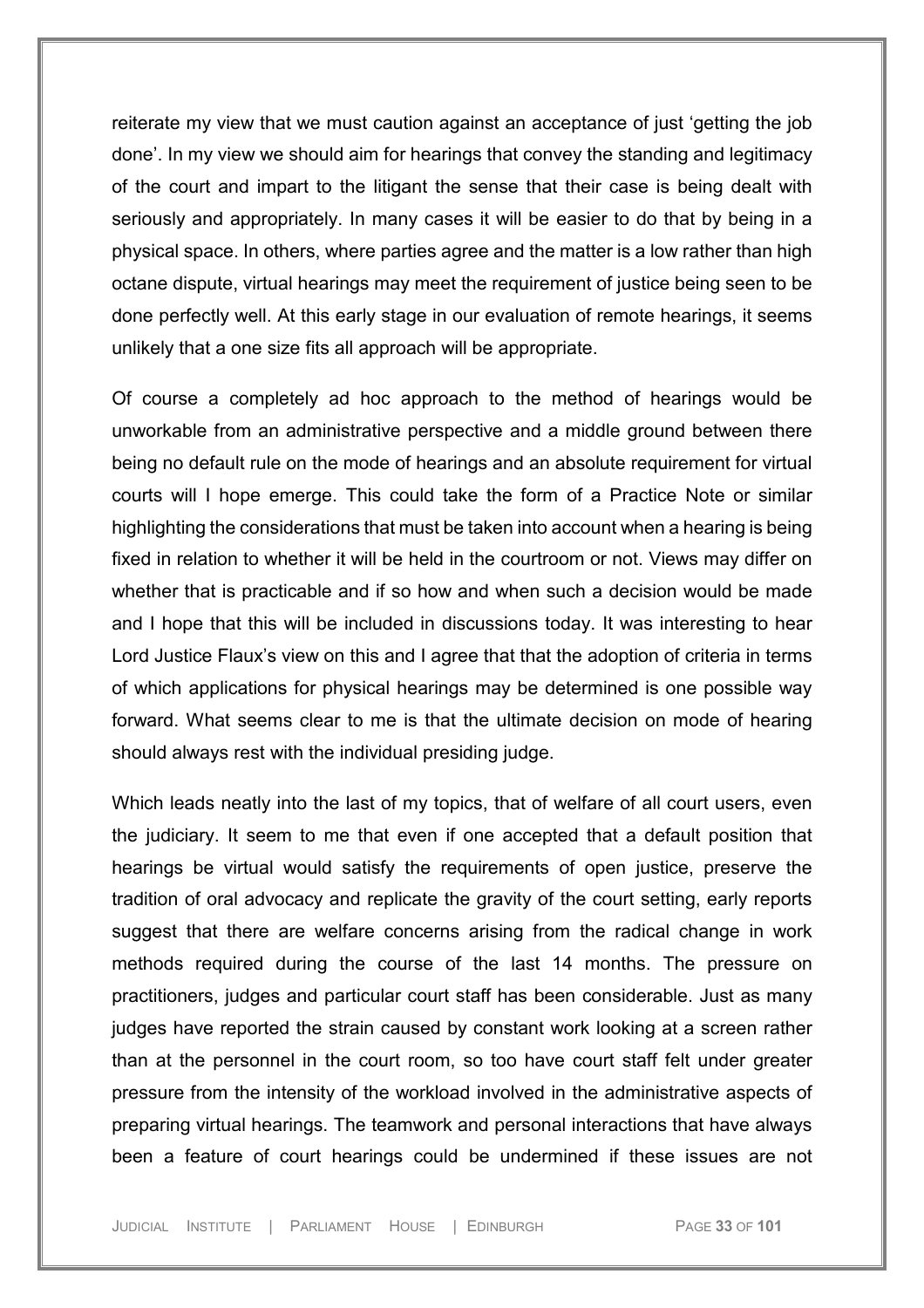reiterate my view that we must caution against an acceptance of just 'getting the job done'. In my view we should aim for hearings that convey the standing and legitimacy of the court and impart to the litigant the sense that their case is being dealt with seriously and appropriately. In many cases it will be easier to do that by being in a physical space. In others, where parties agree and the matter is a low rather than high octane dispute, virtual hearings may meet the requirement of justice being seen to be done perfectly well. At this early stage in our evaluation of remote hearings, it seems unlikely that a one size fits all approach will be appropriate.

Of course a completely ad hoc approach to the method of hearings would be unworkable from an administrative perspective and a middle ground between there being no default rule on the mode of hearings and an absolute requirement for virtual courts will I hope emerge. This could take the form of a Practice Note or similar highlighting the considerations that must be taken into account when a hearing is being fixed in relation to whether it will be held in the courtroom or not. Views may differ on whether that is practicable and if so how and when such a decision would be made and I hope that this will be included in discussions today. It was interesting to hear Lord Justice Flaux's view on this and I agree that that the adoption of criteria in terms of which applications for physical hearings may be determined is one possible way forward. What seems clear to me is that the ultimate decision on mode of hearing should always rest with the individual presiding judge.

Which leads neatly into the last of my topics, that of welfare of all court users, even the judiciary. It seem to me that even if one accepted that a default position that hearings be virtual would satisfy the requirements of open justice, preserve the tradition of oral advocacy and replicate the gravity of the court setting, early reports suggest that there are welfare concerns arising from the radical change in work methods required during the course of the last 14 months. The pressure on practitioners, judges and particular court staff has been considerable. Just as many judges have reported the strain caused by constant work looking at a screen rather than at the personnel in the court room, so too have court staff felt under greater pressure from the intensity of the workload involved in the administrative aspects of preparing virtual hearings. The teamwork and personal interactions that have always been a feature of court hearings could be undermined if these issues are not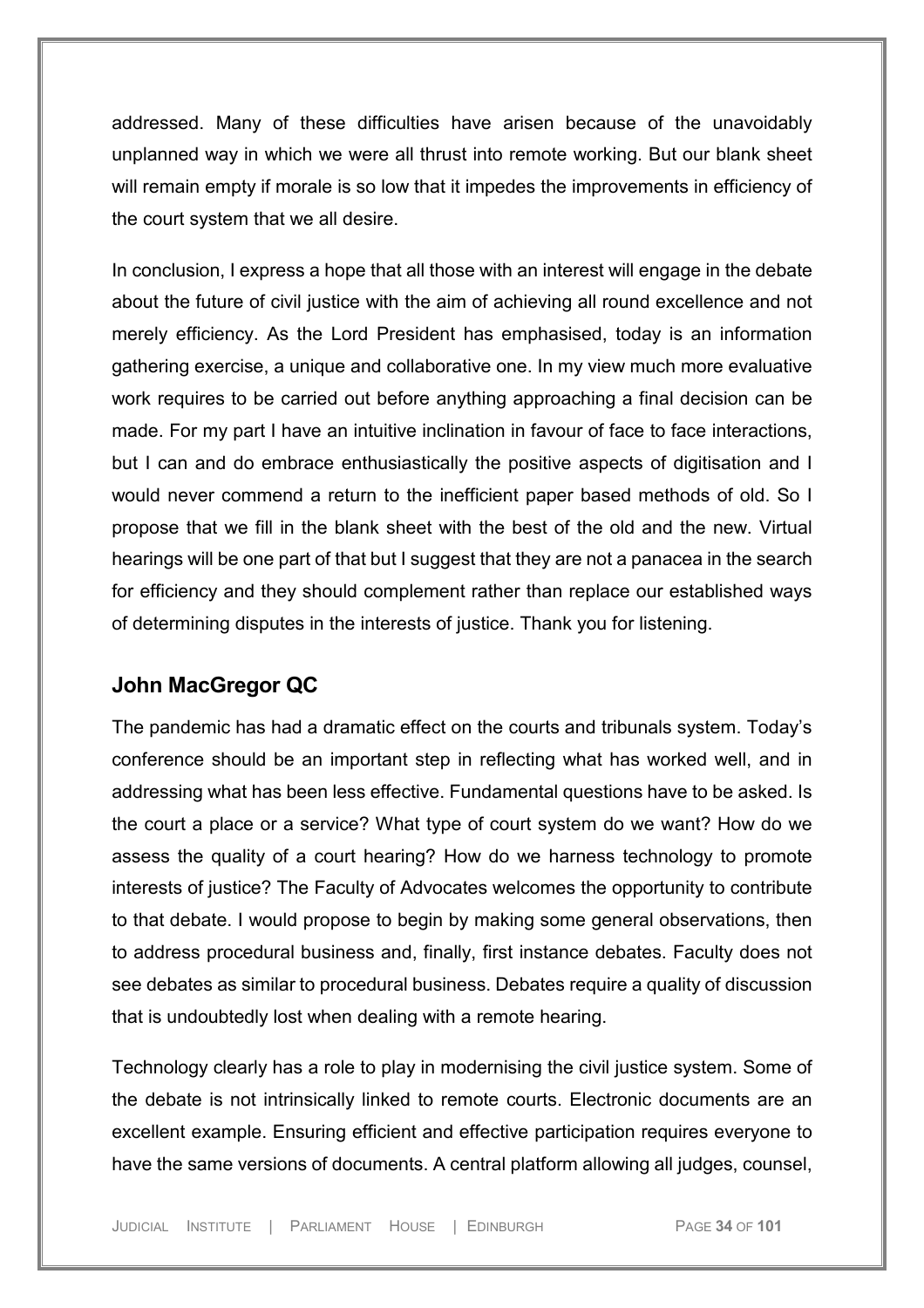addressed. Many of these difficulties have arisen because of the unavoidably unplanned way in which we were all thrust into remote working. But our blank sheet will remain empty if morale is so low that it impedes the improvements in efficiency of the court system that we all desire.

In conclusion, I express a hope that all those with an interest will engage in the debate about the future of civil justice with the aim of achieving all round excellence and not merely efficiency. As the Lord President has emphasised, today is an information gathering exercise, a unique and collaborative one. In my view much more evaluative work requires to be carried out before anything approaching a final decision can be made. For my part I have an intuitive inclination in favour of face to face interactions, but I can and do embrace enthusiastically the positive aspects of digitisation and I would never commend a return to the inefficient paper based methods of old. So I propose that we fill in the blank sheet with the best of the old and the new. Virtual hearings will be one part of that but I suggest that they are not a panacea in the search for efficiency and they should complement rather than replace our established ways of determining disputes in the interests of justice. Thank you for listening.

### <span id="page-33-0"></span>**John MacGregor QC**

The pandemic has had a dramatic effect on the courts and tribunals system. Today's conference should be an important step in reflecting what has worked well, and in addressing what has been less effective. Fundamental questions have to be asked. Is the court a place or a service? What type of court system do we want? How do we assess the quality of a court hearing? How do we harness technology to promote interests of justice? The Faculty of Advocates welcomes the opportunity to contribute to that debate. I would propose to begin by making some general observations, then to address procedural business and, finally, first instance debates. Faculty does not see debates as similar to procedural business. Debates require a quality of discussion that is undoubtedly lost when dealing with a remote hearing.

Technology clearly has a role to play in modernising the civil justice system. Some of the debate is not intrinsically linked to remote courts. Electronic documents are an excellent example. Ensuring efficient and effective participation requires everyone to have the same versions of documents. A central platform allowing all judges, counsel,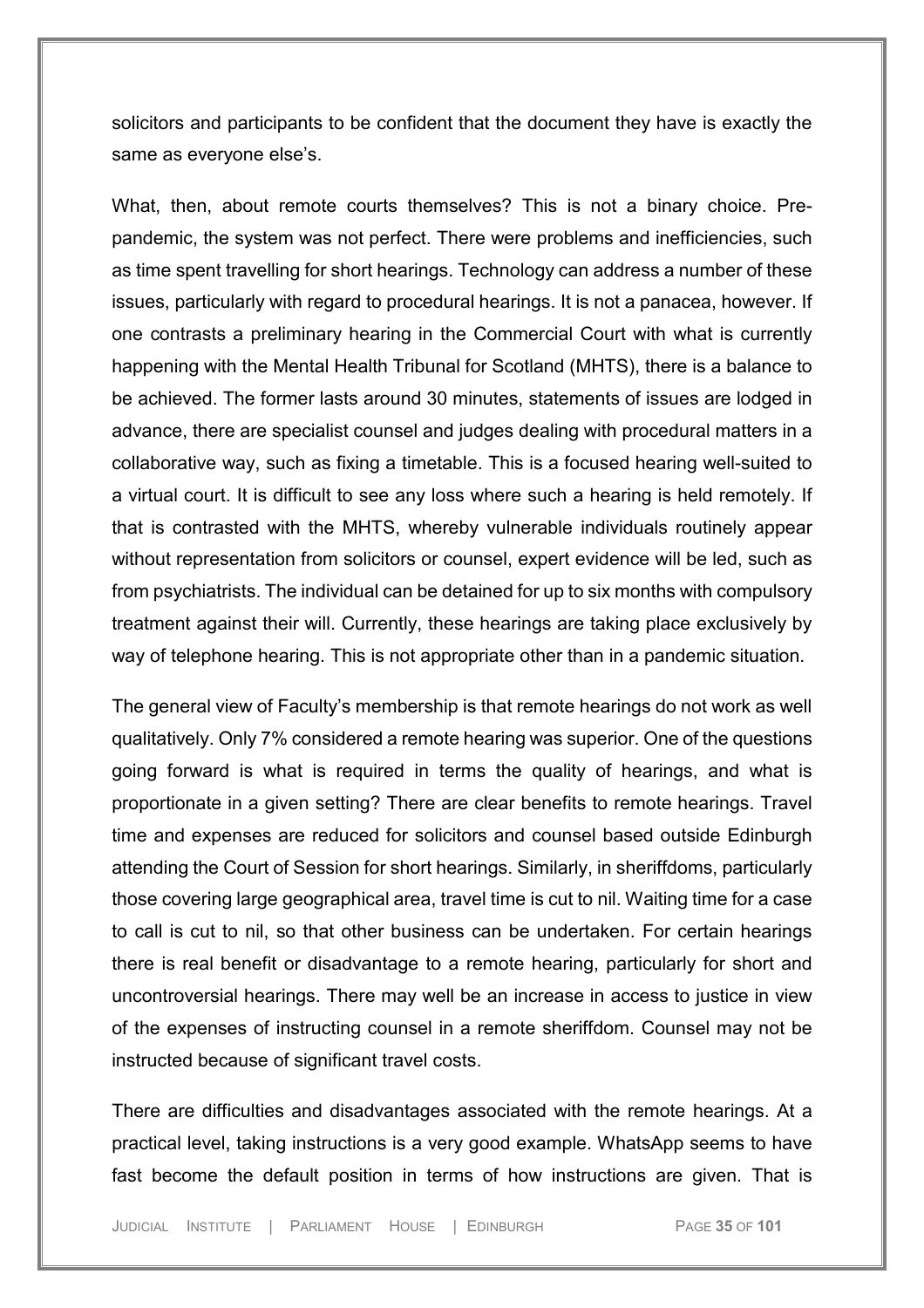solicitors and participants to be confident that the document they have is exactly the same as everyone else's.

What, then, about remote courts themselves? This is not a binary choice. Prepandemic, the system was not perfect. There were problems and inefficiencies, such as time spent travelling for short hearings. Technology can address a number of these issues, particularly with regard to procedural hearings. It is not a panacea, however. If one contrasts a preliminary hearing in the Commercial Court with what is currently happening with the Mental Health Tribunal for Scotland (MHTS), there is a balance to be achieved. The former lasts around 30 minutes, statements of issues are lodged in advance, there are specialist counsel and judges dealing with procedural matters in a collaborative way, such as fixing a timetable. This is a focused hearing well-suited to a virtual court. It is difficult to see any loss where such a hearing is held remotely. If that is contrasted with the MHTS, whereby vulnerable individuals routinely appear without representation from solicitors or counsel, expert evidence will be led, such as from psychiatrists. The individual can be detained for up to six months with compulsory treatment against their will. Currently, these hearings are taking place exclusively by way of telephone hearing. This is not appropriate other than in a pandemic situation.

The general view of Faculty's membership is that remote hearings do not work as well qualitatively. Only 7% considered a remote hearing was superior. One of the questions going forward is what is required in terms the quality of hearings, and what is proportionate in a given setting? There are clear benefits to remote hearings. Travel time and expenses are reduced for solicitors and counsel based outside Edinburgh attending the Court of Session for short hearings. Similarly, in sheriffdoms, particularly those covering large geographical area, travel time is cut to nil. Waiting time for a case to call is cut to nil, so that other business can be undertaken. For certain hearings there is real benefit or disadvantage to a remote hearing, particularly for short and uncontroversial hearings. There may well be an increase in access to justice in view of the expenses of instructing counsel in a remote sheriffdom. Counsel may not be instructed because of significant travel costs.

There are difficulties and disadvantages associated with the remote hearings. At a practical level, taking instructions is a very good example. WhatsApp seems to have fast become the default position in terms of how instructions are given. That is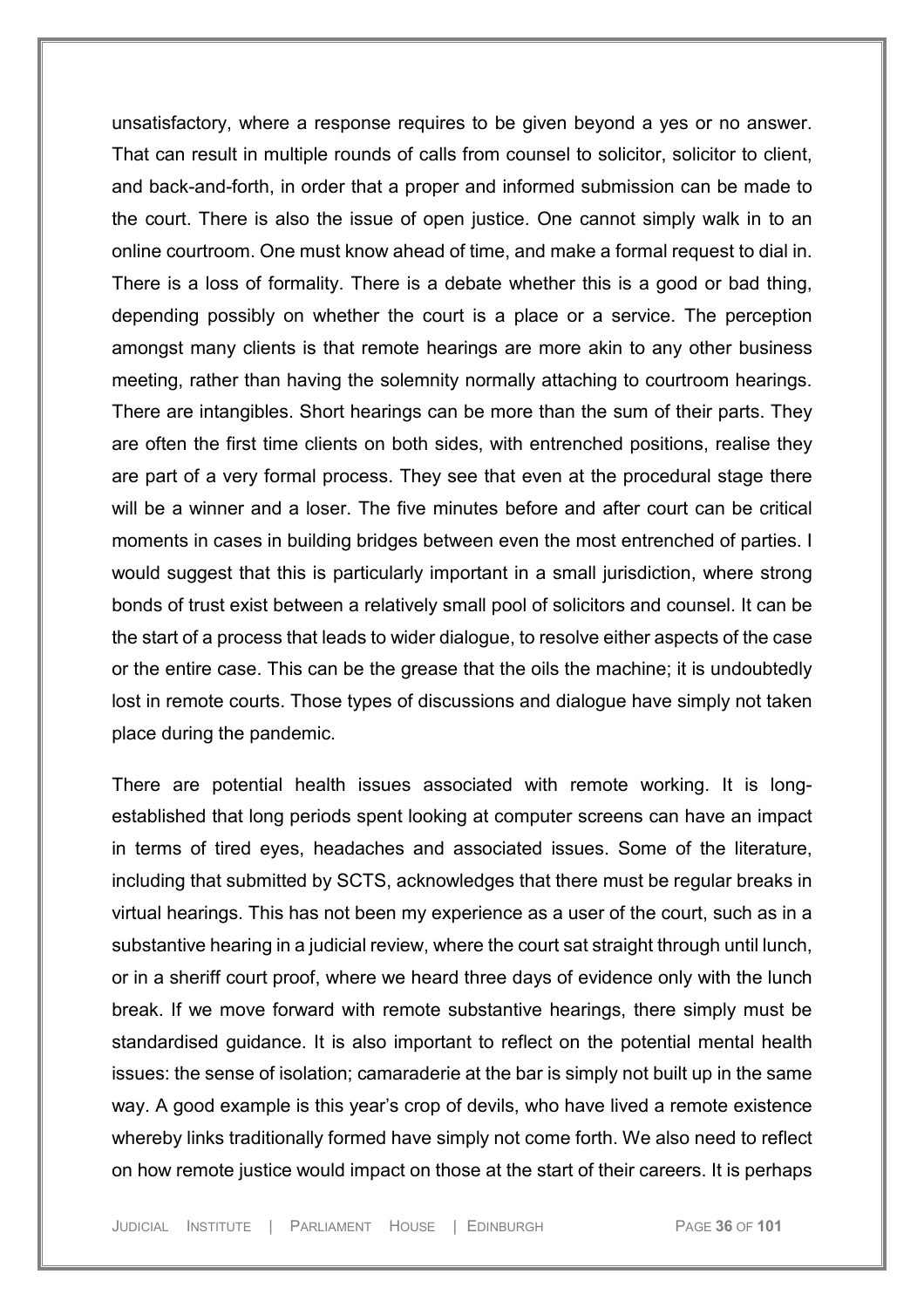unsatisfactory, where a response requires to be given beyond a yes or no answer. That can result in multiple rounds of calls from counsel to solicitor, solicitor to client, and back-and-forth, in order that a proper and informed submission can be made to the court. There is also the issue of open justice. One cannot simply walk in to an online courtroom. One must know ahead of time, and make a formal request to dial in. There is a loss of formality. There is a debate whether this is a good or bad thing, depending possibly on whether the court is a place or a service. The perception amongst many clients is that remote hearings are more akin to any other business meeting, rather than having the solemnity normally attaching to courtroom hearings. There are intangibles. Short hearings can be more than the sum of their parts. They are often the first time clients on both sides, with entrenched positions, realise they are part of a very formal process. They see that even at the procedural stage there will be a winner and a loser. The five minutes before and after court can be critical moments in cases in building bridges between even the most entrenched of parties. I would suggest that this is particularly important in a small jurisdiction, where strong bonds of trust exist between a relatively small pool of solicitors and counsel. It can be the start of a process that leads to wider dialogue, to resolve either aspects of the case or the entire case. This can be the grease that the oils the machine; it is undoubtedly lost in remote courts. Those types of discussions and dialogue have simply not taken place during the pandemic.

There are potential health issues associated with remote working. It is longestablished that long periods spent looking at computer screens can have an impact in terms of tired eyes, headaches and associated issues. Some of the literature, including that submitted by SCTS, acknowledges that there must be regular breaks in virtual hearings. This has not been my experience as a user of the court, such as in a substantive hearing in a judicial review, where the court sat straight through until lunch, or in a sheriff court proof, where we heard three days of evidence only with the lunch break. If we move forward with remote substantive hearings, there simply must be standardised guidance. It is also important to reflect on the potential mental health issues: the sense of isolation; camaraderie at the bar is simply not built up in the same way. A good example is this year's crop of devils, who have lived a remote existence whereby links traditionally formed have simply not come forth. We also need to reflect on how remote justice would impact on those at the start of their careers. It is perhaps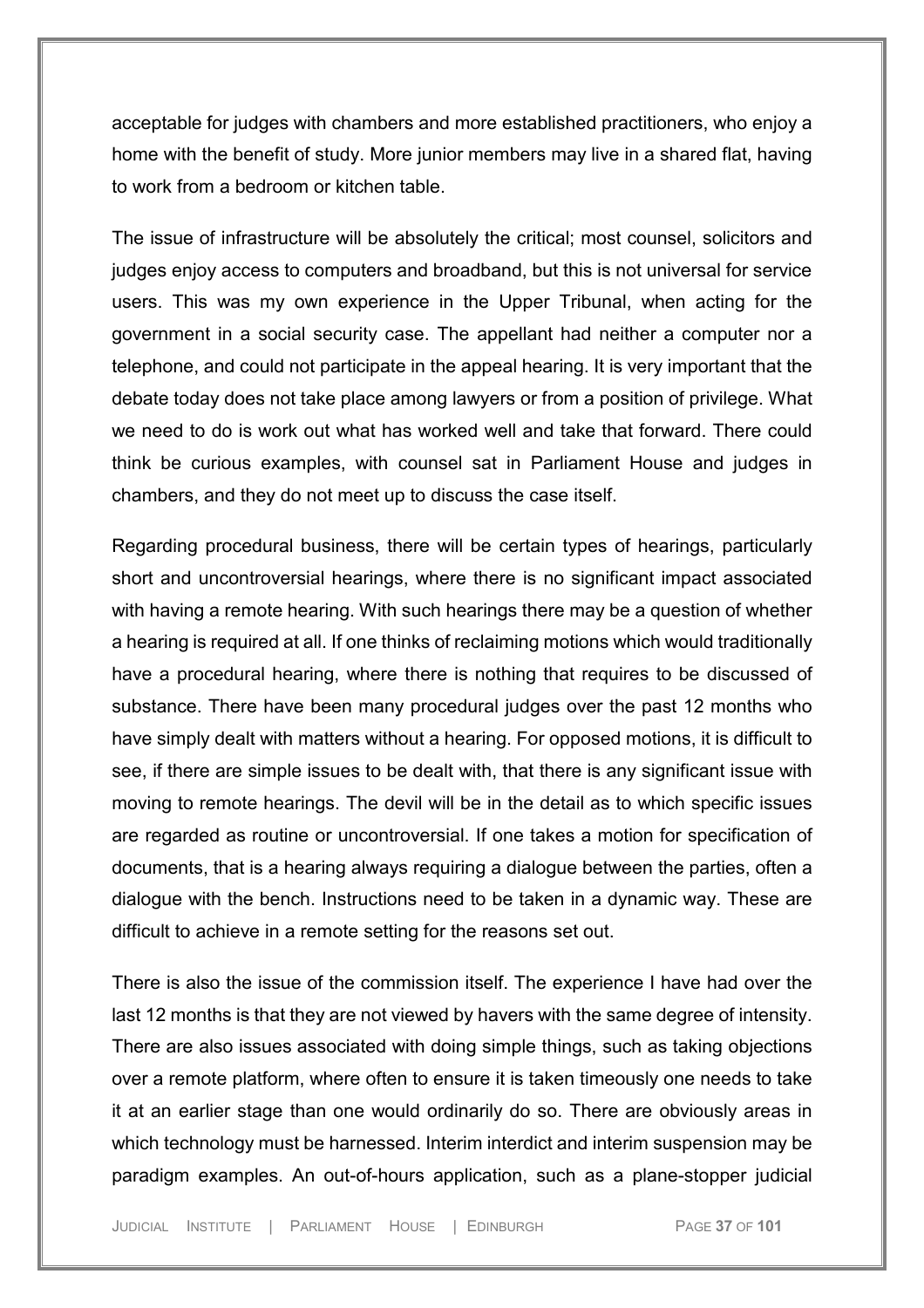acceptable for judges with chambers and more established practitioners, who enjoy a home with the benefit of study. More junior members may live in a shared flat, having to work from a bedroom or kitchen table.

The issue of infrastructure will be absolutely the critical; most counsel, solicitors and judges enjoy access to computers and broadband, but this is not universal for service users. This was my own experience in the Upper Tribunal, when acting for the government in a social security case. The appellant had neither a computer nor a telephone, and could not participate in the appeal hearing. It is very important that the debate today does not take place among lawyers or from a position of privilege. What we need to do is work out what has worked well and take that forward. There could think be curious examples, with counsel sat in Parliament House and judges in chambers, and they do not meet up to discuss the case itself.

Regarding procedural business, there will be certain types of hearings, particularly short and uncontroversial hearings, where there is no significant impact associated with having a remote hearing. With such hearings there may be a question of whether a hearing is required at all. If one thinks of reclaiming motions which would traditionally have a procedural hearing, where there is nothing that requires to be discussed of substance. There have been many procedural judges over the past 12 months who have simply dealt with matters without a hearing. For opposed motions, it is difficult to see, if there are simple issues to be dealt with, that there is any significant issue with moving to remote hearings. The devil will be in the detail as to which specific issues are regarded as routine or uncontroversial. If one takes a motion for specification of documents, that is a hearing always requiring a dialogue between the parties, often a dialogue with the bench. Instructions need to be taken in a dynamic way. These are difficult to achieve in a remote setting for the reasons set out.

There is also the issue of the commission itself. The experience I have had over the last 12 months is that they are not viewed by havers with the same degree of intensity. There are also issues associated with doing simple things, such as taking objections over a remote platform, where often to ensure it is taken timeously one needs to take it at an earlier stage than one would ordinarily do so. There are obviously areas in which technology must be harnessed. Interim interdict and interim suspension may be paradigm examples. An out-of-hours application, such as a plane-stopper judicial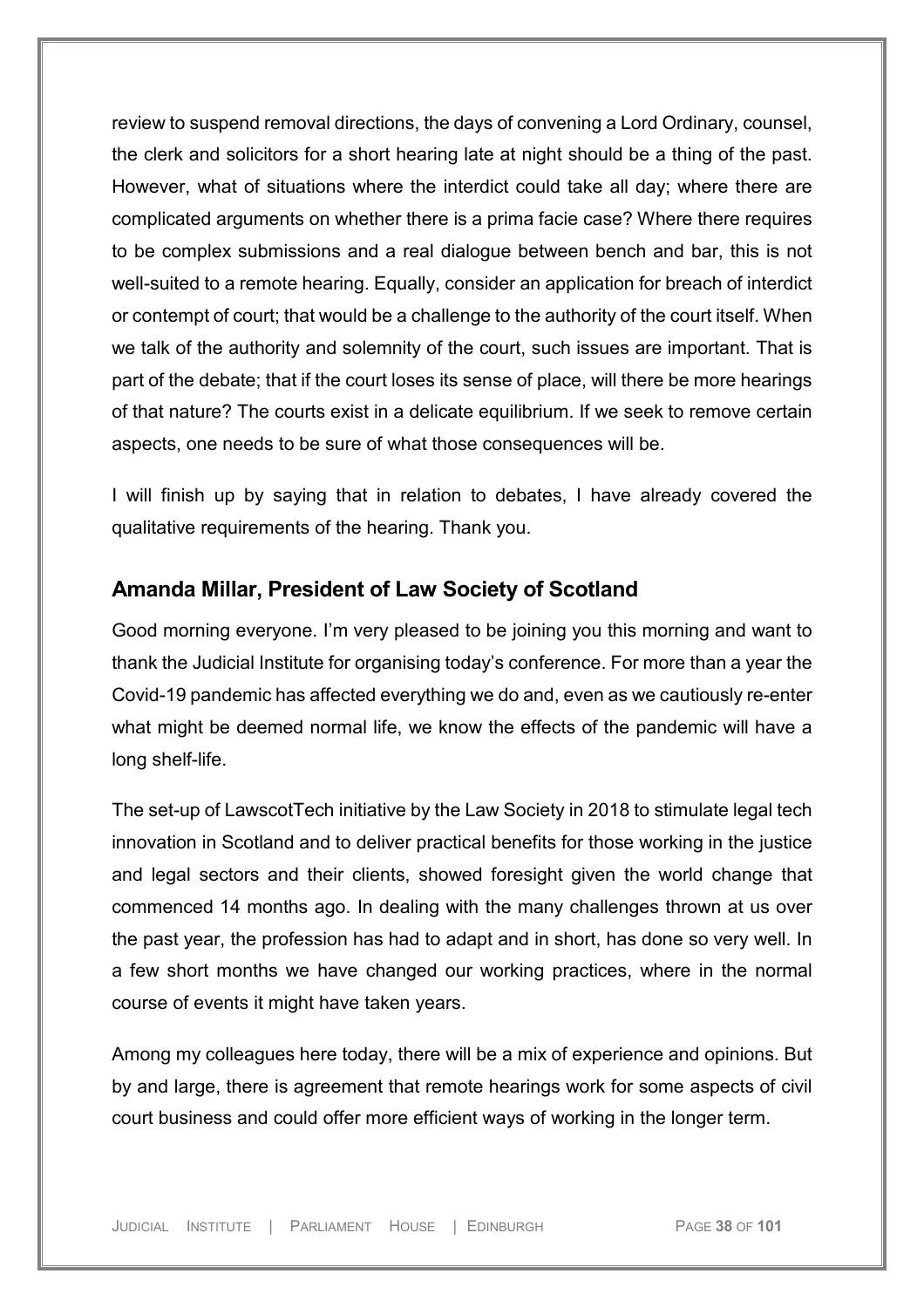review to suspend removal directions, the days of convening a Lord Ordinary, counsel, the clerk and solicitors for a short hearing late at night should be a thing of the past. However, what of situations where the interdict could take all day; where there are complicated arguments on whether there is a prima facie case? Where there requires to be complex submissions and a real dialogue between bench and bar, this is not well-suited to a remote hearing. Equally, consider an application for breach of interdict or contempt of court; that would be a challenge to the authority of the court itself. When we talk of the authority and solemnity of the court, such issues are important. That is part of the debate; that if the court loses its sense of place, will there be more hearings of that nature? The courts exist in a delicate equilibrium. If we seek to remove certain aspects, one needs to be sure of what those consequences will be.

I will finish up by saying that in relation to debates, I have already covered the qualitative requirements of the hearing. Thank you.

## **Amanda Millar, President of Law Society of Scotland**

Good morning everyone. I'm very pleased to be joining you this morning and want to thank the Judicial Institute for organising today's conference. For more than a year the Covid-19 pandemic has affected everything we do and, even as we cautiously re-enter what might be deemed normal life, we know the effects of the pandemic will have a long shelf-life.

The set-up of LawscotTech initiative by the Law Society in 2018 to stimulate legal tech innovation in Scotland and to deliver practical benefits for those working in the justice and legal sectors and their clients, showed foresight given the world change that commenced 14 months ago. In dealing with the many challenges thrown at us over the past year, the profession has had to adapt and in short, has done so very well. In a few short months we have changed our working practices, where in the normal course of events it might have taken years.

Among my colleagues here today, there will be a mix of experience and opinions. But by and large, there is agreement that remote hearings work for some aspects of civil court business and could offer more efficient ways of working in the longer term.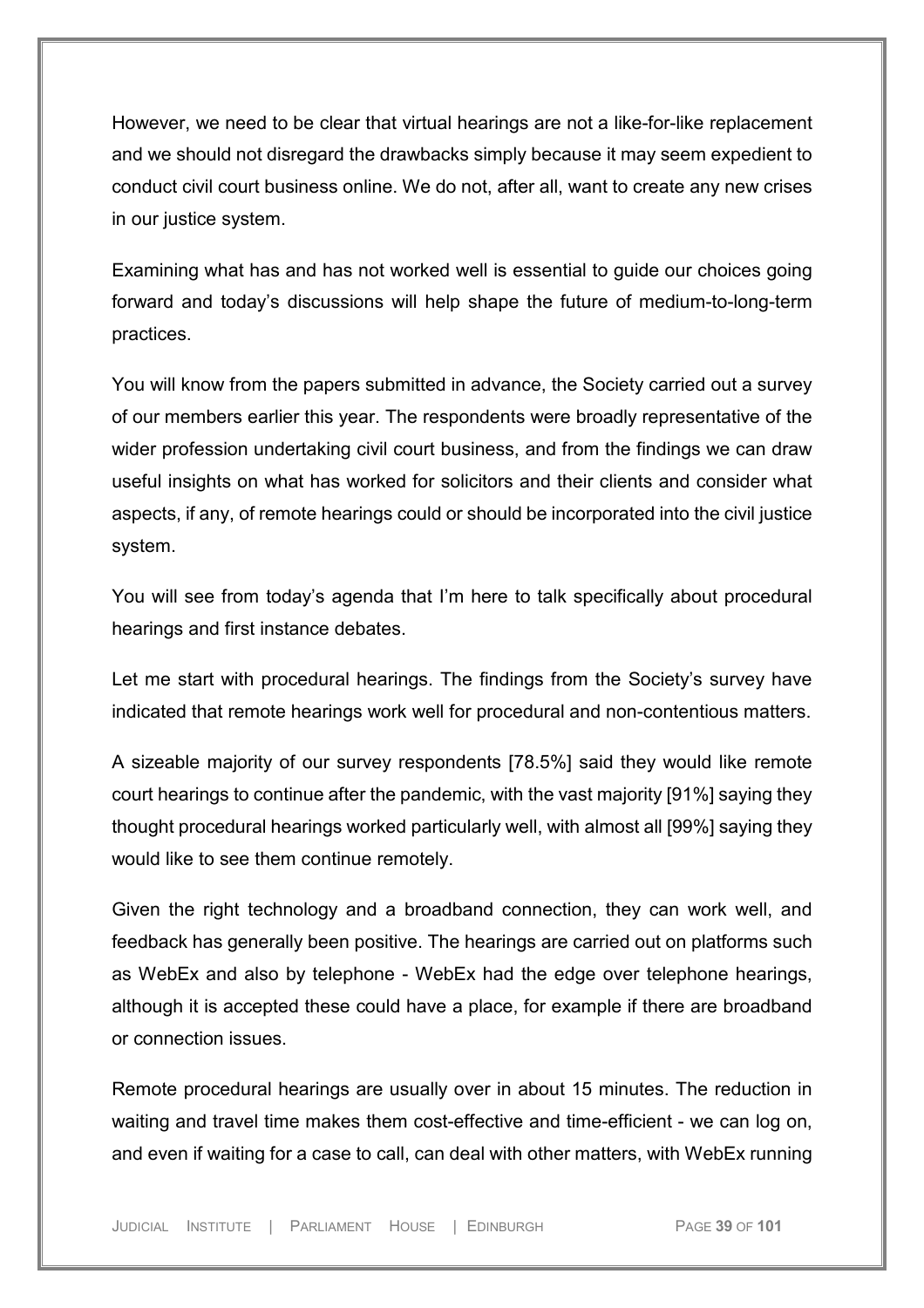However, we need to be clear that virtual hearings are not a like-for-like replacement and we should not disregard the drawbacks simply because it may seem expedient to conduct civil court business online. We do not, after all, want to create any new crises in our justice system.

Examining what has and has not worked well is essential to guide our choices going forward and today's discussions will help shape the future of medium-to-long-term practices.

You will know from the papers submitted in advance, the Society carried out a survey of our members earlier this year. The respondents were broadly representative of the wider profession undertaking civil court business, and from the findings we can draw useful insights on what has worked for solicitors and their clients and consider what aspects, if any, of remote hearings could or should be incorporated into the civil justice system.

You will see from today's agenda that I'm here to talk specifically about procedural hearings and first instance debates.

Let me start with procedural hearings. The findings from the Society's survey have indicated that remote hearings work well for procedural and non-contentious matters.

A sizeable majority of our survey respondents [78.5%] said they would like remote court hearings to continue after the pandemic, with the vast majority [91%] saying they thought procedural hearings worked particularly well, with almost all [99%] saying they would like to see them continue remotely.

Given the right technology and a broadband connection, they can work well, and feedback has generally been positive. The hearings are carried out on platforms such as WebEx and also by telephone - WebEx had the edge over telephone hearings, although it is accepted these could have a place, for example if there are broadband or connection issues.

Remote procedural hearings are usually over in about 15 minutes. The reduction in waiting and travel time makes them cost-effective and time-efficient - we can log on, and even if waiting for a case to call, can deal with other matters, with WebEx running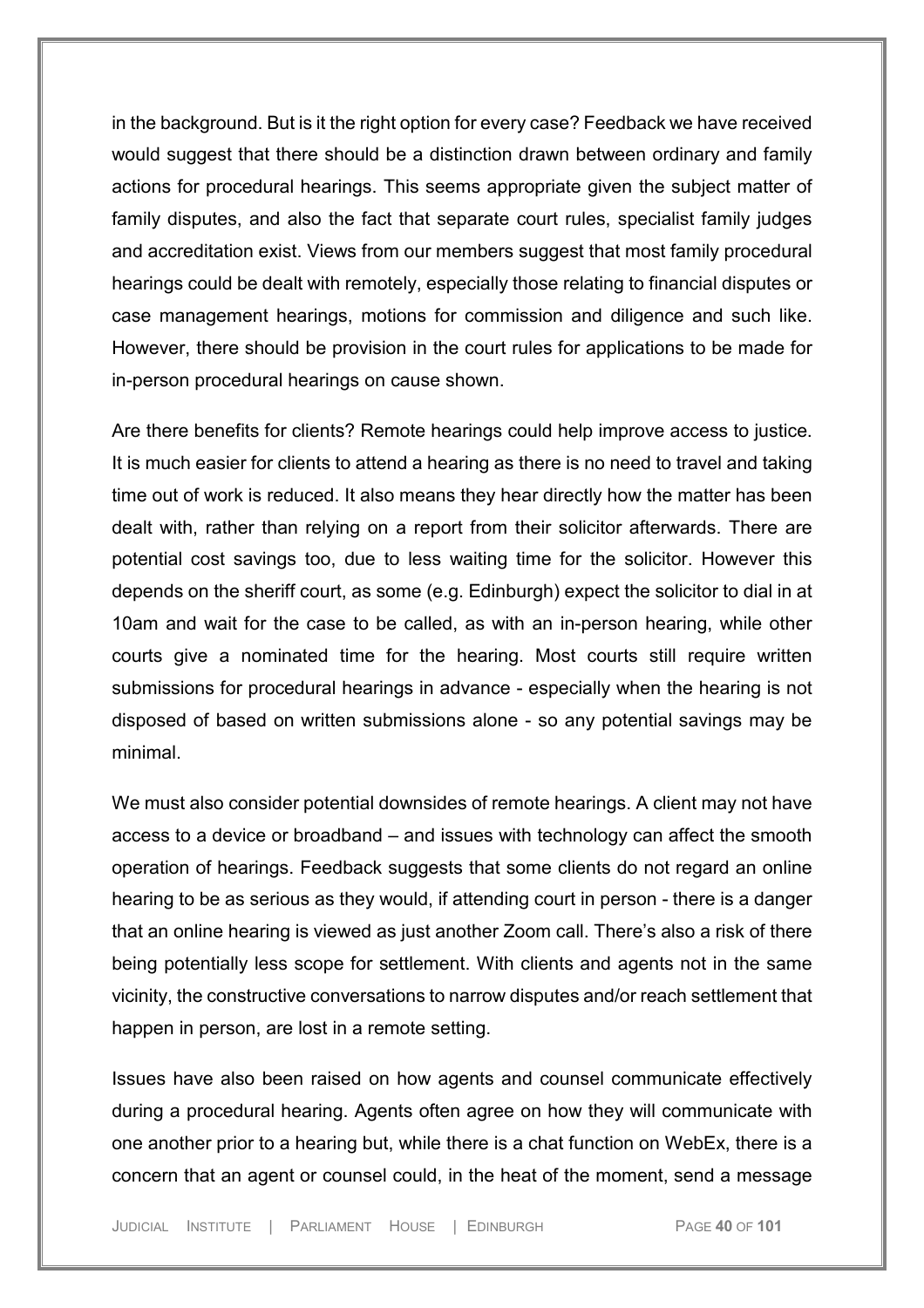in the background. But is it the right option for every case? Feedback we have received would suggest that there should be a distinction drawn between ordinary and family actions for procedural hearings. This seems appropriate given the subject matter of family disputes, and also the fact that separate court rules, specialist family judges and accreditation exist. Views from our members suggest that most family procedural hearings could be dealt with remotely, especially those relating to financial disputes or case management hearings, motions for commission and diligence and such like. However, there should be provision in the court rules for applications to be made for in-person procedural hearings on cause shown.

Are there benefits for clients? Remote hearings could help improve access to justice. It is much easier for clients to attend a hearing as there is no need to travel and taking time out of work is reduced. It also means they hear directly how the matter has been dealt with, rather than relying on a report from their solicitor afterwards. There are potential cost savings too, due to less waiting time for the solicitor. However this depends on the sheriff court, as some (e.g. Edinburgh) expect the solicitor to dial in at 10am and wait for the case to be called, as with an in-person hearing, while other courts give a nominated time for the hearing. Most courts still require written submissions for procedural hearings in advance - especially when the hearing is not disposed of based on written submissions alone - so any potential savings may be minimal.

We must also consider potential downsides of remote hearings. A client may not have access to a device or broadband – and issues with technology can affect the smooth operation of hearings. Feedback suggests that some clients do not regard an online hearing to be as serious as they would, if attending court in person - there is a danger that an online hearing is viewed as just another Zoom call. There's also a risk of there being potentially less scope for settlement. With clients and agents not in the same vicinity, the constructive conversations to narrow disputes and/or reach settlement that happen in person, are lost in a remote setting.

Issues have also been raised on how agents and counsel communicate effectively during a procedural hearing. Agents often agree on how they will communicate with one another prior to a hearing but, while there is a chat function on WebEx, there is a concern that an agent or counsel could, in the heat of the moment, send a message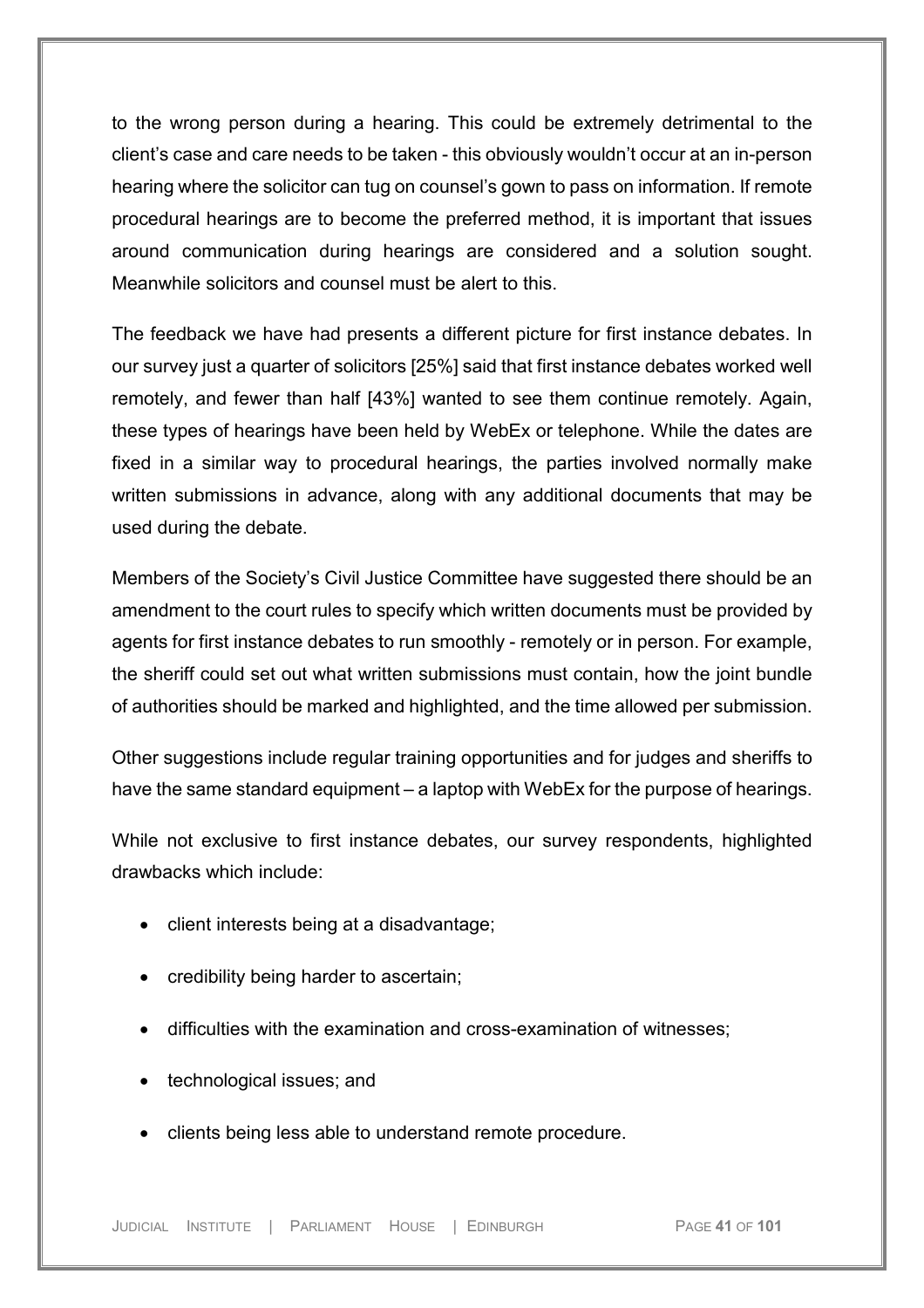to the wrong person during a hearing. This could be extremely detrimental to the client's case and care needs to be taken - this obviously wouldn't occur at an in-person hearing where the solicitor can tug on counsel's gown to pass on information. If remote procedural hearings are to become the preferred method, it is important that issues around communication during hearings are considered and a solution sought. Meanwhile solicitors and counsel must be alert to this.

The feedback we have had presents a different picture for first instance debates. In our survey just a quarter of solicitors [25%] said that first instance debates worked well remotely, and fewer than half [43%] wanted to see them continue remotely. Again, these types of hearings have been held by WebEx or telephone. While the dates are fixed in a similar way to procedural hearings, the parties involved normally make written submissions in advance, along with any additional documents that may be used during the debate.

Members of the Society's Civil Justice Committee have suggested there should be an amendment to the court rules to specify which written documents must be provided by agents for first instance debates to run smoothly - remotely or in person. For example, the sheriff could set out what written submissions must contain, how the joint bundle of authorities should be marked and highlighted, and the time allowed per submission.

Other suggestions include regular training opportunities and for judges and sheriffs to have the same standard equipment – a laptop with WebEx for the purpose of hearings.

While not exclusive to first instance debates, our survey respondents, highlighted drawbacks which include:

- client interests being at a disadvantage;
- credibility being harder to ascertain;
- difficulties with the examination and cross-examination of witnesses;
- technological issues; and
- clients being less able to understand remote procedure.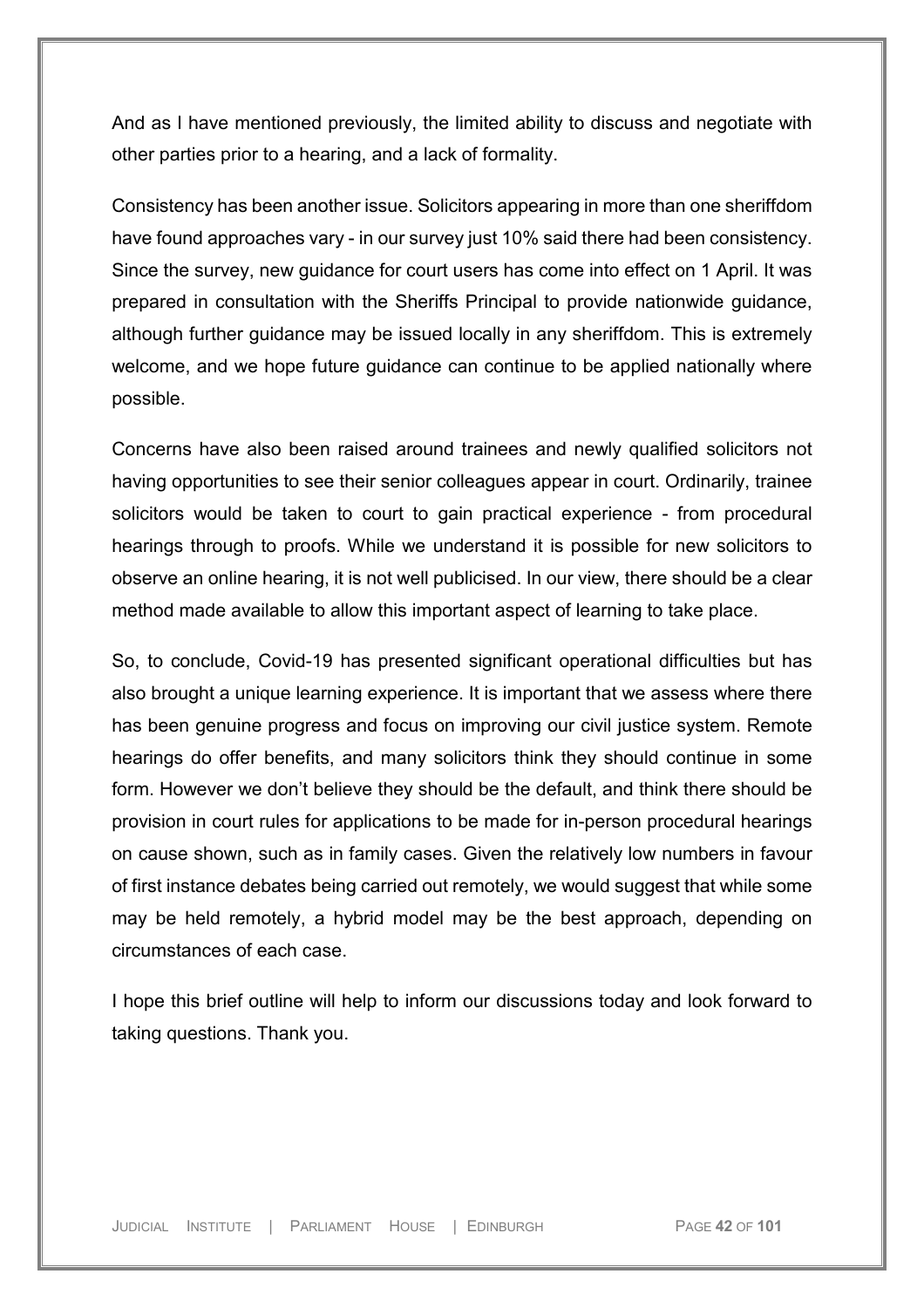And as I have mentioned previously, the limited ability to discuss and negotiate with other parties prior to a hearing, and a lack of formality.

Consistency has been another issue. Solicitors appearing in more than one sheriffdom have found approaches vary - in our survey just 10% said there had been consistency. Since the survey, new guidance for court users has come into effect on 1 April. It was prepared in consultation with the Sheriffs Principal to provide nationwide guidance, although further guidance may be issued locally in any sheriffdom. This is extremely welcome, and we hope future guidance can continue to be applied nationally where possible.

Concerns have also been raised around trainees and newly qualified solicitors not having opportunities to see their senior colleagues appear in court. Ordinarily, trainee solicitors would be taken to court to gain practical experience - from procedural hearings through to proofs. While we understand it is possible for new solicitors to observe an online hearing, it is not well publicised. In our view, there should be a clear method made available to allow this important aspect of learning to take place.

So, to conclude, Covid-19 has presented significant operational difficulties but has also brought a unique learning experience. It is important that we assess where there has been genuine progress and focus on improving our civil justice system. Remote hearings do offer benefits, and many solicitors think they should continue in some form. However we don't believe they should be the default, and think there should be provision in court rules for applications to be made for in-person procedural hearings on cause shown, such as in family cases. Given the relatively low numbers in favour of first instance debates being carried out remotely, we would suggest that while some may be held remotely, a hybrid model may be the best approach, depending on circumstances of each case.

I hope this brief outline will help to inform our discussions today and look forward to taking questions. Thank you.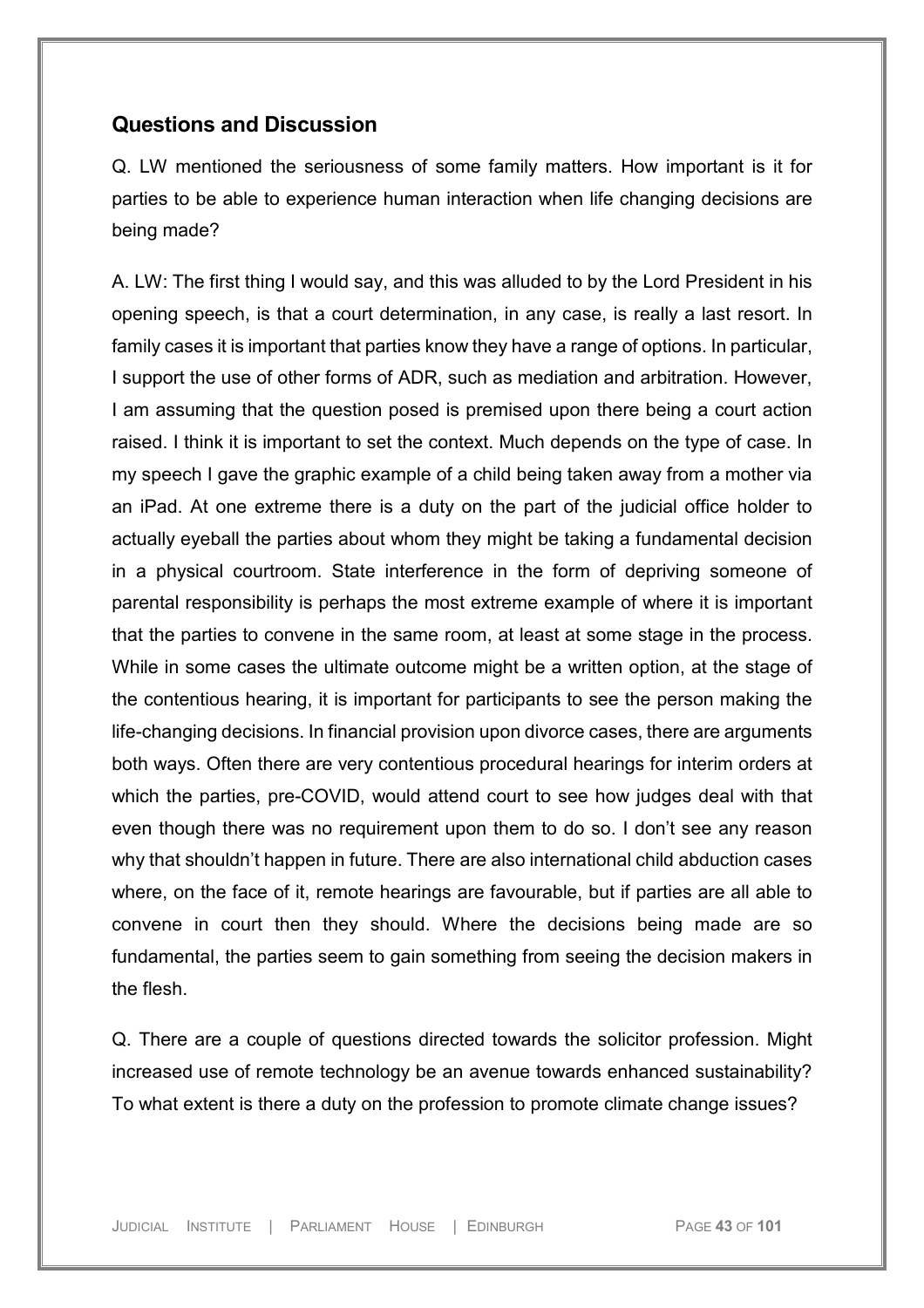## **Questions and Discussion**

Q. LW mentioned the seriousness of some family matters. How important is it for parties to be able to experience human interaction when life changing decisions are being made?

A. LW: The first thing I would say, and this was alluded to by the Lord President in his opening speech, is that a court determination, in any case, is really a last resort. In family cases it is important that parties know they have a range of options. In particular, I support the use of other forms of ADR, such as mediation and arbitration. However, I am assuming that the question posed is premised upon there being a court action raised. I think it is important to set the context. Much depends on the type of case. In my speech I gave the graphic example of a child being taken away from a mother via an iPad. At one extreme there is a duty on the part of the judicial office holder to actually eyeball the parties about whom they might be taking a fundamental decision in a physical courtroom. State interference in the form of depriving someone of parental responsibility is perhaps the most extreme example of where it is important that the parties to convene in the same room, at least at some stage in the process. While in some cases the ultimate outcome might be a written option, at the stage of the contentious hearing, it is important for participants to see the person making the life-changing decisions. In financial provision upon divorce cases, there are arguments both ways. Often there are very contentious procedural hearings for interim orders at which the parties, pre-COVID, would attend court to see how judges deal with that even though there was no requirement upon them to do so. I don't see any reason why that shouldn't happen in future. There are also international child abduction cases where, on the face of it, remote hearings are favourable, but if parties are all able to convene in court then they should. Where the decisions being made are so fundamental, the parties seem to gain something from seeing the decision makers in the flesh.

Q. There are a couple of questions directed towards the solicitor profession. Might increased use of remote technology be an avenue towards enhanced sustainability? To what extent is there a duty on the profession to promote climate change issues?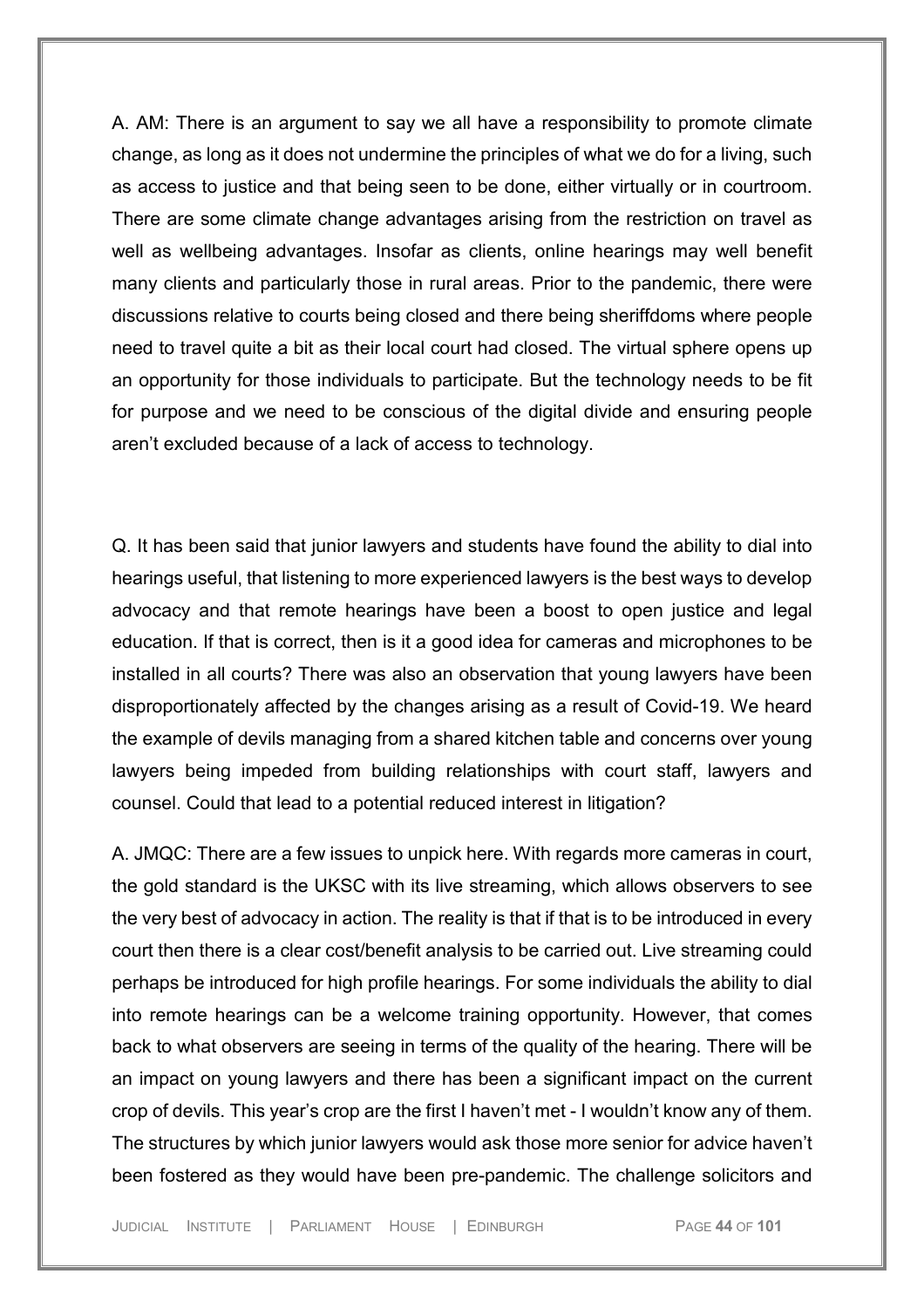A. AM: There is an argument to say we all have a responsibility to promote climate change, as long as it does not undermine the principles of what we do for a living, such as access to justice and that being seen to be done, either virtually or in courtroom. There are some climate change advantages arising from the restriction on travel as well as wellbeing advantages. Insofar as clients, online hearings may well benefit many clients and particularly those in rural areas. Prior to the pandemic, there were discussions relative to courts being closed and there being sheriffdoms where people need to travel quite a bit as their local court had closed. The virtual sphere opens up an opportunity for those individuals to participate. But the technology needs to be fit for purpose and we need to be conscious of the digital divide and ensuring people aren't excluded because of a lack of access to technology.

Q. It has been said that junior lawyers and students have found the ability to dial into hearings useful, that listening to more experienced lawyers is the best ways to develop advocacy and that remote hearings have been a boost to open justice and legal education. If that is correct, then is it a good idea for cameras and microphones to be installed in all courts? There was also an observation that young lawyers have been disproportionately affected by the changes arising as a result of Covid-19. We heard the example of devils managing from a shared kitchen table and concerns over young lawyers being impeded from building relationships with court staff, lawyers and counsel. Could that lead to a potential reduced interest in litigation?

A. JMQC: There are a few issues to unpick here. With regards more cameras in court, the gold standard is the UKSC with its live streaming, which allows observers to see the very best of advocacy in action. The reality is that if that is to be introduced in every court then there is a clear cost/benefit analysis to be carried out. Live streaming could perhaps be introduced for high profile hearings. For some individuals the ability to dial into remote hearings can be a welcome training opportunity. However, that comes back to what observers are seeing in terms of the quality of the hearing. There will be an impact on young lawyers and there has been a significant impact on the current crop of devils. This year's crop are the first I haven't met - I wouldn't know any of them. The structures by which junior lawyers would ask those more senior for advice haven't been fostered as they would have been pre-pandemic. The challenge solicitors and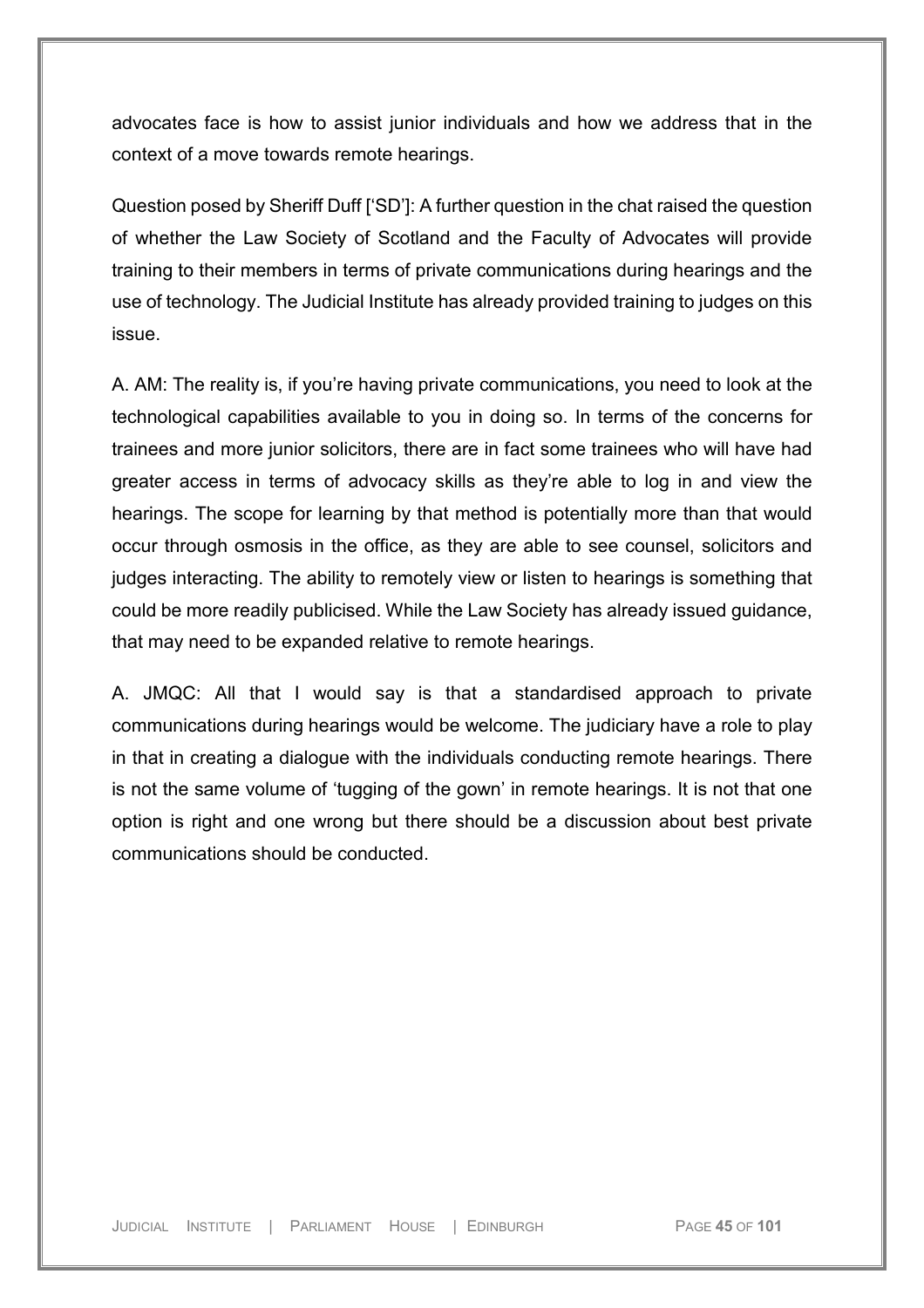advocates face is how to assist junior individuals and how we address that in the context of a move towards remote hearings.

Question posed by Sheriff Duff ['SD']: A further question in the chat raised the question of whether the Law Society of Scotland and the Faculty of Advocates will provide training to their members in terms of private communications during hearings and the use of technology. The Judicial Institute has already provided training to judges on this issue.

A. AM: The reality is, if you're having private communications, you need to look at the technological capabilities available to you in doing so. In terms of the concerns for trainees and more junior solicitors, there are in fact some trainees who will have had greater access in terms of advocacy skills as they're able to log in and view the hearings. The scope for learning by that method is potentially more than that would occur through osmosis in the office, as they are able to see counsel, solicitors and judges interacting. The ability to remotely view or listen to hearings is something that could be more readily publicised. While the Law Society has already issued guidance, that may need to be expanded relative to remote hearings.

A. JMQC: All that I would say is that a standardised approach to private communications during hearings would be welcome. The judiciary have a role to play in that in creating a dialogue with the individuals conducting remote hearings. There is not the same volume of 'tugging of the gown' in remote hearings. It is not that one option is right and one wrong but there should be a discussion about best private communications should be conducted.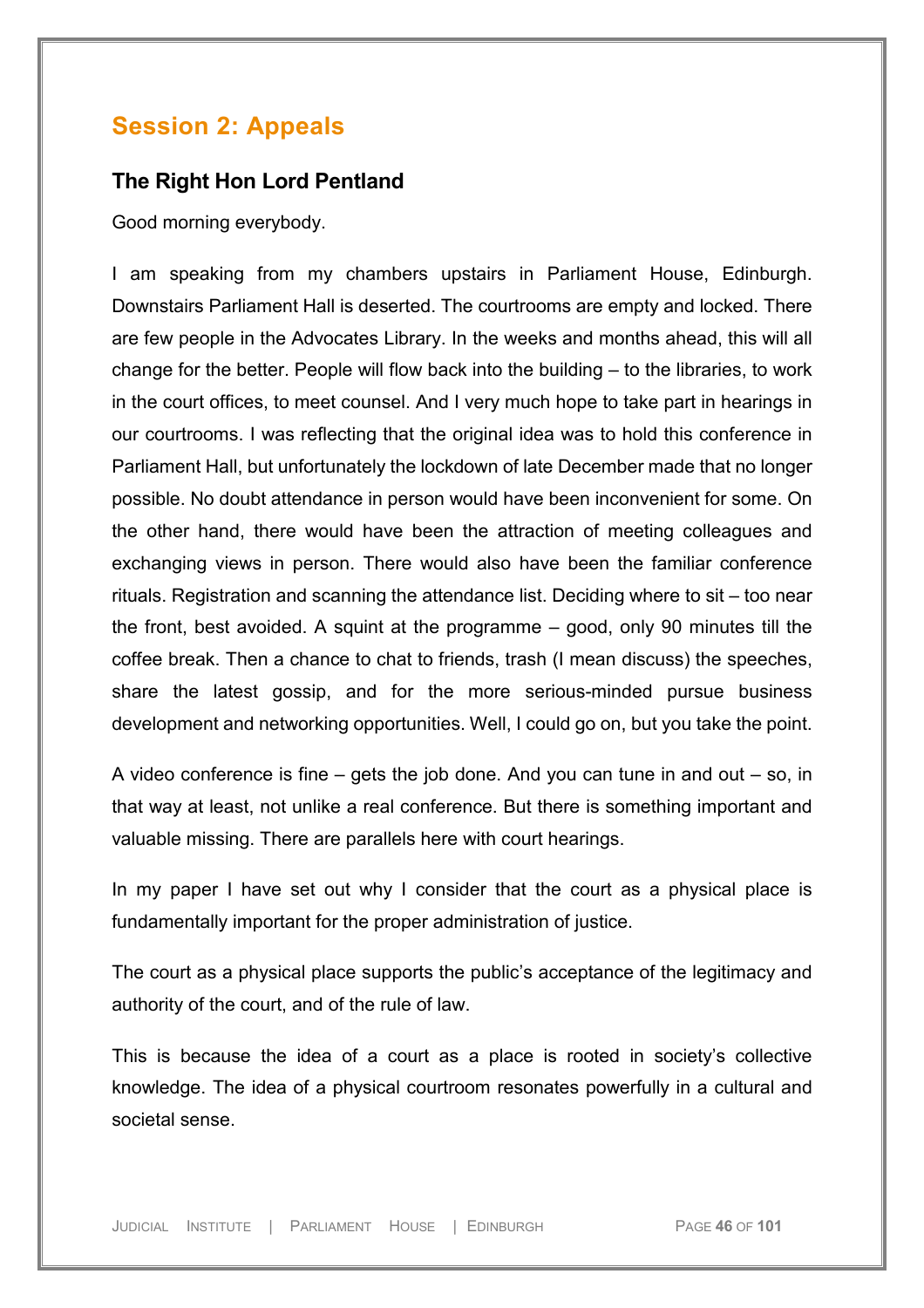# **Session 2: Appeals**

## **The Right Hon Lord Pentland**

Good morning everybody.

I am speaking from my chambers upstairs in Parliament House, Edinburgh. Downstairs Parliament Hall is deserted. The courtrooms are empty and locked. There are few people in the Advocates Library. In the weeks and months ahead, this will all change for the better. People will flow back into the building – to the libraries, to work in the court offices, to meet counsel. And I very much hope to take part in hearings in our courtrooms. I was reflecting that the original idea was to hold this conference in Parliament Hall, but unfortunately the lockdown of late December made that no longer possible. No doubt attendance in person would have been inconvenient for some. On the other hand, there would have been the attraction of meeting colleagues and exchanging views in person. There would also have been the familiar conference rituals. Registration and scanning the attendance list. Deciding where to sit – too near the front, best avoided. A squint at the programme – good, only 90 minutes till the coffee break. Then a chance to chat to friends, trash (I mean discuss) the speeches, share the latest gossip, and for the more serious-minded pursue business development and networking opportunities. Well, I could go on, but you take the point.

A video conference is fine – gets the job done. And you can tune in and out – so, in that way at least, not unlike a real conference. But there is something important and valuable missing. There are parallels here with court hearings.

In my paper I have set out why I consider that the court as a physical place is fundamentally important for the proper administration of justice.

The court as a physical place supports the public's acceptance of the legitimacy and authority of the court, and of the rule of law.

This is because the idea of a court as a place is rooted in society's collective knowledge. The idea of a physical courtroom resonates powerfully in a cultural and societal sense.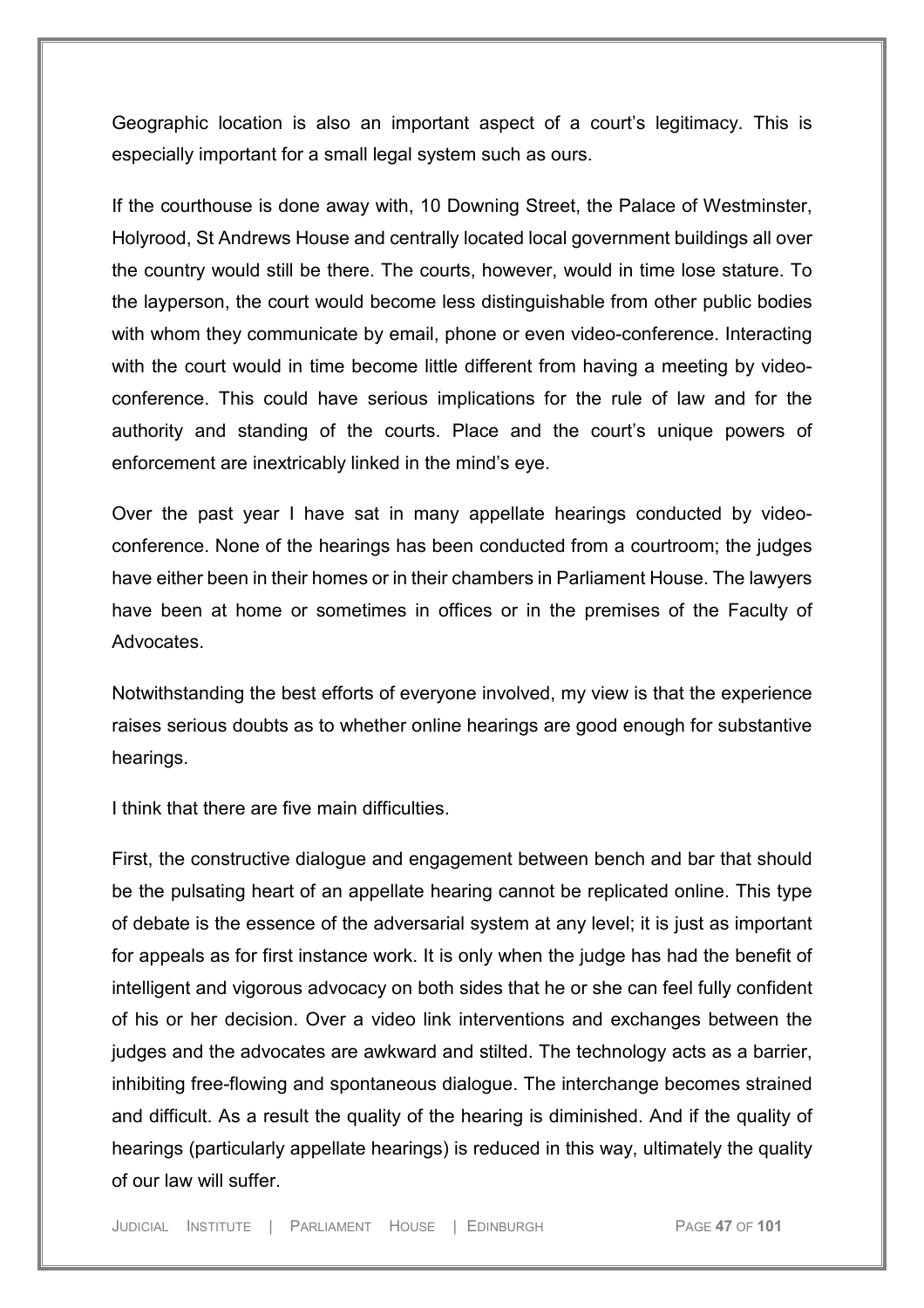Geographic location is also an important aspect of a court's legitimacy. This is especially important for a small legal system such as ours.

If the courthouse is done away with, 10 Downing Street, the Palace of Westminster, Holyrood, St Andrews House and centrally located local government buildings all over the country would still be there. The courts, however, would in time lose stature. To the layperson, the court would become less distinguishable from other public bodies with whom they communicate by email, phone or even video-conference. Interacting with the court would in time become little different from having a meeting by videoconference. This could have serious implications for the rule of law and for the authority and standing of the courts. Place and the court's unique powers of enforcement are inextricably linked in the mind's eye.

Over the past year I have sat in many appellate hearings conducted by videoconference. None of the hearings has been conducted from a courtroom; the judges have either been in their homes or in their chambers in Parliament House. The lawyers have been at home or sometimes in offices or in the premises of the Faculty of **Advocates** 

Notwithstanding the best efforts of everyone involved, my view is that the experience raises serious doubts as to whether online hearings are good enough for substantive hearings.

I think that there are five main difficulties.

First, the constructive dialogue and engagement between bench and bar that should be the pulsating heart of an appellate hearing cannot be replicated online. This type of debate is the essence of the adversarial system at any level; it is just as important for appeals as for first instance work. It is only when the judge has had the benefit of intelligent and vigorous advocacy on both sides that he or she can feel fully confident of his or her decision. Over a video link interventions and exchanges between the judges and the advocates are awkward and stilted. The technology acts as a barrier, inhibiting free-flowing and spontaneous dialogue. The interchange becomes strained and difficult. As a result the quality of the hearing is diminished. And if the quality of hearings (particularly appellate hearings) is reduced in this way, ultimately the quality of our law will suffer.

JUDICIAL INSTITUTE | PARLIAMENT HOUSE | EDINBURGH PAGE **47** OF **101**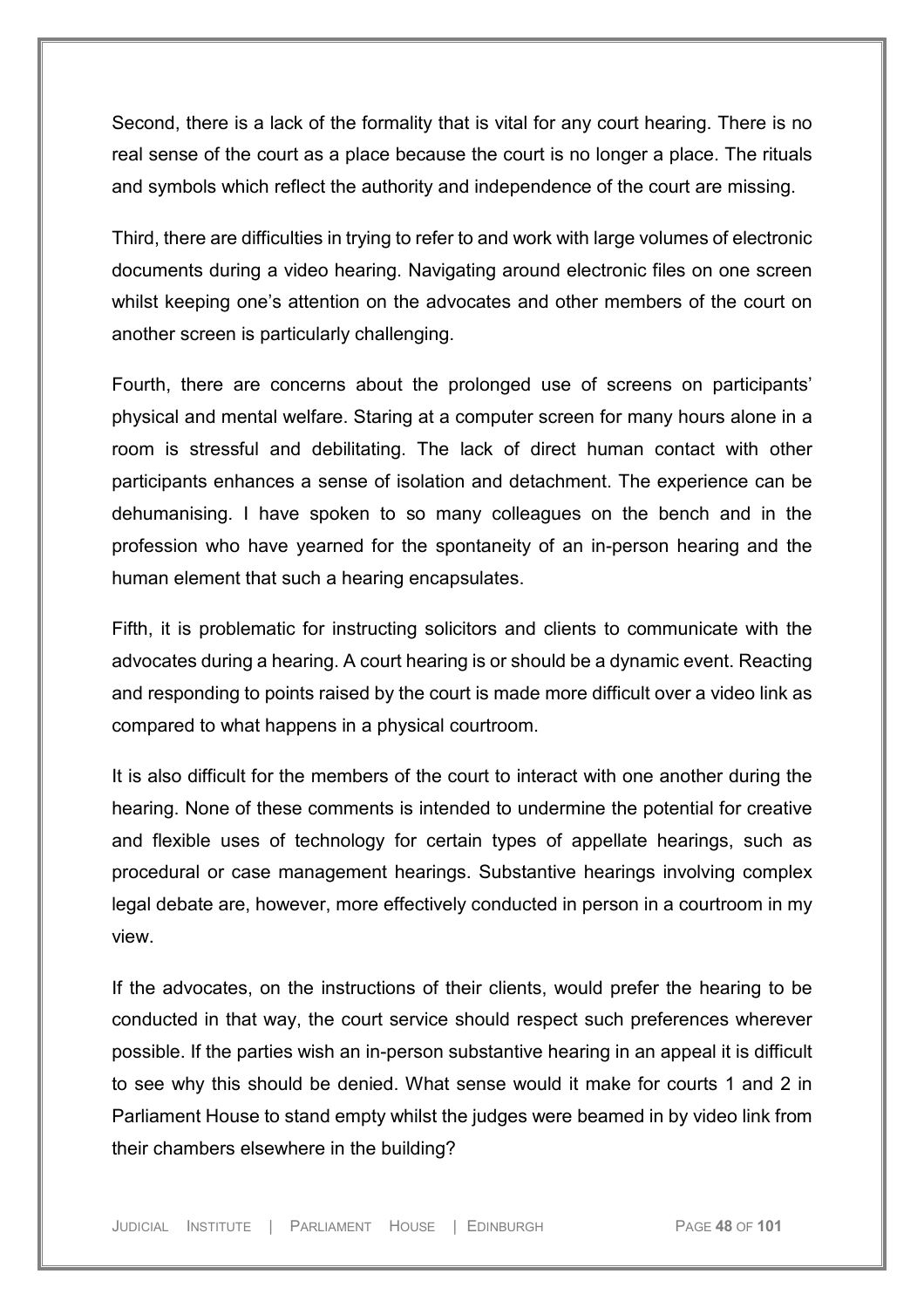Second, there is a lack of the formality that is vital for any court hearing. There is no real sense of the court as a place because the court is no longer a place. The rituals and symbols which reflect the authority and independence of the court are missing.

Third, there are difficulties in trying to refer to and work with large volumes of electronic documents during a video hearing. Navigating around electronic files on one screen whilst keeping one's attention on the advocates and other members of the court on another screen is particularly challenging.

Fourth, there are concerns about the prolonged use of screens on participants' physical and mental welfare. Staring at a computer screen for many hours alone in a room is stressful and debilitating. The lack of direct human contact with other participants enhances a sense of isolation and detachment. The experience can be dehumanising. I have spoken to so many colleagues on the bench and in the profession who have yearned for the spontaneity of an in-person hearing and the human element that such a hearing encapsulates.

Fifth, it is problematic for instructing solicitors and clients to communicate with the advocates during a hearing. A court hearing is or should be a dynamic event. Reacting and responding to points raised by the court is made more difficult over a video link as compared to what happens in a physical courtroom.

It is also difficult for the members of the court to interact with one another during the hearing. None of these comments is intended to undermine the potential for creative and flexible uses of technology for certain types of appellate hearings, such as procedural or case management hearings. Substantive hearings involving complex legal debate are, however, more effectively conducted in person in a courtroom in my view.

If the advocates, on the instructions of their clients, would prefer the hearing to be conducted in that way, the court service should respect such preferences wherever possible. If the parties wish an in-person substantive hearing in an appeal it is difficult to see why this should be denied. What sense would it make for courts 1 and 2 in Parliament House to stand empty whilst the judges were beamed in by video link from their chambers elsewhere in the building?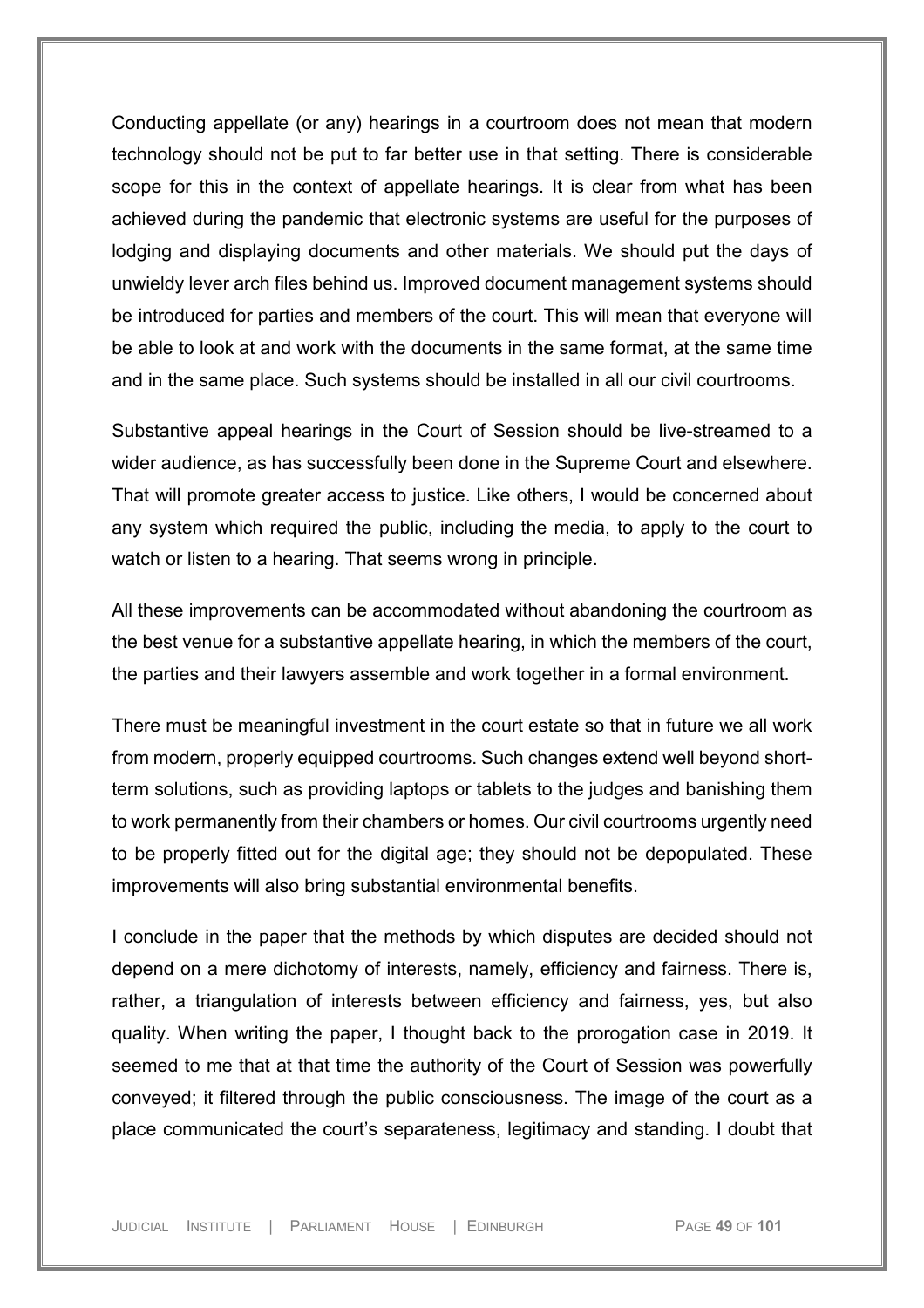Conducting appellate (or any) hearings in a courtroom does not mean that modern technology should not be put to far better use in that setting. There is considerable scope for this in the context of appellate hearings. It is clear from what has been achieved during the pandemic that electronic systems are useful for the purposes of lodging and displaying documents and other materials. We should put the days of unwieldy lever arch files behind us. Improved document management systems should be introduced for parties and members of the court. This will mean that everyone will be able to look at and work with the documents in the same format, at the same time and in the same place. Such systems should be installed in all our civil courtrooms.

Substantive appeal hearings in the Court of Session should be live-streamed to a wider audience, as has successfully been done in the Supreme Court and elsewhere. That will promote greater access to justice. Like others, I would be concerned about any system which required the public, including the media, to apply to the court to watch or listen to a hearing. That seems wrong in principle.

All these improvements can be accommodated without abandoning the courtroom as the best venue for a substantive appellate hearing, in which the members of the court, the parties and their lawyers assemble and work together in a formal environment.

There must be meaningful investment in the court estate so that in future we all work from modern, properly equipped courtrooms. Such changes extend well beyond shortterm solutions, such as providing laptops or tablets to the judges and banishing them to work permanently from their chambers or homes. Our civil courtrooms urgently need to be properly fitted out for the digital age; they should not be depopulated. These improvements will also bring substantial environmental benefits.

I conclude in the paper that the methods by which disputes are decided should not depend on a mere dichotomy of interests, namely, efficiency and fairness. There is, rather, a triangulation of interests between efficiency and fairness, yes, but also quality. When writing the paper, I thought back to the prorogation case in 2019. It seemed to me that at that time the authority of the Court of Session was powerfully conveyed; it filtered through the public consciousness. The image of the court as a place communicated the court's separateness, legitimacy and standing. I doubt that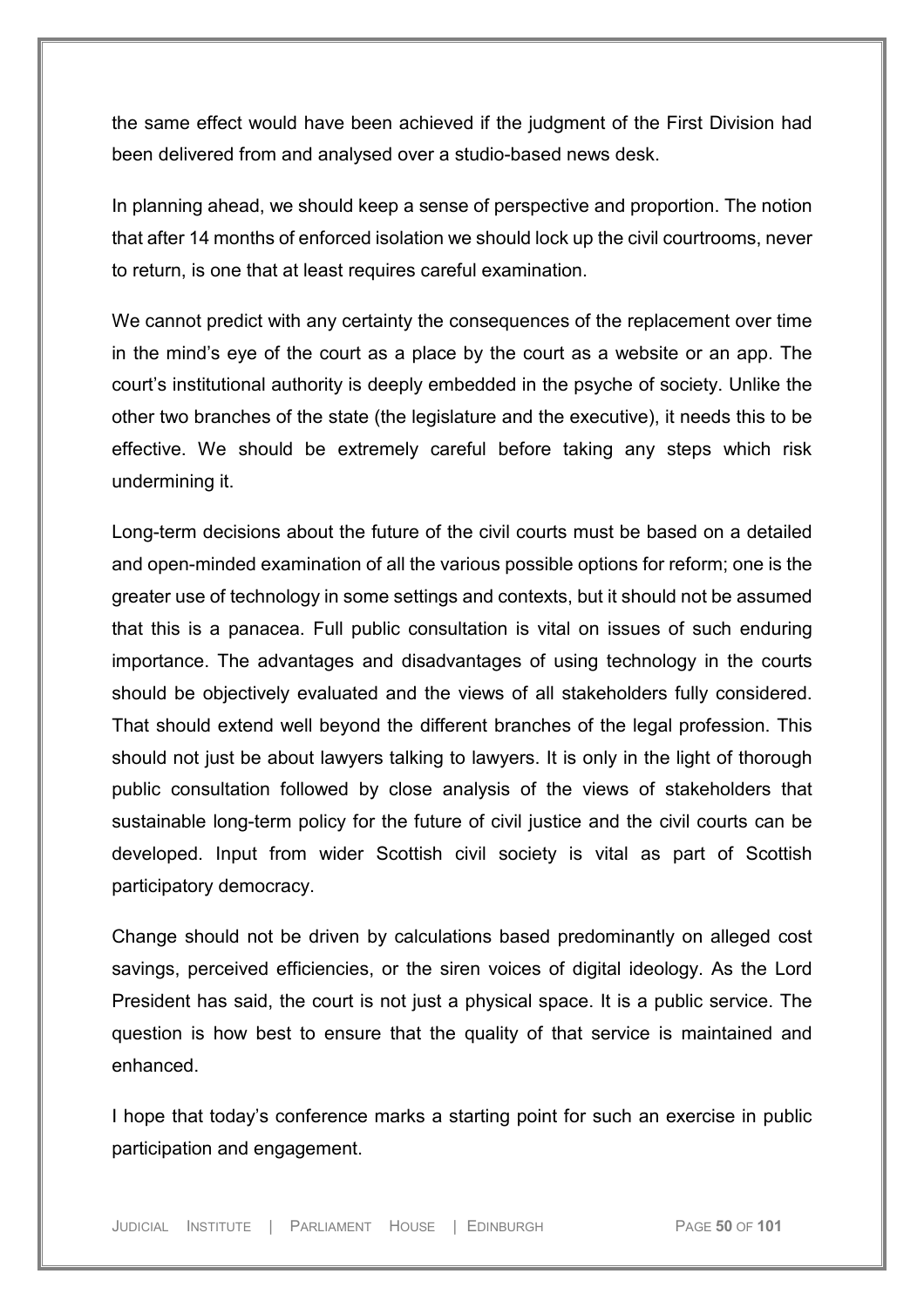the same effect would have been achieved if the judgment of the First Division had been delivered from and analysed over a studio-based news desk.

In planning ahead, we should keep a sense of perspective and proportion. The notion that after 14 months of enforced isolation we should lock up the civil courtrooms, never to return, is one that at least requires careful examination.

We cannot predict with any certainty the consequences of the replacement over time in the mind's eye of the court as a place by the court as a website or an app. The court's institutional authority is deeply embedded in the psyche of society. Unlike the other two branches of the state (the legislature and the executive), it needs this to be effective. We should be extremely careful before taking any steps which risk undermining it.

Long-term decisions about the future of the civil courts must be based on a detailed and open-minded examination of all the various possible options for reform; one is the greater use of technology in some settings and contexts, but it should not be assumed that this is a panacea. Full public consultation is vital on issues of such enduring importance. The advantages and disadvantages of using technology in the courts should be objectively evaluated and the views of all stakeholders fully considered. That should extend well beyond the different branches of the legal profession. This should not just be about lawyers talking to lawyers. It is only in the light of thorough public consultation followed by close analysis of the views of stakeholders that sustainable long-term policy for the future of civil justice and the civil courts can be developed. Input from wider Scottish civil society is vital as part of Scottish participatory democracy.

Change should not be driven by calculations based predominantly on alleged cost savings, perceived efficiencies, or the siren voices of digital ideology. As the Lord President has said, the court is not just a physical space. It is a public service. The question is how best to ensure that the quality of that service is maintained and enhanced.

I hope that today's conference marks a starting point for such an exercise in public participation and engagement.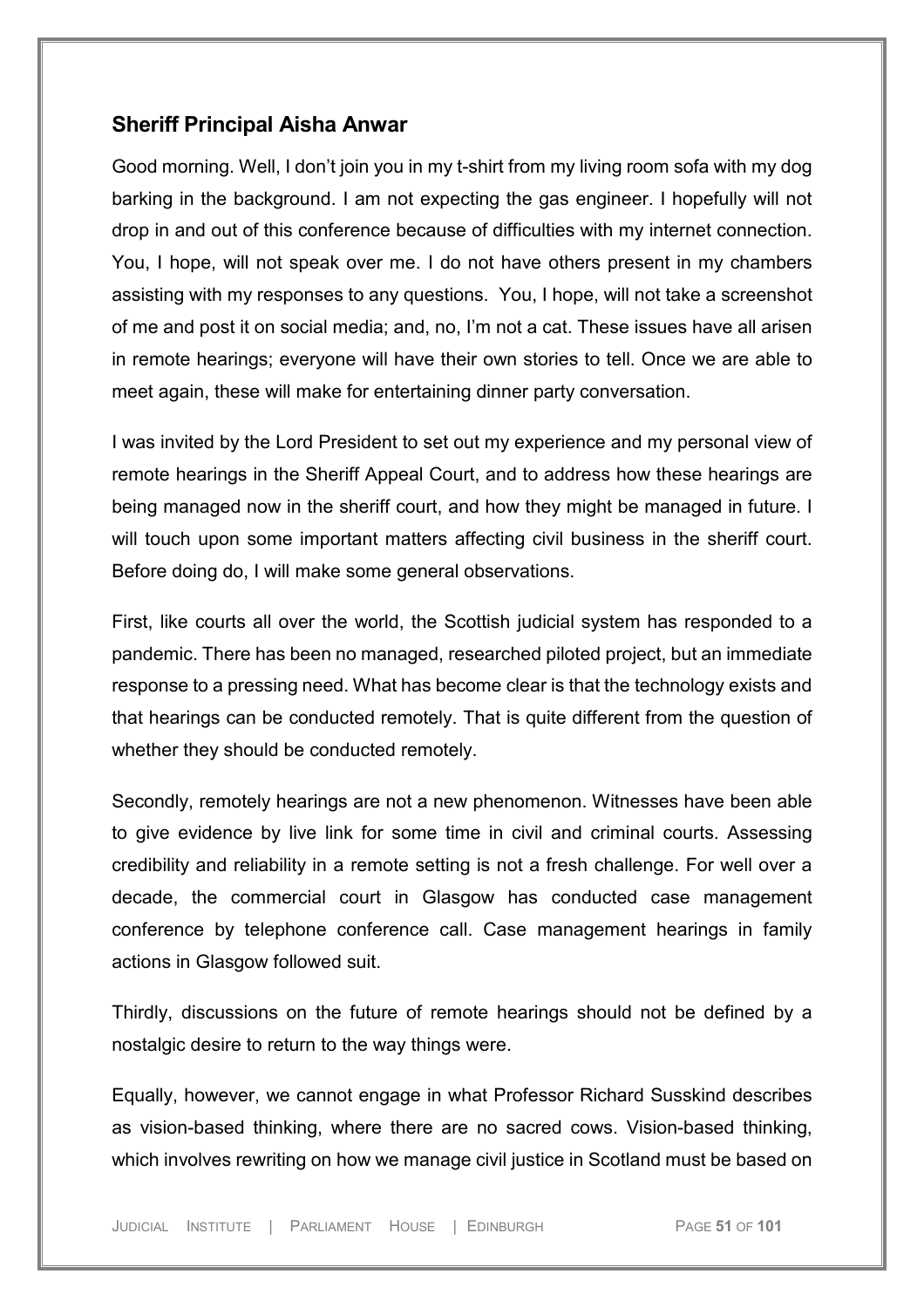## **Sheriff Principal Aisha Anwar**

Good morning. Well, I don't join you in my t-shirt from my living room sofa with my dog barking in the background. I am not expecting the gas engineer. I hopefully will not drop in and out of this conference because of difficulties with my internet connection. You, I hope, will not speak over me. I do not have others present in my chambers assisting with my responses to any questions. You, I hope, will not take a screenshot of me and post it on social media; and, no, I'm not a cat. These issues have all arisen in remote hearings; everyone will have their own stories to tell. Once we are able to meet again, these will make for entertaining dinner party conversation.

I was invited by the Lord President to set out my experience and my personal view of remote hearings in the Sheriff Appeal Court, and to address how these hearings are being managed now in the sheriff court, and how they might be managed in future. I will touch upon some important matters affecting civil business in the sheriff court. Before doing do, I will make some general observations.

First, like courts all over the world, the Scottish judicial system has responded to a pandemic. There has been no managed, researched piloted project, but an immediate response to a pressing need. What has become clear is that the technology exists and that hearings can be conducted remotely. That is quite different from the question of whether they should be conducted remotely.

Secondly, remotely hearings are not a new phenomenon. Witnesses have been able to give evidence by live link for some time in civil and criminal courts. Assessing credibility and reliability in a remote setting is not a fresh challenge. For well over a decade, the commercial court in Glasgow has conducted case management conference by telephone conference call. Case management hearings in family actions in Glasgow followed suit.

Thirdly, discussions on the future of remote hearings should not be defined by a nostalgic desire to return to the way things were.

Equally, however, we cannot engage in what Professor Richard Susskind describes as vision-based thinking, where there are no sacred cows. Vision-based thinking, which involves rewriting on how we manage civil justice in Scotland must be based on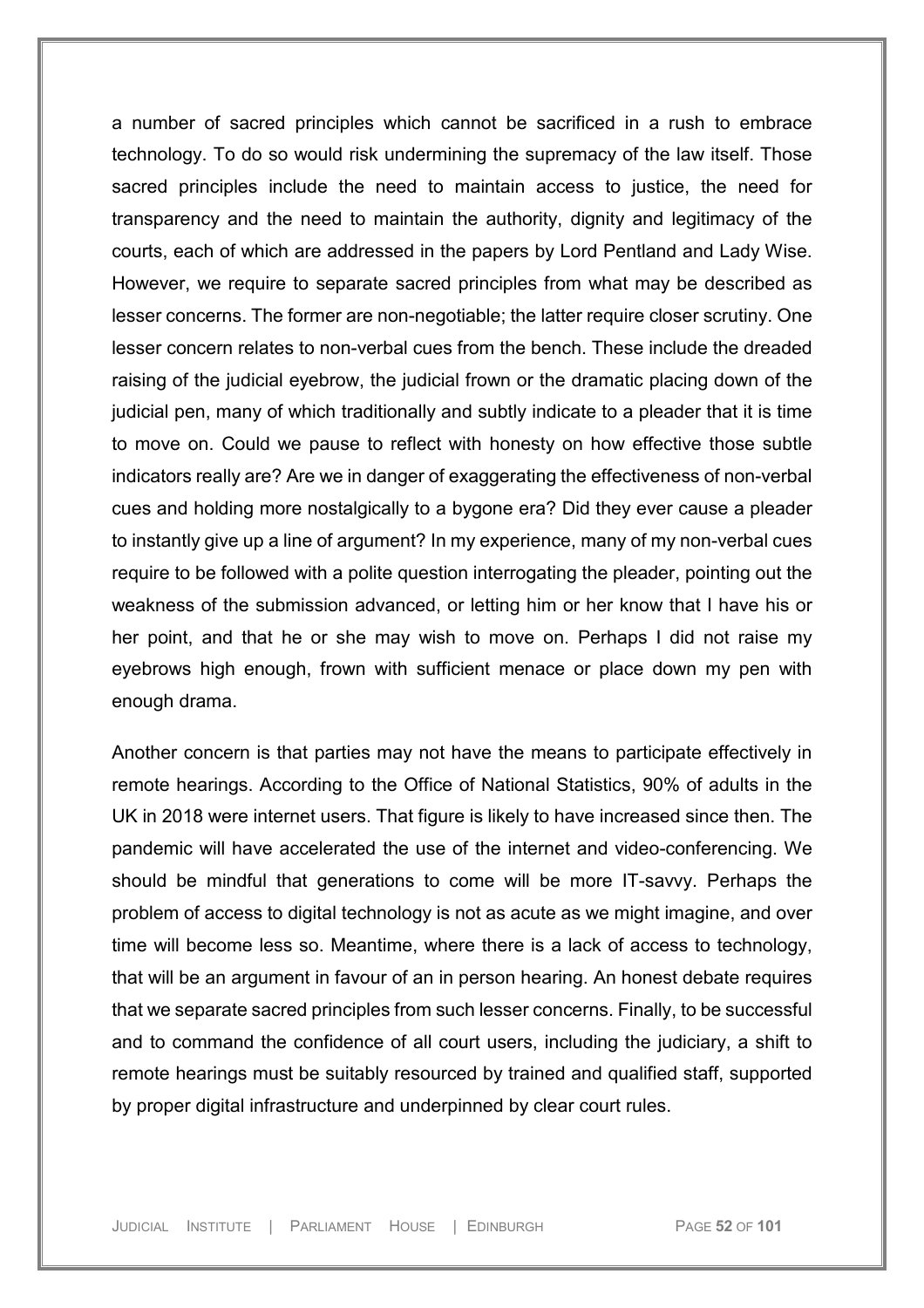a number of sacred principles which cannot be sacrificed in a rush to embrace technology. To do so would risk undermining the supremacy of the law itself. Those sacred principles include the need to maintain access to justice, the need for transparency and the need to maintain the authority, dignity and legitimacy of the courts, each of which are addressed in the papers by Lord Pentland and Lady Wise. However, we require to separate sacred principles from what may be described as lesser concerns. The former are non-negotiable; the latter require closer scrutiny. One lesser concern relates to non-verbal cues from the bench. These include the dreaded raising of the judicial eyebrow, the judicial frown or the dramatic placing down of the judicial pen, many of which traditionally and subtly indicate to a pleader that it is time to move on. Could we pause to reflect with honesty on how effective those subtle indicators really are? Are we in danger of exaggerating the effectiveness of non-verbal cues and holding more nostalgically to a bygone era? Did they ever cause a pleader to instantly give up a line of argument? In my experience, many of my non-verbal cues require to be followed with a polite question interrogating the pleader, pointing out the weakness of the submission advanced, or letting him or her know that I have his or her point, and that he or she may wish to move on. Perhaps I did not raise my eyebrows high enough, frown with sufficient menace or place down my pen with enough drama.

Another concern is that parties may not have the means to participate effectively in remote hearings. According to the Office of National Statistics, 90% of adults in the UK in 2018 were internet users. That figure is likely to have increased since then. The pandemic will have accelerated the use of the internet and video-conferencing. We should be mindful that generations to come will be more IT-savvy. Perhaps the problem of access to digital technology is not as acute as we might imagine, and over time will become less so. Meantime, where there is a lack of access to technology, that will be an argument in favour of an in person hearing. An honest debate requires that we separate sacred principles from such lesser concerns. Finally, to be successful and to command the confidence of all court users, including the judiciary, a shift to remote hearings must be suitably resourced by trained and qualified staff, supported by proper digital infrastructure and underpinned by clear court rules.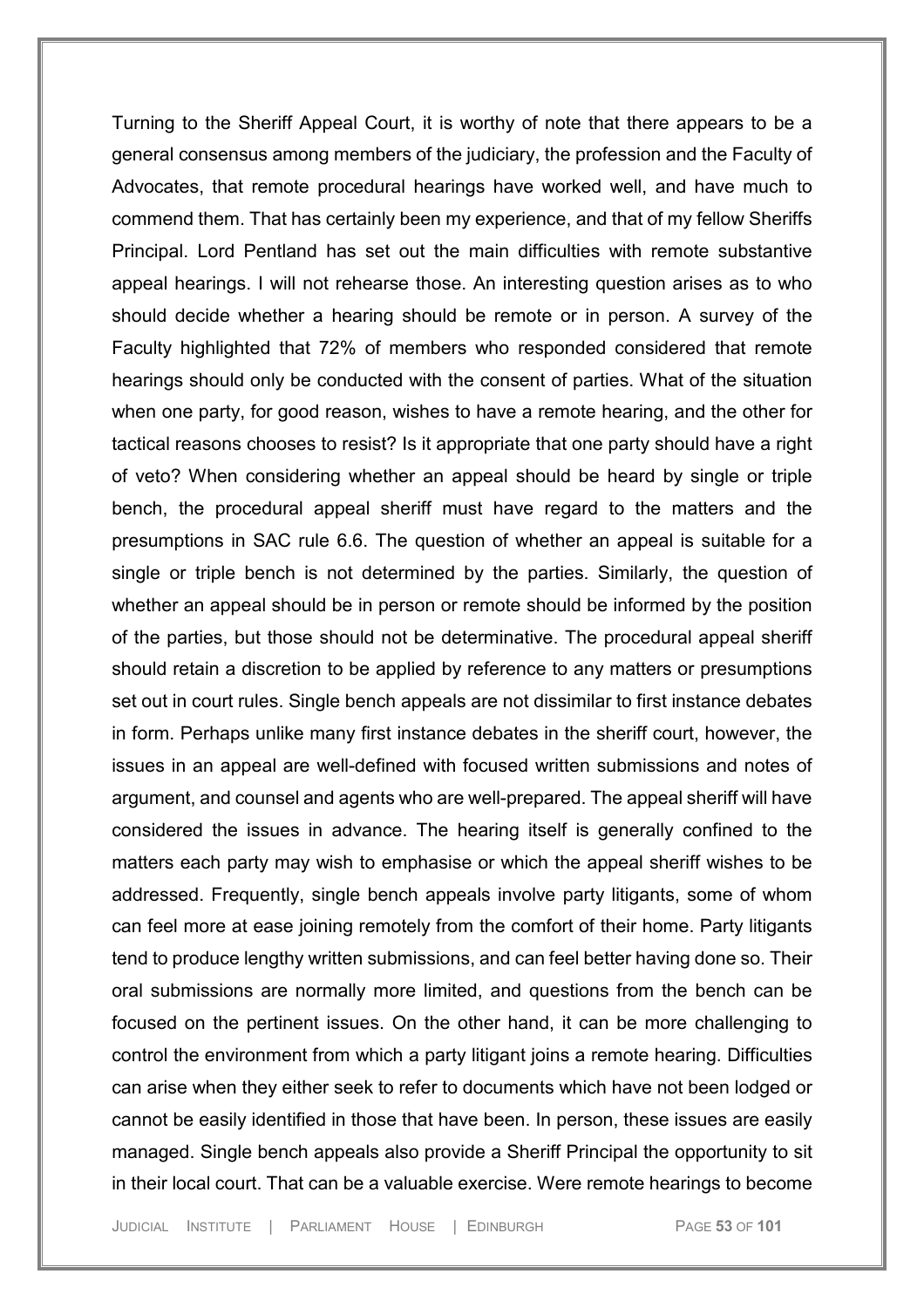Turning to the Sheriff Appeal Court, it is worthy of note that there appears to be a general consensus among members of the judiciary, the profession and the Faculty of Advocates, that remote procedural hearings have worked well, and have much to commend them. That has certainly been my experience, and that of my fellow Sheriffs Principal. Lord Pentland has set out the main difficulties with remote substantive appeal hearings. I will not rehearse those. An interesting question arises as to who should decide whether a hearing should be remote or in person. A survey of the Faculty highlighted that 72% of members who responded considered that remote hearings should only be conducted with the consent of parties. What of the situation when one party, for good reason, wishes to have a remote hearing, and the other for tactical reasons chooses to resist? Is it appropriate that one party should have a right of veto? When considering whether an appeal should be heard by single or triple bench, the procedural appeal sheriff must have regard to the matters and the presumptions in SAC rule 6.6. The question of whether an appeal is suitable for a single or triple bench is not determined by the parties. Similarly, the question of whether an appeal should be in person or remote should be informed by the position of the parties, but those should not be determinative. The procedural appeal sheriff should retain a discretion to be applied by reference to any matters or presumptions set out in court rules. Single bench appeals are not dissimilar to first instance debates in form. Perhaps unlike many first instance debates in the sheriff court, however, the issues in an appeal are well-defined with focused written submissions and notes of argument, and counsel and agents who are well-prepared. The appeal sheriff will have considered the issues in advance. The hearing itself is generally confined to the matters each party may wish to emphasise or which the appeal sheriff wishes to be addressed. Frequently, single bench appeals involve party litigants, some of whom can feel more at ease joining remotely from the comfort of their home. Party litigants tend to produce lengthy written submissions, and can feel better having done so. Their oral submissions are normally more limited, and questions from the bench can be focused on the pertinent issues. On the other hand, it can be more challenging to control the environment from which a party litigant joins a remote hearing. Difficulties can arise when they either seek to refer to documents which have not been lodged or cannot be easily identified in those that have been. In person, these issues are easily managed. Single bench appeals also provide a Sheriff Principal the opportunity to sit in their local court. That can be a valuable exercise. Were remote hearings to become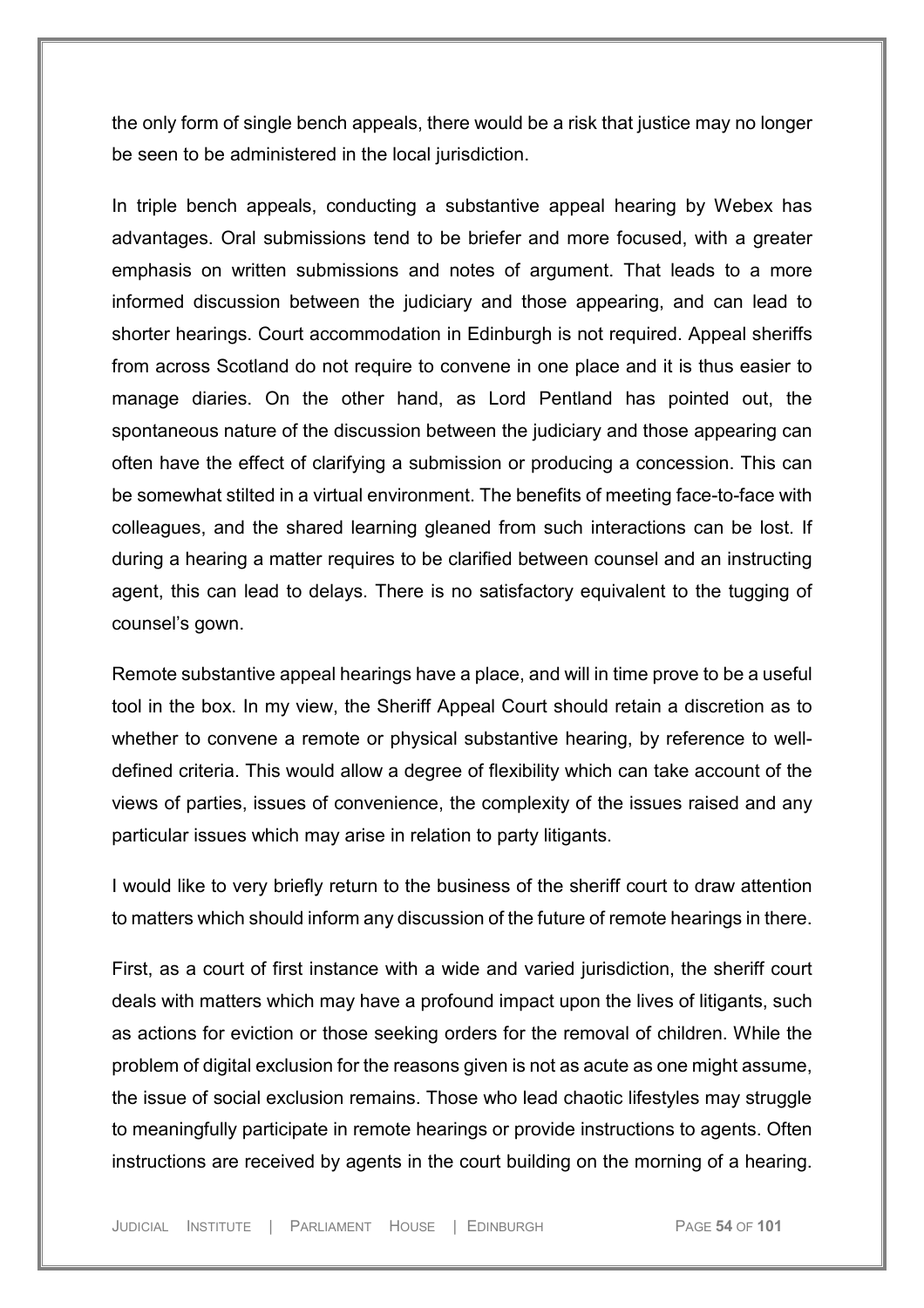the only form of single bench appeals, there would be a risk that justice may no longer be seen to be administered in the local jurisdiction.

In triple bench appeals, conducting a substantive appeal hearing by Webex has advantages. Oral submissions tend to be briefer and more focused, with a greater emphasis on written submissions and notes of argument. That leads to a more informed discussion between the judiciary and those appearing, and can lead to shorter hearings. Court accommodation in Edinburgh is not required. Appeal sheriffs from across Scotland do not require to convene in one place and it is thus easier to manage diaries. On the other hand, as Lord Pentland has pointed out, the spontaneous nature of the discussion between the judiciary and those appearing can often have the effect of clarifying a submission or producing a concession. This can be somewhat stilted in a virtual environment. The benefits of meeting face-to-face with colleagues, and the shared learning gleaned from such interactions can be lost. If during a hearing a matter requires to be clarified between counsel and an instructing agent, this can lead to delays. There is no satisfactory equivalent to the tugging of counsel's gown.

Remote substantive appeal hearings have a place, and will in time prove to be a useful tool in the box. In my view, the Sheriff Appeal Court should retain a discretion as to whether to convene a remote or physical substantive hearing, by reference to welldefined criteria. This would allow a degree of flexibility which can take account of the views of parties, issues of convenience, the complexity of the issues raised and any particular issues which may arise in relation to party litigants.

I would like to very briefly return to the business of the sheriff court to draw attention to matters which should inform any discussion of the future of remote hearings in there.

First, as a court of first instance with a wide and varied jurisdiction, the sheriff court deals with matters which may have a profound impact upon the lives of litigants, such as actions for eviction or those seeking orders for the removal of children. While the problem of digital exclusion for the reasons given is not as acute as one might assume, the issue of social exclusion remains. Those who lead chaotic lifestyles may struggle to meaningfully participate in remote hearings or provide instructions to agents. Often instructions are received by agents in the court building on the morning of a hearing.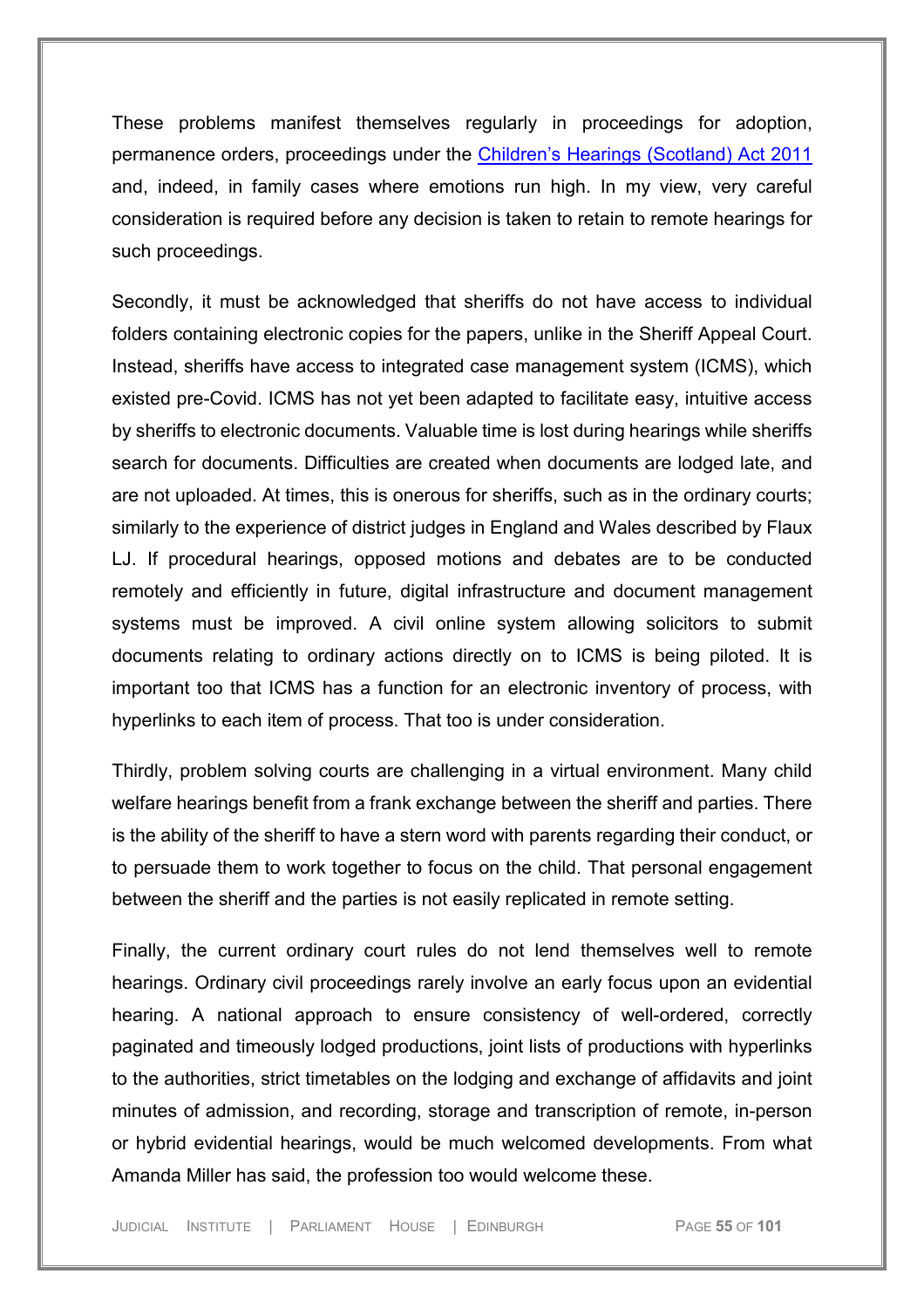These problems manifest themselves regularly in proceedings for adoption, permanence orders, proceedings under the [Children's Hearings \(Scotland\) Act 2011](https://uk.westlaw.com/Document/I35F33CC01EFC11E0B520FF39C03FE9FA/View/FullText.html?navigationPath=Search%2Fv1%2Fresults%2Fnavigation%2Fi0ad73aa500000179f5f95aeb2a841f82%3Fppcid%3D4ffd7aa884c447d7aac963a428da3b17%26Nav%3DLEGISLATION_PRIMARY_SECONDARY_WLUK%26fragmentIdentifier%3DI35F33CC01EFC11E0B520FF39C03FE9FA%26parentRank%3D0%26startIndex%3D1%26contextData%3D%2528sc.Search%2529%26transitionType%3DSearchItem&listSource=Search&listPageSource=dc743cc5215d1e94cb74514252969b2e&list=LEGISLATION_PRIMARY_SECONDARY_WLUK&rank=1&sessionScopeId=25f9c183e71d666fca74bc9f02df1a42e8e82f887a5c5a39678ccea66189ac64&ppcid=4ffd7aa884c447d7aac963a428da3b17&originationContext=Search%20Result&transitionType=SearchItem&contextData=(sc.Search)&comp=wlukgroupid=linets) and, indeed, in family cases where emotions run high. In my view, very careful consideration is required before any decision is taken to retain to remote hearings for such proceedings.

Secondly, it must be acknowledged that sheriffs do not have access to individual folders containing electronic copies for the papers, unlike in the Sheriff Appeal Court. Instead, sheriffs have access to integrated case management system (ICMS), which existed pre-Covid. ICMS has not yet been adapted to facilitate easy, intuitive access by sheriffs to electronic documents. Valuable time is lost during hearings while sheriffs search for documents. Difficulties are created when documents are lodged late, and are not uploaded. At times, this is onerous for sheriffs, such as in the ordinary courts; similarly to the experience of district judges in England and Wales described by Flaux LJ. If procedural hearings, opposed motions and debates are to be conducted remotely and efficiently in future, digital infrastructure and document management systems must be improved. A civil online system allowing solicitors to submit documents relating to ordinary actions directly on to ICMS is being piloted. It is important too that ICMS has a function for an electronic inventory of process, with hyperlinks to each item of process. That too is under consideration.

Thirdly, problem solving courts are challenging in a virtual environment. Many child welfare hearings benefit from a frank exchange between the sheriff and parties. There is the ability of the sheriff to have a stern word with parents regarding their conduct, or to persuade them to work together to focus on the child. That personal engagement between the sheriff and the parties is not easily replicated in remote setting.

Finally, the current ordinary court rules do not lend themselves well to remote hearings. Ordinary civil proceedings rarely involve an early focus upon an evidential hearing. A national approach to ensure consistency of well-ordered, correctly paginated and timeously lodged productions, joint lists of productions with hyperlinks to the authorities, strict timetables on the lodging and exchange of affidavits and joint minutes of admission, and recording, storage and transcription of remote, in-person or hybrid evidential hearings, would be much welcomed developments. From what Amanda Miller has said, the profession too would welcome these.

JUDICIAL INSTITUTE | PARLIAMENT HOUSE | EDINBURGH PAGE **55** OF **101**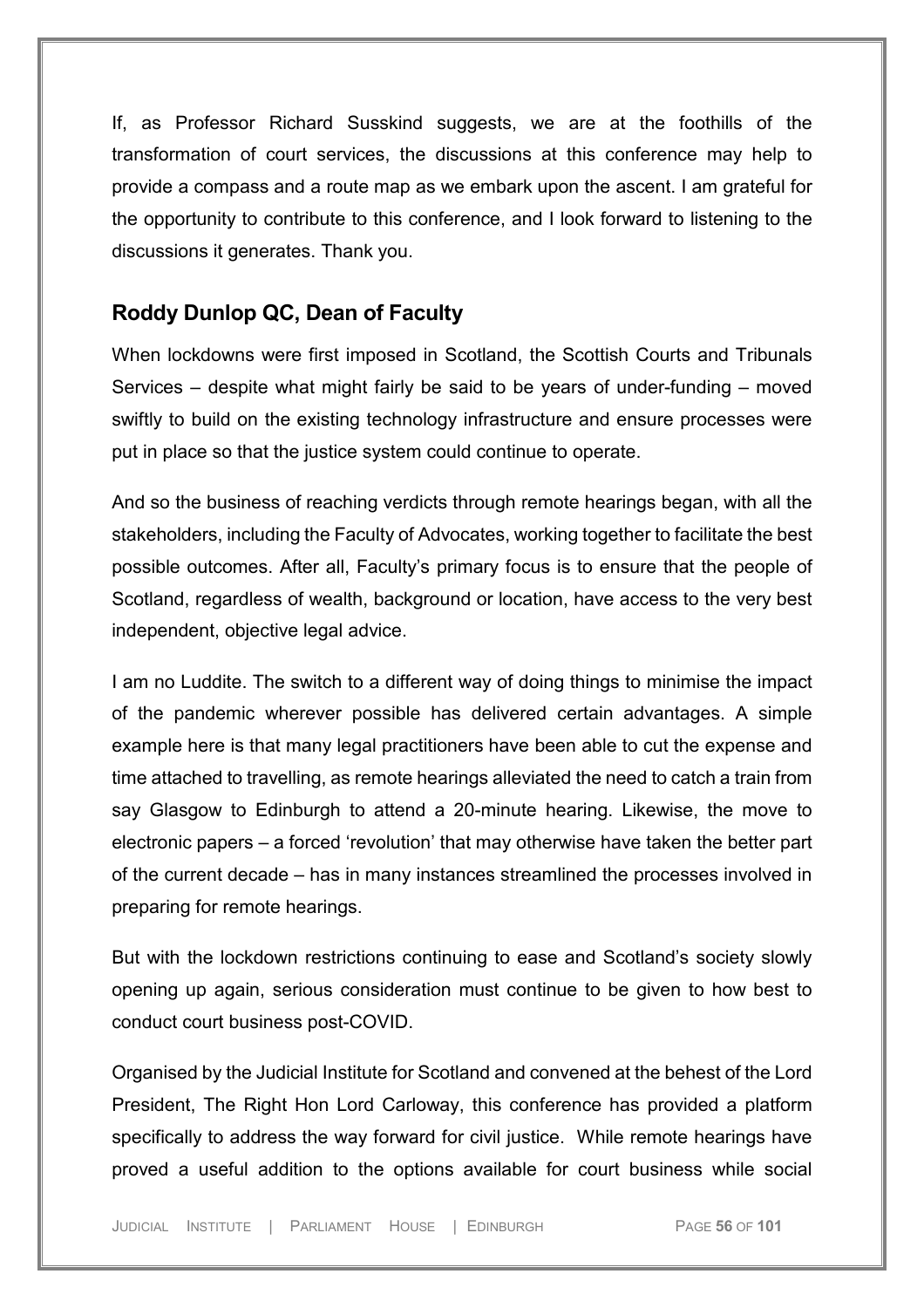If, as Professor Richard Susskind suggests, we are at the foothills of the transformation of court services, the discussions at this conference may help to provide a compass and a route map as we embark upon the ascent. I am grateful for the opportunity to contribute to this conference, and I look forward to listening to the discussions it generates. Thank you.

## **Roddy Dunlop QC, Dean of Faculty**

When lockdowns were first imposed in Scotland, the Scottish Courts and Tribunals Services – despite what might fairly be said to be years of under-funding – moved swiftly to build on the existing technology infrastructure and ensure processes were put in place so that the justice system could continue to operate.

And so the business of reaching verdicts through remote hearings began, with all the stakeholders, including the Faculty of Advocates, working together to facilitate the best possible outcomes. After all, Faculty's primary focus is to ensure that the people of Scotland, regardless of wealth, background or location, have access to the very best independent, objective legal advice.

I am no Luddite. The switch to a different way of doing things to minimise the impact of the pandemic wherever possible has delivered certain advantages. A simple example here is that many legal practitioners have been able to cut the expense and time attached to travelling, as remote hearings alleviated the need to catch a train from say Glasgow to Edinburgh to attend a 20-minute hearing. Likewise, the move to electronic papers – a forced 'revolution' that may otherwise have taken the better part of the current decade – has in many instances streamlined the processes involved in preparing for remote hearings.

But with the lockdown restrictions continuing to ease and Scotland's society slowly opening up again, serious consideration must continue to be given to how best to conduct court business post-COVID.

Organised by the Judicial Institute for Scotland and convened at the behest of the Lord President, The Right Hon Lord Carloway, this conference has provided a platform specifically to address the way forward for civil justice. While remote hearings have proved a useful addition to the options available for court business while social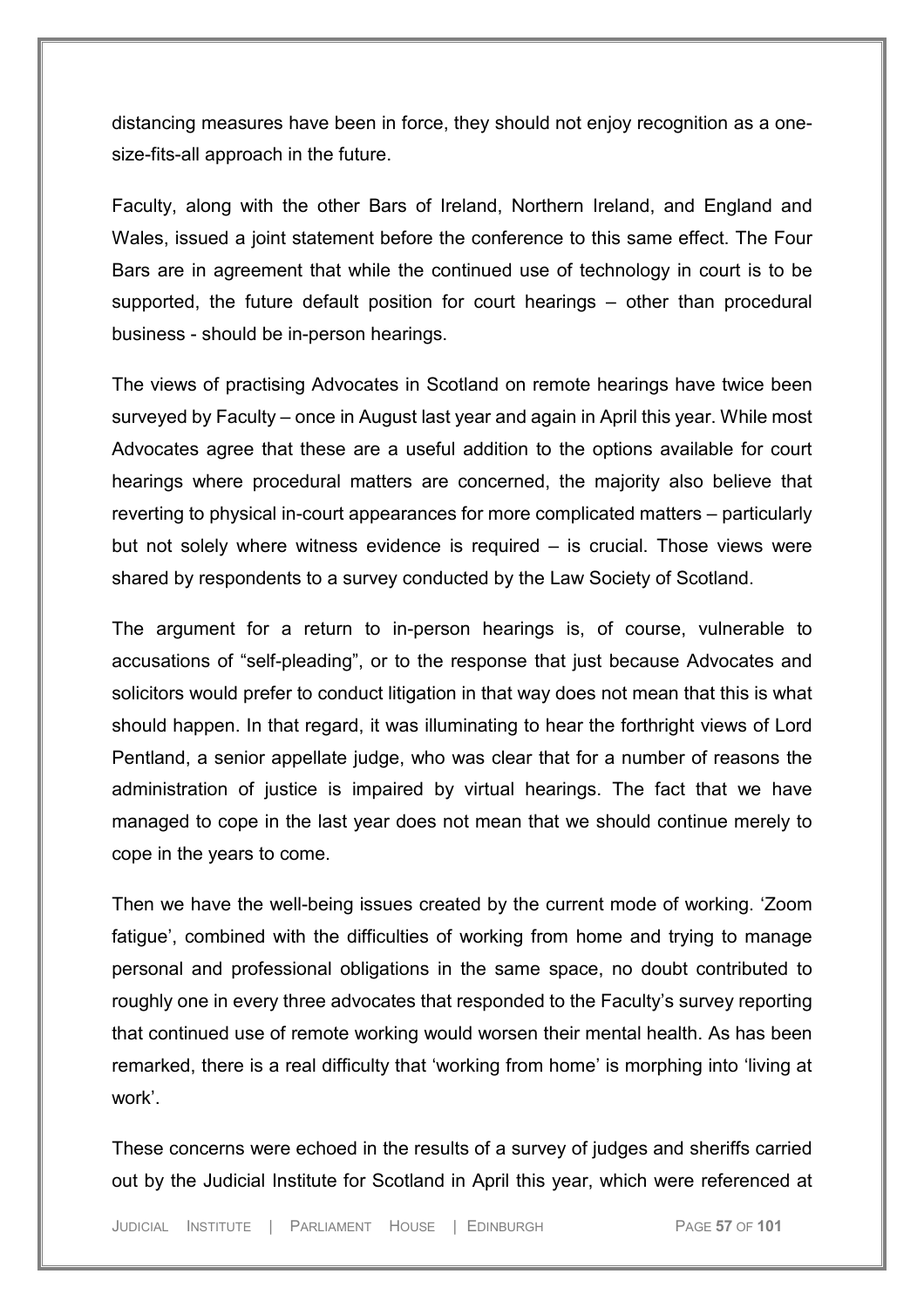distancing measures have been in force, they should not enjoy recognition as a onesize-fits-all approach in the future.

Faculty, along with the other Bars of Ireland, Northern Ireland, and England and Wales, issued a joint statement before the conference to this same effect. The Four Bars are in agreement that while the continued use of technology in court is to be supported, the future default position for court hearings – other than procedural business - should be in-person hearings.

The views of practising Advocates in Scotland on remote hearings have twice been surveyed by Faculty – once in August last year and again in April this year. While most Advocates agree that these are a useful addition to the options available for court hearings where procedural matters are concerned, the majority also believe that reverting to physical in-court appearances for more complicated matters – particularly but not solely where witness evidence is required – is crucial. Those views were shared by respondents to a survey conducted by the Law Society of Scotland.

The argument for a return to in-person hearings is, of course, vulnerable to accusations of "self-pleading", or to the response that just because Advocates and solicitors would prefer to conduct litigation in that way does not mean that this is what should happen. In that regard, it was illuminating to hear the forthright views of Lord Pentland, a senior appellate judge, who was clear that for a number of reasons the administration of justice is impaired by virtual hearings. The fact that we have managed to cope in the last year does not mean that we should continue merely to cope in the years to come.

Then we have the well-being issues created by the current mode of working. 'Zoom fatigue', combined with the difficulties of working from home and trying to manage personal and professional obligations in the same space, no doubt contributed to roughly one in every three advocates that responded to the Faculty's survey reporting that continued use of remote working would worsen their mental health. As has been remarked, there is a real difficulty that 'working from home' is morphing into 'living at work'.

These concerns were echoed in the results of a survey of judges and sheriffs carried out by the Judicial Institute for Scotland in April this year, which were referenced at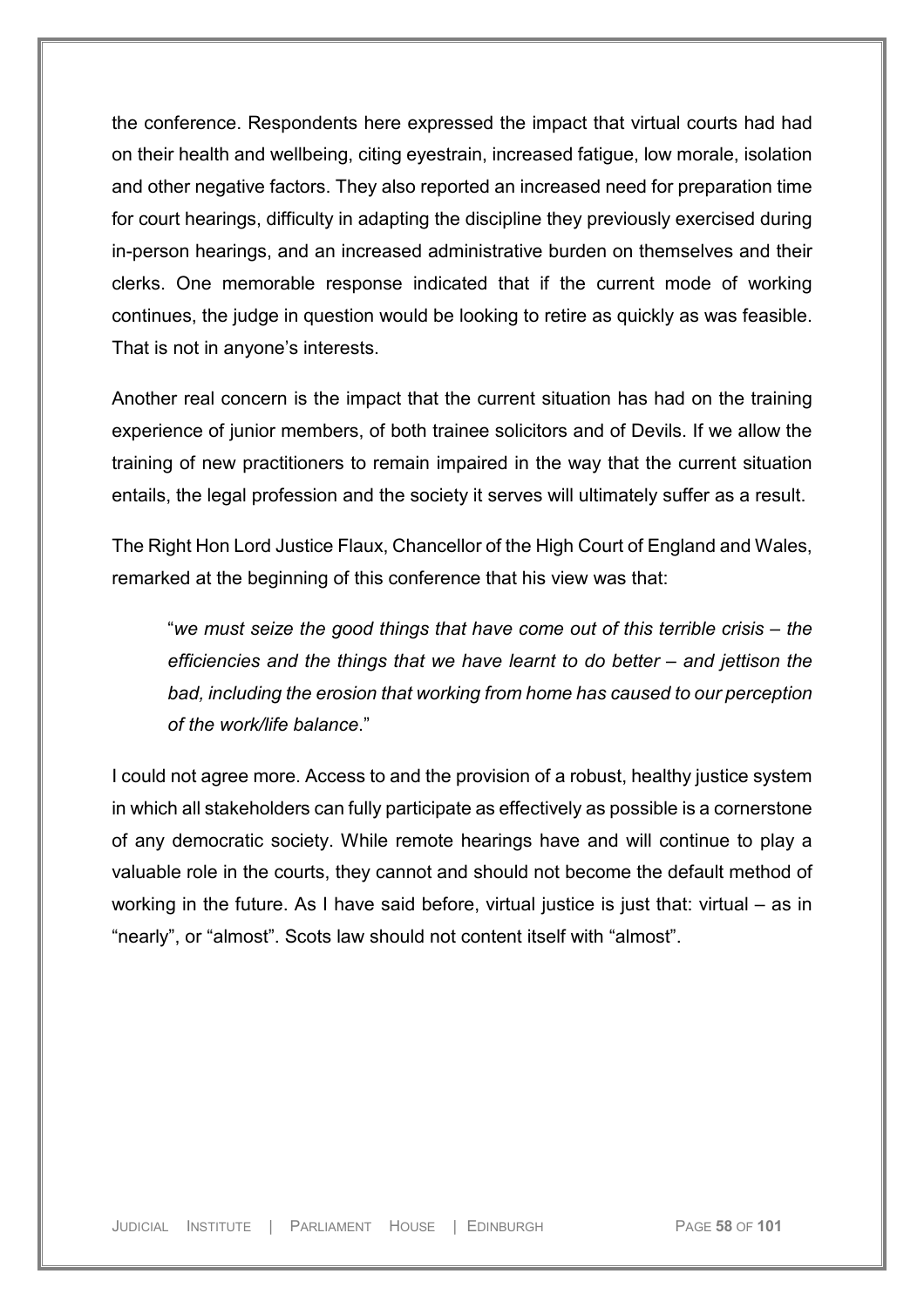the conference. Respondents here expressed the impact that virtual courts had had on their health and wellbeing, citing eyestrain, increased fatigue, low morale, isolation and other negative factors. They also reported an increased need for preparation time for court hearings, difficulty in adapting the discipline they previously exercised during in-person hearings, and an increased administrative burden on themselves and their clerks. One memorable response indicated that if the current mode of working continues, the judge in question would be looking to retire as quickly as was feasible. That is not in anyone's interests.

Another real concern is the impact that the current situation has had on the training experience of junior members, of both trainee solicitors and of Devils. If we allow the training of new practitioners to remain impaired in the way that the current situation entails, the legal profession and the society it serves will ultimately suffer as a result.

The Right Hon Lord Justice Flaux, Chancellor of the High Court of England and Wales, remarked at the beginning of this conference that his view was that:

"*we must seize the good things that have come out of this terrible crisis – the efficiencies and the things that we have learnt to do better – and jettison the bad, including the erosion that working from home has caused to our perception of the work/life balance*."

I could not agree more. Access to and the provision of a robust, healthy justice system in which all stakeholders can fully participate as effectively as possible is a cornerstone of any democratic society. While remote hearings have and will continue to play a valuable role in the courts, they cannot and should not become the default method of working in the future. As I have said before, virtual justice is just that: virtual – as in "nearly", or "almost". Scots law should not content itself with "almost".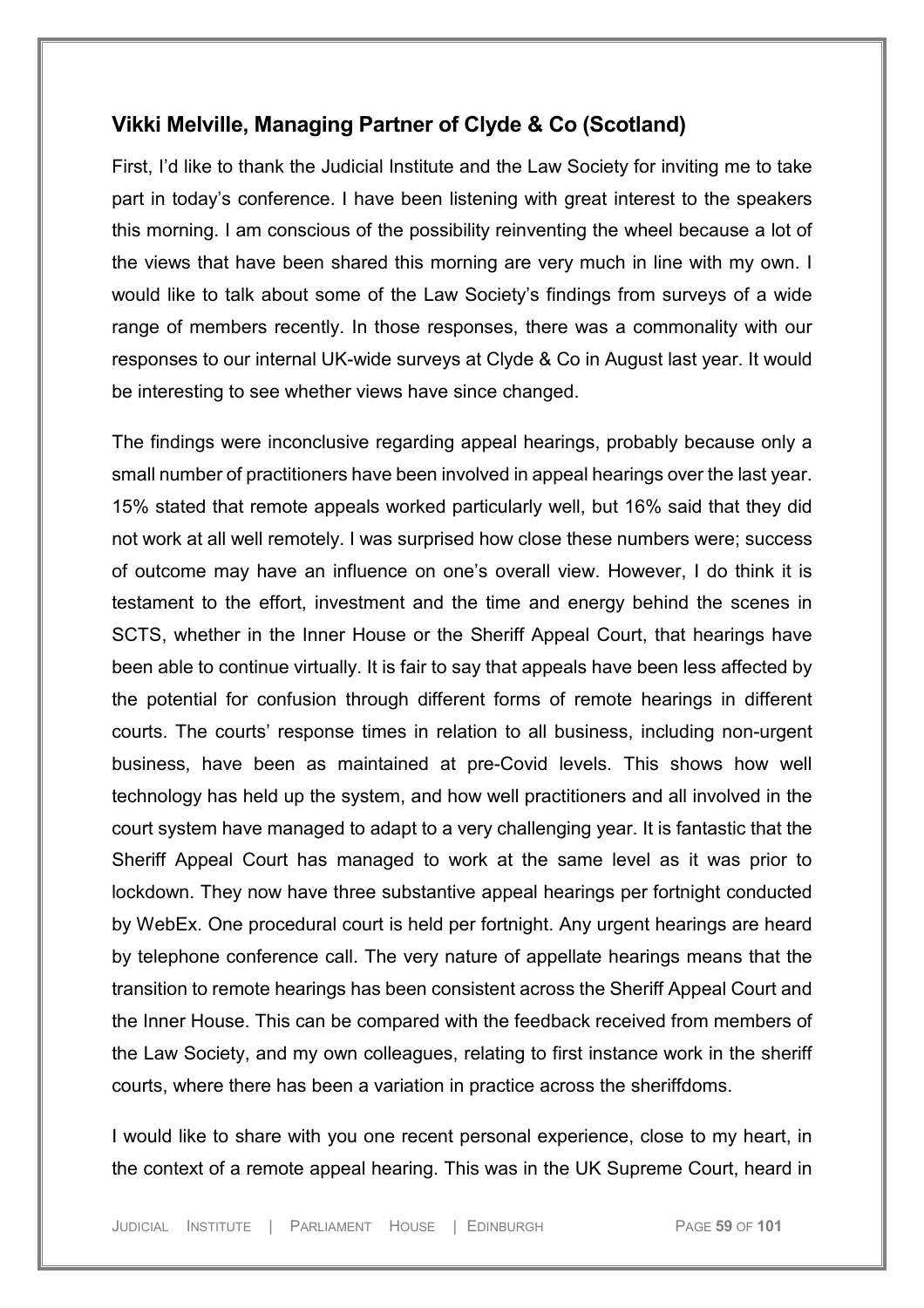## **Vikki Melville, Managing Partner of Clyde & Co (Scotland)**

First, I'd like to thank the Judicial Institute and the Law Society for inviting me to take part in today's conference. I have been listening with great interest to the speakers this morning. I am conscious of the possibility reinventing the wheel because a lot of the views that have been shared this morning are very much in line with my own. I would like to talk about some of the Law Society's findings from surveys of a wide range of members recently. In those responses, there was a commonality with our responses to our internal UK-wide surveys at Clyde & Co in August last year. It would be interesting to see whether views have since changed.

The findings were inconclusive regarding appeal hearings, probably because only a small number of practitioners have been involved in appeal hearings over the last year. 15% stated that remote appeals worked particularly well, but 16% said that they did not work at all well remotely. I was surprised how close these numbers were; success of outcome may have an influence on one's overall view. However, I do think it is testament to the effort, investment and the time and energy behind the scenes in SCTS, whether in the Inner House or the Sheriff Appeal Court, that hearings have been able to continue virtually. It is fair to say that appeals have been less affected by the potential for confusion through different forms of remote hearings in different courts. The courts' response times in relation to all business, including non-urgent business, have been as maintained at pre-Covid levels. This shows how well technology has held up the system, and how well practitioners and all involved in the court system have managed to adapt to a very challenging year. It is fantastic that the Sheriff Appeal Court has managed to work at the same level as it was prior to lockdown. They now have three substantive appeal hearings per fortnight conducted by WebEx. One procedural court is held per fortnight. Any urgent hearings are heard by telephone conference call. The very nature of appellate hearings means that the transition to remote hearings has been consistent across the Sheriff Appeal Court and the Inner House. This can be compared with the feedback received from members of the Law Society, and my own colleagues, relating to first instance work in the sheriff courts, where there has been a variation in practice across the sheriffdoms.

I would like to share with you one recent personal experience, close to my heart, in the context of a remote appeal hearing. This was in the UK Supreme Court, heard in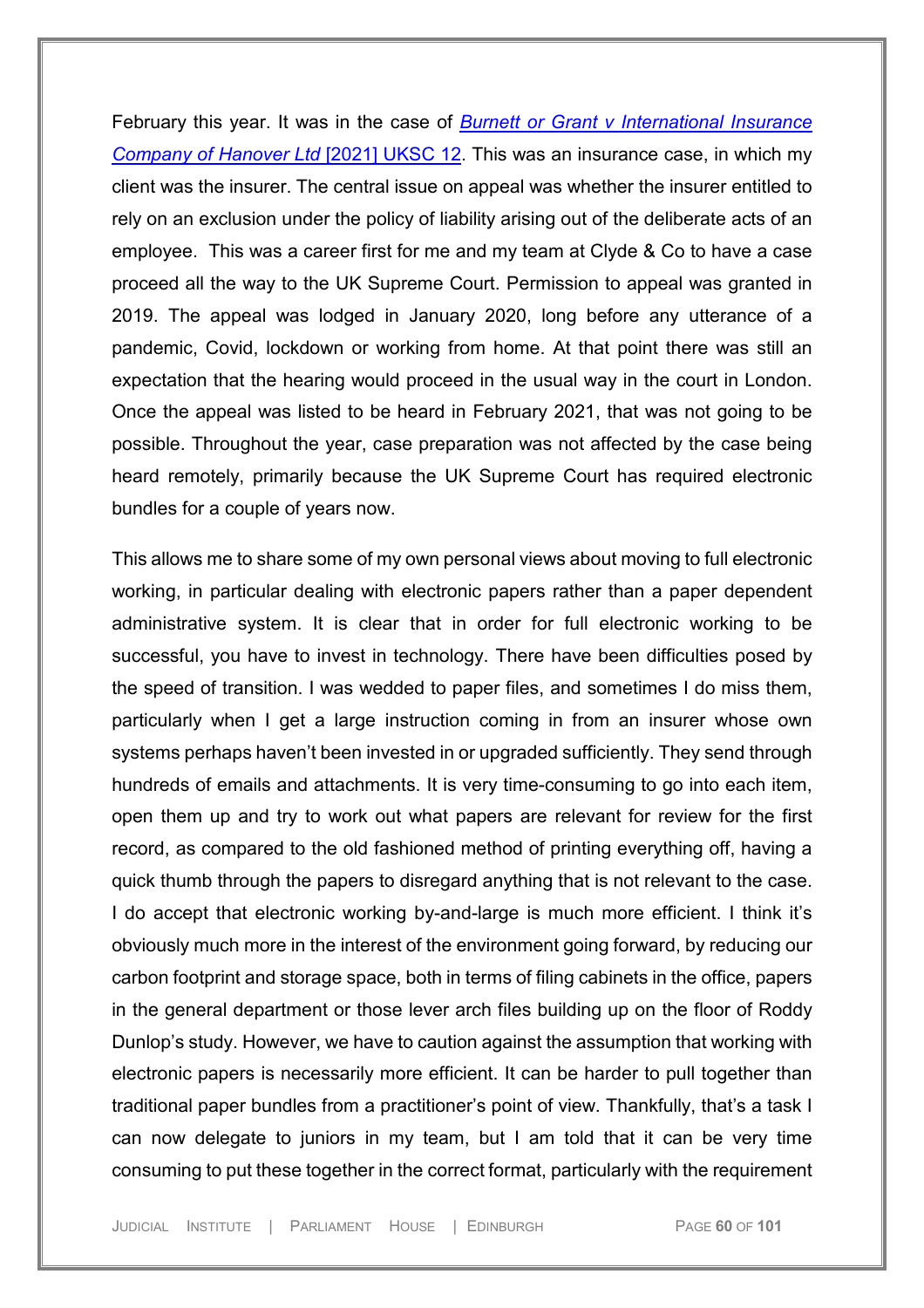February this year. It was in the case of *[Burnett or Grant v International Insurance](https://uk.westlaw.com/Document/I70E9BD00A41F11EBB72395CD24165317/View/FullText.html?navigationPath=Search%2Fv1%2Fresults%2Fnavigation%2Fi0ad73aa500000179f5fd8cde2a842112%3Fppcid%3D468f8a5c2d4342ba84c14c9906fd4486%26Nav%3DUK-CASES%26fragmentIdentifier%3DI32E8E4F0A41E11EBAE15A8EB63040741%26parentRank%3D0%26startIndex%3D1%26contextData%3D%2528sc.Search%2529%26transitionType%3DSearchItem&listSource=Search&listPageSource=38fe1727930b7f27e9ee035f589dd67a&list=UK-CASES&rank=1&sessionScopeId=25f9c183e71d666fca74bc9f02df1a42e8e82f887a5c5a39678ccea66189ac64&ppcid=468f8a5c2d4342ba84c14c9906fd4486&originationContext=Search%20Result&transitionType=SearchItem&contextData=(sc.Search)&comp=wlukgroupid=linets)  [Company of Hanover Ltd](https://uk.westlaw.com/Document/I70E9BD00A41F11EBB72395CD24165317/View/FullText.html?navigationPath=Search%2Fv1%2Fresults%2Fnavigation%2Fi0ad73aa500000179f5fd8cde2a842112%3Fppcid%3D468f8a5c2d4342ba84c14c9906fd4486%26Nav%3DUK-CASES%26fragmentIdentifier%3DI32E8E4F0A41E11EBAE15A8EB63040741%26parentRank%3D0%26startIndex%3D1%26contextData%3D%2528sc.Search%2529%26transitionType%3DSearchItem&listSource=Search&listPageSource=38fe1727930b7f27e9ee035f589dd67a&list=UK-CASES&rank=1&sessionScopeId=25f9c183e71d666fca74bc9f02df1a42e8e82f887a5c5a39678ccea66189ac64&ppcid=468f8a5c2d4342ba84c14c9906fd4486&originationContext=Search%20Result&transitionType=SearchItem&contextData=(sc.Search)&comp=wlukgroupid=linets)* [2021] UKSC 12. This was an insurance case, in which my client was the insurer. The central issue on appeal was whether the insurer entitled to rely on an exclusion under the policy of liability arising out of the deliberate acts of an employee. This was a career first for me and my team at Clyde & Co to have a case proceed all the way to the UK Supreme Court. Permission to appeal was granted in 2019. The appeal was lodged in January 2020, long before any utterance of a pandemic, Covid, lockdown or working from home. At that point there was still an expectation that the hearing would proceed in the usual way in the court in London. Once the appeal was listed to be heard in February 2021, that was not going to be possible. Throughout the year, case preparation was not affected by the case being heard remotely, primarily because the UK Supreme Court has required electronic bundles for a couple of years now.

This allows me to share some of my own personal views about moving to full electronic working, in particular dealing with electronic papers rather than a paper dependent administrative system. It is clear that in order for full electronic working to be successful, you have to invest in technology. There have been difficulties posed by the speed of transition. I was wedded to paper files, and sometimes I do miss them, particularly when I get a large instruction coming in from an insurer whose own systems perhaps haven't been invested in or upgraded sufficiently. They send through hundreds of emails and attachments. It is very time-consuming to go into each item, open them up and try to work out what papers are relevant for review for the first record, as compared to the old fashioned method of printing everything off, having a quick thumb through the papers to disregard anything that is not relevant to the case. I do accept that electronic working by-and-large is much more efficient. I think it's obviously much more in the interest of the environment going forward, by reducing our carbon footprint and storage space, both in terms of filing cabinets in the office, papers in the general department or those lever arch files building up on the floor of Roddy Dunlop's study. However, we have to caution against the assumption that working with electronic papers is necessarily more efficient. It can be harder to pull together than traditional paper bundles from a practitioner's point of view. Thankfully, that's a task I can now delegate to juniors in my team, but I am told that it can be very time consuming to put these together in the correct format, particularly with the requirement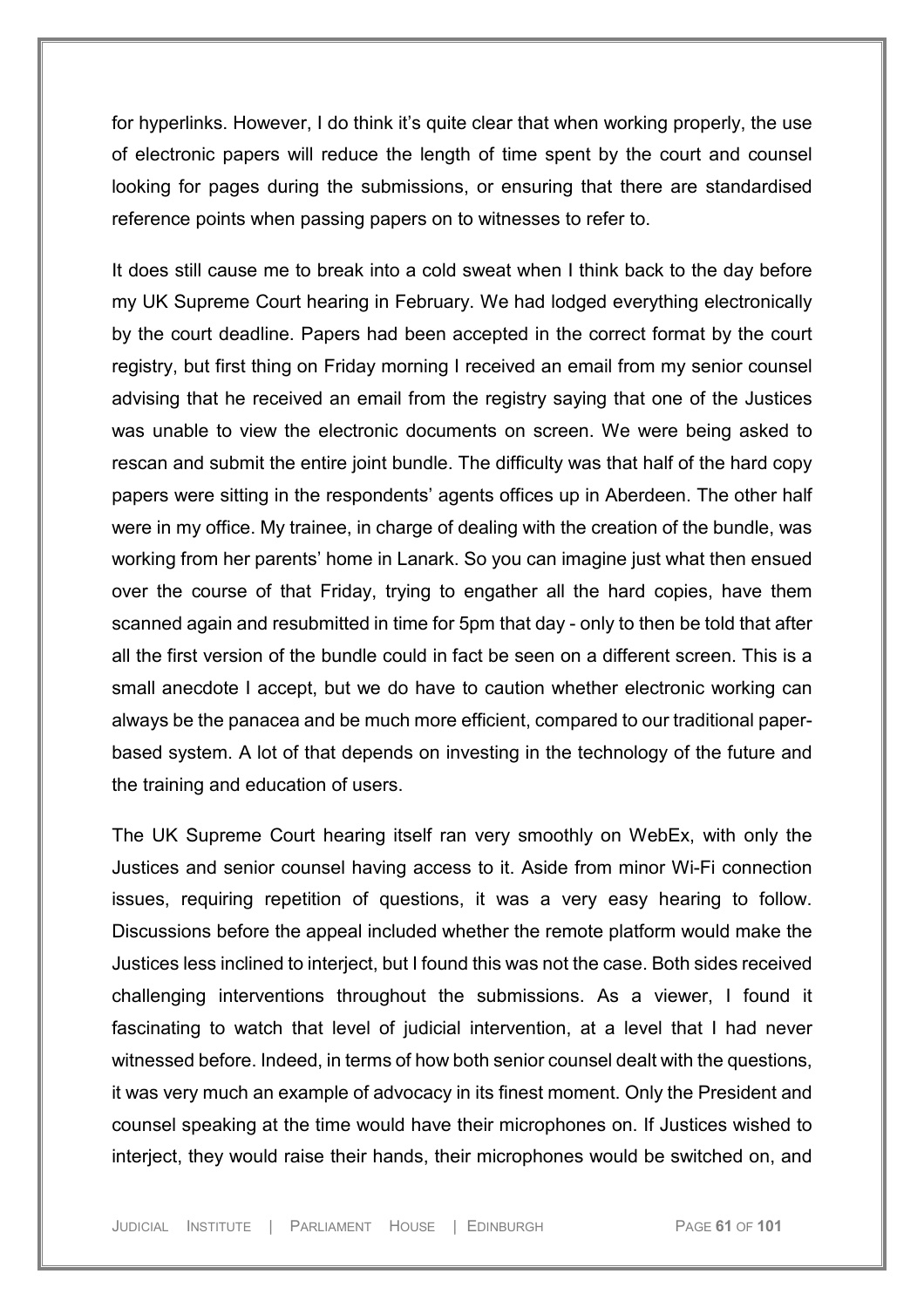for hyperlinks. However, I do think it's quite clear that when working properly, the use of electronic papers will reduce the length of time spent by the court and counsel looking for pages during the submissions, or ensuring that there are standardised reference points when passing papers on to witnesses to refer to.

It does still cause me to break into a cold sweat when I think back to the day before my UK Supreme Court hearing in February. We had lodged everything electronically by the court deadline. Papers had been accepted in the correct format by the court registry, but first thing on Friday morning I received an email from my senior counsel advising that he received an email from the registry saying that one of the Justices was unable to view the electronic documents on screen. We were being asked to rescan and submit the entire joint bundle. The difficulty was that half of the hard copy papers were sitting in the respondents' agents offices up in Aberdeen. The other half were in my office. My trainee, in charge of dealing with the creation of the bundle, was working from her parents' home in Lanark. So you can imagine just what then ensued over the course of that Friday, trying to engather all the hard copies, have them scanned again and resubmitted in time for 5pm that day - only to then be told that after all the first version of the bundle could in fact be seen on a different screen. This is a small anecdote I accept, but we do have to caution whether electronic working can always be the panacea and be much more efficient, compared to our traditional paperbased system. A lot of that depends on investing in the technology of the future and the training and education of users.

The UK Supreme Court hearing itself ran very smoothly on WebEx, with only the Justices and senior counsel having access to it. Aside from minor Wi-Fi connection issues, requiring repetition of questions, it was a very easy hearing to follow. Discussions before the appeal included whether the remote platform would make the Justices less inclined to interject, but I found this was not the case. Both sides received challenging interventions throughout the submissions. As a viewer, I found it fascinating to watch that level of judicial intervention, at a level that I had never witnessed before. Indeed, in terms of how both senior counsel dealt with the questions, it was very much an example of advocacy in its finest moment. Only the President and counsel speaking at the time would have their microphones on. If Justices wished to interject, they would raise their hands, their microphones would be switched on, and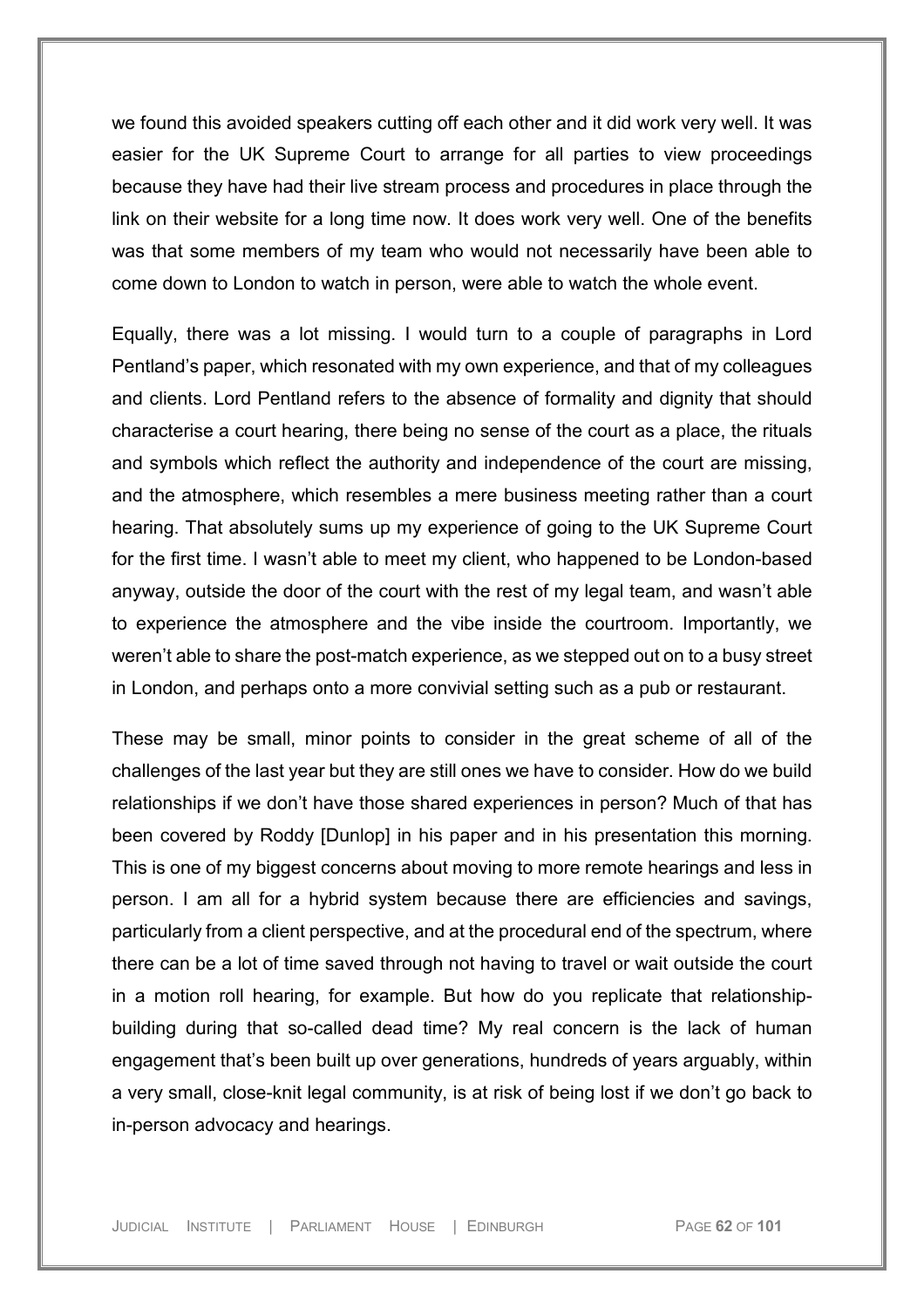we found this avoided speakers cutting off each other and it did work very well. It was easier for the UK Supreme Court to arrange for all parties to view proceedings because they have had their live stream process and procedures in place through the link on their website for a long time now. It does work very well. One of the benefits was that some members of my team who would not necessarily have been able to come down to London to watch in person, were able to watch the whole event.

Equally, there was a lot missing. I would turn to a couple of paragraphs in Lord Pentland's paper, which resonated with my own experience, and that of my colleagues and clients. Lord Pentland refers to the absence of formality and dignity that should characterise a court hearing, there being no sense of the court as a place, the rituals and symbols which reflect the authority and independence of the court are missing, and the atmosphere, which resembles a mere business meeting rather than a court hearing. That absolutely sums up my experience of going to the UK Supreme Court for the first time. I wasn't able to meet my client, who happened to be London-based anyway, outside the door of the court with the rest of my legal team, and wasn't able to experience the atmosphere and the vibe inside the courtroom. Importantly, we weren't able to share the post-match experience, as we stepped out on to a busy street in London, and perhaps onto a more convivial setting such as a pub or restaurant.

These may be small, minor points to consider in the great scheme of all of the challenges of the last year but they are still ones we have to consider. How do we build relationships if we don't have those shared experiences in person? Much of that has been covered by Roddy [Dunlop] in his paper and in his presentation this morning. This is one of my biggest concerns about moving to more remote hearings and less in person. I am all for a hybrid system because there are efficiencies and savings, particularly from a client perspective, and at the procedural end of the spectrum, where there can be a lot of time saved through not having to travel or wait outside the court in a motion roll hearing, for example. But how do you replicate that relationshipbuilding during that so-called dead time? My real concern is the lack of human engagement that's been built up over generations, hundreds of years arguably, within a very small, close-knit legal community, is at risk of being lost if we don't go back to in-person advocacy and hearings.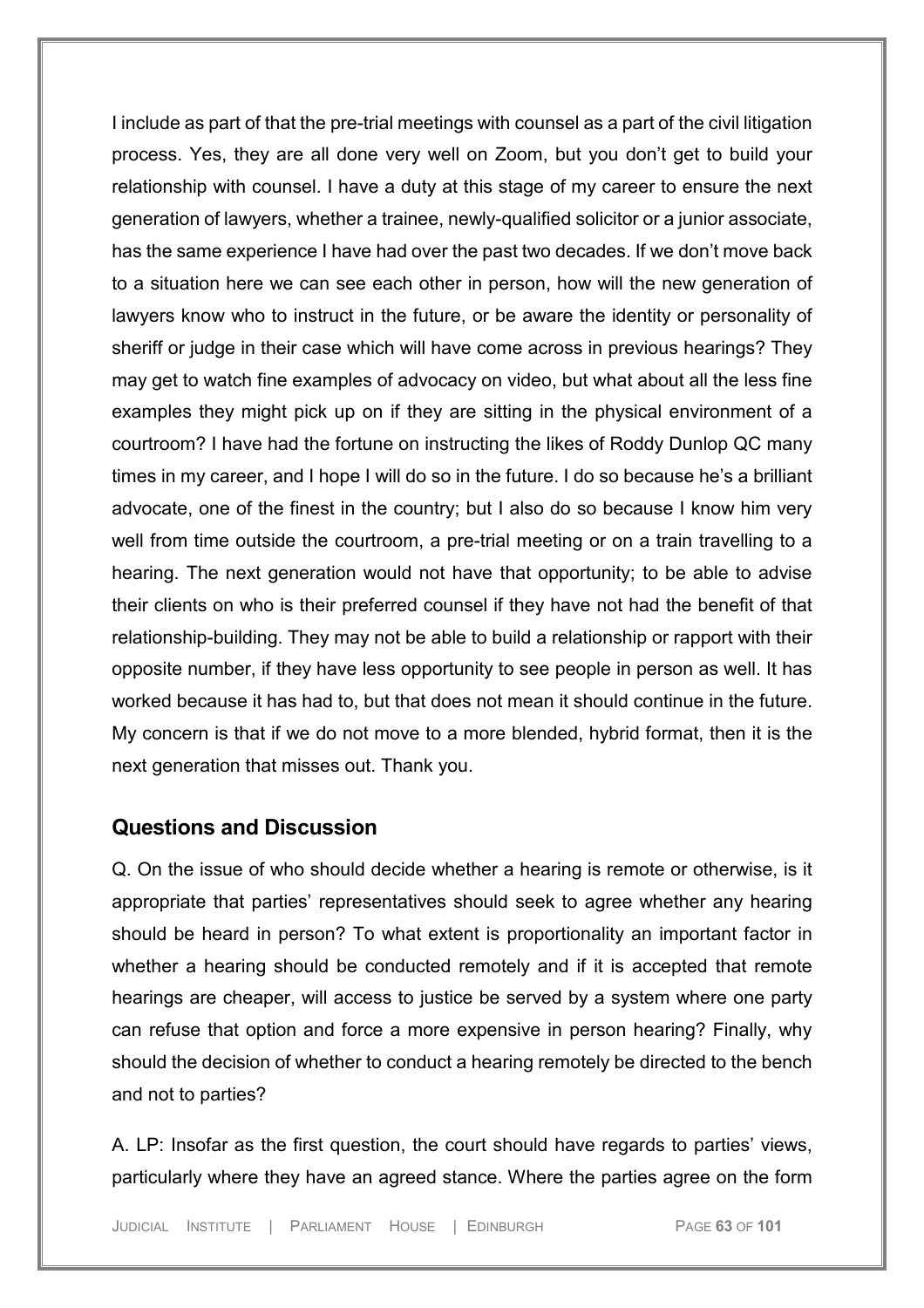I include as part of that the pre-trial meetings with counsel as a part of the civil litigation process. Yes, they are all done very well on Zoom, but you don't get to build your relationship with counsel. I have a duty at this stage of my career to ensure the next generation of lawyers, whether a trainee, newly-qualified solicitor or a junior associate, has the same experience I have had over the past two decades. If we don't move back to a situation here we can see each other in person, how will the new generation of lawyers know who to instruct in the future, or be aware the identity or personality of sheriff or judge in their case which will have come across in previous hearings? They may get to watch fine examples of advocacy on video, but what about all the less fine examples they might pick up on if they are sitting in the physical environment of a courtroom? I have had the fortune on instructing the likes of Roddy Dunlop QC many times in my career, and I hope I will do so in the future. I do so because he's a brilliant advocate, one of the finest in the country; but I also do so because I know him very well from time outside the courtroom, a pre-trial meeting or on a train travelling to a hearing. The next generation would not have that opportunity; to be able to advise their clients on who is their preferred counsel if they have not had the benefit of that relationship-building. They may not be able to build a relationship or rapport with their opposite number, if they have less opportunity to see people in person as well. It has worked because it has had to, but that does not mean it should continue in the future. My concern is that if we do not move to a more blended, hybrid format, then it is the next generation that misses out. Thank you.

## **Questions and Discussion**

Q. On the issue of who should decide whether a hearing is remote or otherwise, is it appropriate that parties' representatives should seek to agree whether any hearing should be heard in person? To what extent is proportionality an important factor in whether a hearing should be conducted remotely and if it is accepted that remote hearings are cheaper, will access to justice be served by a system where one party can refuse that option and force a more expensive in person hearing? Finally, why should the decision of whether to conduct a hearing remotely be directed to the bench and not to parties?

A. LP: Insofar as the first question, the court should have regards to parties' views, particularly where they have an agreed stance. Where the parties agree on the form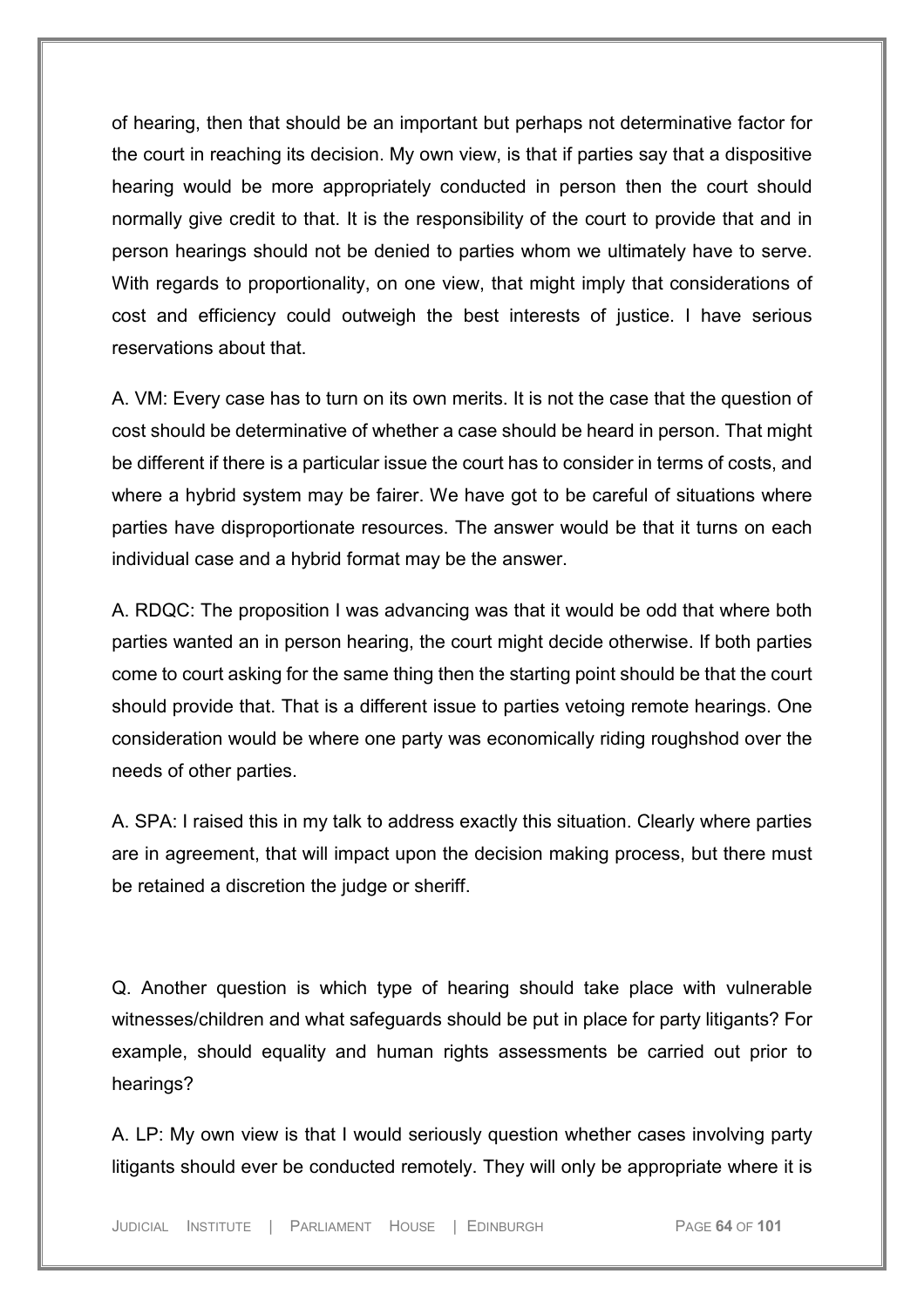of hearing, then that should be an important but perhaps not determinative factor for the court in reaching its decision. My own view, is that if parties say that a dispositive hearing would be more appropriately conducted in person then the court should normally give credit to that. It is the responsibility of the court to provide that and in person hearings should not be denied to parties whom we ultimately have to serve. With regards to proportionality, on one view, that might imply that considerations of cost and efficiency could outweigh the best interests of justice. I have serious reservations about that.

A. VM: Every case has to turn on its own merits. It is not the case that the question of cost should be determinative of whether a case should be heard in person. That might be different if there is a particular issue the court has to consider in terms of costs, and where a hybrid system may be fairer. We have got to be careful of situations where parties have disproportionate resources. The answer would be that it turns on each individual case and a hybrid format may be the answer.

A. RDQC: The proposition I was advancing was that it would be odd that where both parties wanted an in person hearing, the court might decide otherwise. If both parties come to court asking for the same thing then the starting point should be that the court should provide that. That is a different issue to parties vetoing remote hearings. One consideration would be where one party was economically riding roughshod over the needs of other parties.

A. SPA: I raised this in my talk to address exactly this situation. Clearly where parties are in agreement, that will impact upon the decision making process, but there must be retained a discretion the judge or sheriff.

Q. Another question is which type of hearing should take place with vulnerable witnesses/children and what safeguards should be put in place for party litigants? For example, should equality and human rights assessments be carried out prior to hearings?

A. LP: My own view is that I would seriously question whether cases involving party litigants should ever be conducted remotely. They will only be appropriate where it is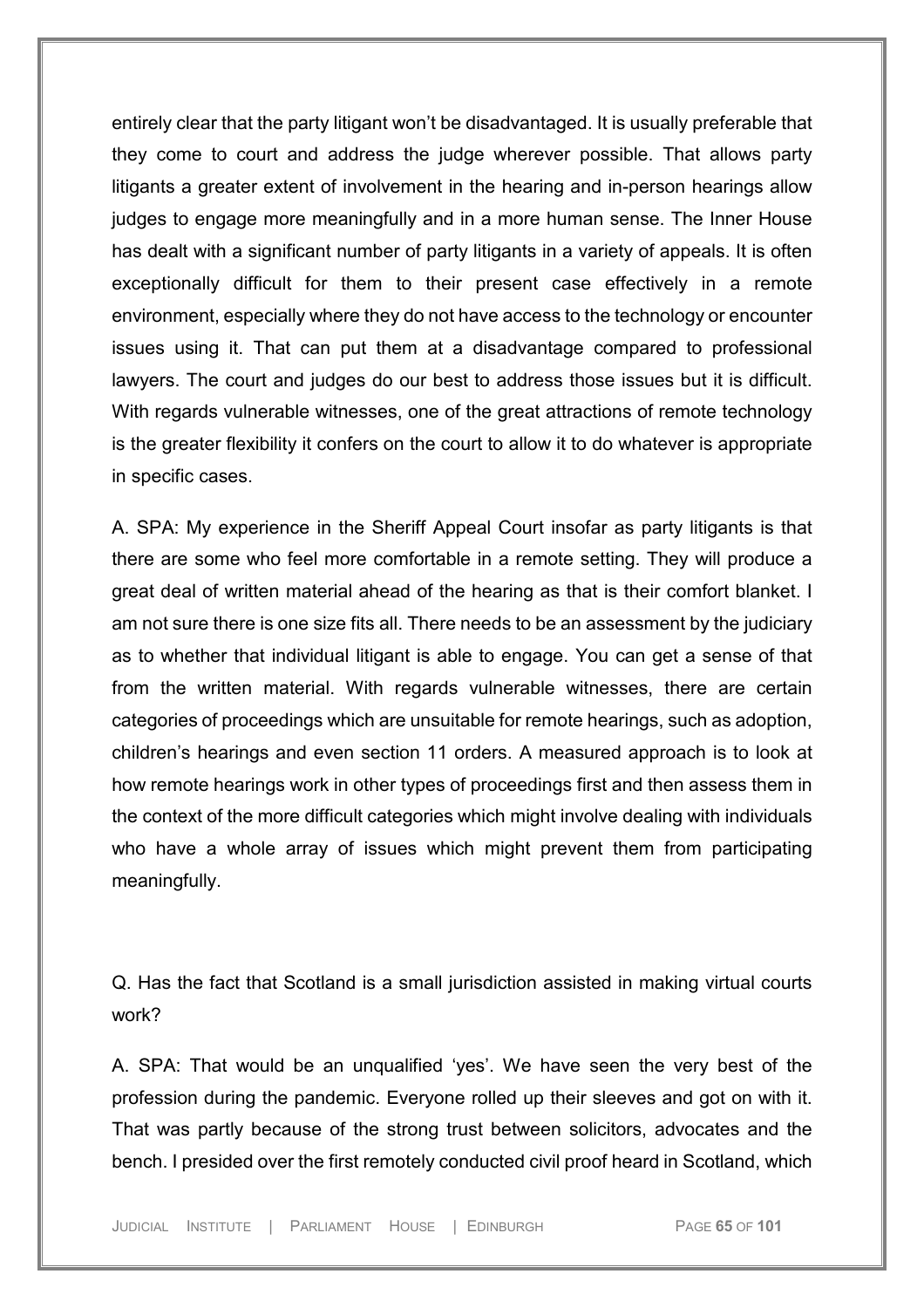entirely clear that the party litigant won't be disadvantaged. It is usually preferable that they come to court and address the judge wherever possible. That allows party litigants a greater extent of involvement in the hearing and in-person hearings allow judges to engage more meaningfully and in a more human sense. The Inner House has dealt with a significant number of party litigants in a variety of appeals. It is often exceptionally difficult for them to their present case effectively in a remote environment, especially where they do not have access to the technology or encounter issues using it. That can put them at a disadvantage compared to professional lawyers. The court and judges do our best to address those issues but it is difficult. With regards vulnerable witnesses, one of the great attractions of remote technology is the greater flexibility it confers on the court to allow it to do whatever is appropriate in specific cases.

A. SPA: My experience in the Sheriff Appeal Court insofar as party litigants is that there are some who feel more comfortable in a remote setting. They will produce a great deal of written material ahead of the hearing as that is their comfort blanket. I am not sure there is one size fits all. There needs to be an assessment by the judiciary as to whether that individual litigant is able to engage. You can get a sense of that from the written material. With regards vulnerable witnesses, there are certain categories of proceedings which are unsuitable for remote hearings, such as adoption, children's hearings and even section 11 orders. A measured approach is to look at how remote hearings work in other types of proceedings first and then assess them in the context of the more difficult categories which might involve dealing with individuals who have a whole array of issues which might prevent them from participating meaningfully.

Q. Has the fact that Scotland is a small jurisdiction assisted in making virtual courts work?

A. SPA: That would be an unqualified 'yes'. We have seen the very best of the profession during the pandemic. Everyone rolled up their sleeves and got on with it. That was partly because of the strong trust between solicitors, advocates and the bench. I presided over the first remotely conducted civil proof heard in Scotland, which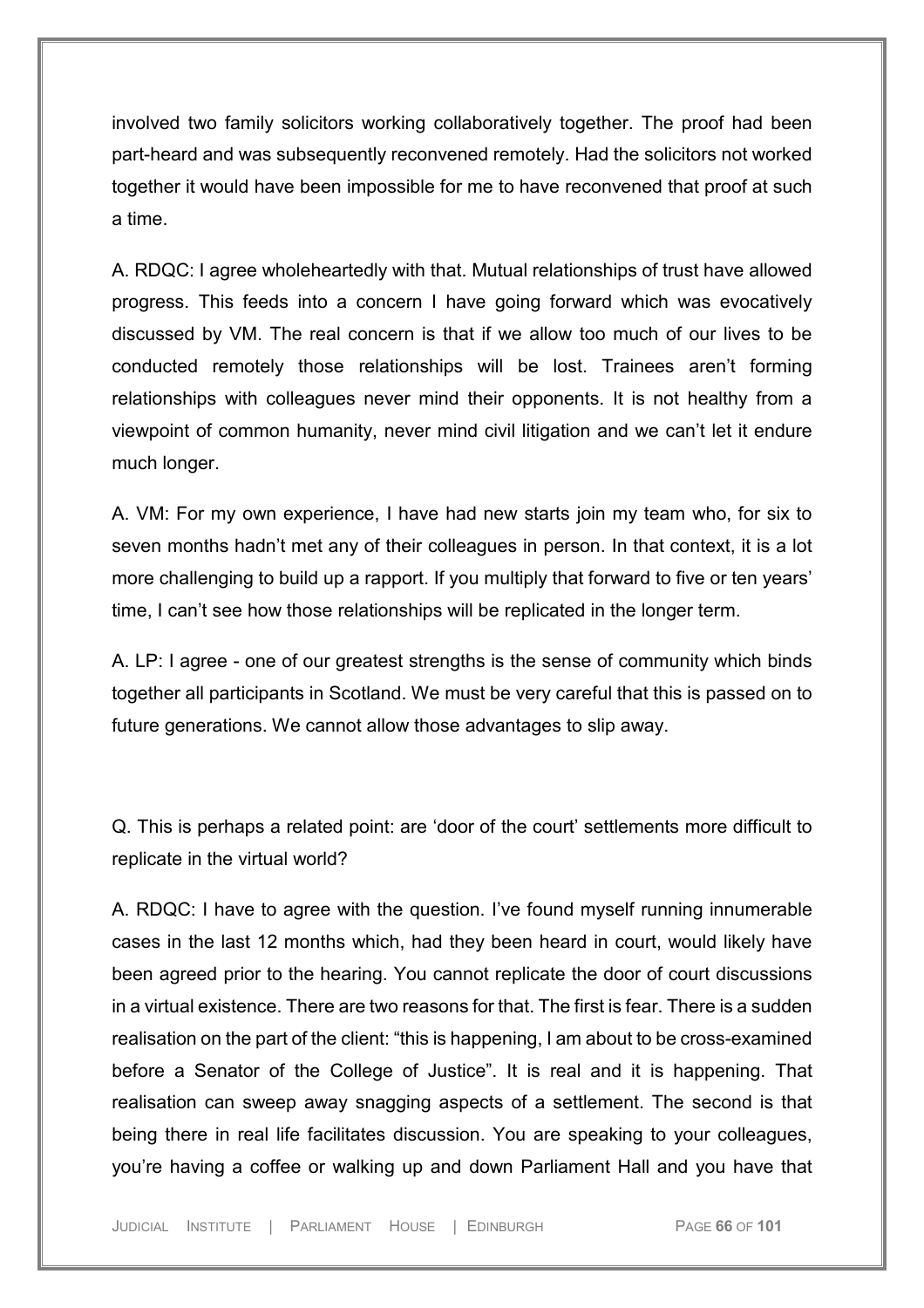involved two family solicitors working collaboratively together. The proof had been part-heard and was subsequently reconvened remotely. Had the solicitors not worked together it would have been impossible for me to have reconvened that proof at such a time.

A. RDQC: I agree wholeheartedly with that. Mutual relationships of trust have allowed progress. This feeds into a concern I have going forward which was evocatively discussed by VM. The real concern is that if we allow too much of our lives to be conducted remotely those relationships will be lost. Trainees aren't forming relationships with colleagues never mind their opponents. It is not healthy from a viewpoint of common humanity, never mind civil litigation and we can't let it endure much longer.

A. VM: For my own experience, I have had new starts join my team who, for six to seven months hadn't met any of their colleagues in person. In that context, it is a lot more challenging to build up a rapport. If you multiply that forward to five or ten years' time, I can't see how those relationships will be replicated in the longer term.

A. LP: I agree - one of our greatest strengths is the sense of community which binds together all participants in Scotland. We must be very careful that this is passed on to future generations. We cannot allow those advantages to slip away.

Q. This is perhaps a related point: are 'door of the court' settlements more difficult to replicate in the virtual world?

A. RDQC: I have to agree with the question. I've found myself running innumerable cases in the last 12 months which, had they been heard in court, would likely have been agreed prior to the hearing. You cannot replicate the door of court discussions in a virtual existence. There are two reasons for that. The first is fear. There is a sudden realisation on the part of the client: "this is happening, I am about to be cross-examined before a Senator of the College of Justice". It is real and it is happening. That realisation can sweep away snagging aspects of a settlement. The second is that being there in real life facilitates discussion. You are speaking to your colleagues, you're having a coffee or walking up and down Parliament Hall and you have that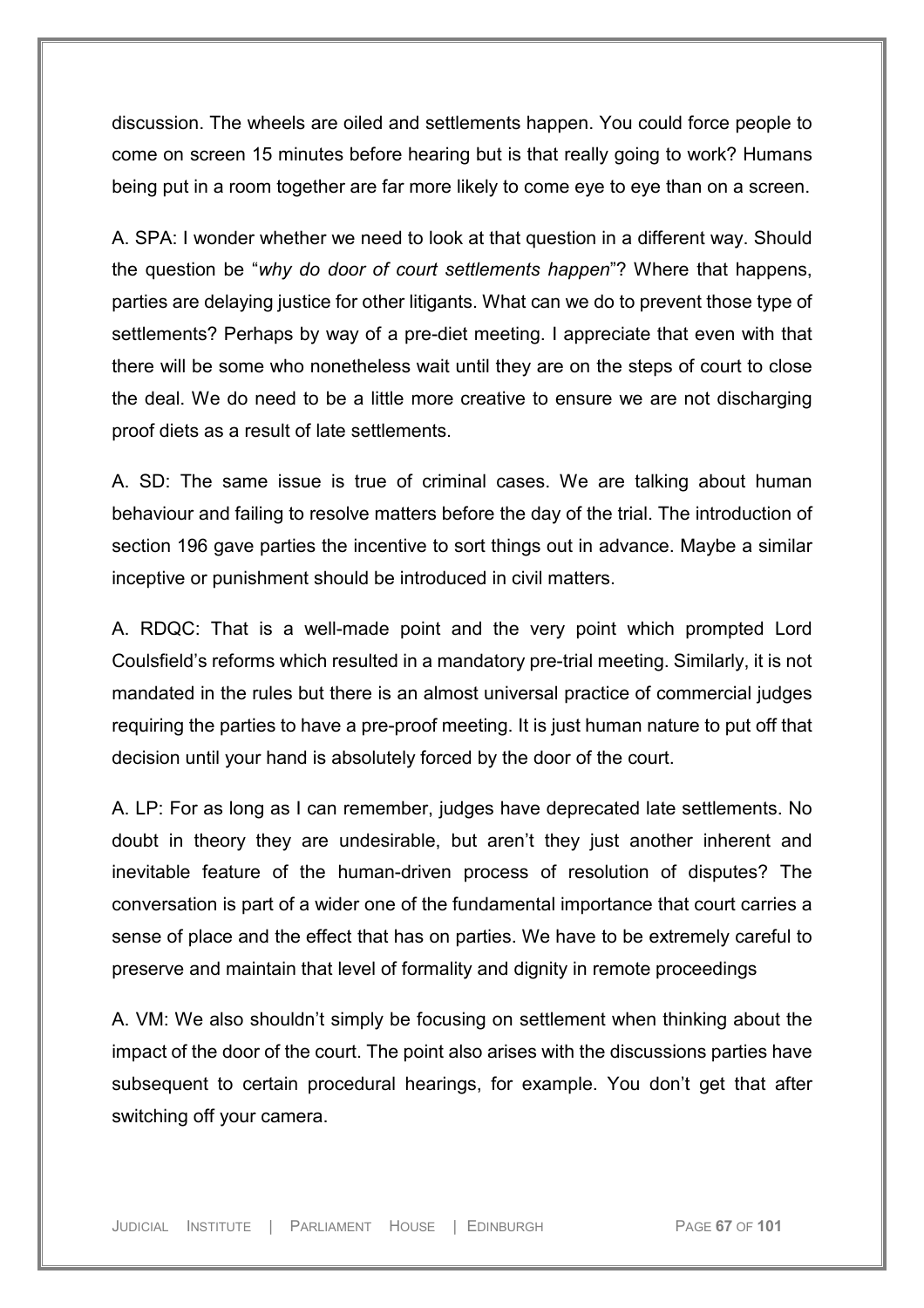discussion. The wheels are oiled and settlements happen. You could force people to come on screen 15 minutes before hearing but is that really going to work? Humans being put in a room together are far more likely to come eye to eye than on a screen.

A. SPA: I wonder whether we need to look at that question in a different way. Should the question be "*why do door of court settlements happen*"? Where that happens, parties are delaying justice for other litigants. What can we do to prevent those type of settlements? Perhaps by way of a pre-diet meeting. I appreciate that even with that there will be some who nonetheless wait until they are on the steps of court to close the deal. We do need to be a little more creative to ensure we are not discharging proof diets as a result of late settlements.

A. SD: The same issue is true of criminal cases. We are talking about human behaviour and failing to resolve matters before the day of the trial. The introduction of section 196 gave parties the incentive to sort things out in advance. Maybe a similar inceptive or punishment should be introduced in civil matters.

A. RDQC: That is a well-made point and the very point which prompted Lord Coulsfield's reforms which resulted in a mandatory pre-trial meeting. Similarly, it is not mandated in the rules but there is an almost universal practice of commercial judges requiring the parties to have a pre-proof meeting. It is just human nature to put off that decision until your hand is absolutely forced by the door of the court.

A. LP: For as long as I can remember, judges have deprecated late settlements. No doubt in theory they are undesirable, but aren't they just another inherent and inevitable feature of the human-driven process of resolution of disputes? The conversation is part of a wider one of the fundamental importance that court carries a sense of place and the effect that has on parties. We have to be extremely careful to preserve and maintain that level of formality and dignity in remote proceedings

A. VM: We also shouldn't simply be focusing on settlement when thinking about the impact of the door of the court. The point also arises with the discussions parties have subsequent to certain procedural hearings, for example. You don't get that after switching off your camera.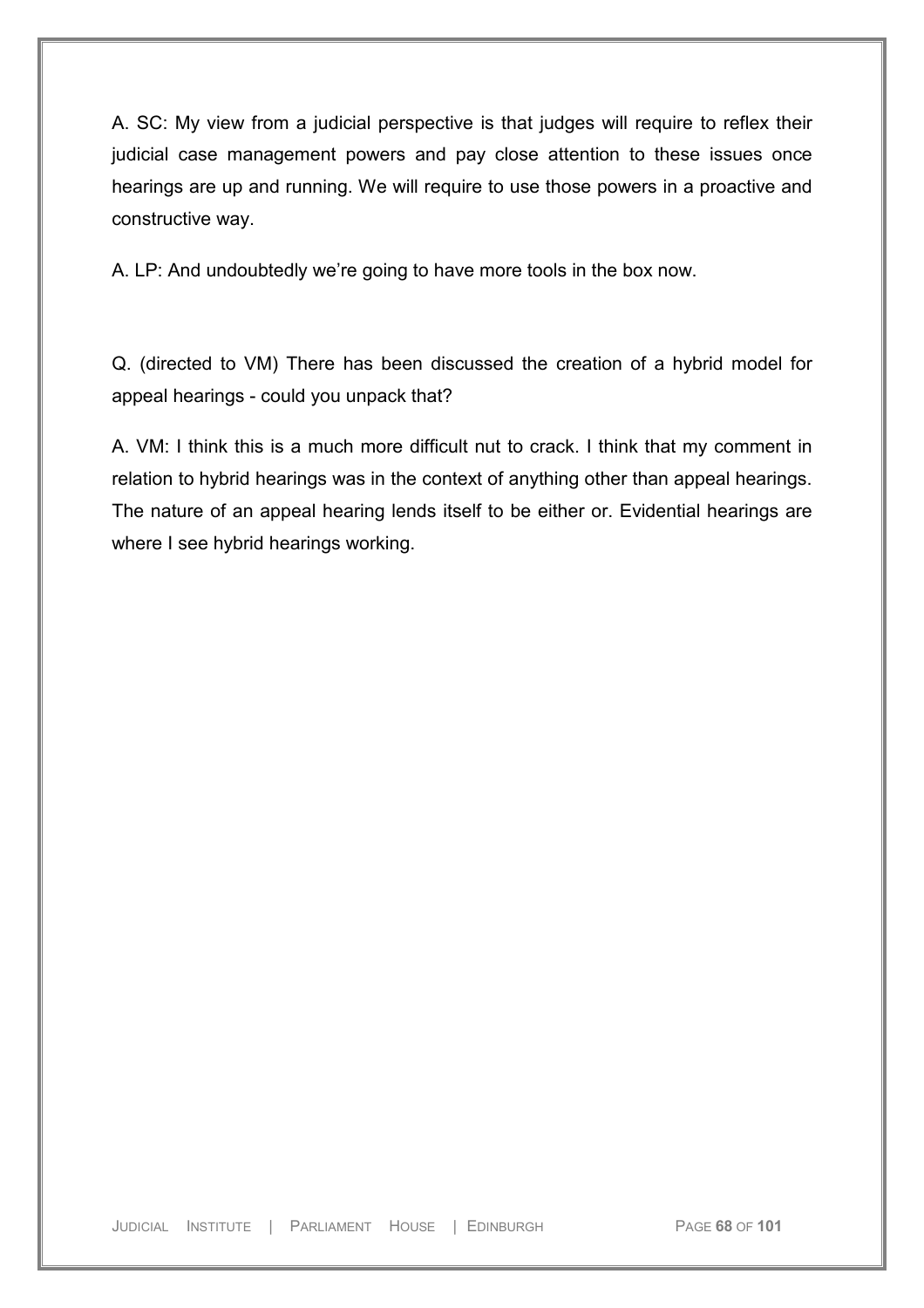A. SC: My view from a judicial perspective is that judges will require to reflex their judicial case management powers and pay close attention to these issues once hearings are up and running. We will require to use those powers in a proactive and constructive way.

A. LP: And undoubtedly we're going to have more tools in the box now.

Q. (directed to VM) There has been discussed the creation of a hybrid model for appeal hearings - could you unpack that?

A. VM: I think this is a much more difficult nut to crack. I think that my comment in relation to hybrid hearings was in the context of anything other than appeal hearings. The nature of an appeal hearing lends itself to be either or. Evidential hearings are where I see hybrid hearings working.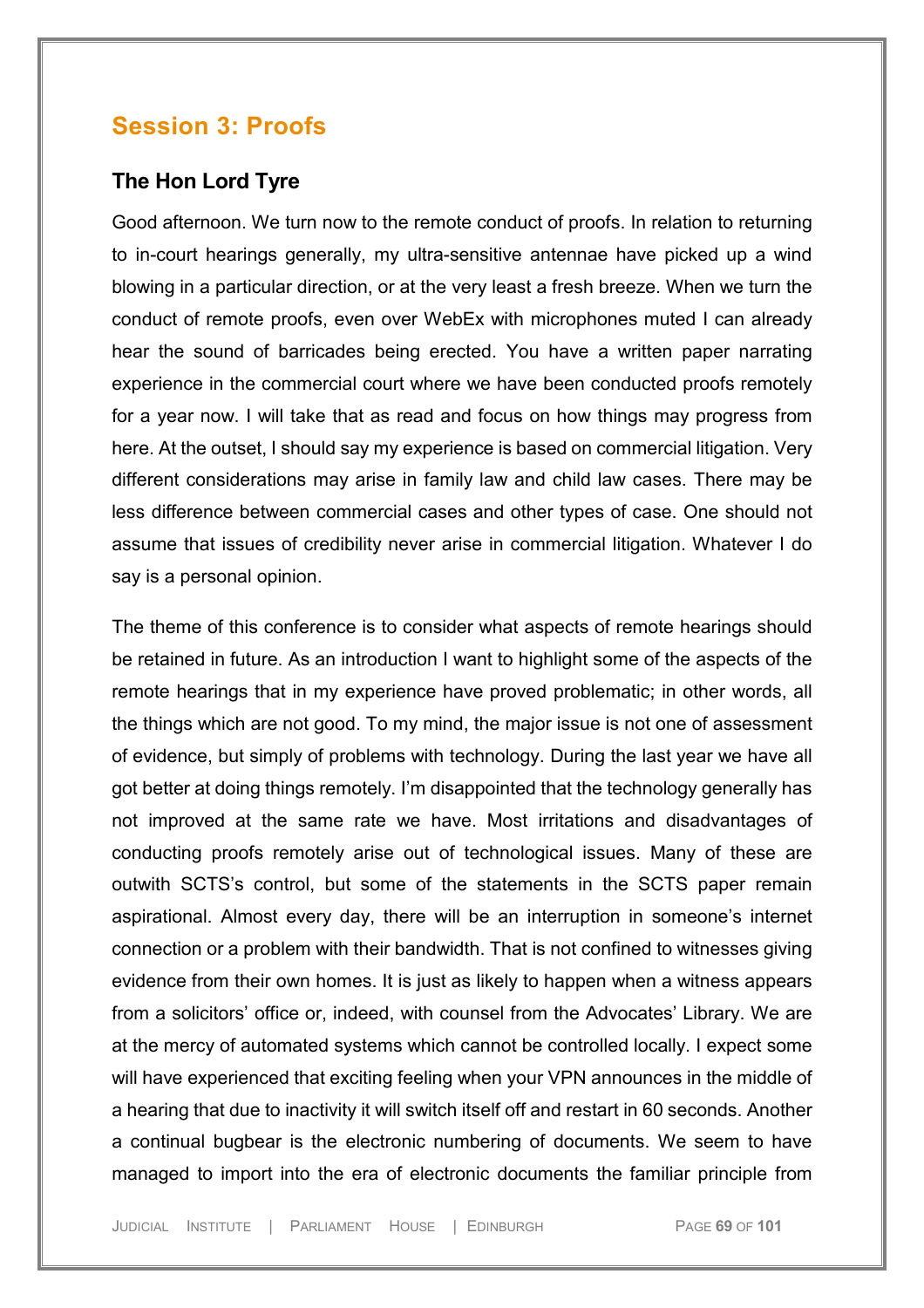## **Session 3: Proofs**

## **The Hon Lord Tyre**

Good afternoon. We turn now to the remote conduct of proofs. In relation to returning to in-court hearings generally, my ultra-sensitive antennae have picked up a wind blowing in a particular direction, or at the very least a fresh breeze. When we turn the conduct of remote proofs, even over WebEx with microphones muted I can already hear the sound of barricades being erected. You have a written paper narrating experience in the commercial court where we have been conducted proofs remotely for a year now. I will take that as read and focus on how things may progress from here. At the outset, I should say my experience is based on commercial litigation. Very different considerations may arise in family law and child law cases. There may be less difference between commercial cases and other types of case. One should not assume that issues of credibility never arise in commercial litigation. Whatever I do say is a personal opinion.

The theme of this conference is to consider what aspects of remote hearings should be retained in future. As an introduction I want to highlight some of the aspects of the remote hearings that in my experience have proved problematic; in other words, all the things which are not good. To my mind, the major issue is not one of assessment of evidence, but simply of problems with technology. During the last year we have all got better at doing things remotely. I'm disappointed that the technology generally has not improved at the same rate we have. Most irritations and disadvantages of conducting proofs remotely arise out of technological issues. Many of these are outwith SCTS's control, but some of the statements in the SCTS paper remain aspirational. Almost every day, there will be an interruption in someone's internet connection or a problem with their bandwidth. That is not confined to witnesses giving evidence from their own homes. It is just as likely to happen when a witness appears from a solicitors' office or, indeed, with counsel from the Advocates' Library. We are at the mercy of automated systems which cannot be controlled locally. I expect some will have experienced that exciting feeling when your VPN announces in the middle of a hearing that due to inactivity it will switch itself off and restart in 60 seconds. Another a continual bugbear is the electronic numbering of documents. We seem to have managed to import into the era of electronic documents the familiar principle from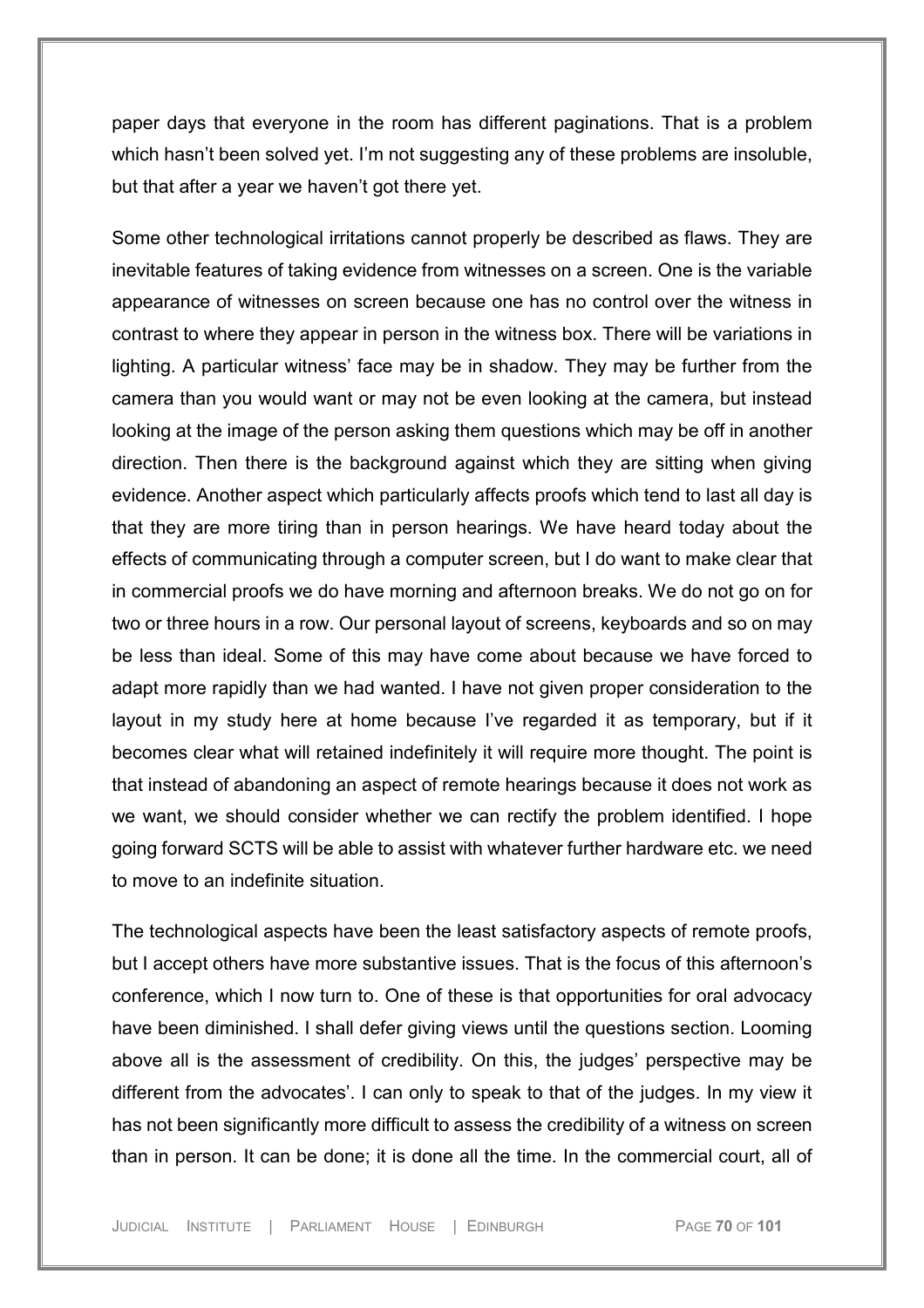paper days that everyone in the room has different paginations. That is a problem which hasn't been solved yet. I'm not suggesting any of these problems are insoluble, but that after a year we haven't got there yet.

Some other technological irritations cannot properly be described as flaws. They are inevitable features of taking evidence from witnesses on a screen. One is the variable appearance of witnesses on screen because one has no control over the witness in contrast to where they appear in person in the witness box. There will be variations in lighting. A particular witness' face may be in shadow. They may be further from the camera than you would want or may not be even looking at the camera, but instead looking at the image of the person asking them questions which may be off in another direction. Then there is the background against which they are sitting when giving evidence. Another aspect which particularly affects proofs which tend to last all day is that they are more tiring than in person hearings. We have heard today about the effects of communicating through a computer screen, but I do want to make clear that in commercial proofs we do have morning and afternoon breaks. We do not go on for two or three hours in a row. Our personal layout of screens, keyboards and so on may be less than ideal. Some of this may have come about because we have forced to adapt more rapidly than we had wanted. I have not given proper consideration to the layout in my study here at home because I've regarded it as temporary, but if it becomes clear what will retained indefinitely it will require more thought. The point is that instead of abandoning an aspect of remote hearings because it does not work as we want, we should consider whether we can rectify the problem identified. I hope going forward SCTS will be able to assist with whatever further hardware etc. we need to move to an indefinite situation.

The technological aspects have been the least satisfactory aspects of remote proofs, but I accept others have more substantive issues. That is the focus of this afternoon's conference, which I now turn to. One of these is that opportunities for oral advocacy have been diminished. I shall defer giving views until the questions section. Looming above all is the assessment of credibility. On this, the judges' perspective may be different from the advocates'. I can only to speak to that of the judges. In my view it has not been significantly more difficult to assess the credibility of a witness on screen than in person. It can be done; it is done all the time. In the commercial court, all of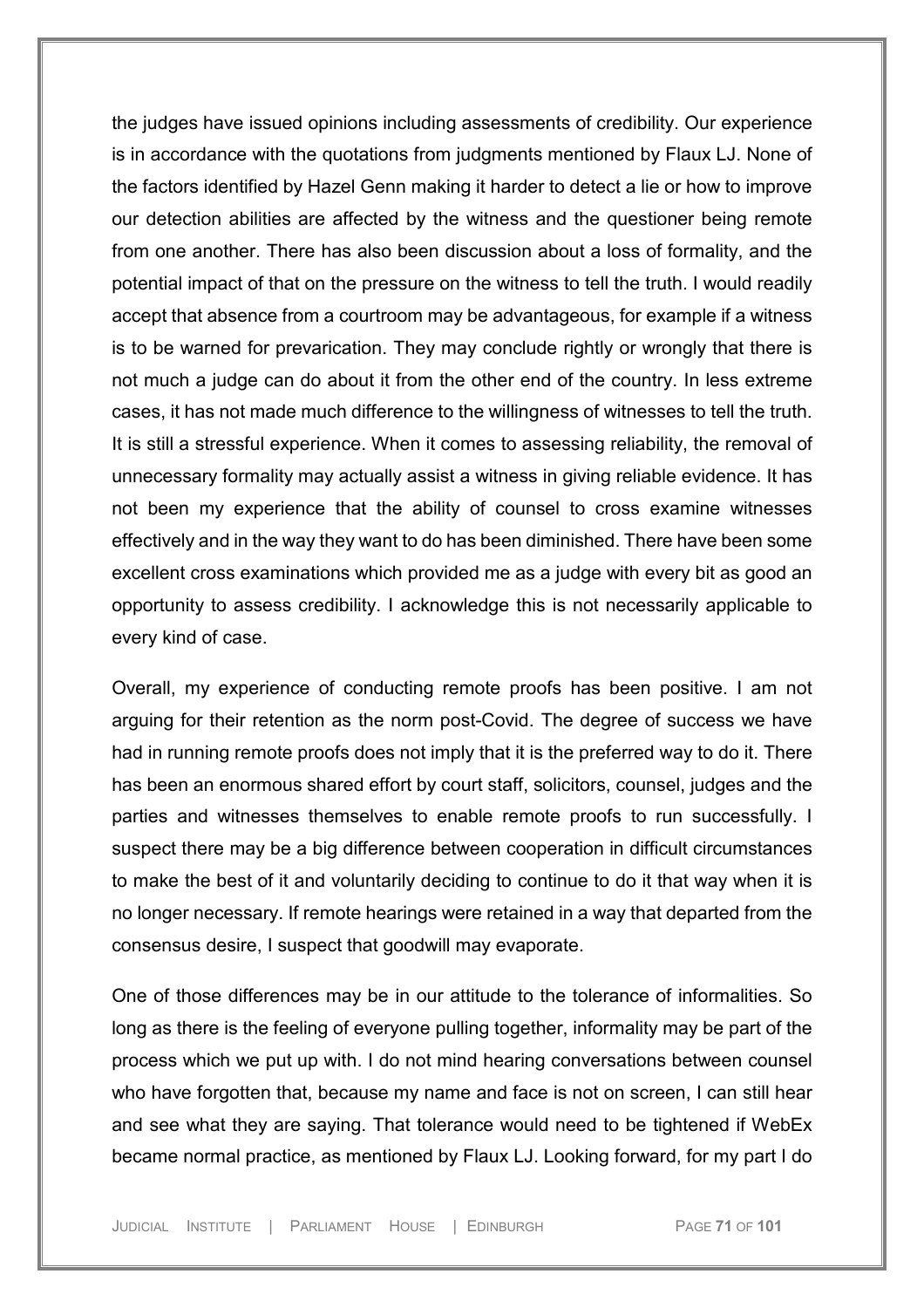the judges have issued opinions including assessments of credibility. Our experience is in accordance with the quotations from judgments mentioned by Flaux LJ. None of the factors identified by Hazel Genn making it harder to detect a lie or how to improve our detection abilities are affected by the witness and the questioner being remote from one another. There has also been discussion about a loss of formality, and the potential impact of that on the pressure on the witness to tell the truth. I would readily accept that absence from a courtroom may be advantageous, for example if a witness is to be warned for prevarication. They may conclude rightly or wrongly that there is not much a judge can do about it from the other end of the country. In less extreme cases, it has not made much difference to the willingness of witnesses to tell the truth. It is still a stressful experience. When it comes to assessing reliability, the removal of unnecessary formality may actually assist a witness in giving reliable evidence. It has not been my experience that the ability of counsel to cross examine witnesses effectively and in the way they want to do has been diminished. There have been some excellent cross examinations which provided me as a judge with every bit as good an opportunity to assess credibility. I acknowledge this is not necessarily applicable to every kind of case.

Overall, my experience of conducting remote proofs has been positive. I am not arguing for their retention as the norm post-Covid. The degree of success we have had in running remote proofs does not imply that it is the preferred way to do it. There has been an enormous shared effort by court staff, solicitors, counsel, judges and the parties and witnesses themselves to enable remote proofs to run successfully. I suspect there may be a big difference between cooperation in difficult circumstances to make the best of it and voluntarily deciding to continue to do it that way when it is no longer necessary. If remote hearings were retained in a way that departed from the consensus desire, I suspect that goodwill may evaporate.

One of those differences may be in our attitude to the tolerance of informalities. So long as there is the feeling of everyone pulling together, informality may be part of the process which we put up with. I do not mind hearing conversations between counsel who have forgotten that, because my name and face is not on screen, I can still hear and see what they are saying. That tolerance would need to be tightened if WebEx became normal practice, as mentioned by Flaux LJ. Looking forward, for my part I do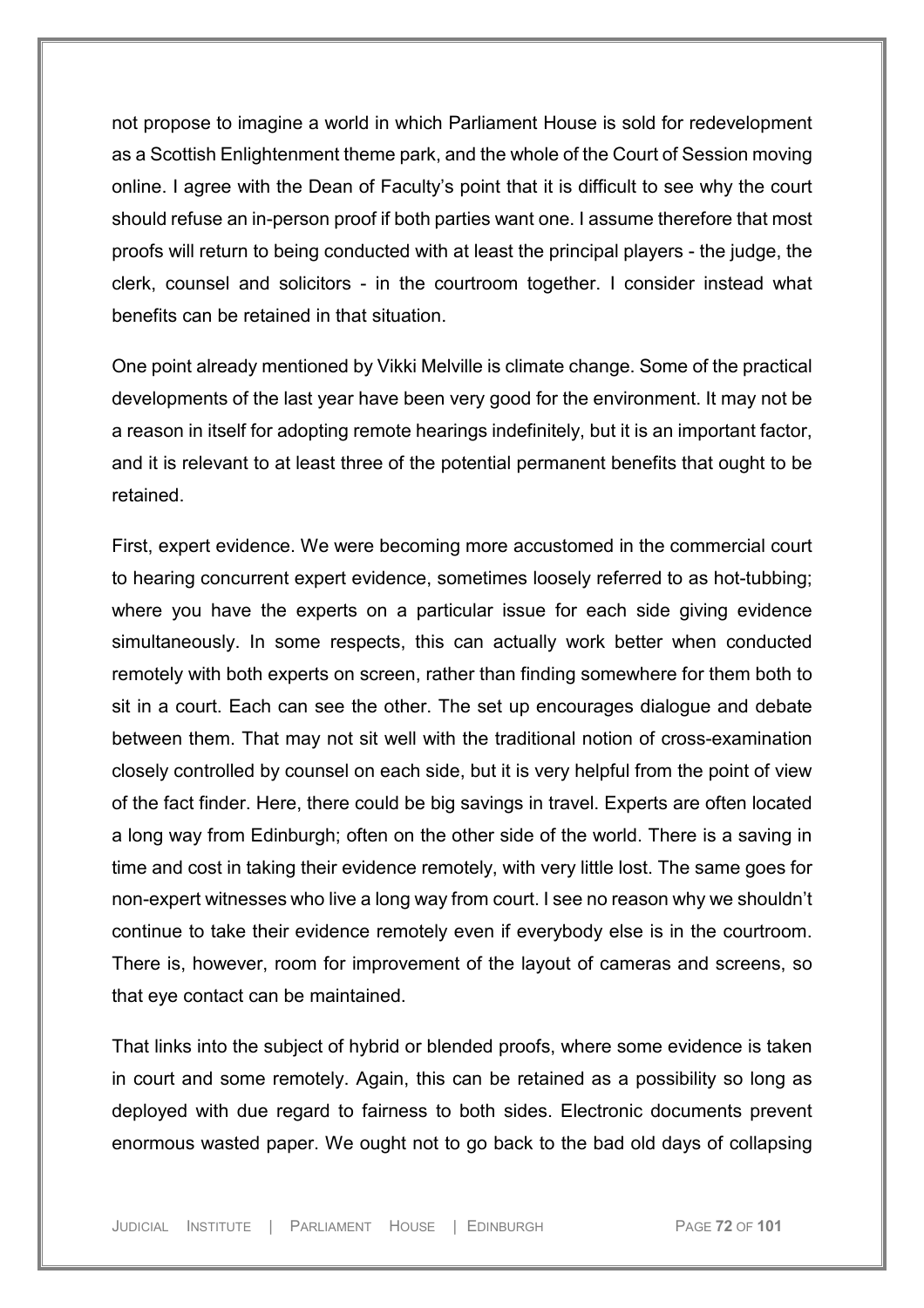not propose to imagine a world in which Parliament House is sold for redevelopment as a Scottish Enlightenment theme park, and the whole of the Court of Session moving online. I agree with the Dean of Faculty's point that it is difficult to see why the court should refuse an in-person proof if both parties want one. I assume therefore that most proofs will return to being conducted with at least the principal players - the judge, the clerk, counsel and solicitors - in the courtroom together. I consider instead what benefits can be retained in that situation.

One point already mentioned by Vikki Melville is climate change. Some of the practical developments of the last year have been very good for the environment. It may not be a reason in itself for adopting remote hearings indefinitely, but it is an important factor, and it is relevant to at least three of the potential permanent benefits that ought to be retained.

First, expert evidence. We were becoming more accustomed in the commercial court to hearing concurrent expert evidence, sometimes loosely referred to as hot-tubbing; where you have the experts on a particular issue for each side giving evidence simultaneously. In some respects, this can actually work better when conducted remotely with both experts on screen, rather than finding somewhere for them both to sit in a court. Each can see the other. The set up encourages dialogue and debate between them. That may not sit well with the traditional notion of cross-examination closely controlled by counsel on each side, but it is very helpful from the point of view of the fact finder. Here, there could be big savings in travel. Experts are often located a long way from Edinburgh; often on the other side of the world. There is a saving in time and cost in taking their evidence remotely, with very little lost. The same goes for non-expert witnesses who live a long way from court. I see no reason why we shouldn't continue to take their evidence remotely even if everybody else is in the courtroom. There is, however, room for improvement of the layout of cameras and screens, so that eye contact can be maintained.

That links into the subject of hybrid or blended proofs, where some evidence is taken in court and some remotely. Again, this can be retained as a possibility so long as deployed with due regard to fairness to both sides. Electronic documents prevent enormous wasted paper. We ought not to go back to the bad old days of collapsing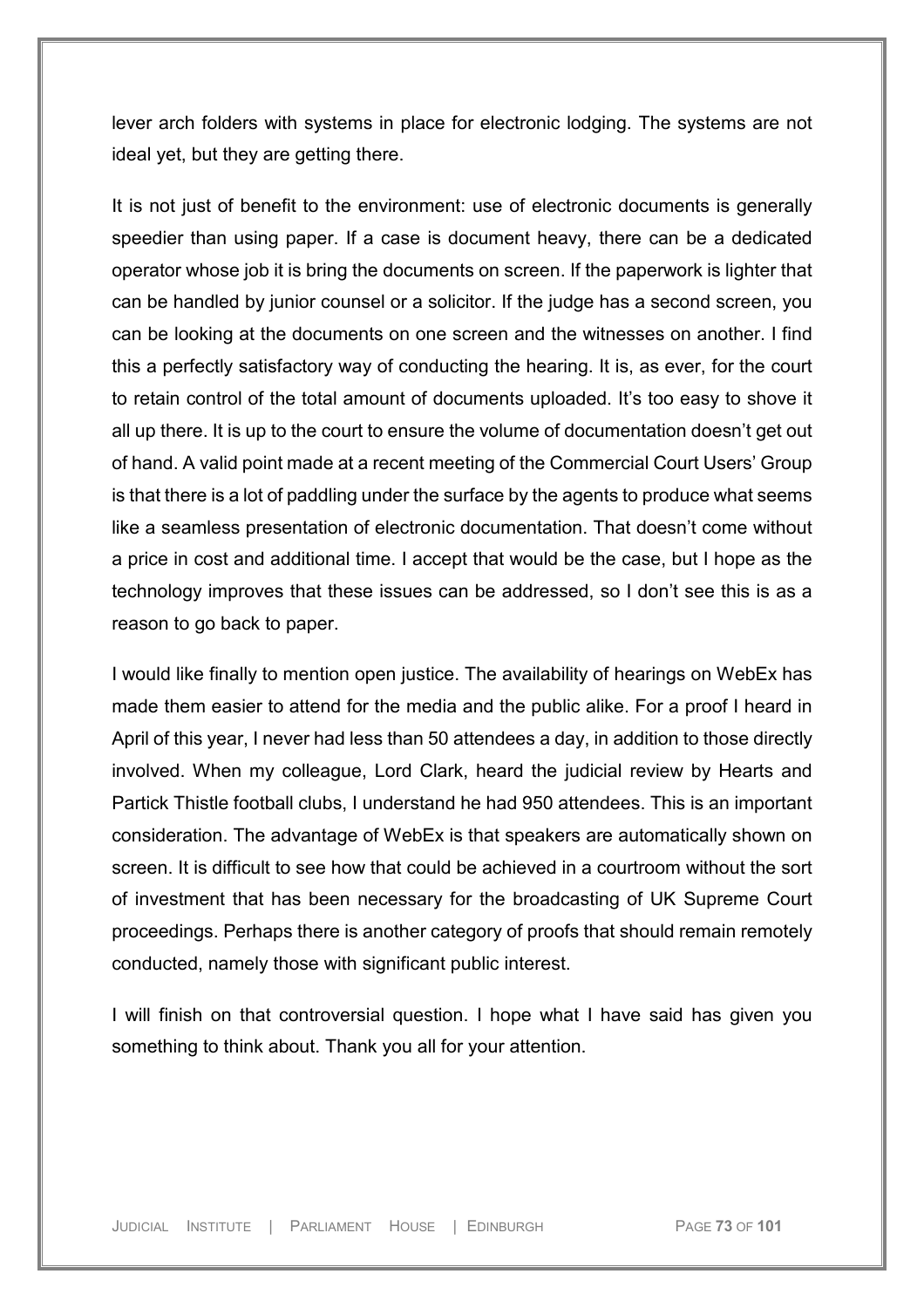lever arch folders with systems in place for electronic lodging. The systems are not ideal yet, but they are getting there.

It is not just of benefit to the environment: use of electronic documents is generally speedier than using paper. If a case is document heavy, there can be a dedicated operator whose job it is bring the documents on screen. If the paperwork is lighter that can be handled by junior counsel or a solicitor. If the judge has a second screen, you can be looking at the documents on one screen and the witnesses on another. I find this a perfectly satisfactory way of conducting the hearing. It is, as ever, for the court to retain control of the total amount of documents uploaded. It's too easy to shove it all up there. It is up to the court to ensure the volume of documentation doesn't get out of hand. A valid point made at a recent meeting of the Commercial Court Users' Group is that there is a lot of paddling under the surface by the agents to produce what seems like a seamless presentation of electronic documentation. That doesn't come without a price in cost and additional time. I accept that would be the case, but I hope as the technology improves that these issues can be addressed, so I don't see this is as a reason to go back to paper.

I would like finally to mention open justice. The availability of hearings on WebEx has made them easier to attend for the media and the public alike. For a proof I heard in April of this year, I never had less than 50 attendees a day, in addition to those directly involved. When my colleague, Lord Clark, heard the judicial review by Hearts and Partick Thistle football clubs, I understand he had 950 attendees. This is an important consideration. The advantage of WebEx is that speakers are automatically shown on screen. It is difficult to see how that could be achieved in a courtroom without the sort of investment that has been necessary for the broadcasting of UK Supreme Court proceedings. Perhaps there is another category of proofs that should remain remotely conducted, namely those with significant public interest.

I will finish on that controversial question. I hope what I have said has given you something to think about. Thank you all for your attention.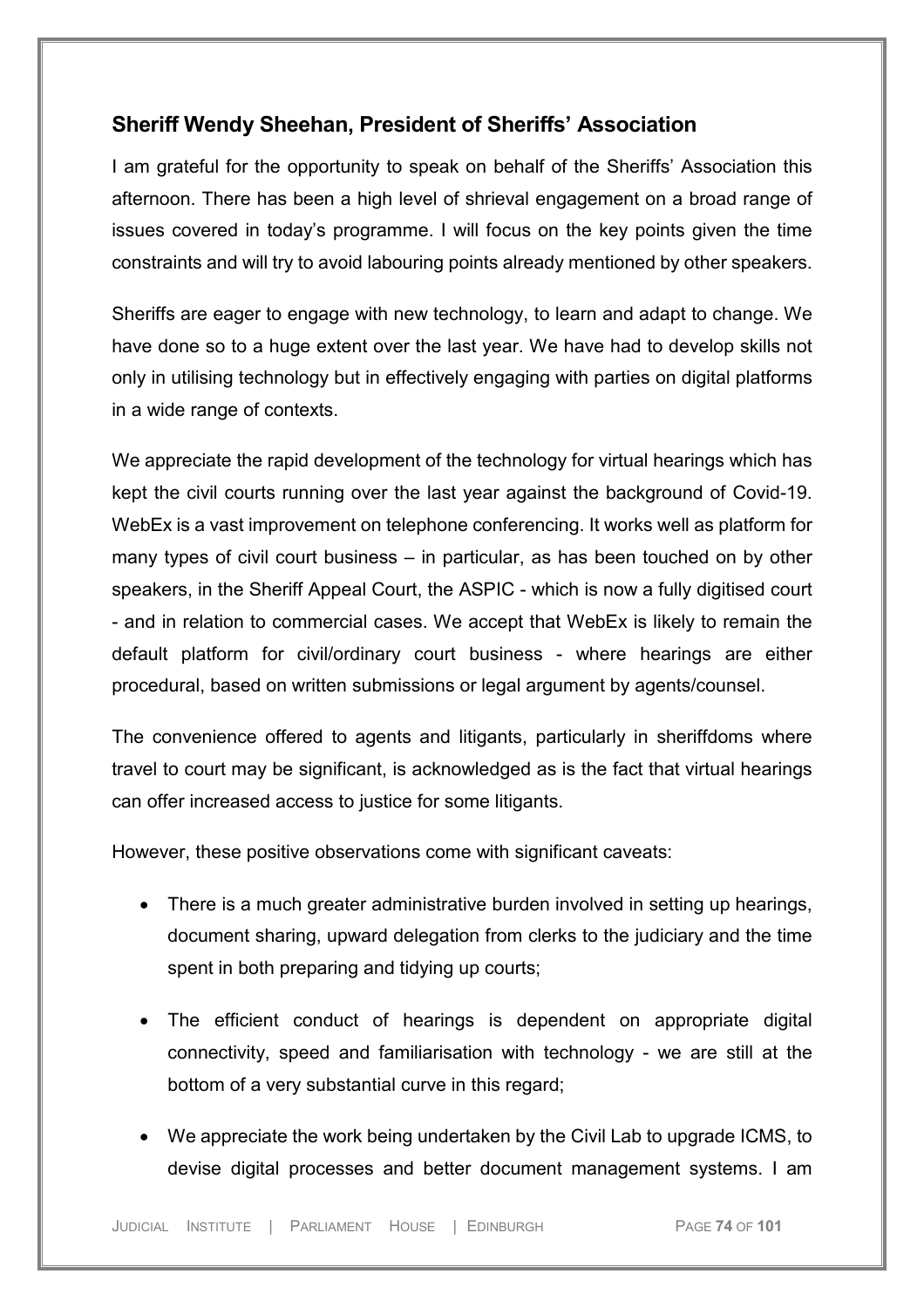### **Sheriff Wendy Sheehan, President of Sheriffs' Association**

I am grateful for the opportunity to speak on behalf of the Sheriffs' Association this afternoon. There has been a high level of shrieval engagement on a broad range of issues covered in today's programme. I will focus on the key points given the time constraints and will try to avoid labouring points already mentioned by other speakers.

Sheriffs are eager to engage with new technology, to learn and adapt to change. We have done so to a huge extent over the last year. We have had to develop skills not only in utilising technology but in effectively engaging with parties on digital platforms in a wide range of contexts.

We appreciate the rapid development of the technology for virtual hearings which has kept the civil courts running over the last year against the background of Covid-19. WebEx is a vast improvement on telephone conferencing. It works well as platform for many types of civil court business – in particular, as has been touched on by other speakers, in the Sheriff Appeal Court, the ASPIC - which is now a fully digitised court - and in relation to commercial cases. We accept that WebEx is likely to remain the default platform for civil/ordinary court business - where hearings are either procedural, based on written submissions or legal argument by agents/counsel.

The convenience offered to agents and litigants, particularly in sheriffdoms where travel to court may be significant, is acknowledged as is the fact that virtual hearings can offer increased access to justice for some litigants.

However, these positive observations come with significant caveats:

- There is a much greater administrative burden involved in setting up hearings, document sharing, upward delegation from clerks to the judiciary and the time spent in both preparing and tidying up courts;
- The efficient conduct of hearings is dependent on appropriate digital connectivity, speed and familiarisation with technology - we are still at the bottom of a very substantial curve in this regard;
- We appreciate the work being undertaken by the Civil Lab to upgrade ICMS, to devise digital processes and better document management systems. I am

JUDICIAL INSTITUTE | PARLIAMENT HOUSE | EDINBURGH PAGE **74** OF **101**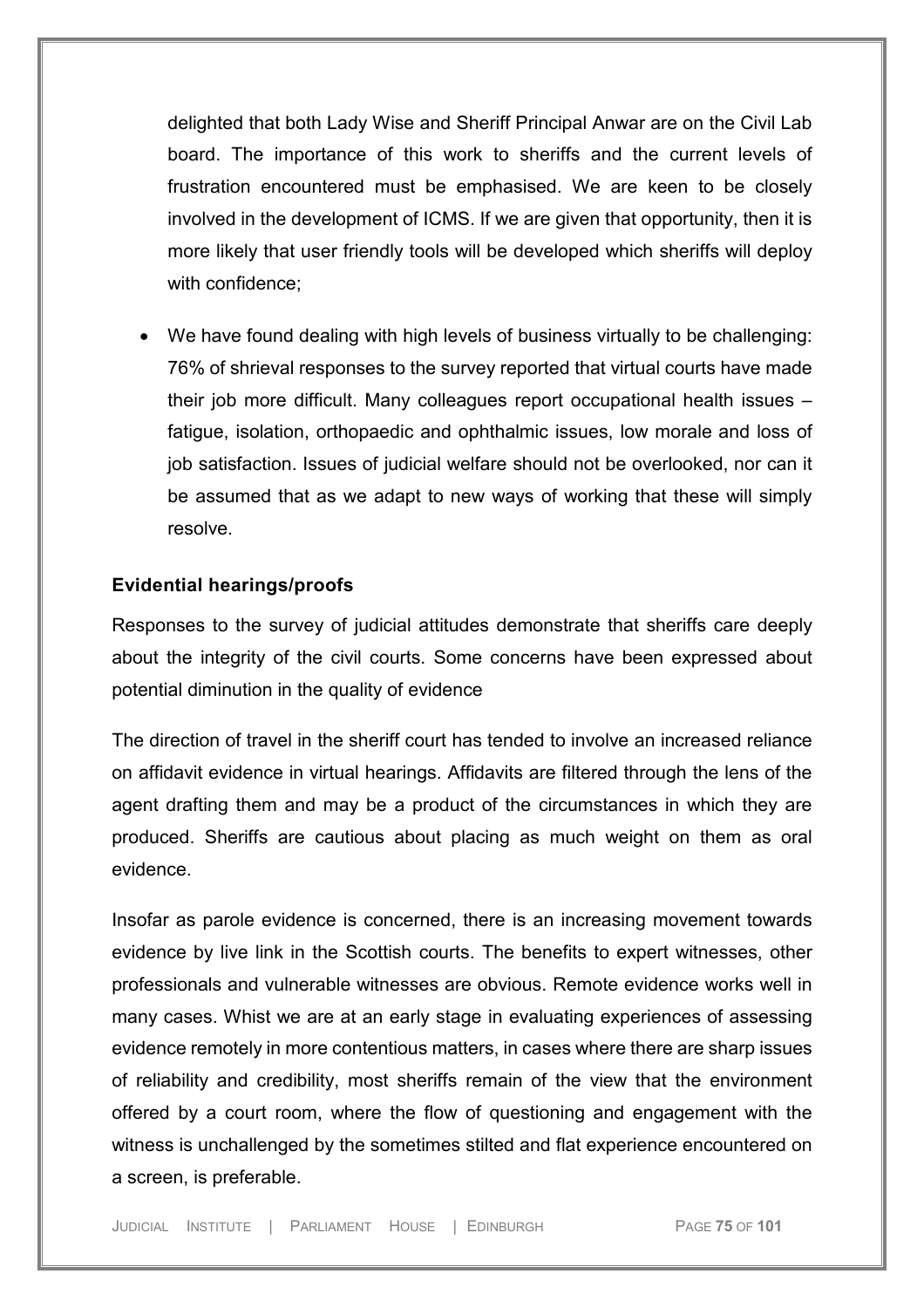delighted that both Lady Wise and Sheriff Principal Anwar are on the Civil Lab board. The importance of this work to sheriffs and the current levels of frustration encountered must be emphasised. We are keen to be closely involved in the development of ICMS. If we are given that opportunity, then it is more likely that user friendly tools will be developed which sheriffs will deploy with confidence;

• We have found dealing with high levels of business virtually to be challenging: 76% of shrieval responses to the survey reported that virtual courts have made their job more difficult. Many colleagues report occupational health issues – fatigue, isolation, orthopaedic and ophthalmic issues, low morale and loss of job satisfaction. Issues of judicial welfare should not be overlooked, nor can it be assumed that as we adapt to new ways of working that these will simply resolve.

#### **Evidential hearings/proofs**

Responses to the survey of judicial attitudes demonstrate that sheriffs care deeply about the integrity of the civil courts. Some concerns have been expressed about potential diminution in the quality of evidence

The direction of travel in the sheriff court has tended to involve an increased reliance on affidavit evidence in virtual hearings. Affidavits are filtered through the lens of the agent drafting them and may be a product of the circumstances in which they are produced. Sheriffs are cautious about placing as much weight on them as oral evidence.

Insofar as parole evidence is concerned, there is an increasing movement towards evidence by live link in the Scottish courts. The benefits to expert witnesses, other professionals and vulnerable witnesses are obvious. Remote evidence works well in many cases. Whist we are at an early stage in evaluating experiences of assessing evidence remotely in more contentious matters, in cases where there are sharp issues of reliability and credibility, most sheriffs remain of the view that the environment offered by a court room, where the flow of questioning and engagement with the witness is unchallenged by the sometimes stilted and flat experience encountered on a screen, is preferable.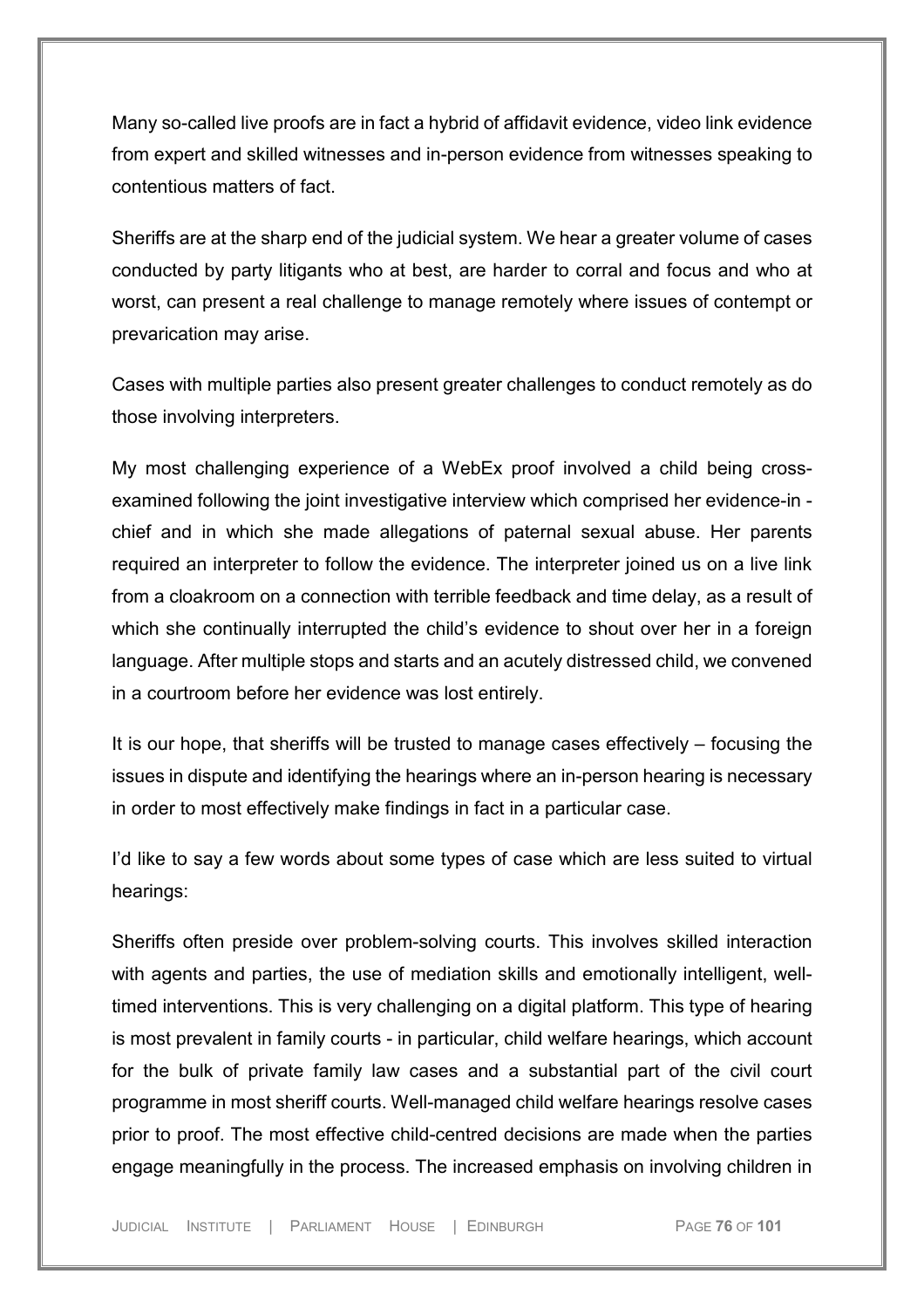Many so-called live proofs are in fact a hybrid of affidavit evidence, video link evidence from expert and skilled witnesses and in-person evidence from witnesses speaking to contentious matters of fact.

Sheriffs are at the sharp end of the judicial system. We hear a greater volume of cases conducted by party litigants who at best, are harder to corral and focus and who at worst, can present a real challenge to manage remotely where issues of contempt or prevarication may arise.

Cases with multiple parties also present greater challenges to conduct remotely as do those involving interpreters.

My most challenging experience of a WebEx proof involved a child being crossexamined following the joint investigative interview which comprised her evidence-in chief and in which she made allegations of paternal sexual abuse. Her parents required an interpreter to follow the evidence. The interpreter joined us on a live link from a cloakroom on a connection with terrible feedback and time delay, as a result of which she continually interrupted the child's evidence to shout over her in a foreign language. After multiple stops and starts and an acutely distressed child, we convened in a courtroom before her evidence was lost entirely.

It is our hope, that sheriffs will be trusted to manage cases effectively – focusing the issues in dispute and identifying the hearings where an in-person hearing is necessary in order to most effectively make findings in fact in a particular case.

I'd like to say a few words about some types of case which are less suited to virtual hearings:

Sheriffs often preside over problem-solving courts. This involves skilled interaction with agents and parties, the use of mediation skills and emotionally intelligent, welltimed interventions. This is very challenging on a digital platform. This type of hearing is most prevalent in family courts - in particular, child welfare hearings, which account for the bulk of private family law cases and a substantial part of the civil court programme in most sheriff courts. Well-managed child welfare hearings resolve cases prior to proof. The most effective child-centred decisions are made when the parties engage meaningfully in the process. The increased emphasis on involving children in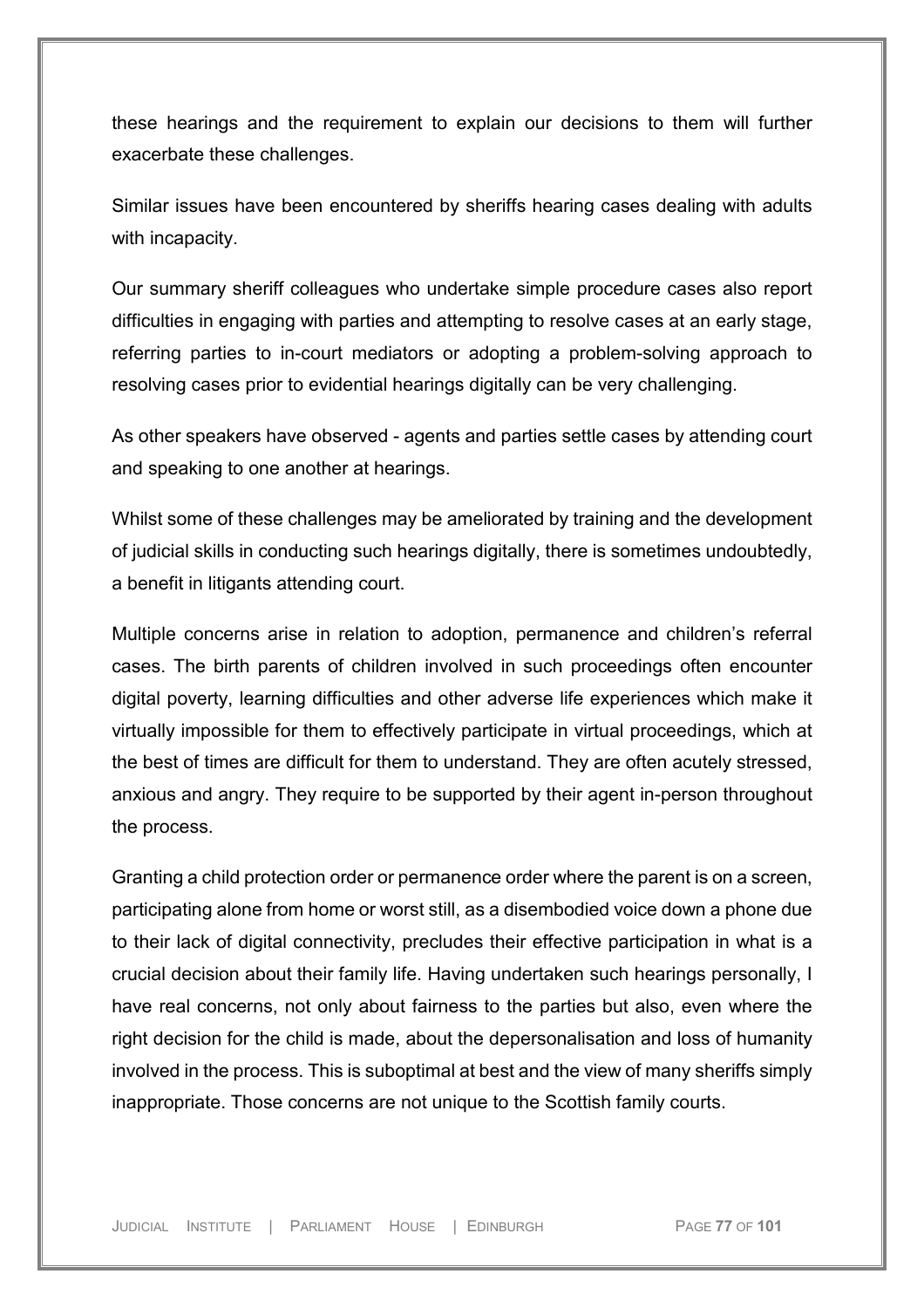these hearings and the requirement to explain our decisions to them will further exacerbate these challenges.

Similar issues have been encountered by sheriffs hearing cases dealing with adults with incapacity.

Our summary sheriff colleagues who undertake simple procedure cases also report difficulties in engaging with parties and attempting to resolve cases at an early stage, referring parties to in-court mediators or adopting a problem-solving approach to resolving cases prior to evidential hearings digitally can be very challenging.

As other speakers have observed - agents and parties settle cases by attending court and speaking to one another at hearings.

Whilst some of these challenges may be ameliorated by training and the development of judicial skills in conducting such hearings digitally, there is sometimes undoubtedly, a benefit in litigants attending court.

Multiple concerns arise in relation to adoption, permanence and children's referral cases. The birth parents of children involved in such proceedings often encounter digital poverty, learning difficulties and other adverse life experiences which make it virtually impossible for them to effectively participate in virtual proceedings, which at the best of times are difficult for them to understand. They are often acutely stressed, anxious and angry. They require to be supported by their agent in-person throughout the process.

Granting a child protection order or permanence order where the parent is on a screen, participating alone from home or worst still, as a disembodied voice down a phone due to their lack of digital connectivity, precludes their effective participation in what is a crucial decision about their family life. Having undertaken such hearings personally, I have real concerns, not only about fairness to the parties but also, even where the right decision for the child is made, about the depersonalisation and loss of humanity involved in the process. This is suboptimal at best and the view of many sheriffs simply inappropriate. Those concerns are not unique to the Scottish family courts.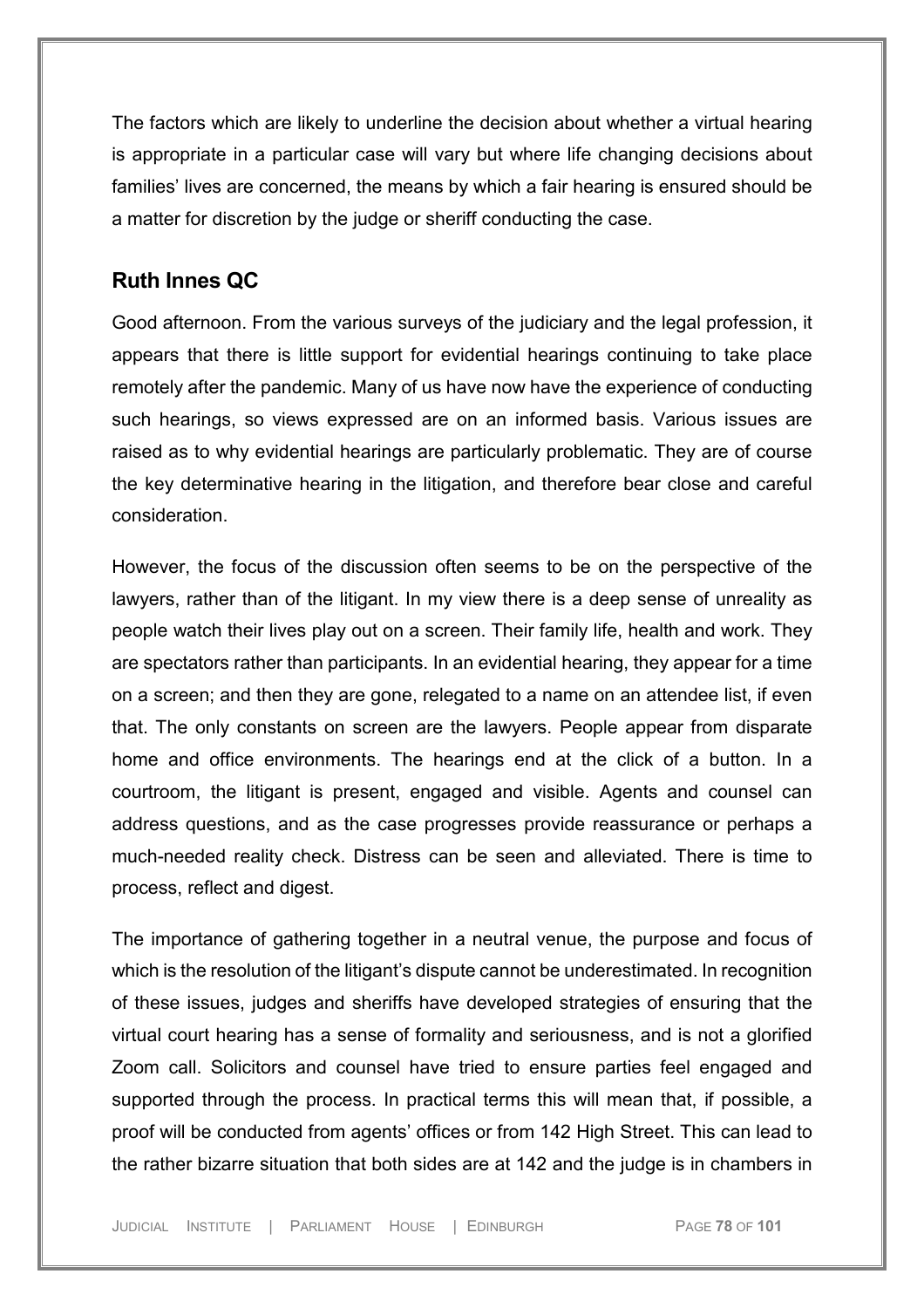The factors which are likely to underline the decision about whether a virtual hearing is appropriate in a particular case will vary but where life changing decisions about families' lives are concerned, the means by which a fair hearing is ensured should be a matter for discretion by the judge or sheriff conducting the case.

# **Ruth Innes QC**

Good afternoon. From the various surveys of the judiciary and the legal profession, it appears that there is little support for evidential hearings continuing to take place remotely after the pandemic. Many of us have now have the experience of conducting such hearings, so views expressed are on an informed basis. Various issues are raised as to why evidential hearings are particularly problematic. They are of course the key determinative hearing in the litigation, and therefore bear close and careful consideration.

However, the focus of the discussion often seems to be on the perspective of the lawyers, rather than of the litigant. In my view there is a deep sense of unreality as people watch their lives play out on a screen. Their family life, health and work. They are spectators rather than participants. In an evidential hearing, they appear for a time on a screen; and then they are gone, relegated to a name on an attendee list, if even that. The only constants on screen are the lawyers. People appear from disparate home and office environments. The hearings end at the click of a button. In a courtroom, the litigant is present, engaged and visible. Agents and counsel can address questions, and as the case progresses provide reassurance or perhaps a much-needed reality check. Distress can be seen and alleviated. There is time to process, reflect and digest.

The importance of gathering together in a neutral venue, the purpose and focus of which is the resolution of the litigant's dispute cannot be underestimated. In recognition of these issues, judges and sheriffs have developed strategies of ensuring that the virtual court hearing has a sense of formality and seriousness, and is not a glorified Zoom call. Solicitors and counsel have tried to ensure parties feel engaged and supported through the process. In practical terms this will mean that, if possible, a proof will be conducted from agents' offices or from 142 High Street. This can lead to the rather bizarre situation that both sides are at 142 and the judge is in chambers in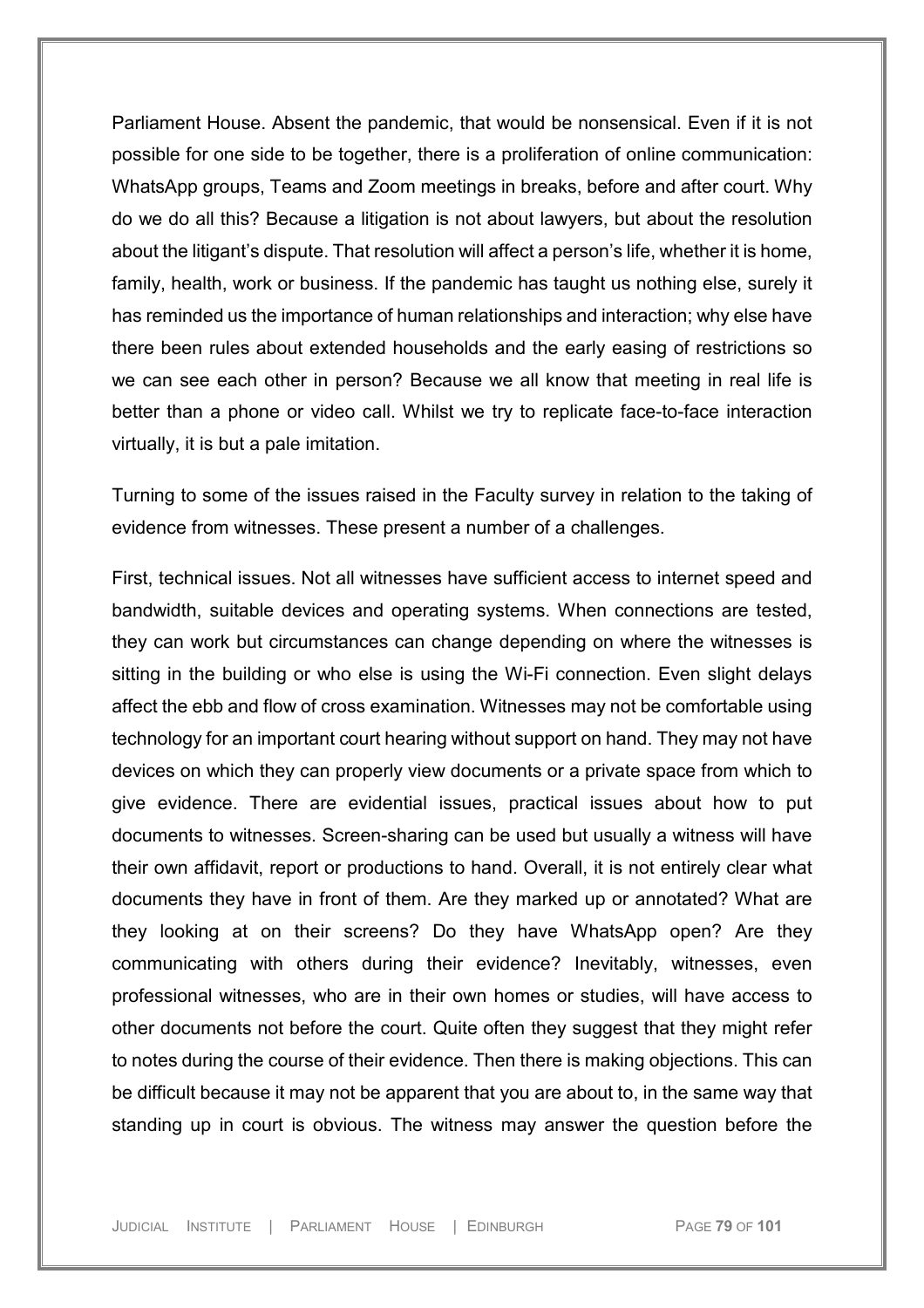Parliament House. Absent the pandemic, that would be nonsensical. Even if it is not possible for one side to be together, there is a proliferation of online communication: WhatsApp groups, Teams and Zoom meetings in breaks, before and after court. Why do we do all this? Because a litigation is not about lawyers, but about the resolution about the litigant's dispute. That resolution will affect a person's life, whether it is home, family, health, work or business. If the pandemic has taught us nothing else, surely it has reminded us the importance of human relationships and interaction; why else have there been rules about extended households and the early easing of restrictions so we can see each other in person? Because we all know that meeting in real life is better than a phone or video call. Whilst we try to replicate face-to-face interaction virtually, it is but a pale imitation.

Turning to some of the issues raised in the Faculty survey in relation to the taking of evidence from witnesses. These present a number of a challenges.

First, technical issues. Not all witnesses have sufficient access to internet speed and bandwidth, suitable devices and operating systems. When connections are tested, they can work but circumstances can change depending on where the witnesses is sitting in the building or who else is using the Wi-Fi connection. Even slight delays affect the ebb and flow of cross examination. Witnesses may not be comfortable using technology for an important court hearing without support on hand. They may not have devices on which they can properly view documents or a private space from which to give evidence. There are evidential issues, practical issues about how to put documents to witnesses. Screen-sharing can be used but usually a witness will have their own affidavit, report or productions to hand. Overall, it is not entirely clear what documents they have in front of them. Are they marked up or annotated? What are they looking at on their screens? Do they have WhatsApp open? Are they communicating with others during their evidence? Inevitably, witnesses, even professional witnesses, who are in their own homes or studies, will have access to other documents not before the court. Quite often they suggest that they might refer to notes during the course of their evidence. Then there is making objections. This can be difficult because it may not be apparent that you are about to, in the same way that standing up in court is obvious. The witness may answer the question before the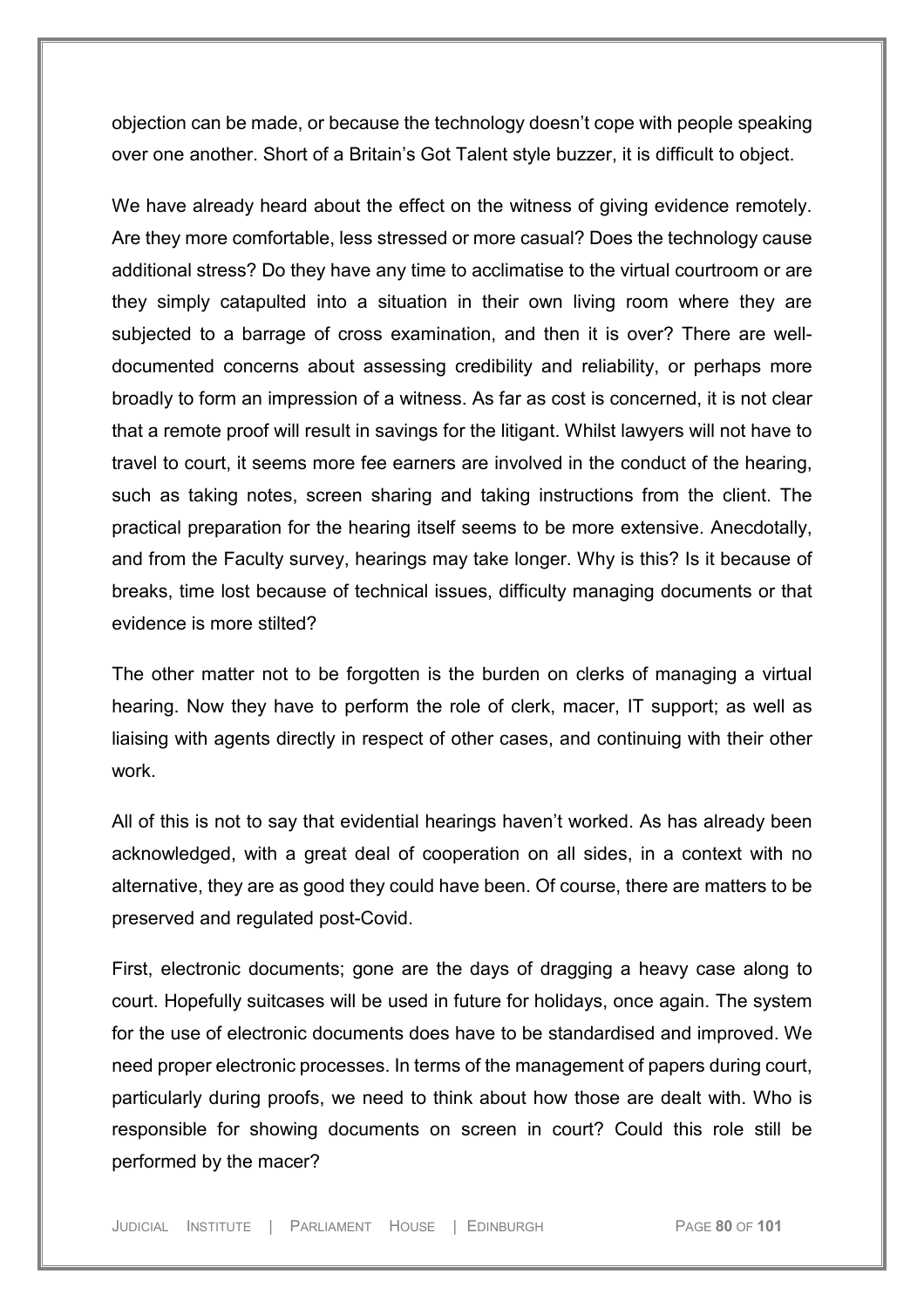objection can be made, or because the technology doesn't cope with people speaking over one another. Short of a Britain's Got Talent style buzzer, it is difficult to object.

We have already heard about the effect on the witness of giving evidence remotely. Are they more comfortable, less stressed or more casual? Does the technology cause additional stress? Do they have any time to acclimatise to the virtual courtroom or are they simply catapulted into a situation in their own living room where they are subjected to a barrage of cross examination, and then it is over? There are welldocumented concerns about assessing credibility and reliability, or perhaps more broadly to form an impression of a witness. As far as cost is concerned, it is not clear that a remote proof will result in savings for the litigant. Whilst lawyers will not have to travel to court, it seems more fee earners are involved in the conduct of the hearing, such as taking notes, screen sharing and taking instructions from the client. The practical preparation for the hearing itself seems to be more extensive. Anecdotally, and from the Faculty survey, hearings may take longer. Why is this? Is it because of breaks, time lost because of technical issues, difficulty managing documents or that evidence is more stilted?

The other matter not to be forgotten is the burden on clerks of managing a virtual hearing. Now they have to perform the role of clerk, macer, IT support; as well as liaising with agents directly in respect of other cases, and continuing with their other work.

All of this is not to say that evidential hearings haven't worked. As has already been acknowledged, with a great deal of cooperation on all sides, in a context with no alternative, they are as good they could have been. Of course, there are matters to be preserved and regulated post-Covid.

First, electronic documents; gone are the days of dragging a heavy case along to court. Hopefully suitcases will be used in future for holidays, once again. The system for the use of electronic documents does have to be standardised and improved. We need proper electronic processes. In terms of the management of papers during court, particularly during proofs, we need to think about how those are dealt with. Who is responsible for showing documents on screen in court? Could this role still be performed by the macer?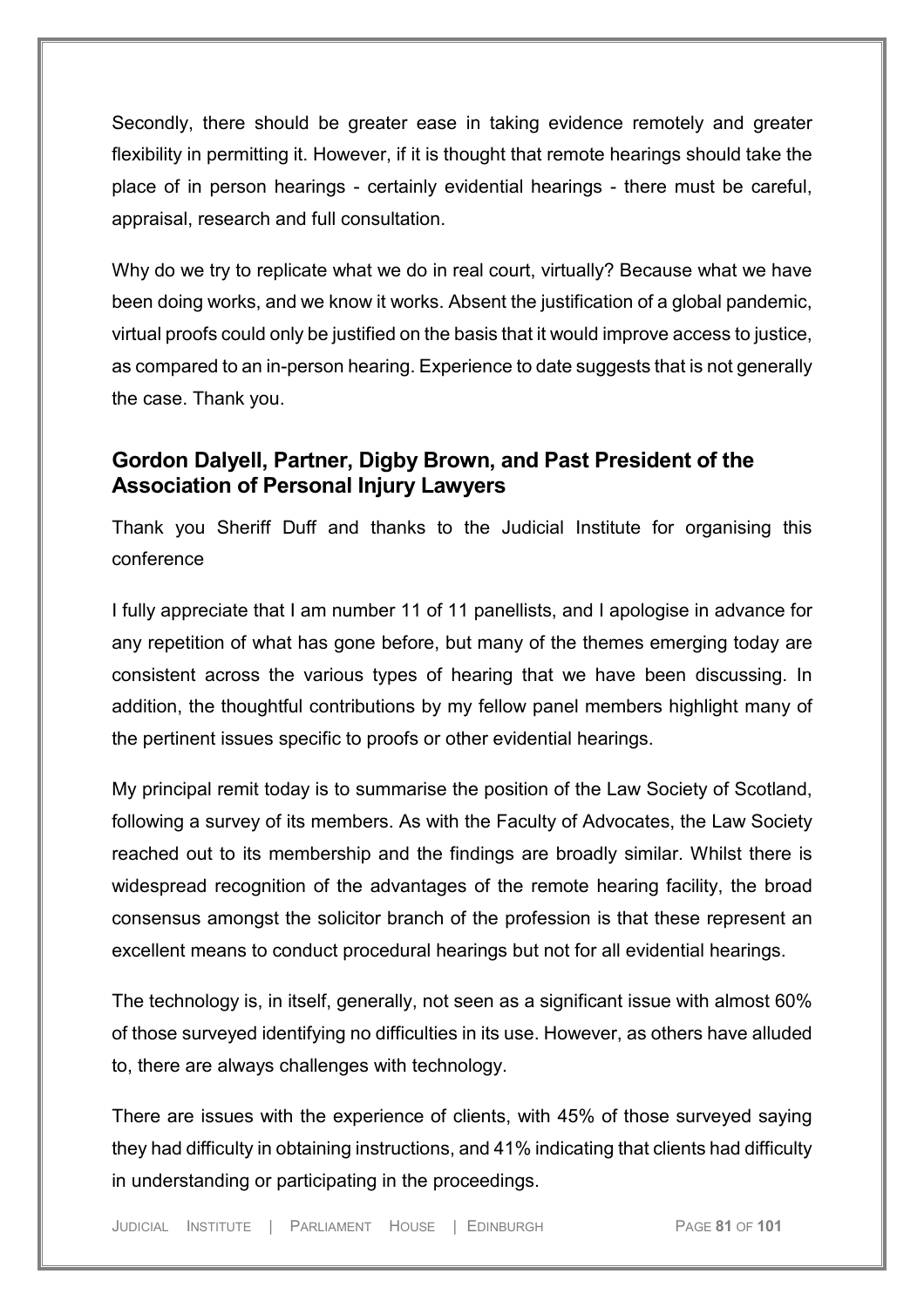Secondly, there should be greater ease in taking evidence remotely and greater flexibility in permitting it. However, if it is thought that remote hearings should take the place of in person hearings - certainly evidential hearings - there must be careful, appraisal, research and full consultation.

Why do we try to replicate what we do in real court, virtually? Because what we have been doing works, and we know it works. Absent the justification of a global pandemic, virtual proofs could only be justified on the basis that it would improve access to justice, as compared to an in-person hearing. Experience to date suggests that is not generally the case. Thank you.

## **Gordon Dalyell, Partner, Digby Brown, and Past President of the Association of Personal Injury Lawyers**

Thank you Sheriff Duff and thanks to the Judicial Institute for organising this conference

I fully appreciate that I am number 11 of 11 panellists, and I apologise in advance for any repetition of what has gone before, but many of the themes emerging today are consistent across the various types of hearing that we have been discussing. In addition, the thoughtful contributions by my fellow panel members highlight many of the pertinent issues specific to proofs or other evidential hearings.

My principal remit today is to summarise the position of the Law Society of Scotland, following a survey of its members. As with the Faculty of Advocates, the Law Society reached out to its membership and the findings are broadly similar. Whilst there is widespread recognition of the advantages of the remote hearing facility, the broad consensus amongst the solicitor branch of the profession is that these represent an excellent means to conduct procedural hearings but not for all evidential hearings.

The technology is, in itself, generally, not seen as a significant issue with almost 60% of those surveyed identifying no difficulties in its use. However, as others have alluded to, there are always challenges with technology.

There are issues with the experience of clients, with 45% of those surveyed saying they had difficulty in obtaining instructions, and 41% indicating that clients had difficulty in understanding or participating in the proceedings.

JUDICIAL INSTITUTE | PARLIAMENT HOUSE | EDINBURGH PAGE **81** OF **101**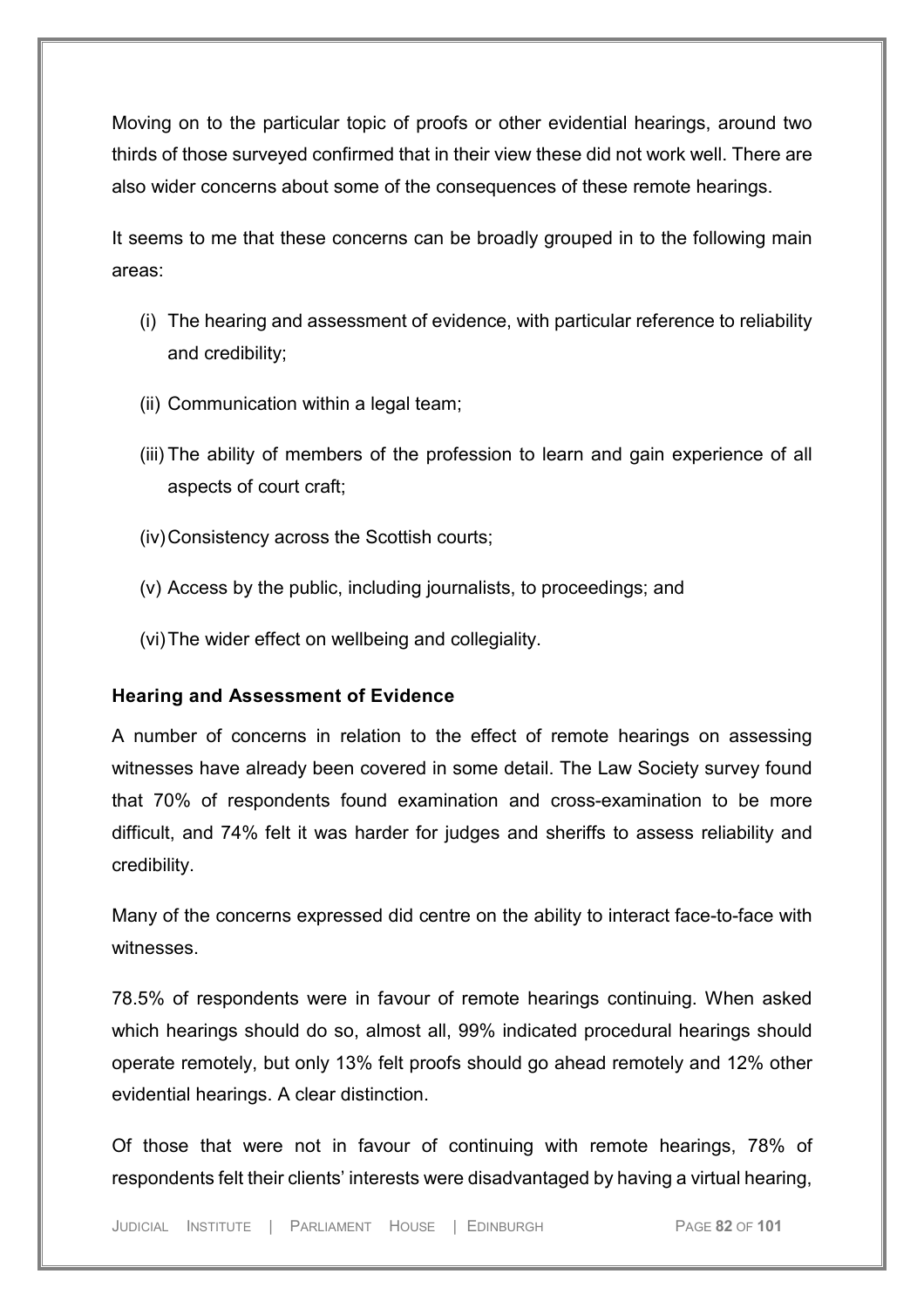Moving on to the particular topic of proofs or other evidential hearings, around two thirds of those surveyed confirmed that in their view these did not work well. There are also wider concerns about some of the consequences of these remote hearings.

It seems to me that these concerns can be broadly grouped in to the following main areas:

- (i) The hearing and assessment of evidence, with particular reference to reliability and credibility;
- (ii) Communication within a legal team;
- (iii) The ability of members of the profession to learn and gain experience of all aspects of court craft;
- (iv)Consistency across the Scottish courts;
- (v) Access by the public, including journalists, to proceedings; and
- (vi)The wider effect on wellbeing and collegiality.

#### **Hearing and Assessment of Evidence**

A number of concerns in relation to the effect of remote hearings on assessing witnesses have already been covered in some detail. The Law Society survey found that 70% of respondents found examination and cross-examination to be more difficult, and 74% felt it was harder for judges and sheriffs to assess reliability and credibility.

Many of the concerns expressed did centre on the ability to interact face-to-face with witnesses.

78.5% of respondents were in favour of remote hearings continuing. When asked which hearings should do so, almost all, 99% indicated procedural hearings should operate remotely, but only 13% felt proofs should go ahead remotely and 12% other evidential hearings. A clear distinction.

Of those that were not in favour of continuing with remote hearings, 78% of respondents felt their clients' interests were disadvantaged by having a virtual hearing,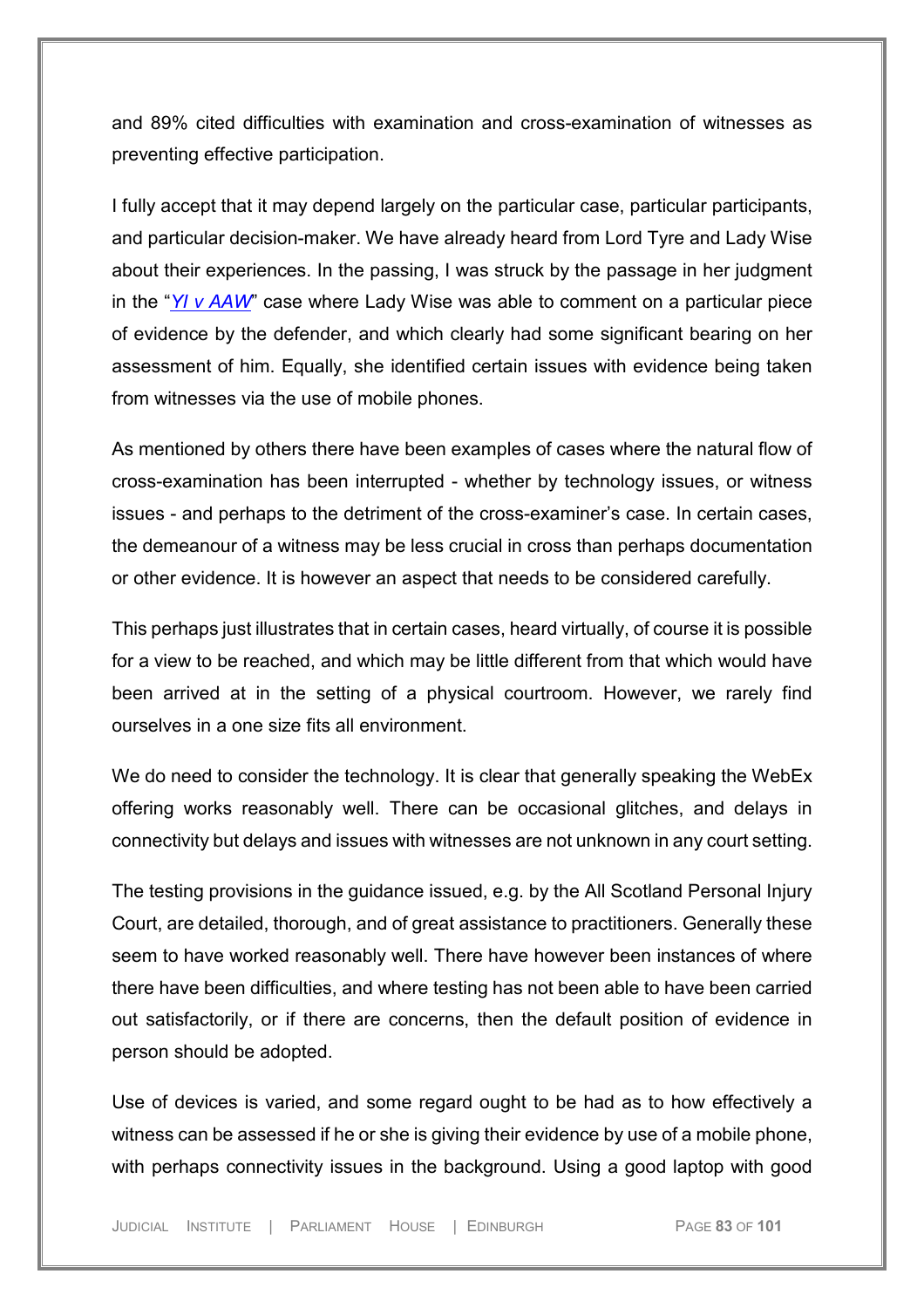and 89% cited difficulties with examination and cross-examination of witnesses as preventing effective participation.

I fully accept that it may depend largely on the particular case, particular participants, and particular decision-maker. We have already heard from Lord Tyre and Lady Wise about their experiences. In the passing, I was struck by the passage in her judgment in the "*[YI v AAW](https://uk.westlaw.com/Document/IBC7ADBF00F0A11EB9409A61C8FB1CB9F/View/FullText.html?navigationPath=Search%2Fv1%2Fresults%2Fnavigation%2Fi0ad73aa500000179f5f239452a841c0e%3Fppcid%3Dc47942c56f7a43ffadbf07ed2fc155c4%26Nav%3DUK-CASES%26fragmentIdentifier%3DIBC7ADBF00F0A11EB9409A61C8FB1CB9F%26parentRank%3D0%26startIndex%3D1%26contextData%3D%2528sc.Search%2529%26transitionType%3DSearchItem&listSource=Search&listPageSource=315bbe3604be7eec85411e4b6655e842&list=UK-CASES&rank=1&sessionScopeId=25f9c183e71d666fca74bc9f02df1a42e8e82f887a5c5a39678ccea66189ac64&ppcid=c47942c56f7a43ffadbf07ed2fc155c4&originationContext=Search%20Result&transitionType=SearchItem&contextData=(sc.Search)&comp=wlukgroupid=linets)*" case where Lady Wise was able to comment on a particular piece of evidence by the defender, and which clearly had some significant bearing on her assessment of him. Equally, she identified certain issues with evidence being taken from witnesses via the use of mobile phones.

As mentioned by others there have been examples of cases where the natural flow of cross-examination has been interrupted - whether by technology issues, or witness issues - and perhaps to the detriment of the cross-examiner's case. In certain cases, the demeanour of a witness may be less crucial in cross than perhaps documentation or other evidence. It is however an aspect that needs to be considered carefully.

This perhaps just illustrates that in certain cases, heard virtually, of course it is possible for a view to be reached, and which may be little different from that which would have been arrived at in the setting of a physical courtroom. However, we rarely find ourselves in a one size fits all environment.

We do need to consider the technology. It is clear that generally speaking the WebEx offering works reasonably well. There can be occasional glitches, and delays in connectivity but delays and issues with witnesses are not unknown in any court setting.

The testing provisions in the guidance issued, e.g. by the All Scotland Personal Injury Court, are detailed, thorough, and of great assistance to practitioners. Generally these seem to have worked reasonably well. There have however been instances of where there have been difficulties, and where testing has not been able to have been carried out satisfactorily, or if there are concerns, then the default position of evidence in person should be adopted.

Use of devices is varied, and some regard ought to be had as to how effectively a witness can be assessed if he or she is giving their evidence by use of a mobile phone, with perhaps connectivity issues in the background. Using a good laptop with good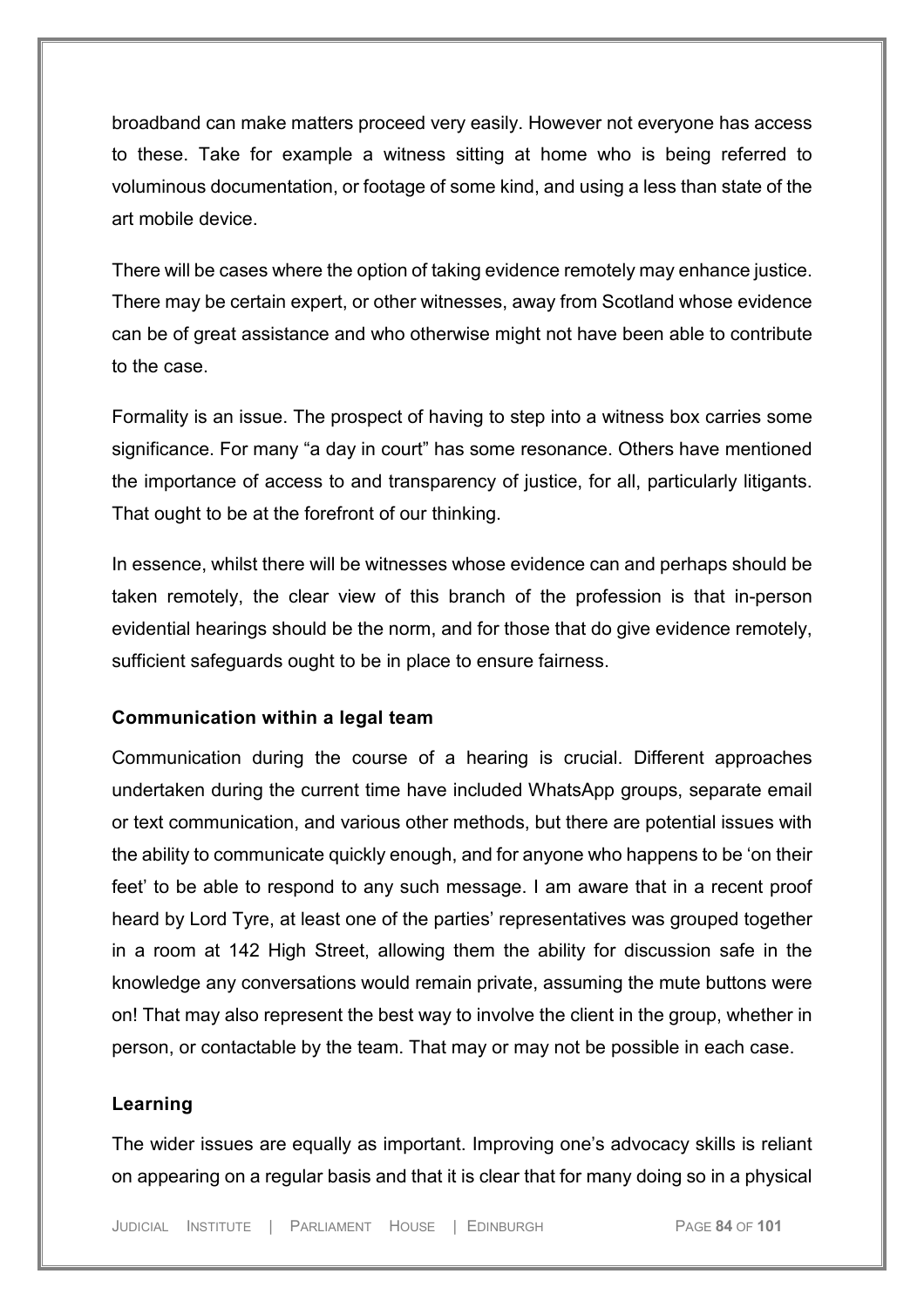broadband can make matters proceed very easily. However not everyone has access to these. Take for example a witness sitting at home who is being referred to voluminous documentation, or footage of some kind, and using a less than state of the art mobile device.

There will be cases where the option of taking evidence remotely may enhance justice. There may be certain expert, or other witnesses, away from Scotland whose evidence can be of great assistance and who otherwise might not have been able to contribute to the case.

Formality is an issue. The prospect of having to step into a witness box carries some significance. For many "a day in court" has some resonance. Others have mentioned the importance of access to and transparency of justice, for all, particularly litigants. That ought to be at the forefront of our thinking.

In essence, whilst there will be witnesses whose evidence can and perhaps should be taken remotely, the clear view of this branch of the profession is that in-person evidential hearings should be the norm, and for those that do give evidence remotely, sufficient safeguards ought to be in place to ensure fairness.

#### **Communication within a legal team**

Communication during the course of a hearing is crucial. Different approaches undertaken during the current time have included WhatsApp groups, separate email or text communication, and various other methods, but there are potential issues with the ability to communicate quickly enough, and for anyone who happens to be 'on their feet' to be able to respond to any such message. I am aware that in a recent proof heard by Lord Tyre, at least one of the parties' representatives was grouped together in a room at 142 High Street, allowing them the ability for discussion safe in the knowledge any conversations would remain private, assuming the mute buttons were on! That may also represent the best way to involve the client in the group, whether in person, or contactable by the team. That may or may not be possible in each case.

#### **Learning**

The wider issues are equally as important. Improving one's advocacy skills is reliant on appearing on a regular basis and that it is clear that for many doing so in a physical

JUDICIAL INSTITUTE | PARLIAMENT HOUSE | EDINBURGH PAGE **84** OF **101**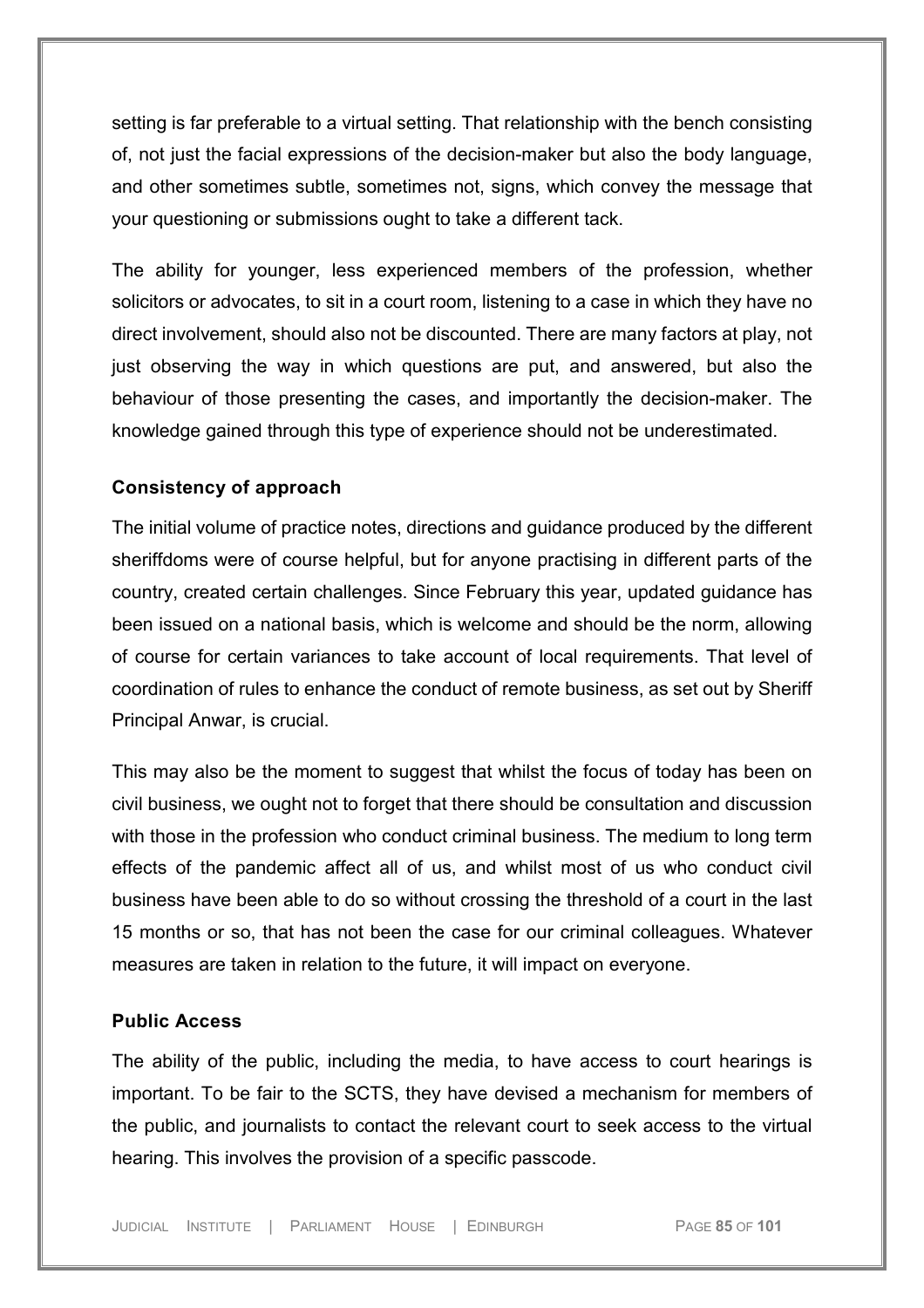setting is far preferable to a virtual setting. That relationship with the bench consisting of, not just the facial expressions of the decision-maker but also the body language, and other sometimes subtle, sometimes not, signs, which convey the message that your questioning or submissions ought to take a different tack.

The ability for younger, less experienced members of the profession, whether solicitors or advocates, to sit in a court room, listening to a case in which they have no direct involvement, should also not be discounted. There are many factors at play, not just observing the way in which questions are put, and answered, but also the behaviour of those presenting the cases, and importantly the decision-maker. The knowledge gained through this type of experience should not be underestimated.

#### **Consistency of approach**

The initial volume of practice notes, directions and guidance produced by the different sheriffdoms were of course helpful, but for anyone practising in different parts of the country, created certain challenges. Since February this year, updated guidance has been issued on a national basis, which is welcome and should be the norm, allowing of course for certain variances to take account of local requirements. That level of coordination of rules to enhance the conduct of remote business, as set out by Sheriff Principal Anwar, is crucial.

This may also be the moment to suggest that whilst the focus of today has been on civil business, we ought not to forget that there should be consultation and discussion with those in the profession who conduct criminal business. The medium to long term effects of the pandemic affect all of us, and whilst most of us who conduct civil business have been able to do so without crossing the threshold of a court in the last 15 months or so, that has not been the case for our criminal colleagues. Whatever measures are taken in relation to the future, it will impact on everyone.

#### **Public Access**

The ability of the public, including the media, to have access to court hearings is important. To be fair to the SCTS, they have devised a mechanism for members of the public, and journalists to contact the relevant court to seek access to the virtual hearing. This involves the provision of a specific passcode.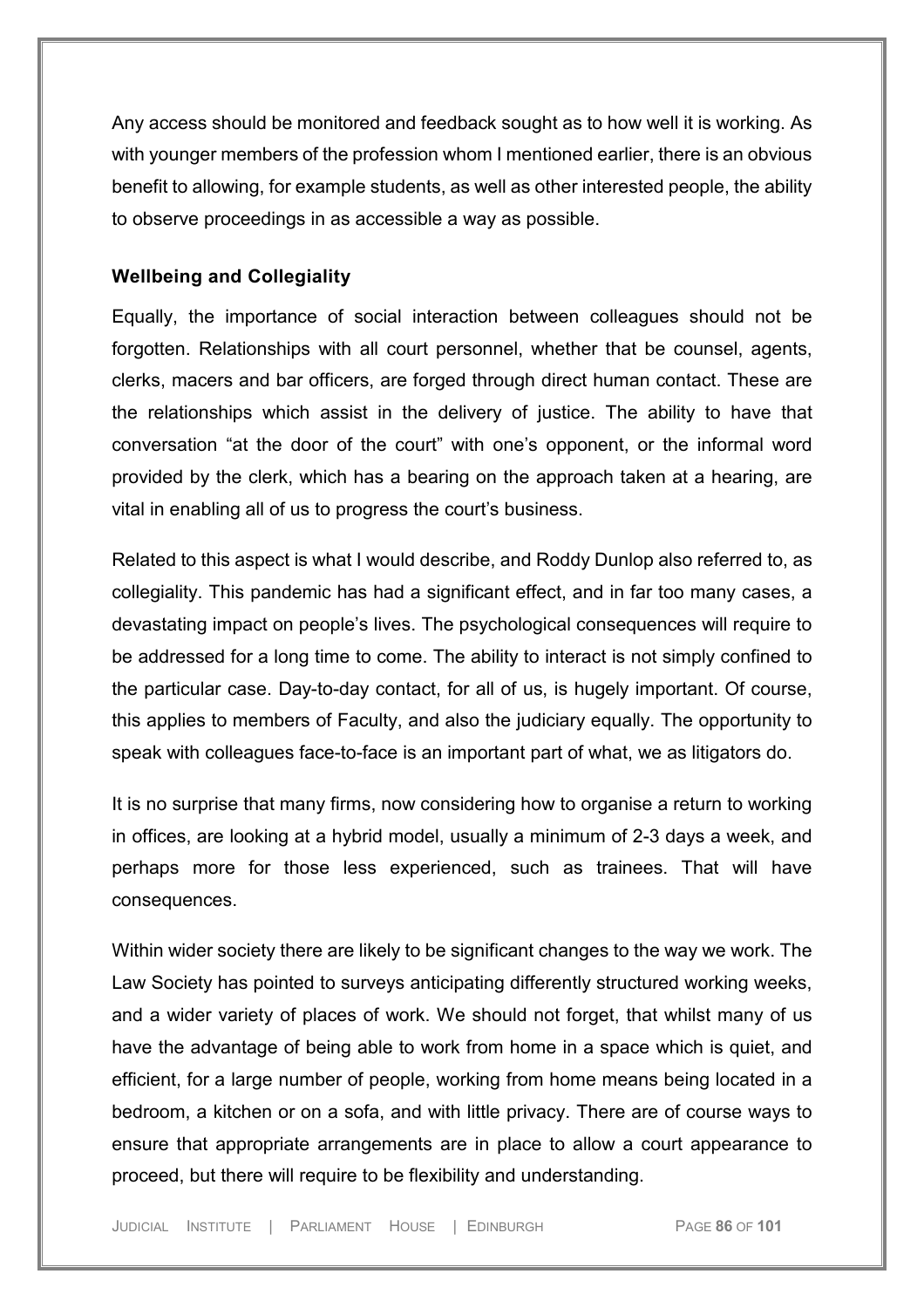Any access should be monitored and feedback sought as to how well it is working. As with younger members of the profession whom I mentioned earlier, there is an obvious benefit to allowing, for example students, as well as other interested people, the ability to observe proceedings in as accessible a way as possible.

#### **Wellbeing and Collegiality**

Equally, the importance of social interaction between colleagues should not be forgotten. Relationships with all court personnel, whether that be counsel, agents, clerks, macers and bar officers, are forged through direct human contact. These are the relationships which assist in the delivery of justice. The ability to have that conversation "at the door of the court" with one's opponent, or the informal word provided by the clerk, which has a bearing on the approach taken at a hearing, are vital in enabling all of us to progress the court's business.

Related to this aspect is what I would describe, and Roddy Dunlop also referred to, as collegiality. This pandemic has had a significant effect, and in far too many cases, a devastating impact on people's lives. The psychological consequences will require to be addressed for a long time to come. The ability to interact is not simply confined to the particular case. Day-to-day contact, for all of us, is hugely important. Of course, this applies to members of Faculty, and also the judiciary equally. The opportunity to speak with colleagues face-to-face is an important part of what, we as litigators do.

It is no surprise that many firms, now considering how to organise a return to working in offices, are looking at a hybrid model, usually a minimum of 2-3 days a week, and perhaps more for those less experienced, such as trainees. That will have consequences.

Within wider society there are likely to be significant changes to the way we work. The Law Society has pointed to surveys anticipating differently structured working weeks, and a wider variety of places of work. We should not forget, that whilst many of us have the advantage of being able to work from home in a space which is quiet, and efficient, for a large number of people, working from home means being located in a bedroom, a kitchen or on a sofa, and with little privacy. There are of course ways to ensure that appropriate arrangements are in place to allow a court appearance to proceed, but there will require to be flexibility and understanding.

JUDICIAL INSTITUTE | PARLIAMENT HOUSE | EDINBURGH PAGE **86** OF **101**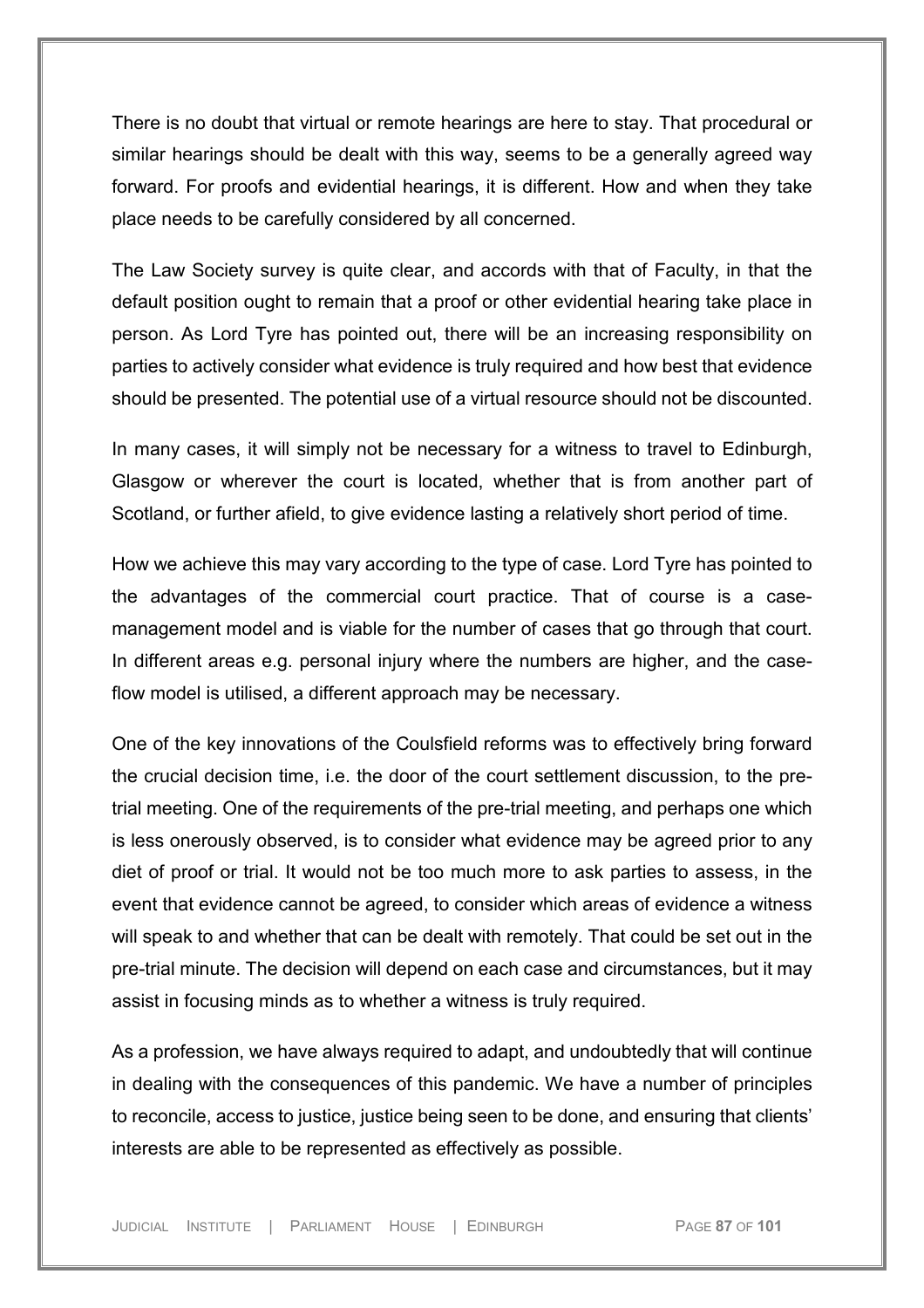There is no doubt that virtual or remote hearings are here to stay. That procedural or similar hearings should be dealt with this way, seems to be a generally agreed way forward. For proofs and evidential hearings, it is different. How and when they take place needs to be carefully considered by all concerned.

The Law Society survey is quite clear, and accords with that of Faculty, in that the default position ought to remain that a proof or other evidential hearing take place in person. As Lord Tyre has pointed out, there will be an increasing responsibility on parties to actively consider what evidence is truly required and how best that evidence should be presented. The potential use of a virtual resource should not be discounted.

In many cases, it will simply not be necessary for a witness to travel to Edinburgh, Glasgow or wherever the court is located, whether that is from another part of Scotland, or further afield, to give evidence lasting a relatively short period of time.

How we achieve this may vary according to the type of case. Lord Tyre has pointed to the advantages of the commercial court practice. That of course is a casemanagement model and is viable for the number of cases that go through that court. In different areas e.g. personal injury where the numbers are higher, and the caseflow model is utilised, a different approach may be necessary.

One of the key innovations of the Coulsfield reforms was to effectively bring forward the crucial decision time, i.e. the door of the court settlement discussion, to the pretrial meeting. One of the requirements of the pre-trial meeting, and perhaps one which is less onerously observed, is to consider what evidence may be agreed prior to any diet of proof or trial. It would not be too much more to ask parties to assess, in the event that evidence cannot be agreed, to consider which areas of evidence a witness will speak to and whether that can be dealt with remotely. That could be set out in the pre-trial minute. The decision will depend on each case and circumstances, but it may assist in focusing minds as to whether a witness is truly required.

As a profession, we have always required to adapt, and undoubtedly that will continue in dealing with the consequences of this pandemic. We have a number of principles to reconcile, access to justice, justice being seen to be done, and ensuring that clients' interests are able to be represented as effectively as possible.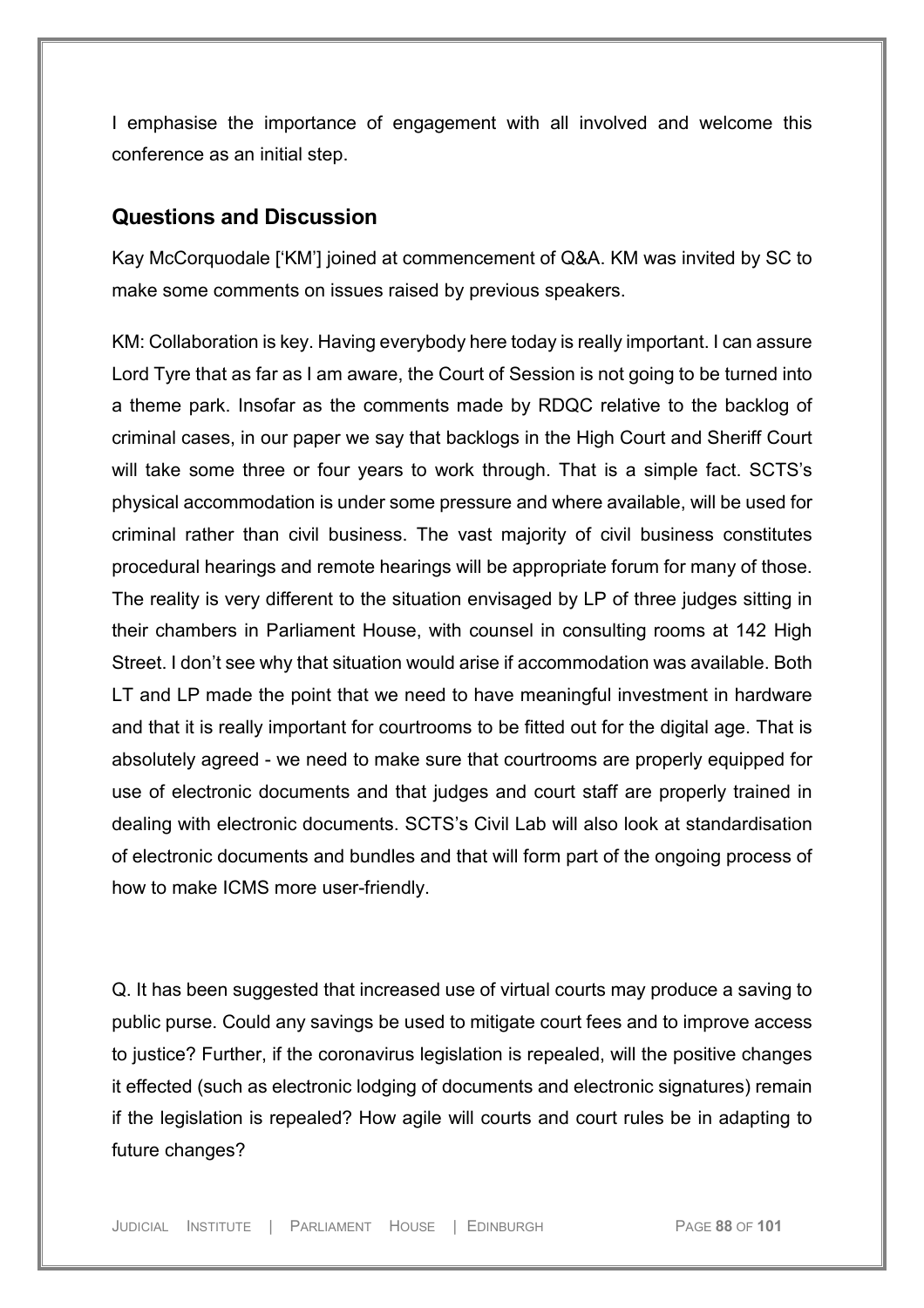I emphasise the importance of engagement with all involved and welcome this conference as an initial step.

### **Questions and Discussion**

Kay McCorquodale ['KM'] joined at commencement of Q&A. KM was invited by SC to make some comments on issues raised by previous speakers.

KM: Collaboration is key. Having everybody here today is really important. I can assure Lord Tyre that as far as I am aware, the Court of Session is not going to be turned into a theme park. Insofar as the comments made by RDQC relative to the backlog of criminal cases, in our paper we say that backlogs in the High Court and Sheriff Court will take some three or four years to work through. That is a simple fact. SCTS's physical accommodation is under some pressure and where available, will be used for criminal rather than civil business. The vast majority of civil business constitutes procedural hearings and remote hearings will be appropriate forum for many of those. The reality is very different to the situation envisaged by LP of three judges sitting in their chambers in Parliament House, with counsel in consulting rooms at 142 High Street. I don't see why that situation would arise if accommodation was available. Both LT and LP made the point that we need to have meaningful investment in hardware and that it is really important for courtrooms to be fitted out for the digital age. That is absolutely agreed - we need to make sure that courtrooms are properly equipped for use of electronic documents and that judges and court staff are properly trained in dealing with electronic documents. SCTS's Civil Lab will also look at standardisation of electronic documents and bundles and that will form part of the ongoing process of how to make ICMS more user-friendly.

Q. It has been suggested that increased use of virtual courts may produce a saving to public purse. Could any savings be used to mitigate court fees and to improve access to justice? Further, if the coronavirus legislation is repealed, will the positive changes it effected (such as electronic lodging of documents and electronic signatures) remain if the legislation is repealed? How agile will courts and court rules be in adapting to future changes?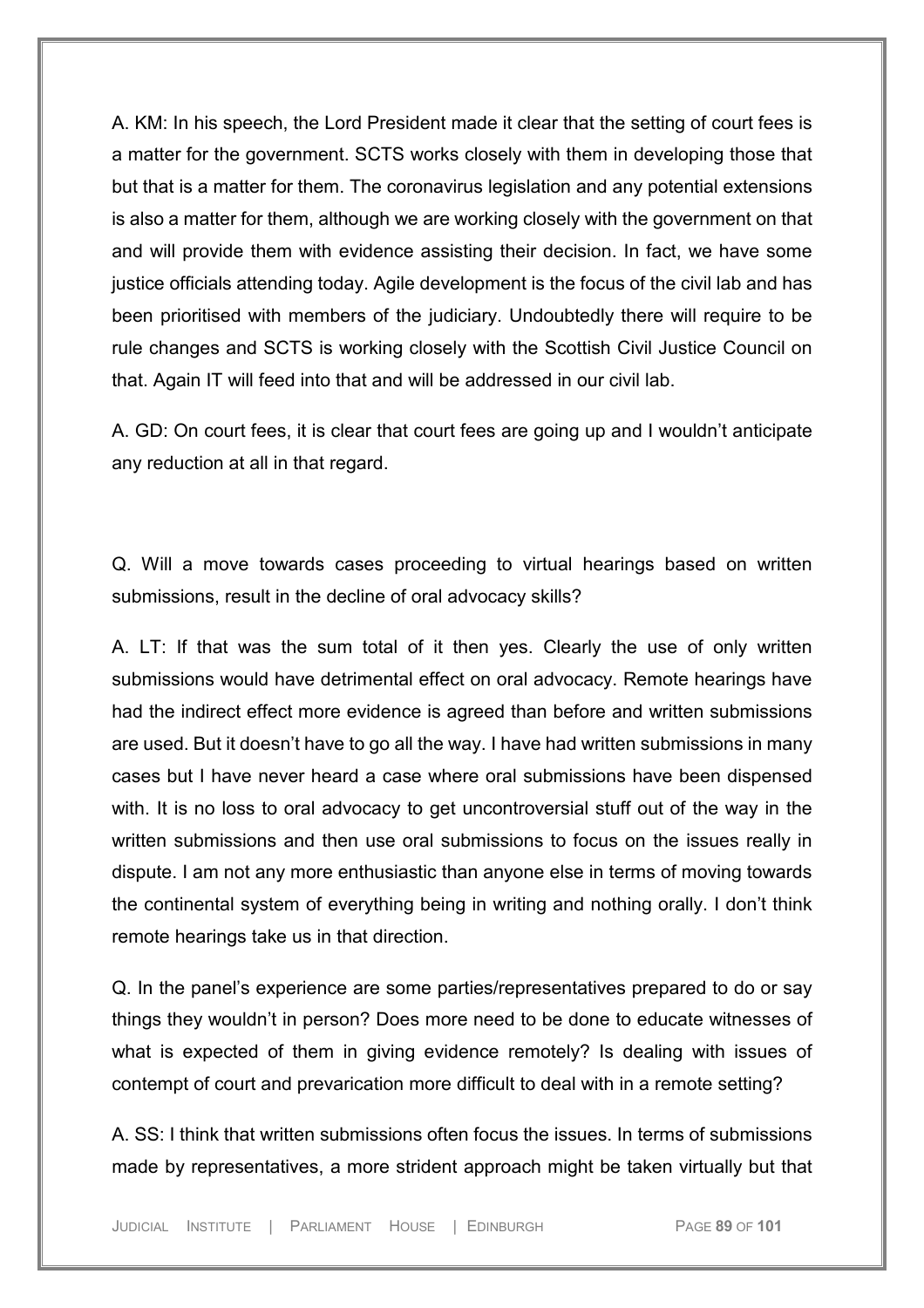A. KM: In his speech, the Lord President made it clear that the setting of court fees is a matter for the government. SCTS works closely with them in developing those that but that is a matter for them. The coronavirus legislation and any potential extensions is also a matter for them, although we are working closely with the government on that and will provide them with evidence assisting their decision. In fact, we have some justice officials attending today. Agile development is the focus of the civil lab and has been prioritised with members of the judiciary. Undoubtedly there will require to be rule changes and SCTS is working closely with the Scottish Civil Justice Council on that. Again IT will feed into that and will be addressed in our civil lab.

A. GD: On court fees, it is clear that court fees are going up and I wouldn't anticipate any reduction at all in that regard.

Q. Will a move towards cases proceeding to virtual hearings based on written submissions, result in the decline of oral advocacy skills?

A. LT: If that was the sum total of it then yes. Clearly the use of only written submissions would have detrimental effect on oral advocacy. Remote hearings have had the indirect effect more evidence is agreed than before and written submissions are used. But it doesn't have to go all the way. I have had written submissions in many cases but I have never heard a case where oral submissions have been dispensed with. It is no loss to oral advocacy to get uncontroversial stuff out of the way in the written submissions and then use oral submissions to focus on the issues really in dispute. I am not any more enthusiastic than anyone else in terms of moving towards the continental system of everything being in writing and nothing orally. I don't think remote hearings take us in that direction.

Q. In the panel's experience are some parties/representatives prepared to do or say things they wouldn't in person? Does more need to be done to educate witnesses of what is expected of them in giving evidence remotely? Is dealing with issues of contempt of court and prevarication more difficult to deal with in a remote setting?

A. SS: I think that written submissions often focus the issues. In terms of submissions made by representatives, a more strident approach might be taken virtually but that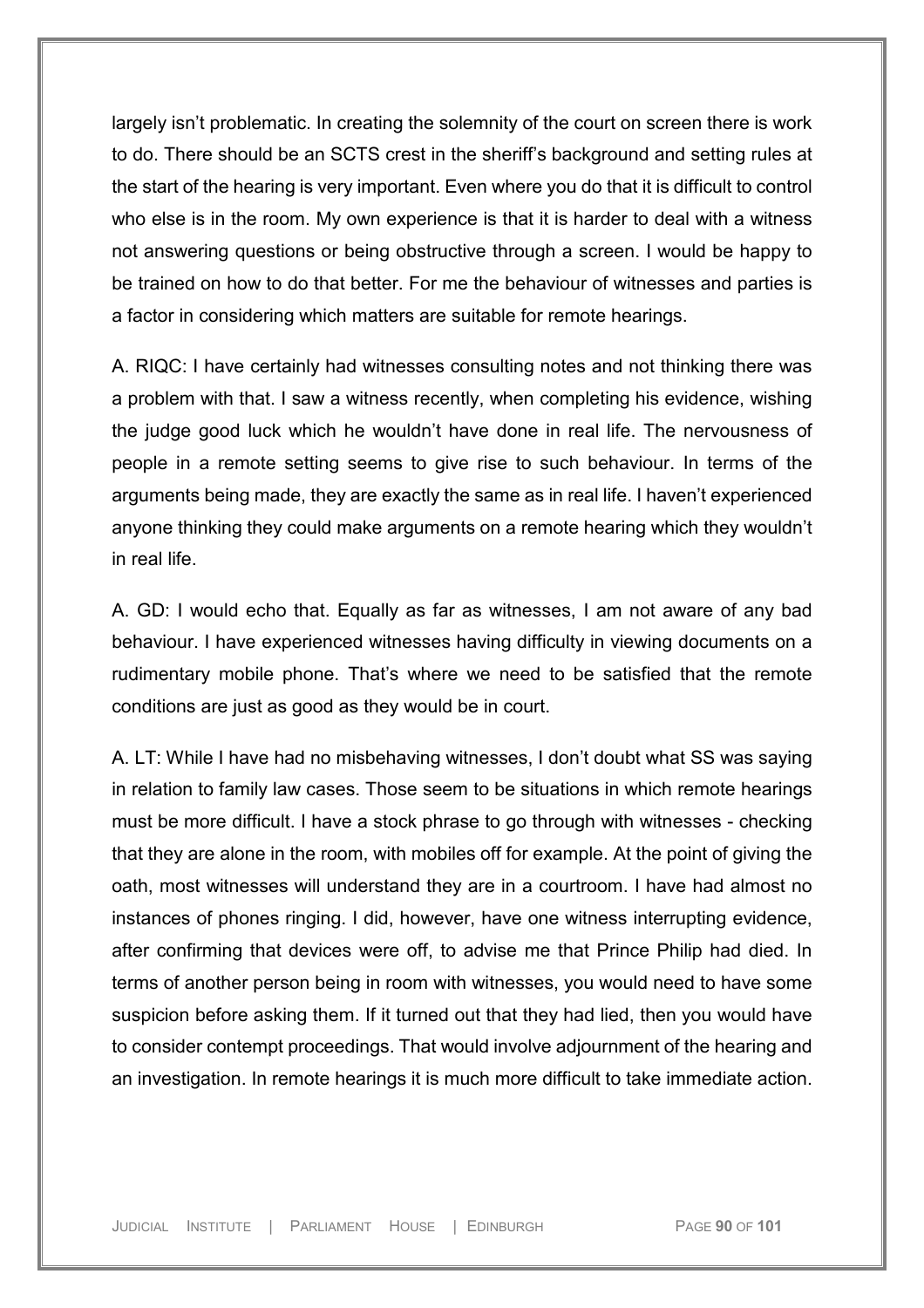largely isn't problematic. In creating the solemnity of the court on screen there is work to do. There should be an SCTS crest in the sheriff's background and setting rules at the start of the hearing is very important. Even where you do that it is difficult to control who else is in the room. My own experience is that it is harder to deal with a witness not answering questions or being obstructive through a screen. I would be happy to be trained on how to do that better. For me the behaviour of witnesses and parties is a factor in considering which matters are suitable for remote hearings.

A. RIQC: I have certainly had witnesses consulting notes and not thinking there was a problem with that. I saw a witness recently, when completing his evidence, wishing the judge good luck which he wouldn't have done in real life. The nervousness of people in a remote setting seems to give rise to such behaviour. In terms of the arguments being made, they are exactly the same as in real life. I haven't experienced anyone thinking they could make arguments on a remote hearing which they wouldn't in real life.

A. GD: I would echo that. Equally as far as witnesses, I am not aware of any bad behaviour. I have experienced witnesses having difficulty in viewing documents on a rudimentary mobile phone. That's where we need to be satisfied that the remote conditions are just as good as they would be in court.

A. LT: While I have had no misbehaving witnesses, I don't doubt what SS was saying in relation to family law cases. Those seem to be situations in which remote hearings must be more difficult. I have a stock phrase to go through with witnesses - checking that they are alone in the room, with mobiles off for example. At the point of giving the oath, most witnesses will understand they are in a courtroom. I have had almost no instances of phones ringing. I did, however, have one witness interrupting evidence, after confirming that devices were off, to advise me that Prince Philip had died. In terms of another person being in room with witnesses, you would need to have some suspicion before asking them. If it turned out that they had lied, then you would have to consider contempt proceedings. That would involve adjournment of the hearing and an investigation. In remote hearings it is much more difficult to take immediate action.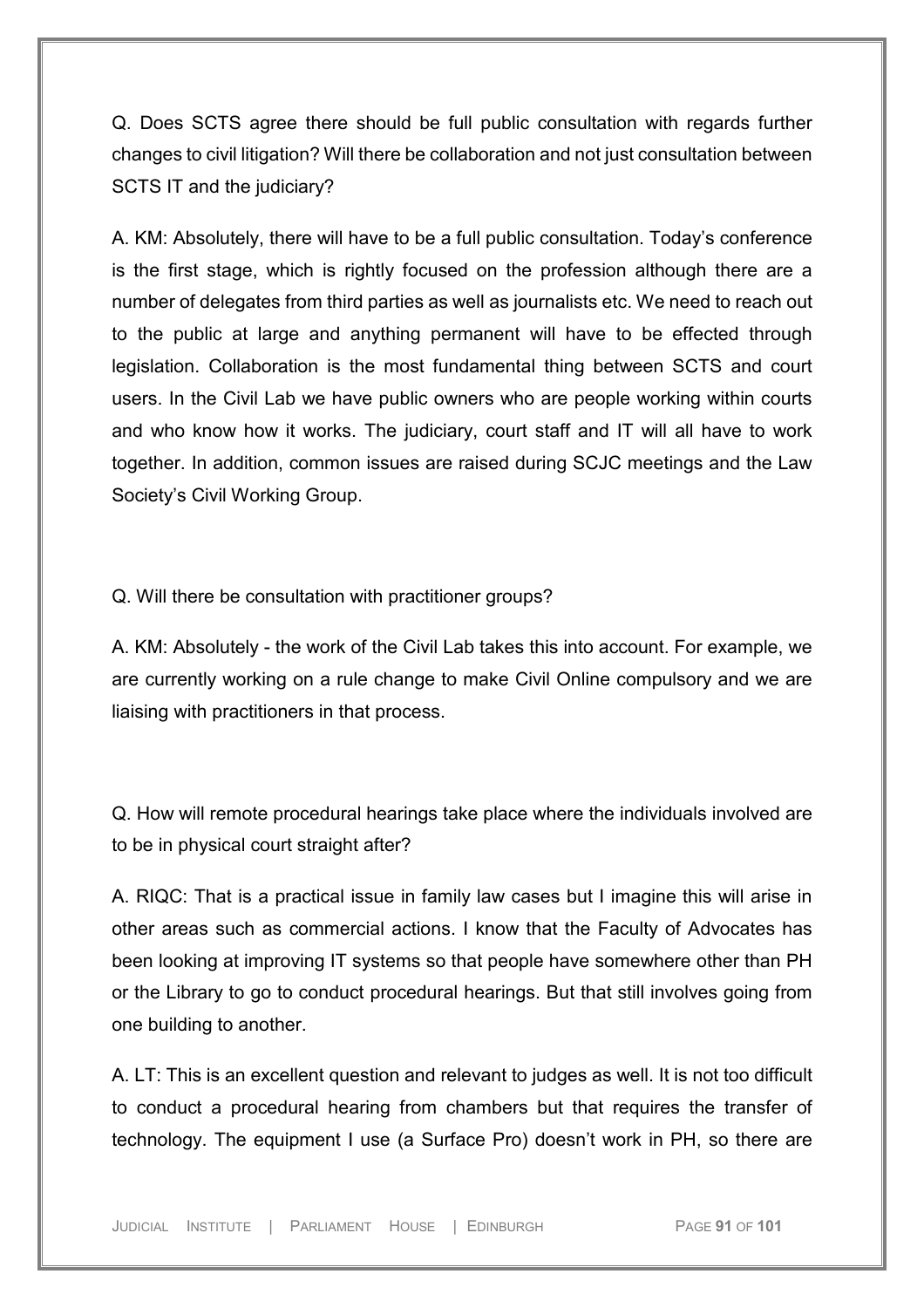Q. Does SCTS agree there should be full public consultation with regards further changes to civil litigation? Will there be collaboration and not just consultation between SCTS IT and the judiciary?

A. KM: Absolutely, there will have to be a full public consultation. Today's conference is the first stage, which is rightly focused on the profession although there are a number of delegates from third parties as well as journalists etc. We need to reach out to the public at large and anything permanent will have to be effected through legislation. Collaboration is the most fundamental thing between SCTS and court users. In the Civil Lab we have public owners who are people working within courts and who know how it works. The judiciary, court staff and IT will all have to work together. In addition, common issues are raised during SCJC meetings and the Law Society's Civil Working Group.

Q. Will there be consultation with practitioner groups?

A. KM: Absolutely - the work of the Civil Lab takes this into account. For example, we are currently working on a rule change to make Civil Online compulsory and we are liaising with practitioners in that process.

Q. How will remote procedural hearings take place where the individuals involved are to be in physical court straight after?

A. RIQC: That is a practical issue in family law cases but I imagine this will arise in other areas such as commercial actions. I know that the Faculty of Advocates has been looking at improving IT systems so that people have somewhere other than PH or the Library to go to conduct procedural hearings. But that still involves going from one building to another.

A. LT: This is an excellent question and relevant to judges as well. It is not too difficult to conduct a procedural hearing from chambers but that requires the transfer of technology. The equipment I use (a Surface Pro) doesn't work in PH, so there are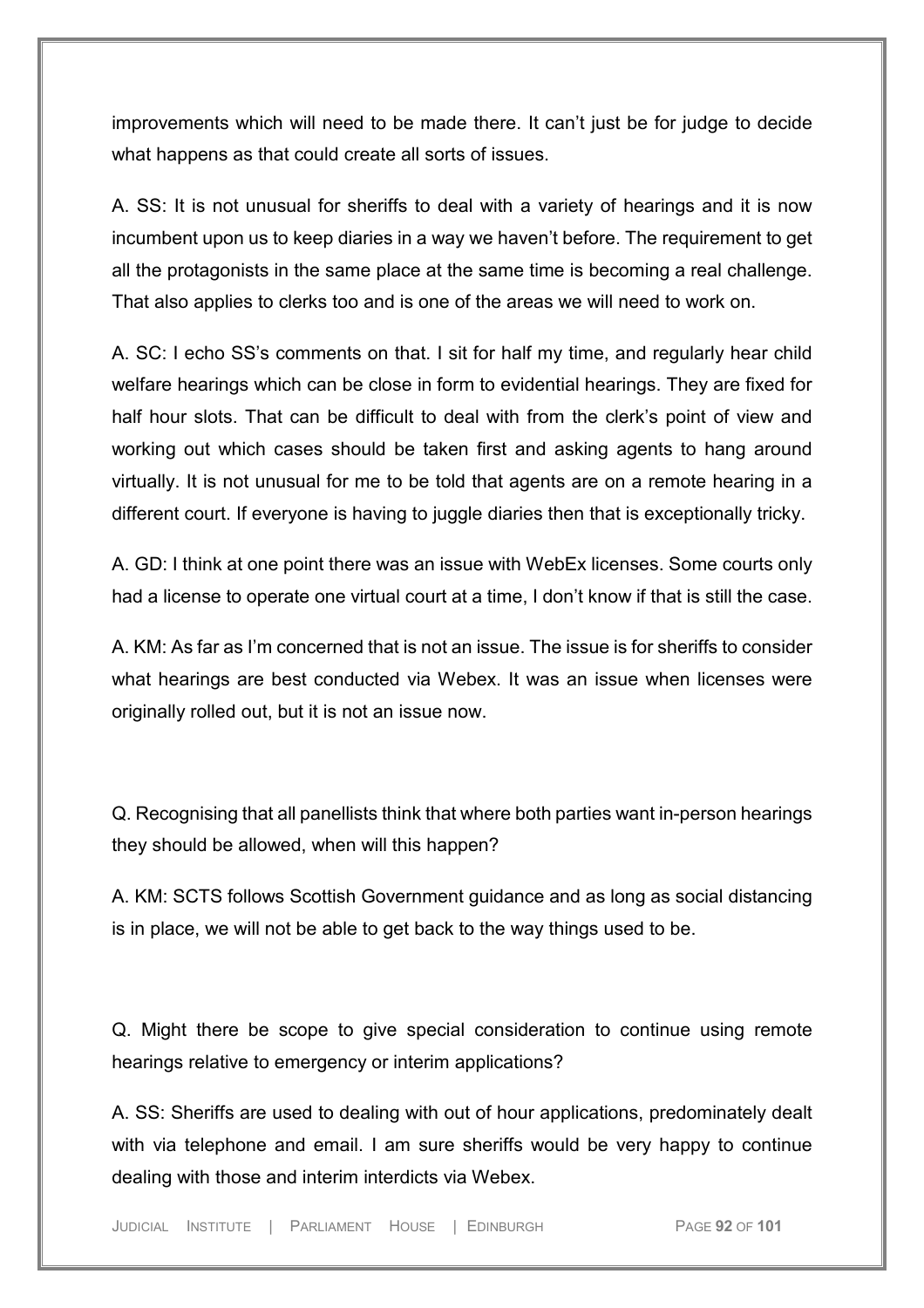improvements which will need to be made there. It can't just be for judge to decide what happens as that could create all sorts of issues.

A. SS: It is not unusual for sheriffs to deal with a variety of hearings and it is now incumbent upon us to keep diaries in a way we haven't before. The requirement to get all the protagonists in the same place at the same time is becoming a real challenge. That also applies to clerks too and is one of the areas we will need to work on.

A. SC: I echo SS's comments on that. I sit for half my time, and regularly hear child welfare hearings which can be close in form to evidential hearings. They are fixed for half hour slots. That can be difficult to deal with from the clerk's point of view and working out which cases should be taken first and asking agents to hang around virtually. It is not unusual for me to be told that agents are on a remote hearing in a different court. If everyone is having to juggle diaries then that is exceptionally tricky.

A. GD: I think at one point there was an issue with WebEx licenses. Some courts only had a license to operate one virtual court at a time, I don't know if that is still the case.

A. KM: As far as I'm concerned that is not an issue. The issue is for sheriffs to consider what hearings are best conducted via Webex. It was an issue when licenses were originally rolled out, but it is not an issue now.

Q. Recognising that all panellists think that where both parties want in-person hearings they should be allowed, when will this happen?

A. KM: SCTS follows Scottish Government guidance and as long as social distancing is in place, we will not be able to get back to the way things used to be.

Q. Might there be scope to give special consideration to continue using remote hearings relative to emergency or interim applications?

A. SS: Sheriffs are used to dealing with out of hour applications, predominately dealt with via telephone and email. I am sure sheriffs would be very happy to continue dealing with those and interim interdicts via Webex.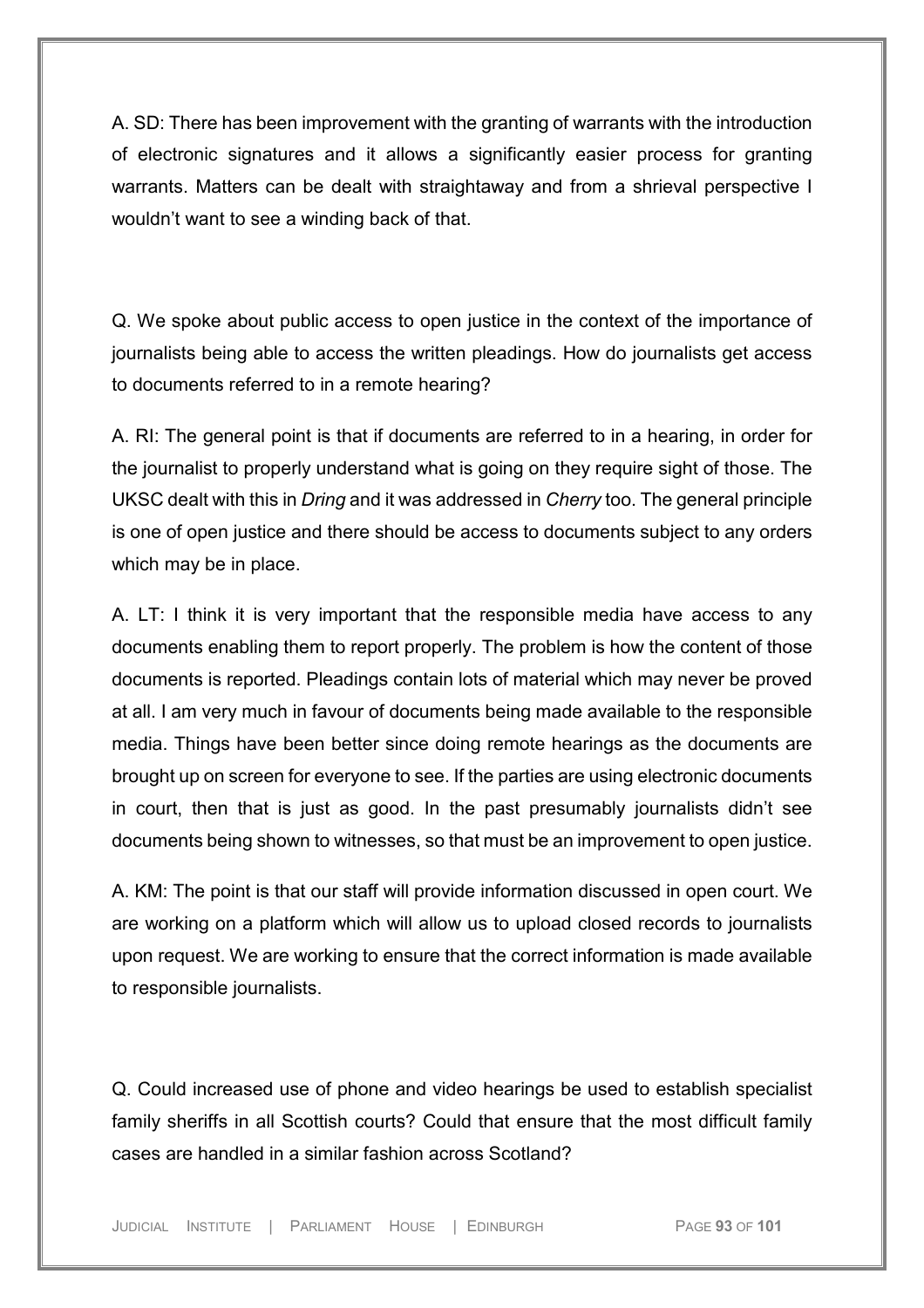A. SD: There has been improvement with the granting of warrants with the introduction of electronic signatures and it allows a significantly easier process for granting warrants. Matters can be dealt with straightaway and from a shrieval perspective I wouldn't want to see a winding back of that.

Q. We spoke about public access to open justice in the context of the importance of journalists being able to access the written pleadings. How do journalists get access to documents referred to in a remote hearing?

A. RI: The general point is that if documents are referred to in a hearing, in order for the journalist to properly understand what is going on they require sight of those. The UKSC dealt with this in *Dring* and it was addressed in *Cherry* too. The general principle is one of open justice and there should be access to documents subject to any orders which may be in place.

A. LT: I think it is very important that the responsible media have access to any documents enabling them to report properly. The problem is how the content of those documents is reported. Pleadings contain lots of material which may never be proved at all. I am very much in favour of documents being made available to the responsible media. Things have been better since doing remote hearings as the documents are brought up on screen for everyone to see. If the parties are using electronic documents in court, then that is just as good. In the past presumably journalists didn't see documents being shown to witnesses, so that must be an improvement to open justice.

A. KM: The point is that our staff will provide information discussed in open court. We are working on a platform which will allow us to upload closed records to journalists upon request. We are working to ensure that the correct information is made available to responsible journalists.

Q. Could increased use of phone and video hearings be used to establish specialist family sheriffs in all Scottish courts? Could that ensure that the most difficult family cases are handled in a similar fashion across Scotland?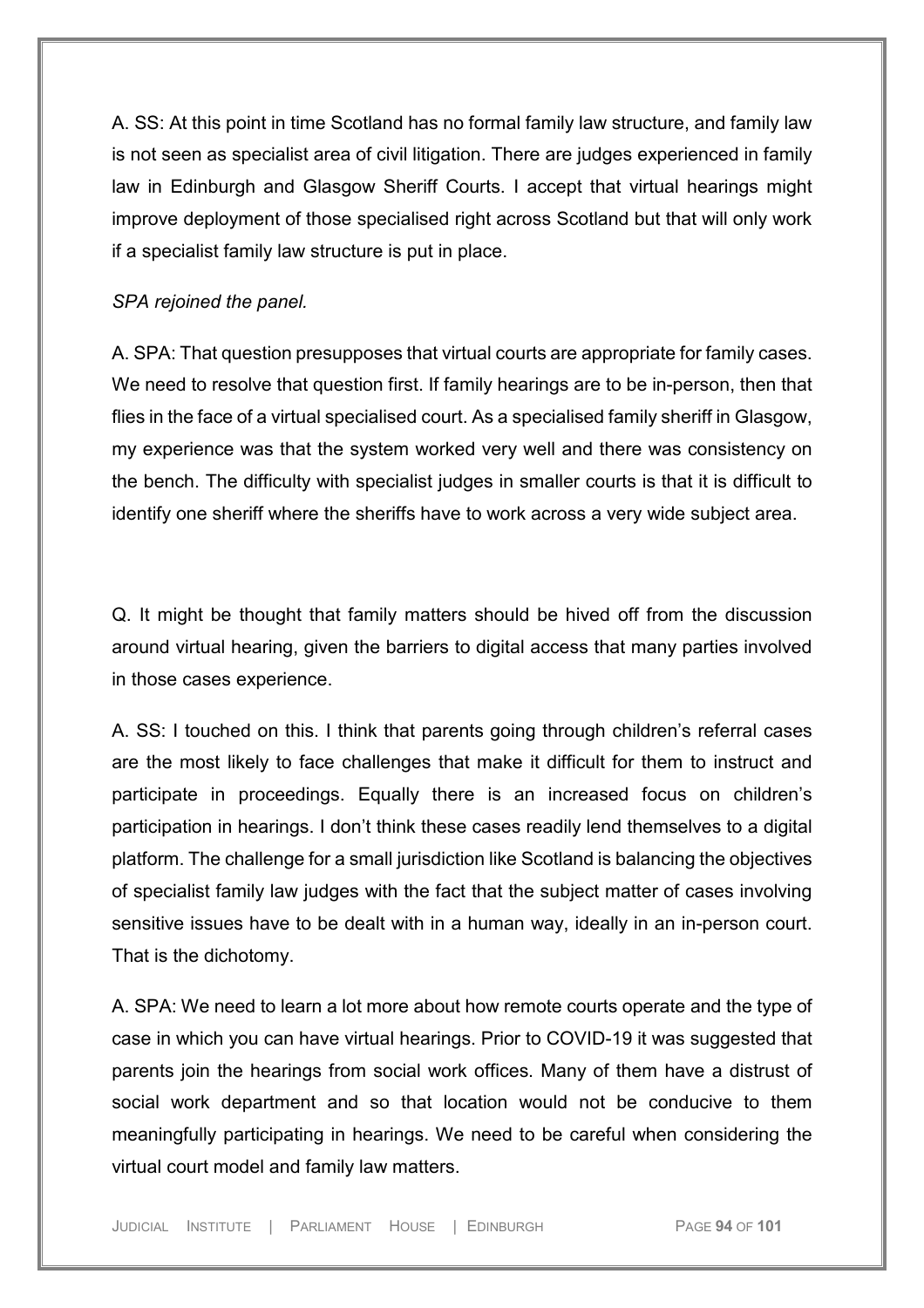A. SS: At this point in time Scotland has no formal family law structure, and family law is not seen as specialist area of civil litigation. There are judges experienced in family law in Edinburgh and Glasgow Sheriff Courts. I accept that virtual hearings might improve deployment of those specialised right across Scotland but that will only work if a specialist family law structure is put in place.

#### *SPA rejoined the panel.*

A. SPA: That question presupposes that virtual courts are appropriate for family cases. We need to resolve that question first. If family hearings are to be in-person, then that flies in the face of a virtual specialised court. As a specialised family sheriff in Glasgow, my experience was that the system worked very well and there was consistency on the bench. The difficulty with specialist judges in smaller courts is that it is difficult to identify one sheriff where the sheriffs have to work across a very wide subject area.

Q. It might be thought that family matters should be hived off from the discussion around virtual hearing, given the barriers to digital access that many parties involved in those cases experience.

A. SS: I touched on this. I think that parents going through children's referral cases are the most likely to face challenges that make it difficult for them to instruct and participate in proceedings. Equally there is an increased focus on children's participation in hearings. I don't think these cases readily lend themselves to a digital platform. The challenge for a small jurisdiction like Scotland is balancing the objectives of specialist family law judges with the fact that the subject matter of cases involving sensitive issues have to be dealt with in a human way, ideally in an in-person court. That is the dichotomy.

A. SPA: We need to learn a lot more about how remote courts operate and the type of case in which you can have virtual hearings. Prior to COVID-19 it was suggested that parents join the hearings from social work offices. Many of them have a distrust of social work department and so that location would not be conducive to them meaningfully participating in hearings. We need to be careful when considering the virtual court model and family law matters.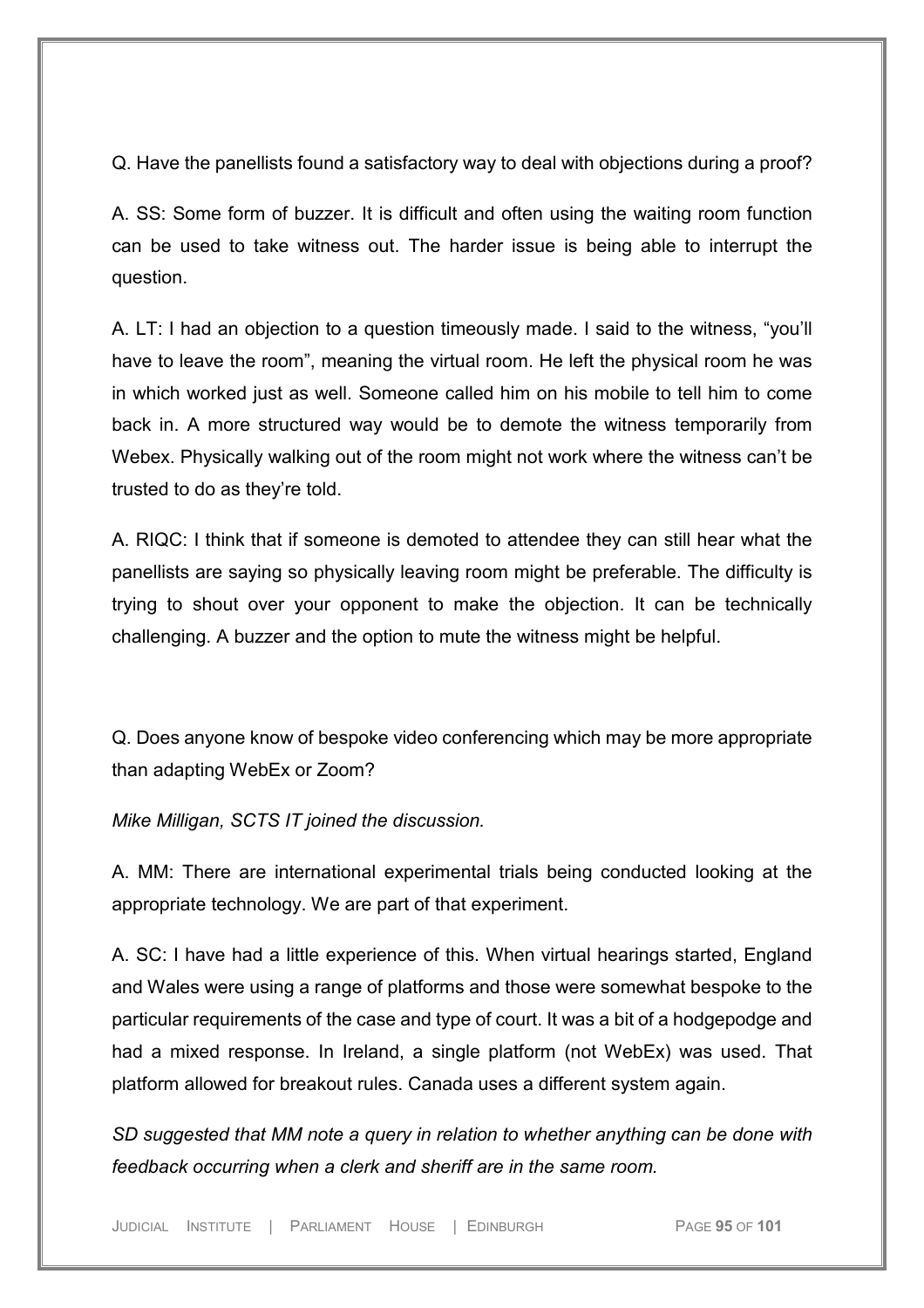Q. Have the panellists found a satisfactory way to deal with objections during a proof?

A. SS: Some form of buzzer. It is difficult and often using the waiting room function can be used to take witness out. The harder issue is being able to interrupt the question.

A. LT: I had an objection to a question timeously made. I said to the witness, "you'll have to leave the room", meaning the virtual room. He left the physical room he was in which worked just as well. Someone called him on his mobile to tell him to come back in. A more structured way would be to demote the witness temporarily from Webex. Physically walking out of the room might not work where the witness can't be trusted to do as they're told.

A. RIQC: I think that if someone is demoted to attendee they can still hear what the panellists are saying so physically leaving room might be preferable. The difficulty is trying to shout over your opponent to make the objection. It can be technically challenging. A buzzer and the option to mute the witness might be helpful.

Q. Does anyone know of bespoke video conferencing which may be more appropriate than adapting WebEx or Zoom?

*Mike Milligan, SCTS IT joined the discussion.*

A. MM: There are international experimental trials being conducted looking at the appropriate technology. We are part of that experiment.

A. SC: I have had a little experience of this. When virtual hearings started, England and Wales were using a range of platforms and those were somewhat bespoke to the particular requirements of the case and type of court. It was a bit of a hodgepodge and had a mixed response. In Ireland, a single platform (not WebEx) was used. That platform allowed for breakout rules. Canada uses a different system again.

*SD suggested that MM note a query in relation to whether anything can be done with feedback occurring when a clerk and sheriff are in the same room.* 

JUDICIAL INSTITUTE | PARLIAMENT HOUSE | EDINBURGH PAGE **95** OF **101**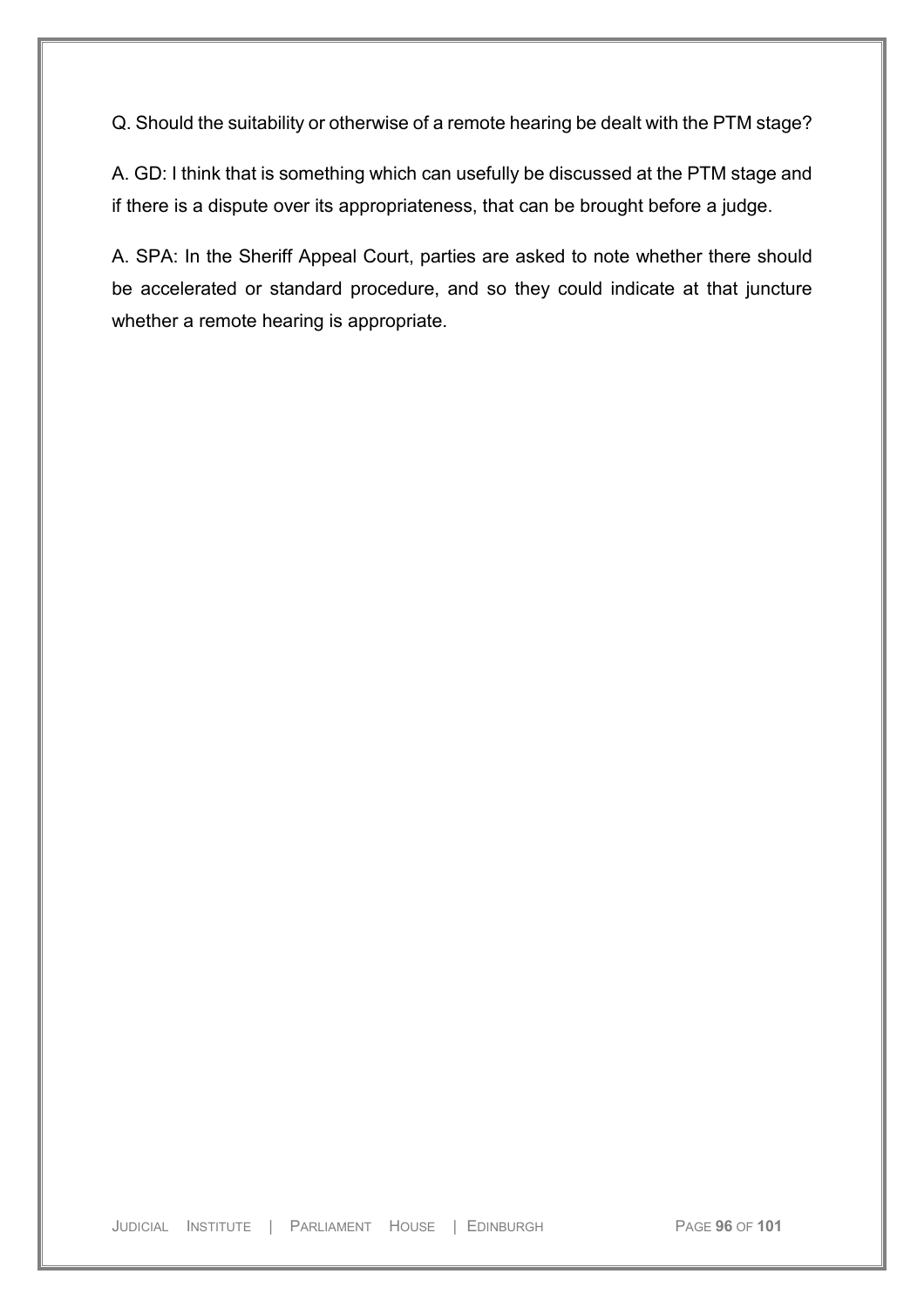Q. Should the suitability or otherwise of a remote hearing be dealt with the PTM stage?

A. GD: I think that is something which can usefully be discussed at the PTM stage and if there is a dispute over its appropriateness, that can be brought before a judge.

A. SPA: In the Sheriff Appeal Court, parties are asked to note whether there should be accelerated or standard procedure, and so they could indicate at that juncture whether a remote hearing is appropriate.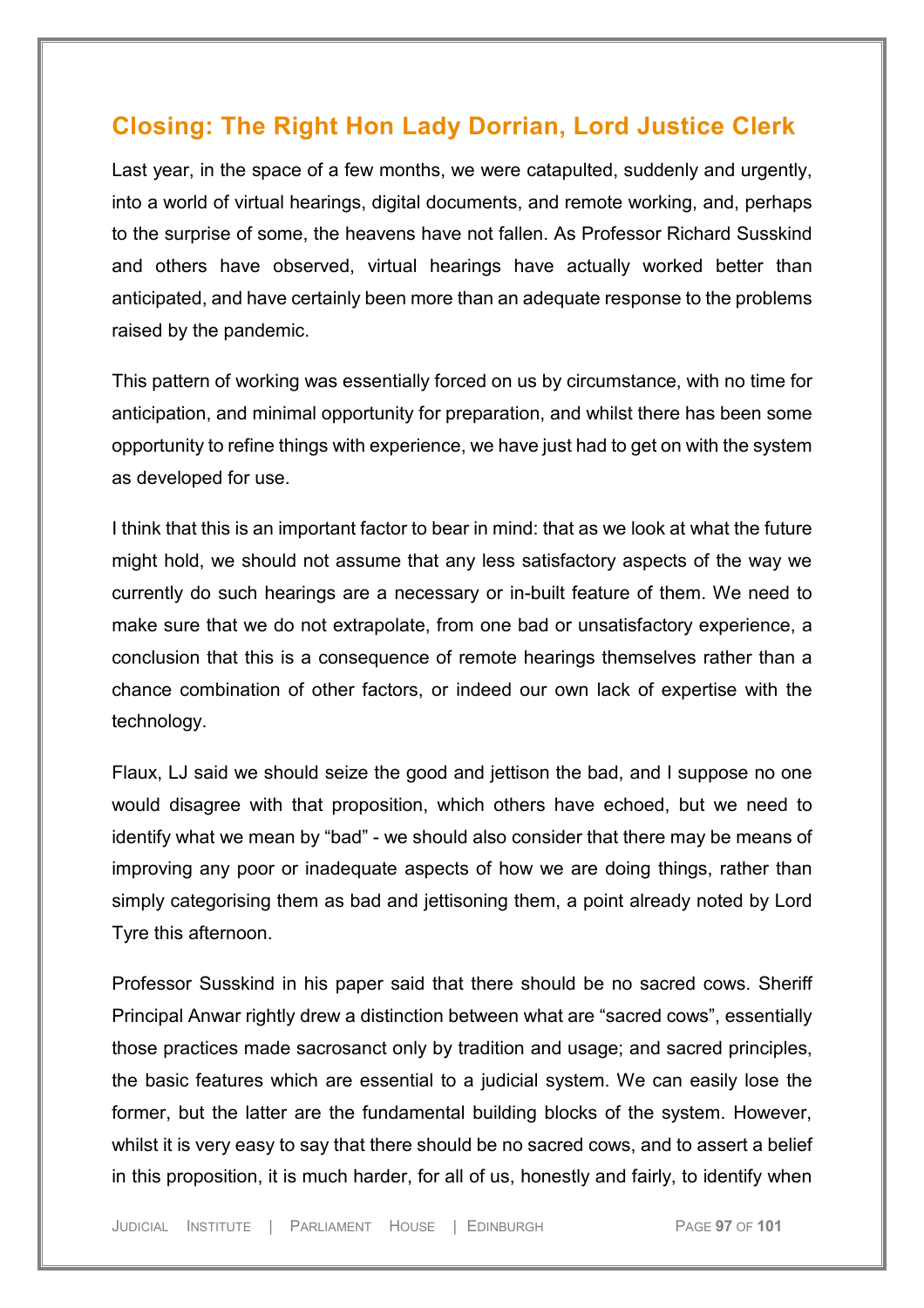# **Closing: The Right Hon Lady Dorrian, Lord Justice Clerk**

Last year, in the space of a few months, we were catapulted, suddenly and urgently, into a world of virtual hearings, digital documents, and remote working, and, perhaps to the surprise of some, the heavens have not fallen. As Professor Richard Susskind and others have observed, virtual hearings have actually worked better than anticipated, and have certainly been more than an adequate response to the problems raised by the pandemic.

This pattern of working was essentially forced on us by circumstance, with no time for anticipation, and minimal opportunity for preparation, and whilst there has been some opportunity to refine things with experience, we have just had to get on with the system as developed for use.

I think that this is an important factor to bear in mind: that as we look at what the future might hold, we should not assume that any less satisfactory aspects of the way we currently do such hearings are a necessary or in-built feature of them. We need to make sure that we do not extrapolate, from one bad or unsatisfactory experience, a conclusion that this is a consequence of remote hearings themselves rather than a chance combination of other factors, or indeed our own lack of expertise with the technology.

Flaux, LJ said we should seize the good and jettison the bad, and I suppose no one would disagree with that proposition, which others have echoed, but we need to identify what we mean by "bad" - we should also consider that there may be means of improving any poor or inadequate aspects of how we are doing things, rather than simply categorising them as bad and jettisoning them, a point already noted by Lord Tyre this afternoon.

Professor Susskind in his paper said that there should be no sacred cows. Sheriff Principal Anwar rightly drew a distinction between what are "sacred cows", essentially those practices made sacrosanct only by tradition and usage; and sacred principles, the basic features which are essential to a judicial system. We can easily lose the former, but the latter are the fundamental building blocks of the system. However, whilst it is very easy to say that there should be no sacred cows, and to assert a belief in this proposition, it is much harder, for all of us, honestly and fairly, to identify when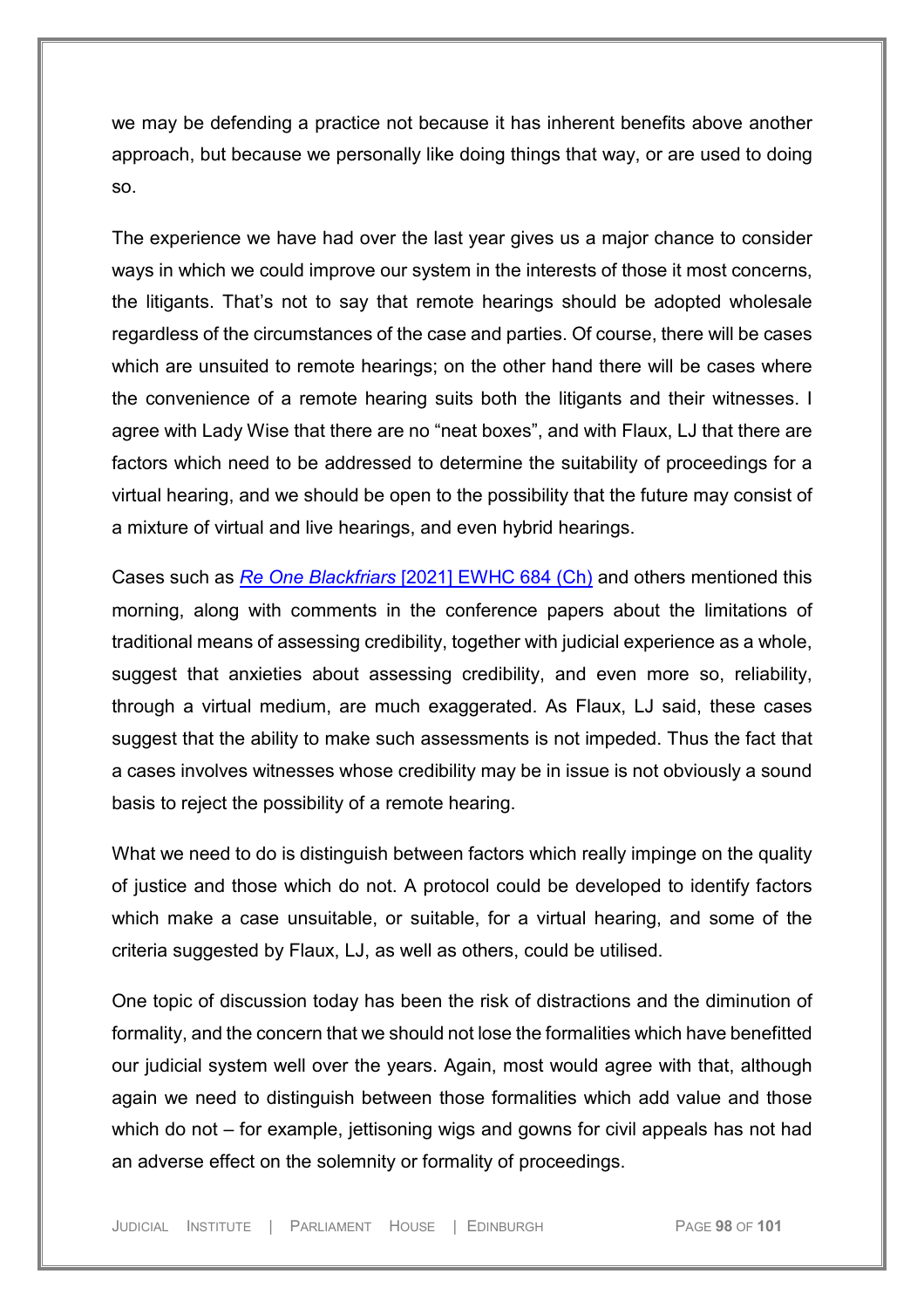we may be defending a practice not because it has inherent benefits above another approach, but because we personally like doing things that way, or are used to doing so.

The experience we have had over the last year gives us a major chance to consider ways in which we could improve our system in the interests of those it most concerns, the litigants. That's not to say that remote hearings should be adopted wholesale regardless of the circumstances of the case and parties. Of course, there will be cases which are unsuited to remote hearings; on the other hand there will be cases where the convenience of a remote hearing suits both the litigants and their witnesses. I agree with Lady Wise that there are no "neat boxes", and with Flaux, LJ that there are factors which need to be addressed to determine the suitability of proceedings for a virtual hearing, and we should be open to the possibility that the future may consist of a mixture of virtual and live hearings, and even hybrid hearings.

Cases such as *Re One Blackfriars* [\[2021\] EWHC 684 \(Ch\)](https://uk.westlaw.com/Document/ID954EA208CA711EBB624B907CB72CC86/View/FullText.html?navigationPath=Search%2Fv1%2Fresults%2Fnavigation%2Fi0ad73aa500000179f5f027382a841adb%3Fppcid%3D22db14de2ad14e579ee4124ae3ba4d9c%26Nav%3DUK-CASES%26fragmentIdentifier%3DI46C71E908CA111EB965BE7175ABC0C89%26parentRank%3D0%26startIndex%3D1%26contextData%3D%2528sc.Search%2529%26transitionType%3DSearchItem&listSource=Search&listPageSource=cab6907ab550702ee26ff51807d4de00&list=UK-CASES&rank=1&sessionScopeId=25f9c183e71d666fca74bc9f02df1a42e8e82f887a5c5a39678ccea66189ac64&ppcid=22db14de2ad14e579ee4124ae3ba4d9c&originationContext=Search%20Result&transitionType=SearchItem&contextData=(sc.Search)&comp=wlukgroupid=linets) and others mentioned this morning, along with comments in the conference papers about the limitations of traditional means of assessing credibility, together with judicial experience as a whole, suggest that anxieties about assessing credibility, and even more so, reliability, through a virtual medium, are much exaggerated. As Flaux, LJ said, these cases suggest that the ability to make such assessments is not impeded. Thus the fact that a cases involves witnesses whose credibility may be in issue is not obviously a sound basis to reject the possibility of a remote hearing.

What we need to do is distinguish between factors which really impinge on the quality of justice and those which do not. A protocol could be developed to identify factors which make a case unsuitable, or suitable, for a virtual hearing, and some of the criteria suggested by Flaux, LJ, as well as others, could be utilised.

One topic of discussion today has been the risk of distractions and the diminution of formality, and the concern that we should not lose the formalities which have benefitted our judicial system well over the years. Again, most would agree with that, although again we need to distinguish between those formalities which add value and those which do not – for example, jettisoning wigs and gowns for civil appeals has not had an adverse effect on the solemnity or formality of proceedings.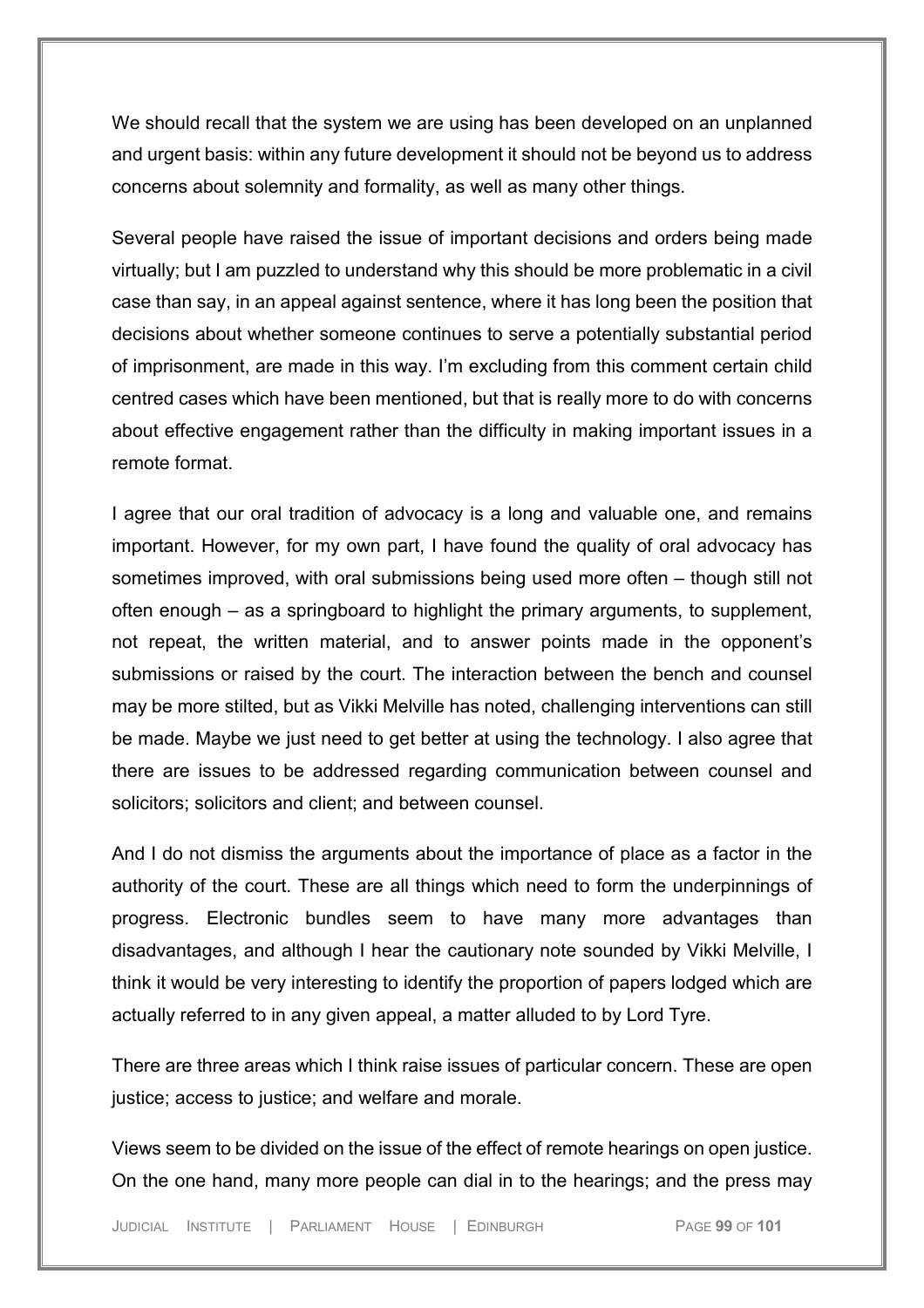We should recall that the system we are using has been developed on an unplanned and urgent basis: within any future development it should not be beyond us to address concerns about solemnity and formality, as well as many other things.

Several people have raised the issue of important decisions and orders being made virtually; but I am puzzled to understand why this should be more problematic in a civil case than say, in an appeal against sentence, where it has long been the position that decisions about whether someone continues to serve a potentially substantial period of imprisonment, are made in this way. I'm excluding from this comment certain child centred cases which have been mentioned, but that is really more to do with concerns about effective engagement rather than the difficulty in making important issues in a remote format.

I agree that our oral tradition of advocacy is a long and valuable one, and remains important. However, for my own part, I have found the quality of oral advocacy has sometimes improved, with oral submissions being used more often – though still not often enough – as a springboard to highlight the primary arguments, to supplement, not repeat, the written material, and to answer points made in the opponent's submissions or raised by the court. The interaction between the bench and counsel may be more stilted, but as Vikki Melville has noted, challenging interventions can still be made. Maybe we just need to get better at using the technology. I also agree that there are issues to be addressed regarding communication between counsel and solicitors; solicitors and client; and between counsel.

And I do not dismiss the arguments about the importance of place as a factor in the authority of the court. These are all things which need to form the underpinnings of progress. Electronic bundles seem to have many more advantages than disadvantages, and although I hear the cautionary note sounded by Vikki Melville, I think it would be very interesting to identify the proportion of papers lodged which are actually referred to in any given appeal, a matter alluded to by Lord Tyre.

There are three areas which I think raise issues of particular concern. These are open justice; access to justice; and welfare and morale.

Views seem to be divided on the issue of the effect of remote hearings on open justice. On the one hand, many more people can dial in to the hearings; and the press may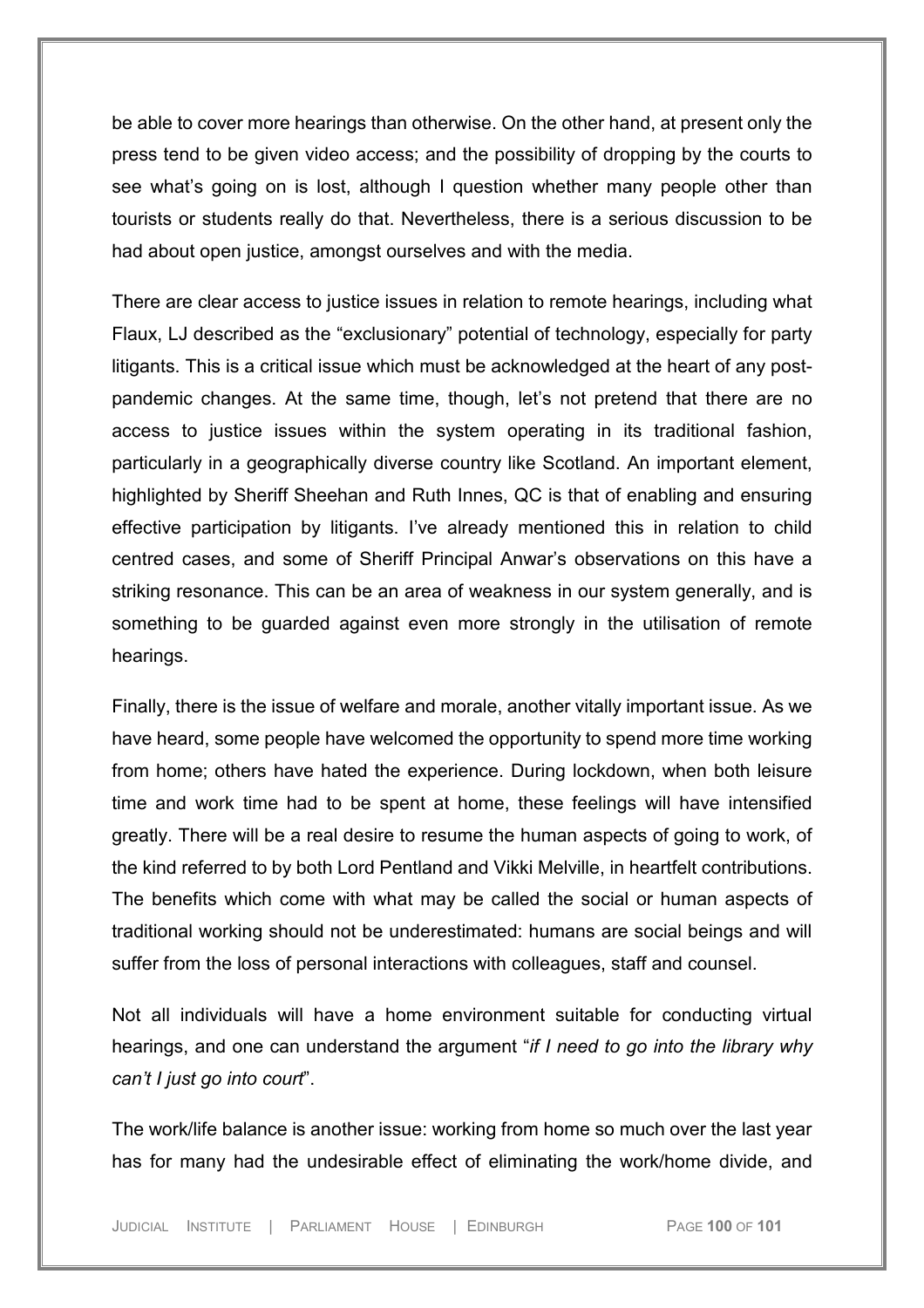be able to cover more hearings than otherwise. On the other hand, at present only the press tend to be given video access; and the possibility of dropping by the courts to see what's going on is lost, although I question whether many people other than tourists or students really do that. Nevertheless, there is a serious discussion to be had about open justice, amongst ourselves and with the media.

There are clear access to justice issues in relation to remote hearings, including what Flaux, LJ described as the "exclusionary" potential of technology, especially for party litigants. This is a critical issue which must be acknowledged at the heart of any postpandemic changes. At the same time, though, let's not pretend that there are no access to justice issues within the system operating in its traditional fashion, particularly in a geographically diverse country like Scotland. An important element, highlighted by Sheriff Sheehan and Ruth Innes, QC is that of enabling and ensuring effective participation by litigants. I've already mentioned this in relation to child centred cases, and some of Sheriff Principal Anwar's observations on this have a striking resonance. This can be an area of weakness in our system generally, and is something to be guarded against even more strongly in the utilisation of remote hearings.

Finally, there is the issue of welfare and morale, another vitally important issue. As we have heard, some people have welcomed the opportunity to spend more time working from home; others have hated the experience. During lockdown, when both leisure time and work time had to be spent at home, these feelings will have intensified greatly. There will be a real desire to resume the human aspects of going to work, of the kind referred to by both Lord Pentland and Vikki Melville, in heartfelt contributions. The benefits which come with what may be called the social or human aspects of traditional working should not be underestimated: humans are social beings and will suffer from the loss of personal interactions with colleagues, staff and counsel.

Not all individuals will have a home environment suitable for conducting virtual hearings, and one can understand the argument "*if I need to go into the library why can't I just go into court*".

The work/life balance is another issue: working from home so much over the last year has for many had the undesirable effect of eliminating the work/home divide, and